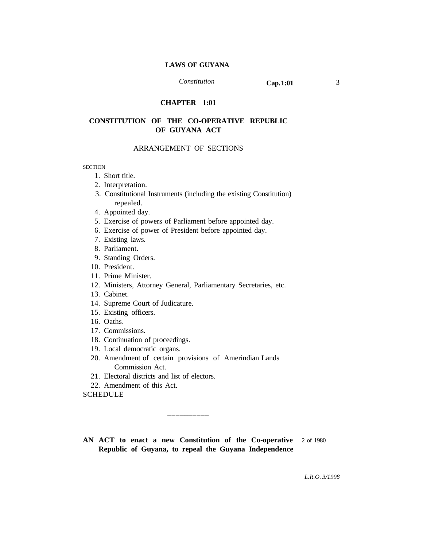*Constitution* **Cap. 1:01** 3

# **CHAPTER 1:01**

# **CONSTITUTION OF THE CO-OPERATIVE REPUBLIC OF GUYANA ACT**

## ARRANGEMENT OF SECTIONS

**SECTION** 

- 1. Short title.
- 2. Interpretation.
- 3. Constitutional Instruments (including the existing Constitution) repealed.
- 4. Appointed day.
- 5. Exercise of powers of Parliament before appointed day.
- 6. Exercise of power of President before appointed day.
- 7. Existing laws.
- 8. Parliament.
- 9. Standing Orders.
- 10. President.
- 11. Prime Minister.
- 12. Ministers, Attorney General, Parliamentary Secretaries, etc.
- 13. Cabinet.
- 14. Supreme Court of Judicature.
- 15. Existing officers.
- 16. Oaths.
- 17. Commissions.
- 18. Continuation of proceedings.
- 19. Local democratic organs.
- 20. Amendment of certain provisions of Amerindian Lands Commission Act.

\_\_\_\_\_\_\_\_\_

- 21. Electoral districts and list of electors.
- 22. Amendment of this Act.

**SCHEDULE** 

**AN ACT to enact a new Constitution of the Co-operative** 2 of 1980**Republic of Guyana, to repeal the Guyana Independence**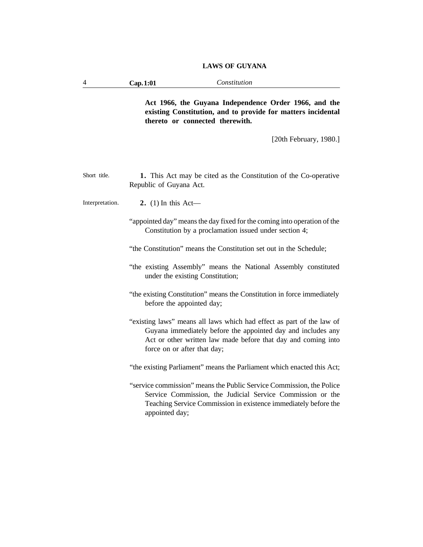| 4 | Cap. 1:01 | Constitution                                                 |
|---|-----------|--------------------------------------------------------------|
|   |           | Act 1966, the Guyana Independence Order 1966, and the        |
|   |           | existing Constitution, and to provide for matters incidental |
|   |           | thereto or connected therewith.                              |

[20th February, 1980.]

| Short title.    | 1. This Act may be cited as the Constitution of the Co-operative<br>Republic of Guyana Act.                                                                                                                                           |  |
|-----------------|---------------------------------------------------------------------------------------------------------------------------------------------------------------------------------------------------------------------------------------|--|
| Interpretation. | <b>2.</b> (1) In this Act—                                                                                                                                                                                                            |  |
|                 | "appointed day" means the day fixed for the coming into operation of the<br>Constitution by a proclamation issued under section 4;                                                                                                    |  |
|                 | "the Constitution" means the Constitution set out in the Schedule;                                                                                                                                                                    |  |
|                 | "the existing Assembly" means the National Assembly constituted<br>under the existing Constitution;                                                                                                                                   |  |
|                 | "the existing Constitution" means the Constitution in force immediately<br>before the appointed day;                                                                                                                                  |  |
|                 | "existing laws" means all laws which had effect as part of the law of<br>Guyana immediately before the appointed day and includes any<br>Act or other written law made before that day and coming into<br>force on or after that day; |  |
|                 | "the existing Parliament" means the Parliament which enacted this Act;                                                                                                                                                                |  |
|                 | "service commission" means the Public Service Commission, the Police<br>Service Commission, the Judicial Service Commission or the<br>Teaching Service Commission in existence immediately before the<br>appointed day;               |  |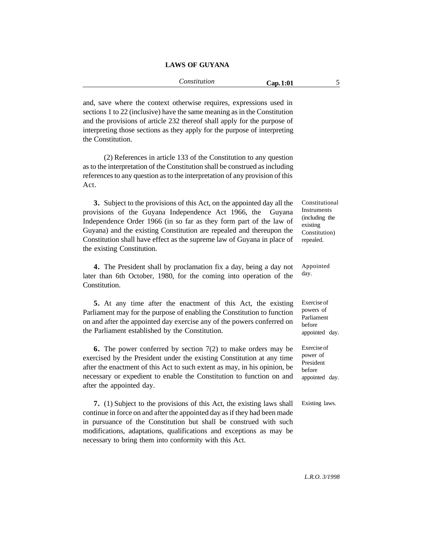| Constitution |  |
|--------------|--|
|              |  |

and, save where the context otherwise requires, expressions used in sections 1 to 22 (inclusive) have the same meaning as in the Constitution and the provisions of article 232 thereof shall apply for the purpose of interpreting those sections as they apply for the purpose of interpreting the Constitution.

(2) References in article 133 of the Constitution to any question as to the interpretation of the Constitution shall be construed as including references to any question as to the interpretation of any provision of this Act.

**3.** Subject to the provisions of this Act, on the appointed day all the provisions of the Guyana Independence Act 1966, the Guyana Independence Order 1966 (in so far as they form part of the law of Guyana) and the existing Constitution are repealed and thereupon the Constitution shall have effect as the supreme law of Guyana in place of the existing Constitution. existing repealed.

**4.** The President shall by proclamation fix a day, being a day not later than 6th October, 1980, for the coming into operation of the Constitution. day.

**5.** At any time after the enactment of this Act, the existing Parliament may for the purpose of enabling the Constitution to function on and after the appointed day exercise any of the powers conferred on the Parliament established by the Constitution.

**6.** The power conferred by section 7(2) to make orders may be exercised by the President under the existing Constitution at any time after the enactment of this Act to such extent as may, in his opinion, be necessary or expedient to enable the Constitution to function on and after the appointed day.

**7.** (1) Subject to the provisions of this Act, the existing laws shall continue in force on and after the appointed day as if they had been made in pursuance of the Constitution but shall be construed with such modifications, adaptations, qualifications and exceptions as may be necessary to bring them into conformity with this Act.

Constitutional Instruments (including the Constitution)

Appointed

Exercise of powers of Parliament before appointed day.

Exercise of power of President before appointed day.

Existing laws.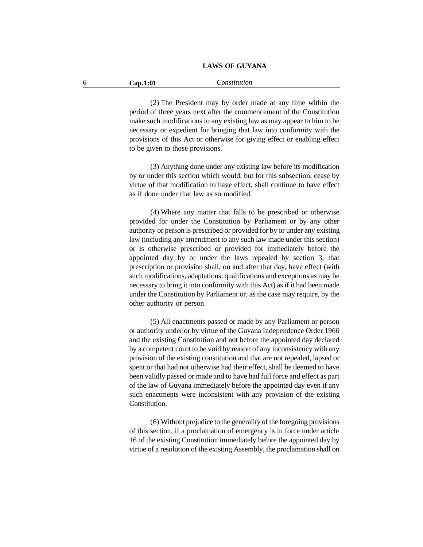(2) The President may by order made at any time within the period of three years next after the commencement of the Constitution make such modifications to any existing law as may appear to him to be necessary or expedient for bringing that law into conformity with the provisions of this Act or otherwise for giving effect or enabling effect to be given to those provisions.

(3) Anything done under any existing law before its modification by or under this section which would, but for this subsection, cease by virtue of that modification to have effect, shall continue to have effect as if done under that law as so modified.

(4) Where any matter that falls to be prescribed or otherwise provided for under the Constitution by Parliament or by any other authority or person is prescribed or provided for by or under any existing law (including any amendment to any such law made under this section) or is otherwise prescribed or provided for immediately before the appointed day by or under the laws repealed by section 3, that prescription or provision shall, on and after that day, have effect (with such modifications, adaptations, qualifications and exceptions as may be necessary to bring it into conformity with this Act) as if it had been made under the Constitution by Parliament or, as the case may require, by the other authority or person.

(5) All enactments passed or made by any Parliament or person or authority under or by virtue of the Guyana Independence Order 1966 and the existing Constitution and not before the appointed day declared by a competent court to be void by reason of any inconsistency with any provision of the existing constitution and that are not repealed, lapsed or spent or that had not otherwise had their effect, shall be deemed to have been validly passed or made and to have had full force and effect as part of the law of Guyana immediately before the appointed day even if any such enactments were inconsistent with any provision of the existing Constitution.

(6) Without prejudice to the generality of the foregoing provisions of this section, if a proclamation of emergency is in force under article 16 of the existing Constitution immediately before the appointed day by virtue of a resolution of the existing Assembly, the proclamation shall on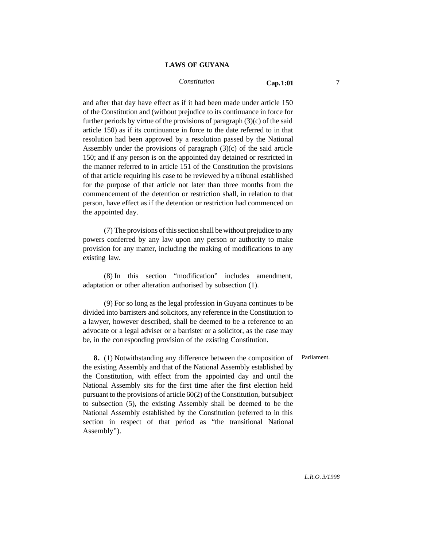*Constitution* **Cap. 1:01** 7

and after that day have effect as if it had been made under article 150 of the Constitution and (without prejudice to its continuance in force for further periods by virtue of the provisions of paragraph  $(3)(c)$  of the said article 150) as if its continuance in force to the date referred to in that resolution had been approved by a resolution passed by the National Assembly under the provisions of paragraph (3)(c) of the said article 150; and if any person is on the appointed day detained or restricted in the manner referred to in article 151 of the Constitution the provisions of that article requiring his case to be reviewed by a tribunal established for the purpose of that article not later than three months from the commencement of the detention or restriction shall, in relation to that person, have effect as if the detention or restriction had commenced on the appointed day.

(7) The provisions of this section shall be without prejudice to any powers conferred by any law upon any person or authority to make provision for any matter, including the making of modifications to any existing law.

(8) In this section "modification" includes amendment, adaptation or other alteration authorised by subsection (1).

(9) For so long as the legal profession in Guyana continues to be divided into barristers and solicitors, any reference in the Constitution to a lawyer, however described, shall be deemed to be a reference to an advocate or a legal adviser or a barrister or a solicitor, as the case may be, in the corresponding provision of the existing Constitution.

**8.** (1) Notwithstanding any difference between the composition of the existing Assembly and that of the National Assembly established by the Constitution, with effect from the appointed day and until the National Assembly sits for the first time after the first election held pursuant to the provisions of article 60(2) of the Constitution, but subject to subsection (5), the existing Assembly shall be deemed to be the National Assembly established by the Constitution (referred to in this section in respect of that period as "the transitional National Assembly").

Parliament.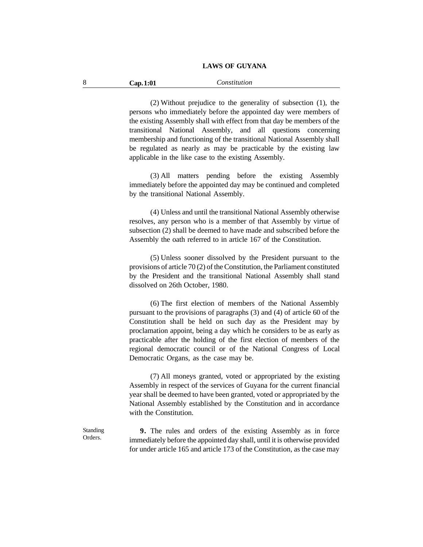(2) Without prejudice to the generality of subsection (1), the persons who immediately before the appointed day were members of the existing Assembly shall with effect from that day be members of the transitional National Assembly, and all questions concerning membership and functioning of the transitional National Assembly shall be regulated as nearly as may be practicable by the existing law applicable in the like case to the existing Assembly.

(3) All matters pending before the existing Assembly immediately before the appointed day may be continued and completed by the transitional National Assembly.

(4) Unless and until the transitional National Assembly otherwise resolves, any person who is a member of that Assembly by virtue of subsection (2) shall be deemed to have made and subscribed before the Assembly the oath referred to in article 167 of the Constitution.

(5) Unless sooner dissolved by the President pursuant to the provisions of article 70 (2) of the Constitution, the Parliament constituted by the President and the transitional National Assembly shall stand dissolved on 26th October, 1980.

(6) The first election of members of the National Assembly pursuant to the provisions of paragraphs (3) and (4) of article 60 of the Constitution shall be held on such day as the President may by proclamation appoint, being a day which he considers to be as early as practicable after the holding of the first election of members of the regional democratic council or of the National Congress of Local Democratic Organs, as the case may be.

(7) All moneys granted, voted or appropriated by the existing Assembly in respect of the services of Guyana for the current financial year shall be deemed to have been granted, voted or appropriated by the National Assembly established by the Constitution and in accordance with the Constitution.

**9.** The rules and orders of the existing Assembly as in force immediately before the appointed day shall, until it is otherwise provided for under article 165 and article 173 of the Constitution, as the case may

**Standing** Orders.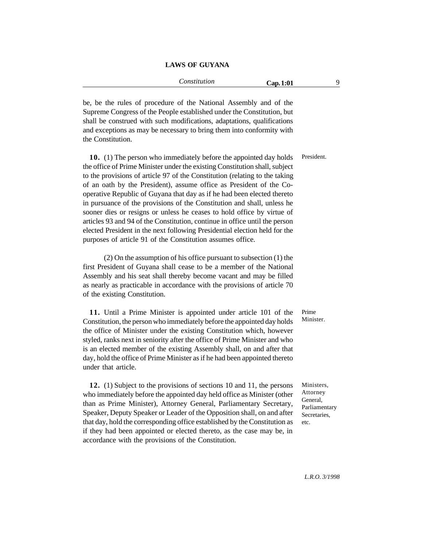be, be the rules of procedure of the National Assembly and of the Supreme Congress of the People established under the Constitution, but shall be construed with such modifications, adaptations, qualifications and exceptions as may be necessary to bring them into conformity with the Constitution.

**10.** (1) The person who immediately before the appointed day holds the office of Prime Minister under the existing Constitution shall, subject to the provisions of article 97 of the Constitution (relating to the taking of an oath by the President), assume office as President of the Cooperative Republic of Guyana that day as if he had been elected thereto in pursuance of the provisions of the Constitution and shall, unless he sooner dies or resigns or unless he ceases to hold office by virtue of articles 93 and 94 of the Constitution, continue in office until the person elected President in the next following Presidential election held for the purposes of article 91 of the Constitution assumes office. President.

(2) On the assumption of his office pursuant to subsection (1) the first President of Guyana shall cease to be a member of the National Assembly and his seat shall thereby become vacant and may be filled as nearly as practicable in accordance with the provisions of article 70 of the existing Constitution.

**11.** Until a Prime Minister is appointed under article 101 of the Constitution, the person who immediately before the appointed day holds the office of Minister under the existing Constitution which, however styled, ranks next in seniority after the office of Prime Minister and who is an elected member of the existing Assembly shall, on and after that day, hold the office of Prime Minister as if he had been appointed thereto under that article.

**12.** (1) Subject to the provisions of sections 10 and 11, the persons who immediately before the appointed day held office as Minister (other than as Prime Minister), Attorney General, Parliamentary Secretary, Speaker, Deputy Speaker or Leader of the Opposition shall, on and after that day, hold the corresponding office established by the Constitution as if they had been appointed or elected thereto, as the case may be, in accordance with the provisions of the Constitution.

Ministers, Attorney General, Parliamentary Secretaries, etc.

*Constitution* **Cap. 1:01** 9

Prime Minister.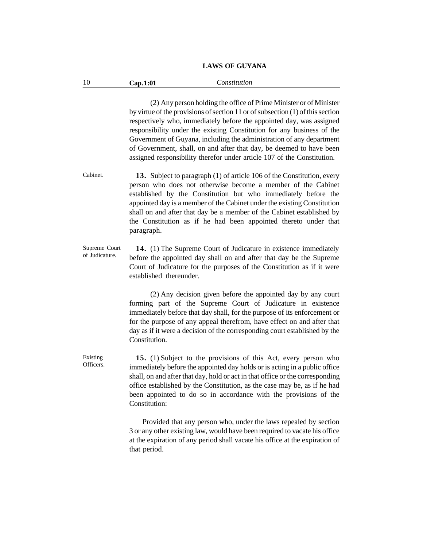| 10 | Cap. 1:01 | Constitution |
|----|-----------|--------------|
|    |           |              |

(2) Any person holding the office of Prime Minister or of Minister by virtue of the provisions of section 11 or of subsection (1) of this section respectively who, immediately before the appointed day, was assigned responsibility under the existing Constitution for any business of the Government of Guyana, including the administration of any department of Government, shall, on and after that day, be deemed to have been assigned responsibility therefor under article 107 of the Constitution.

**13.** Subject to paragraph (1) of article 106 of the Constitution, every person who does not otherwise become a member of the Cabinet established by the Constitution but who immediately before the appointed day is a member of the Cabinet under the existing Constitution shall on and after that day be a member of the Cabinet established by the Constitution as if he had been appointed thereto under that paragraph. Cabinet.

**14.** (1) The Supreme Court of Judicature in existence immediately before the appointed day shall on and after that day be the Supreme Court of Judicature for the purposes of the Constitution as if it were established thereunder. Supreme Court of Judicature.

> (2) Any decision given before the appointed day by any court forming part of the Supreme Court of Judicature in existence immediately before that day shall, for the purpose of its enforcement or for the purpose of any appeal therefrom, have effect on and after that day as if it were a decision of the corresponding court established by the Constitution.

**15.** (1) Subject to the provisions of this Act, every person who immediately before the appointed day holds or is acting in a public office shall, on and after that day, hold or act in that office or the corresponding office established by the Constitution, as the case may be, as if he had been appointed to do so in accordance with the provisions of the Constitution:

Provided that any person who, under the laws repealed by section 3 or any other existing law, would have been required to vacate his office at the expiration of any period shall vacate his office at the expiration of that period.

Existing Officers.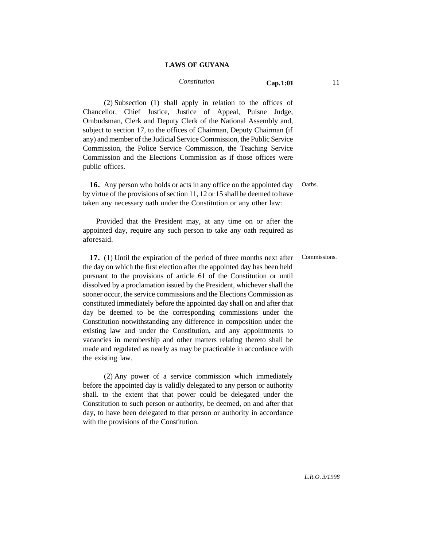| Constitution |  |
|--------------|--|
|              |  |
|              |  |

*Constitution* **Cap. 1:01** 11

(2) Subsection (1) shall apply in relation to the offices of Chancellor, Chief Justice, Justice of Appeal, Puisne Judge, Ombudsman, Clerk and Deputy Clerk of the National Assembly and, subject to section 17, to the offices of Chairman, Deputy Chairman (if any) and member of the Judicial Service Commission, the Public Service Commission, the Police Service Commission, the Teaching Service Commission and the Elections Commission as if those offices were public offices. **16.** Any person who holds or acts in any office on the appointed day by virtue of the provisions of section 11, 12 or 15 shall be deemed to have taken any necessary oath under the Constitution or any other law: Provided that the President may, at any time on or after the appointed day, require any such person to take any oath required as aforesaid. **17.** (1) Until the expiration of the period of three months next after the day on which the first election after the appointed day has been held pursuant to the provisions of article 61 of the Constitution or until dissolved by a proclamation issued by the President, whichever shall the sooner occur, the service commissions and the Elections Commission as constituted immediately before the appointed day shall on and after that day be deemed to be the corresponding commissions under the Constitution notwithstanding any difference in composition under the existing law and under the Constitution, and any appointments to vacancies in membership and other matters relating thereto shall be made and regulated as nearly as may be practicable in accordance with the existing law. (2) Any power of a service commission which immediately before the appointed day is validly delegated to any person or authority shall. to the extent that that power could be delegated under the Constitution to such person or authority, be deemed, on and after that day, to have been delegated to that person or authority in accordance Oaths. Commissions.

with the provisions of the Constitution.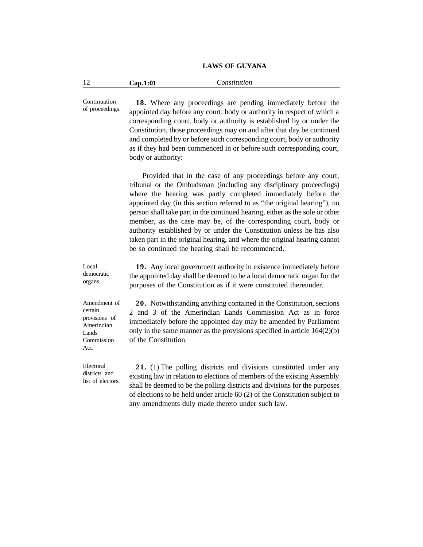| 12 | Cap.1:01 | Constitution |
|----|----------|--------------|
|----|----------|--------------|

**18.** Where any proceedings are pending immediately before the appointed day before any court, body or authority in respect of which a corresponding court, body or authority is established by or under the Constitution, those proceedings may on and after that day be continued and completed by or before such corresponding court, body or authority as if they had been commenced in or before such corresponding court, body or authority: Continuation of proceedings.

> Provided that in the case of any proceedings before any court, tribunal or the Ombudsman (including any disciplinary proceedings) where the hearing was partly completed immediately before the appointed day (in this section referred to as "the original hearing"), no person shall take part in the continued hearing, either as the sole or other member, as the case may be, of the corresponding court, body or authority established by or under the Constitution unless he has also taken part in the original hearing, and where the original hearing cannot be so continued the hearing shall be recommenced.

**19.** Any local government authority in existence immediately before the appointed day shall be deemed to be a local democratic organ for the purposes of the Constitution as if it were constituted thereunder.

Amendment of certain provisions of Amerindian Lands Commission Act.

Local democratic organs.

Electoral districts and list of electors.

**20.** Notwithstanding anything contained in the Constitution, sections 2 and 3 of the Amerindian Lands Commission Act as in force immediately before the appointed day may be amended by Parliament only in the same manner as the provisions specified in article 164(2)(b) of the Constitution.

**21.** (1) The polling districts and divisions constituted under any existing law in relation to elections of members of the existing Assembly shall be deemed to be the polling districts and divisions for the purposes of elections to be held under article 60 (2) of the Constitution subject to any amendments duly made thereto under such law.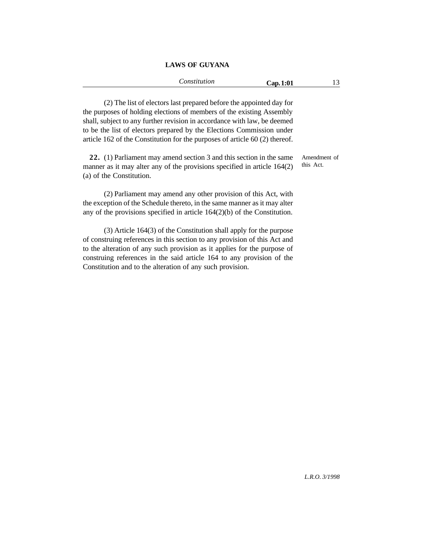|                                                                                                                                                                                                                                                                                                                                                                                   | Constitution                                                        | Cap. 1:01 | 13           |
|-----------------------------------------------------------------------------------------------------------------------------------------------------------------------------------------------------------------------------------------------------------------------------------------------------------------------------------------------------------------------------------|---------------------------------------------------------------------|-----------|--------------|
| the purposes of holding elections of members of the existing Assembly<br>shall, subject to any further revision in accordance with law, be deemed<br>to be the list of electors prepared by the Elections Commission under<br>article 162 of the Constitution for the purposes of article $60(2)$ thereof.<br>22. (1) Parliament may amend section 3 and this section in the same | (2) The list of electors last prepared before the appointed day for |           | Amendment of |
| manner as it may alter any of the provisions specified in article 164(2)<br>(a) of the Constitution.                                                                                                                                                                                                                                                                              |                                                                     |           | this Act.    |
| the exception of the Schedule thereto, in the same manner as it may alter<br>any of the provisions specified in article $164(2)(b)$ of the Constitution.                                                                                                                                                                                                                          | (2) Parliament may amend any other provision of this Act, with      |           |              |

(3) Article 164(3) of the Constitution shall apply for the purpose of construing references in this section to any provision of this Act and to the alteration of any such provision as it applies for the purpose of construing references in the said article 164 to any provision of the Constitution and to the alteration of any such provision.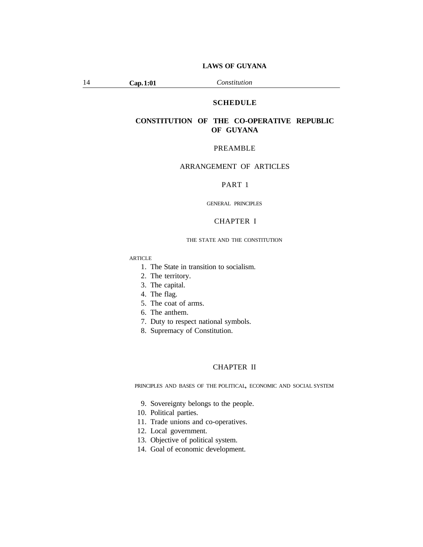14 **Cap. 1:01** *Constitution*

## **SCHEDULE**

## **CONSTITUTION OF THE CO-OPERATIVE REPUBLIC OF GUYANA**

## PREAMBLE

## ARRANGEMENT OF ARTICLES

## PART 1

GENERAL PRINCIPLES

## CHAPTER I

## THE STATE AND THE CONSTITUTION

#### **ARTICLE**

- 1. The State in transition to socialism.
- 2. The territory.
- 3. The capital.
- 4. The flag.
- 5. The coat of arms.
- 6. The anthem.
- 7. Duty to respect national symbols.
- 8. Supremacy of Constitution.

## CHAPTER II

PRINCIPLES AND BASES OF THE POLITICAL, ECONOMIC AND SOCIAL SYSTEM

- 9. Sovereignty belongs to the people.
- 10. Political parties.
- 11. Trade unions and co-operatives.
- 12. Local government.
- 13. Objective of political system.
- 14. Goal of economic development.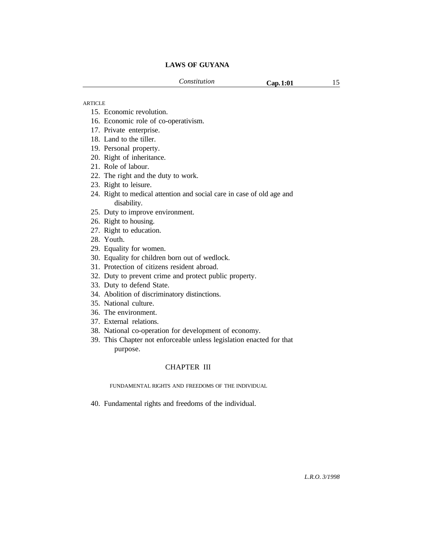## ARTICLE

- 15. Economic revolution.
- 16. Economic role of co-operativism.
- 17. Private enterprise.
- 18. Land to the tiller.
- 19. Personal property.
- 20. Right of inheritance.
- 21. Role of labour.
- 22. The right and the duty to work.
- 23. Right to leisure.
- 24. Right to medical attention and social care in case of old age and disability.
- 25. Duty to improve environment.
- 26. Right to housing.
- 27. Right to education.
- 28. Youth.
- 29. Equality for women.
- 30. Equality for children born out of wedlock.
- 31. Protection of citizens resident abroad.
- 32. Duty to prevent crime and protect public property.
- 33. Duty to defend State.
- 34. Abolition of discriminatory distinctions.
- 35. National culture.
- 36. The environment.
- 37. External relations.
- 38. National co-operation for development of economy.
- 39. This Chapter not enforceable unless legislation enacted for that purpose.

## CHAPTER III

FUNDAMENTAL RIGHTS AND FREEDOMS OF THE INDIVIDUAL

40. Fundamental rights and freedoms of the individual.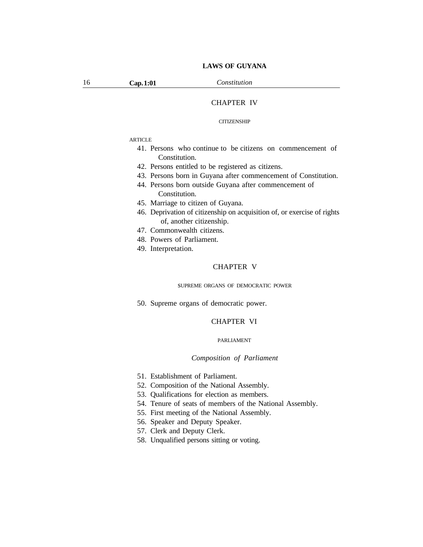## CHAPTER IV

### **CITIZENSHIP**

### ARTICLE

- 41. Persons who continue to be citizens on commencement of Constitution.
- 42. Persons entitled to be registered as citizens.
- 43. Persons born in Guyana after commencement of Constitution.
- 44. Persons born outside Guyana after commencement of Constitution.
- 45. Marriage to citizen of Guyana.
- 46. Deprivation of citizenship on acquisition of, or exercise of rights of, another citizenship.
- 47. Commonwealth citizens.
- 48. Powers of Parliament.
- 49. Interpretation.

## CHAPTER V

### sUPREME ORGANS OF DEMOCRATIC POWER

50. Supreme organs of democratic power.

## CHAPTER VI

#### PARLIAMENT

### *Composition of Parliament*

- 51. Establishment of Parliament.
- 52. Composition of the National Assembly.
- 53. Qualifications for election as members.
- 54. Tenure of seats of members of the National Assembly.
- 55. First meeting of the National Assembly.
- 56. Speaker and Deputy Speaker.
- 57. Clerk and Deputy Clerk.
- 58. Unqualified persons sitting or voting.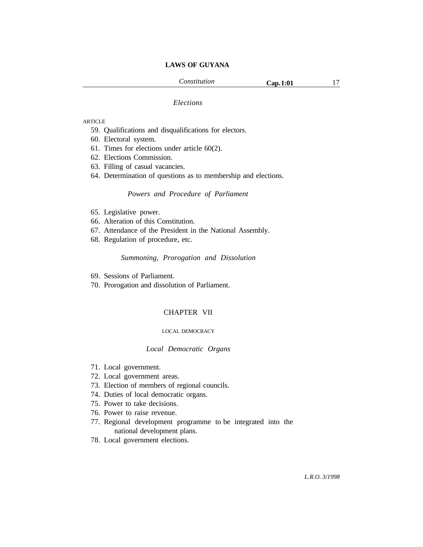## *Elections*

## **ARTICLE**

- 59. Qualifications and disqualifications for electors.
- 60. Electoral system.
- 61. Times for elections under article 60(2).
- 62. Elections Commission.
- 63. Filling of casual vacancies.
- 64. Determination of questions as to membership and elections.

## *Powers and Procedure of Parliament*

- 65. Legislative power.
- 66. Alteration of this Constitution.
- 67. Attendance of the President in the National Assembly.
- 68. Regulation of procedure, etc.

### *Summoning, Prorogation and Dissolution*

- 69. Sessions of Parliament.
- 70. Prorogation and dissolution of Parliament.

## CHAPTER VII

## LOCAL DEMOCRACY

#### *Local Democratic Organs*

- 71. Local government.
- 72. Local government areas.
- 73. Election of members of regional councils.
- 74. Duties of local democratic organs.
- 75. Power to take decisions.
- 76. Power to raise revenue.
- 77. Regional development programme to be integrated into the national development plans.
- 78. Local government elections.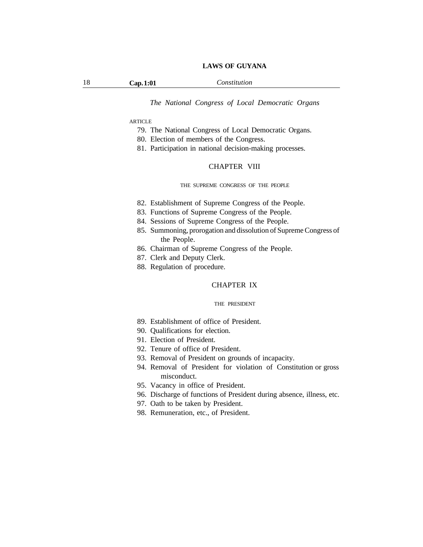18 **Cap. 1:01** *Constitution*

### *The National Congress of Local Democratic Organs*

### **ARTICLE**

- 79. The National Congress of Local Democratic Organs.
- 80. Election of members of the Congress.
- 81. Participation in national decision-making processes.

### CHAPTER VIII

#### THE SUPREME CONGRESS OF THE PEOPLE

- 82. Establishment of Supreme Congress of the People.
- 83. Functions of Supreme Congress of the People.
- 84. Sessions of Supreme Congress of the People.
- 85. Summoning, prorogation and dissolution of Supreme Congress of the People.
- 86. Chairman of Supreme Congress of the People.
- 87. Clerk and Deputy Clerk.
- 88. Regulation of procedure.

## CHAPTER IX

### THE PRESIDENT

- 89. Establishment of office of President.
- 90. Qualifications for election.
- 91. Election of President.
- 92. Tenure of office of President.
- 93. Removal of President on grounds of incapacity.
- 94. Removal of President for violation of Constitution or gross misconduct.
- 95. Vacancy in office of President.
- 96. Discharge of functions of President during absence, illness, etc.
- 97. Oath to be taken by President.
- 98. Remuneration, etc., of President.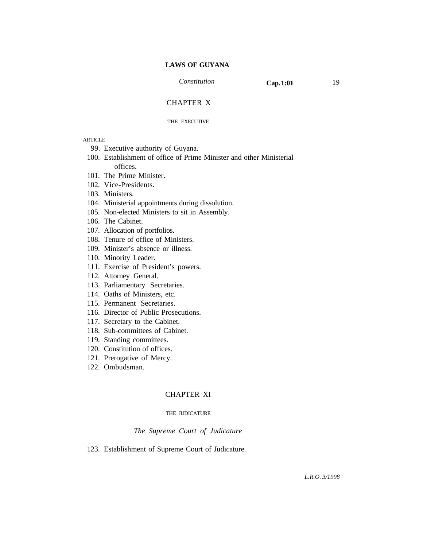## CHAPTER X

### THE EXECUTIVE

ARTICLE

- 99. Executive authority of Guyana.
- 100. Establishment of office of Prime Minister and other Ministerial offices.
- 101. The Prime Minister.
- 102. Vice-Presidents.
- 103. Ministers.
- 104. Ministerial appointments during dissolution.
- 105. Non-elected Ministers to sit in Assembly.
- 106. The Cabinet.
- 107. Allocation of portfolios.
- 108. Tenure of office of Ministers.
- 109. Minister's absence or illness.
- 110. Minority Leader.
- 111. Exercise of President's powers.
- 112. Attorney General.
- 113. Parliamentary Secretaries.
- 114. Oaths of Ministers, etc.
- 115. Permanent Secretaries.
- 116. Director of Public Prosecutions.
- 117. Secretary to the Cabinet.
- 118. Sub-committees of Cabinet.
- 119. Standing committees.
- 120. Constitution of offices.
- 121. Prerogative of Mercy.
- 122. Ombudsman.

### CHAPTER XI

#### THE JUDICATURE

## *The Supreme Court of Judicature*

123. Establishment of Supreme Court of Judicature.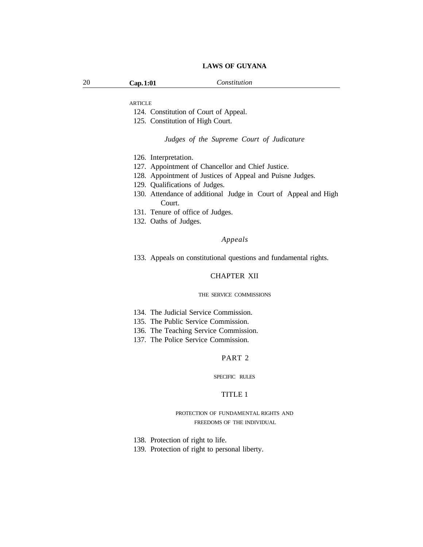| 20 | Cap.1:01 | Constitution |  |
|----|----------|--------------|--|
|----|----------|--------------|--|

## ARTICLE

- 124. Constitution of Court of Appeal.
- 125. Constitution of High Court.

### *Judges of the Supreme Court of Judicature*

- 126. Interpretation.
- 127. Appointment of Chancellor and Chief Justice.
- 128. Appointment of Justices of Appeal and Puisne Judges.
- 129. Qualifications of Judges.
- 130. Attendance of additional Judge in Court of Appeal and High Court.
- 131. Tenure of office of Judges.
- 132. Oaths of Judges.

## *Appeals*

133. Appeals on constitutional questions and fundamental rights.

### CHAPTER XII

#### THE SERVICE COMMISSIONS

- 134. The Judicial Service Commission.
- 135. The Public Service Commission.
- 136. The Teaching Service Commission.
- 137. The Police Service Commission.

## PART 2

### SPECIFIC RULES

### TITLE 1

### PROTECTION OF FUNDAMENTAL RIGHTS AND FREEDOMS OF THE INDIVIDUAL

- 138. Protection of right to life.
- 139. Protection of right to personal liberty.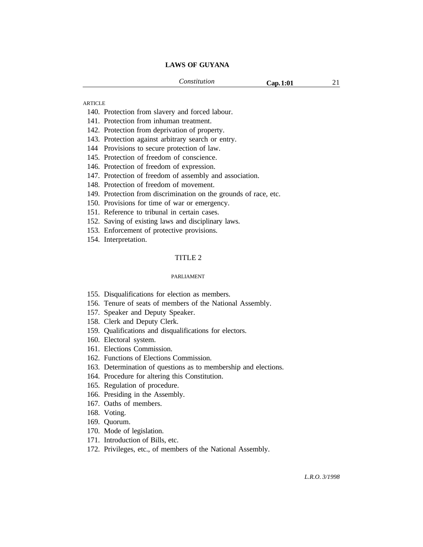```
Constitution Cap. 1:01 21
```
### ARTICLE

- 140. Protection from slavery and forced labour.
- 141. Protection from inhuman treatment.
- 142. Protection from deprivation of property.
- 143. Protection against arbitrary search or entry.
- 144 Provisions to secure protection of law.
- 145. Protection of freedom of conscience.
- 146. Protection of freedom of expression.
- 147. Protection of freedom of assembly and association.
- 148. Protection of freedom of movement.
- 149. Protection from discrimination on the grounds of race, etc.
- 150. Provisions for time of war or emergency.
- 151. Reference to tribunal in certain cases.
- 152. Saving of existing laws and disciplinary laws.
- 153. Enforcement of protective provisions.
- 154. Interpretation.

### TITLE 2

#### PARLIAMENT

- 155. Disqualifications for election as members.
- 156. Tenure of seats of members of the National Assembly.
- 157. Speaker and Deputy Speaker.
- 158. Clerk and Deputy Clerk.
- 159. Qualifications and disqualifications for electors.
- 160. Electoral system.
- 161. Elections Commission.
- 162. Functions of Elections Commission.
- 163. Determination of questions as to membership and elections.
- 164. Procedure for altering this Constitution.
- 165. Regulation of procedure.
- 166. Presiding in the Assembly.
- 167. Oaths of members.
- 168. Voting.
- 169. Quorum.
- 170. Mode of legislation.
- 171. Introduction of Bills, etc.
- 172. Privileges, etc., of members of the National Assembly.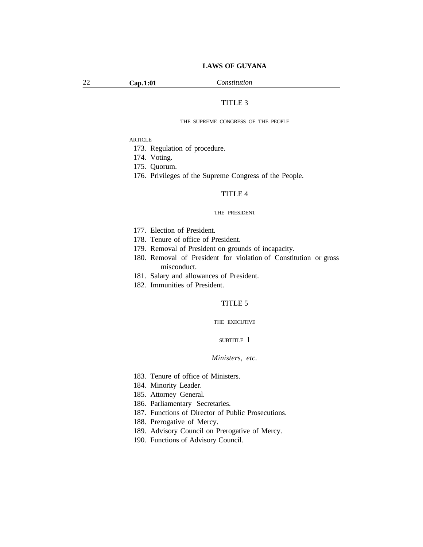22 **Cap. 1:01** *Constitution*

# TITLE 3

### THE SUPREME CONGRESS OF THE PEOPLE

ARTICLE

- 173. Regulation of procedure.
- 174. Voting.
- 175. Quorum.
- 176. Privileges of the Supreme Congress of the People.

## TITLE 4

#### THE PRESIDENT

- 177. Election of President.
- 178. Tenure of office of President.
- 179. Removal of President on grounds of incapacity.
- 180. Removal of President for violation of Constitution or gross misconduct.
- 181. Salary and allowances of President.
- 182. Immunities of President.

### TITLE 5

### THE EXECUTIVE

## SUBTITLE 1

### *Ministers, etc.*

- 183. Tenure of office of Ministers.
- 184. Minority Leader.
- 185. Attorney General.
- 186. Parliamentary Secretaries.
- 187. Functions of Director of Public Prosecutions.
- 188. Prerogative of Mercy.
- 189. Advisory Council on Prerogative of Mercy.
- 190. Functions of Advisory Council.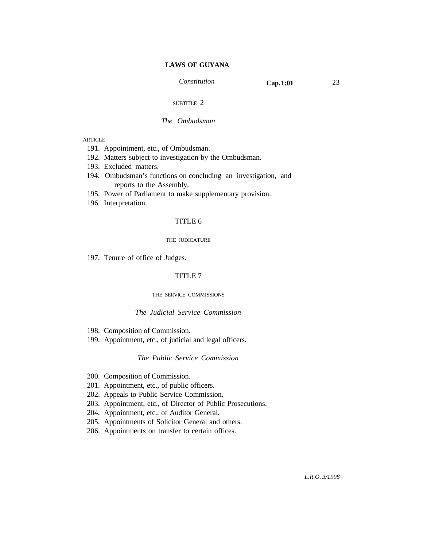## sUBTITLE 2

### *The Ombudsman*

ARTICLE

191. Appointment, etc., of Ombudsman.

192. Matters subject to investigation by the Ombudsman.

193. Excluded matters.

- 194. Ombudsman's functions on concluding an investigation, and reports to the Assembly.
- 195. Power of Parliament to make supplementary provision.
- 196. Interpretation.

## TITLE 6

### THE JUDICATURE

197. Tenure of office of Judges.

### TITLE 7

#### THE SERVICE COMMISSIONS

## *The Judicial Service Commission*

- 198. Composition of Commission.
- 199. Appointment, etc., of judicial and legal officers.

## *The Public Service Commission*

- 200. Composition of Commission.
- 201. Appointment, etc., of public officers.
- 202. Appeals to Public Service Commission.
- 203. Appointment, etc., of Director of Public Prosecutions.
- 204. Appointment, etc., of Auditor General.
- 205. Appointments of Solicitor General and others.
- 206. Appointments on transfer to certain offices.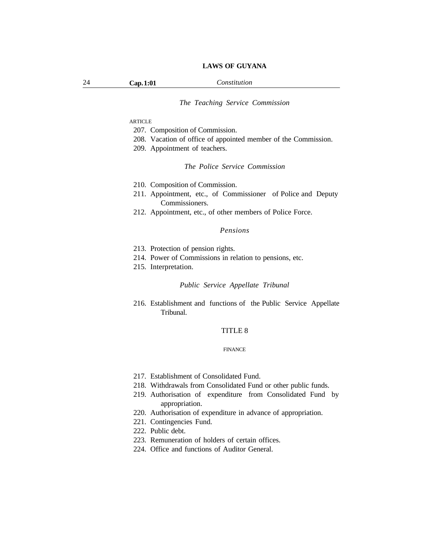24 **Cap. 1:01** *Constitution*

## *The Teaching Service Commission*

### **ARTICLE**

- 207. Composition of Commission.
- 208. Vacation of office of appointed member of the Commission.
- 209. Appointment of teachers.

### *The Police Service Commission*

- 210. Composition of Commission.
- 211. Appointment, etc., of Commissioner of Police and Deputy Commissioners.
- 212. Appointment, etc., of other members of Police Force.

### *Pensions*

- 213. Protection of pension rights.
- 214. Power of Commissions in relation to pensions, etc.
- 215. Interpretation.

### *Public Service Appellate Tribunal*

216. Establishment and functions of the Public Service Appellate Tribunal.

## TITLE 8

## FINANCE

- 217. Establishment of Consolidated Fund.
- 218. Withdrawals from Consolidated Fund or other public funds.
- 219. Authorisation of expenditure from Consolidated Fund by appropriation.
- 220. Authorisation of expenditure in advance of appropriation.
- 221. Contingencies Fund.
- 222. Public debt.
- 223. Remuneration of holders of certain offices.
- 224. Office and functions of Auditor General.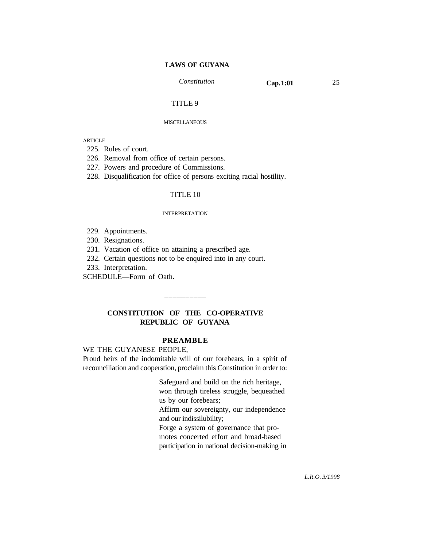*Constitution* **Cap. 1:01** 25

## TITLE 9

#### MISCELLANEOUS

### **ARTICLE**

225. Rules of court.

226. Removal from office of certain persons.

227. Powers and procedure of Commissions.

228. Disqualification for office of persons exciting racial hostility.

### TITLE 10

#### INTERPRETATION

229. Appointments.

230. Resignations.

231. Vacation of office on attaining a prescribed age.

232. Certain questions not to be enquired into in any court.

233. Interpretation.

SCHEDULE—Form of Oath.

## **CONSTITUTION OF THE CO-OPERATIVE REPUBLIC OF GUYANA**

\_\_\_\_\_\_\_\_\_\_

### **PREAMBLE**

WE THE GUYANESE PEOPLE,

Proud heirs of the indomitable will of our forebears, in a spirit of recounciliation and cooperstion, proclaim this Constitution in order to:

> Safeguard and build on the rich heritage, won through tireless struggle, bequeathed us by our forebears;

Affirm our sovereignty, our independence and our indissilubility;

Forge a system of governance that promotes concerted effort and broad-based participation in national decision-making in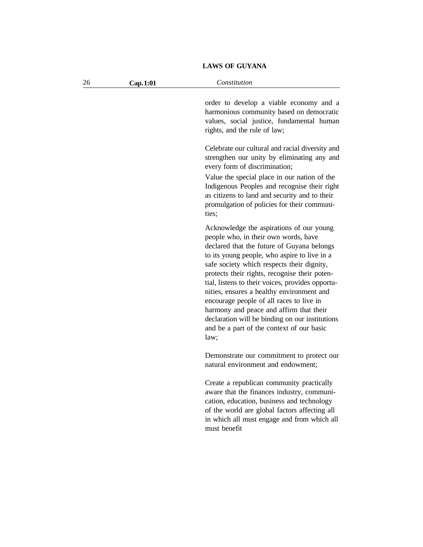|    |           | <b>LAWS OF GUYANA</b>                                                                                                                                                                                                                                                                                                                                                                                                                                                                                                                                                         |
|----|-----------|-------------------------------------------------------------------------------------------------------------------------------------------------------------------------------------------------------------------------------------------------------------------------------------------------------------------------------------------------------------------------------------------------------------------------------------------------------------------------------------------------------------------------------------------------------------------------------|
| 26 | Cap. 1:01 | Constitution                                                                                                                                                                                                                                                                                                                                                                                                                                                                                                                                                                  |
|    |           | order to develop a viable economy and a<br>harmonious community based on democratic<br>values, social justice, fundamental human<br>rights, and the rule of law;                                                                                                                                                                                                                                                                                                                                                                                                              |
|    |           | Celebrate our cultural and racial diversity and<br>strengthen our unity by eliminating any and<br>every form of discrimination;                                                                                                                                                                                                                                                                                                                                                                                                                                               |
|    |           | Value the special place in our nation of the<br>Indigenous Peoples and recognise their right<br>as citizens to land and security and to their<br>promulgation of policies for their communi-<br>ties;                                                                                                                                                                                                                                                                                                                                                                         |
|    |           | Acknowledge the aspirations of our young<br>people who, in their own words, have<br>declared that the future of Guyana belongs<br>to its young people, who aspire to live in a<br>safe society which respects their dignity,<br>protects their rights, recognise their poten-<br>tial, listens to their voices, provides opportu-<br>nities, ensures a healthy environment and<br>encourage people of all races to live in<br>harmony and peace and affirm that their<br>declaration will be binding on our institutions<br>and be a part of the context of our basic<br>law; |
|    |           | Demonstrate our commitment to protect our<br>natural environment and endowment;                                                                                                                                                                                                                                                                                                                                                                                                                                                                                               |
|    |           | Create a republican community practically<br>aware that the finances industry, communi-<br>cation, education, business and technology<br>of the world are global factors affecting all<br>in which all must engage and from which all<br>must benefit                                                                                                                                                                                                                                                                                                                         |
|    |           |                                                                                                                                                                                                                                                                                                                                                                                                                                                                                                                                                                               |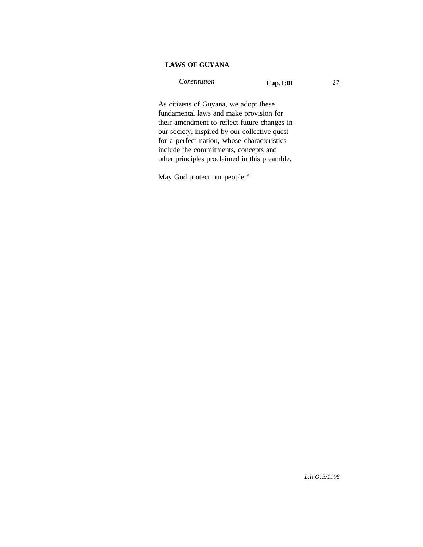# *Constitution* **Cap. 1:01** 27

As citizens of Guyana, we adopt these fundamental laws and make provision for their amendment to reflect future changes in our society, inspired by our collective quest for a perfect nation, whose characteristics include the commitments, concepts and other principles proclaimed in this preamble.

May God protect our people."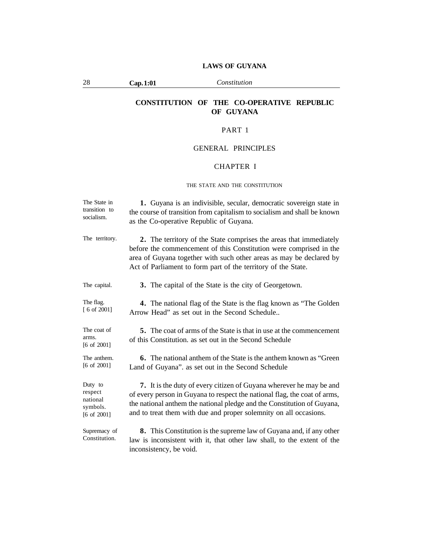28 **Cap. 1:01** *Constitution*

# **CONSTITUTION OF THE CO-OPERATIVE REPUBLIC OF GUYANA**

## PART 1

## GENERAL PRINCIPLES

## CHAPTER I

### THE STATE AND THE CONSTITUTION

| The State in<br>transition to<br>socialism.                          | 1. Guyana is an indivisible, secular, democratic sovereign state in<br>the course of transition from capitalism to socialism and shall be known<br>as the Co-operative Republic of Guyana.                                                                                                       |
|----------------------------------------------------------------------|--------------------------------------------------------------------------------------------------------------------------------------------------------------------------------------------------------------------------------------------------------------------------------------------------|
| The territory.                                                       | 2. The territory of the State comprises the areas that immediately<br>before the commencement of this Constitution were comprised in the<br>area of Guyana together with such other areas as may be declared by<br>Act of Parliament to form part of the territory of the State.                 |
| The capital.                                                         | 3. The capital of the State is the city of Georgetown.                                                                                                                                                                                                                                           |
| The flag.<br>$[6 \text{ of } 2001]$                                  | <b>4.</b> The national flag of the State is the flag known as "The Golden"<br>Arrow Head" as set out in the Second Schedule                                                                                                                                                                      |
| The coat of<br>arms.<br>$[6 \text{ of } 2001]$                       | 5. The coat of arms of the State is that in use at the commencement<br>of this Constitution. as set out in the Second Schedule                                                                                                                                                                   |
| The anthem.<br>$[6 \text{ of } 2001]$                                | <b>6.</b> The national anthem of the State is the anthem known as "Green"<br>Land of Guyana". as set out in the Second Schedule                                                                                                                                                                  |
| Duty to<br>respect<br>national<br>symbols.<br>$[6 \text{ of } 2001]$ | 7. It is the duty of every citizen of Guyana wherever he may be and<br>of every person in Guyana to respect the national flag, the coat of arms,<br>the national anthem the national pledge and the Constitution of Guyana,<br>and to treat them with due and proper solemnity on all occasions. |
| Supremacy of<br>Constitution.                                        | 8. This Constitution is the supreme law of Guyana and, if any other<br>law is inconsistent with it, that other law shall, to the extent of the<br>inconsistency, be void.                                                                                                                        |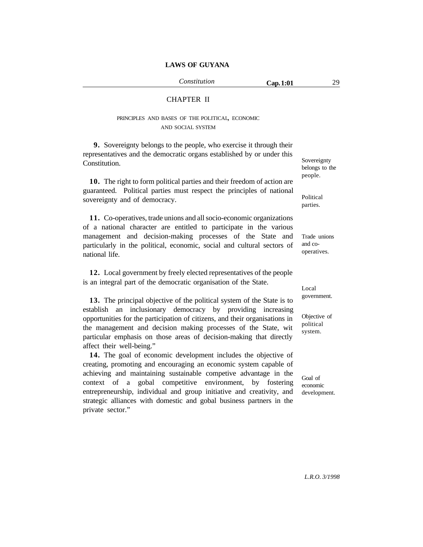## CHAPTER II

## PRINCIPLES AND BASES OF THE POLITICAL, ECONOMIC AND SOCIAL SYSTEM

**9.** Sovereignty belongs to the people, who exercise it through their representatives and the democratic organs established by or under this Constitution.

**10.** The right to form political parties and their freedom of action are guaranteed. Political parties must respect the principles of national sovereignty and of democracy.

**11.** Co-operatives, trade unions and all socio-economic organizations of a national character are entitled to participate in the various management and decision-making processes of the State and particularly in the political, economic, social and cultural sectors of national life.

**12.** Local government by freely elected representatives of the people is an integral part of the democratic organisation of the State.

**13.** The principal objective of the political system of the State is to establish an inclusionary democracy by providing increasing opportunities for the participation of citizens, and their organisations in the management and decision making processes of the State, wit particular emphasis on those areas of decision-making that directly affect their well-being."

**14.** The goal of economic development includes the objective of creating, promoting and encouraging an economic system capable of achieving and maintaining sustainable competive advantage in the context of a gobal competitive environment, by fostering entrepreneurship, individual and group initiative and creativity, and strategic alliances with domestic and gobal business partners in the private sector."

Sovereignty belongs to the people.

Political parties.

Trade unions and cooperatives.

Local government.

Objective of political system.

Goal of economic development.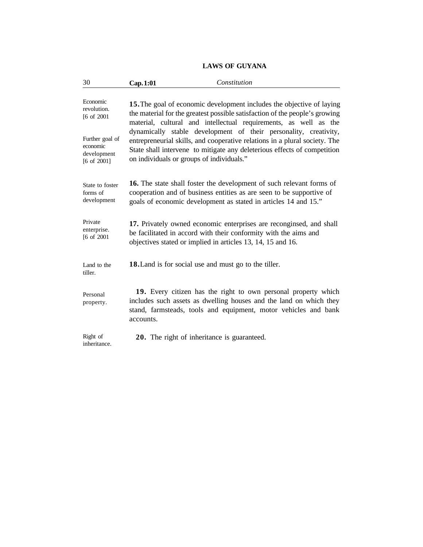| 30                       | Constitution<br>Cap. 1:01                                                                                                                                                                                            |
|--------------------------|----------------------------------------------------------------------------------------------------------------------------------------------------------------------------------------------------------------------|
| Economic                 | 15. The goal of economic development includes the objective of laying                                                                                                                                                |
| revolution.              | the material for the greatest possible satisfaction of the people's growing                                                                                                                                          |
| $[6 \text{ of } 2001]$   | material, cultural and intellectual requirements, as well as the                                                                                                                                                     |
| Further goal of          | dynamically stable development of their personality, creativity,                                                                                                                                                     |
| economic                 | entrepreneurial skills, and cooperative relations in a plural society. The                                                                                                                                           |
| development              | State shall intervene to mitigate any deleterious effects of competition                                                                                                                                             |
| $[6 \text{ of } 2001]$   | on individuals or groups of individuals."                                                                                                                                                                            |
| State to foster          | 16. The state shall foster the development of such relevant forms of                                                                                                                                                 |
| forms of                 | cooperation and of business entities as are seen to be supportive of                                                                                                                                                 |
| development              | goals of economic development as stated in articles 14 and 15."                                                                                                                                                      |
| Private                  | 17. Privately owned economic enterprises are reconginsed, and shall                                                                                                                                                  |
| enterprise.              | be facilitated in accord with their conformity with the aims and                                                                                                                                                     |
| $[6 \text{ of } 2001]$   | objectives stated or implied in articles 13, 14, 15 and 16.                                                                                                                                                          |
| Land to the<br>tiller.   | <b>18.</b> Land is for social use and must go to the tiller.                                                                                                                                                         |
| Personal<br>property.    | 19. Every citizen has the right to own personal property which<br>includes such assets as dwelling houses and the land on which they<br>stand, farmsteads, tools and equipment, motor vehicles and bank<br>accounts. |
| Right of<br>inheritance. | 20. The right of inheritance is guaranteed.                                                                                                                                                                          |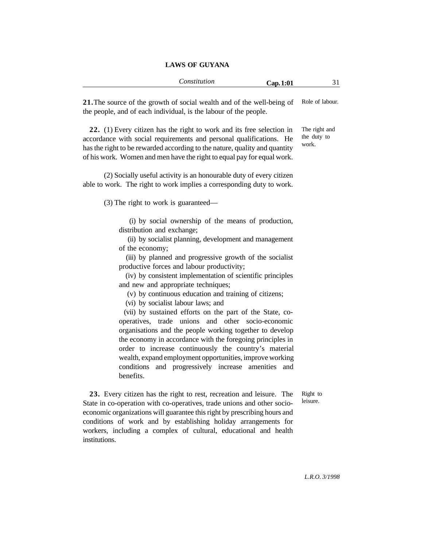| Constitution | <b>Cap. 1:01</b> |  |
|--------------|------------------|--|
|              |                  |  |

Role of labour. **21.**The source of the growth of social wealth and of the well-being of the people, and of each individual, is the labour of the people.

The right and the duty to work. **22.** (1) Every citizen has the right to work and its free selection in accordance with social requirements and personal qualifications. He has the right to be rewarded according to the nature, quality and quantity of his work. Women and men have the right to equal pay for equal work.

(2) Socially useful activity is an honourable duty of every citizen able to work. The right to work implies a corresponding duty to work.

(3) The right to work is guaranteed—

(i) by social ownership of the means of production, distribution and exchange;

(ii) by socialist planning, development and management of the economy;

(iii) by planned and progressive growth of the socialist productive forces and labour productivity;

(iv) by consistent implementation of scientific principles and new and appropriate techniques;

(v) by continuous education and training of citizens;

(vi) by socialist labour laws; and

(vii) by sustained efforts on the part of the State, cooperatives, trade unions and other socio-economic organisations and the people working together to develop the economy in accordance with the foregoing principles in order to increase continuously the country's material wealth, expand employment opportunities, improve working conditions and progressively increase amenities and benefits.

> Right to leisure.

**23.** Every citizen has the right to rest, recreation and leisure. The State in co-operation with co-operatives, trade unions and other socioeconomic organizations will guarantee this right by prescribing hours and conditions of work and by establishing holiday arrangements for workers, including a complex of cultural, educational and health institutions.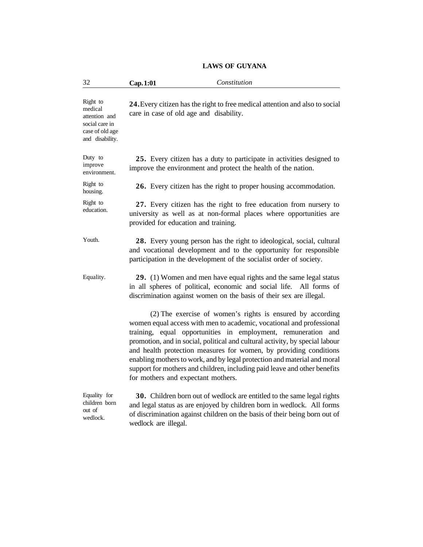| 32                                                                                           | Cap. 1:01                               | Constitution                                                                                                                                                                                                                                                                                                                                                                                                                                                                                                      |
|----------------------------------------------------------------------------------------------|-----------------------------------------|-------------------------------------------------------------------------------------------------------------------------------------------------------------------------------------------------------------------------------------------------------------------------------------------------------------------------------------------------------------------------------------------------------------------------------------------------------------------------------------------------------------------|
| Right to<br>medical<br>attention and<br>social care in<br>case of old age<br>and disability. | care in case of old age and disability. | 24. Every citizen has the right to free medical attention and also to social                                                                                                                                                                                                                                                                                                                                                                                                                                      |
| Duty to<br>improve<br>environment.                                                           |                                         | 25. Every citizen has a duty to participate in activities designed to<br>improve the environment and protect the health of the nation.                                                                                                                                                                                                                                                                                                                                                                            |
| Right to<br>housing.                                                                         |                                         | 26. Every citizen has the right to proper housing accommodation.                                                                                                                                                                                                                                                                                                                                                                                                                                                  |
| Right to<br>education.                                                                       | provided for education and training.    | 27. Every citizen has the right to free education from nursery to<br>university as well as at non-formal places where opportunities are                                                                                                                                                                                                                                                                                                                                                                           |
| Youth.                                                                                       |                                         | 28. Every young person has the right to ideological, social, cultural<br>and vocational development and to the opportunity for responsible<br>participation in the development of the socialist order of society.                                                                                                                                                                                                                                                                                                 |
| Equality.                                                                                    |                                         | 29. (1) Women and men have equal rights and the same legal status<br>in all spheres of political, economic and social life. All forms of<br>discrimination against women on the basis of their sex are illegal.                                                                                                                                                                                                                                                                                                   |
|                                                                                              | for mothers and expectant mothers.      | (2) The exercise of women's rights is ensured by according<br>women equal access with men to academic, vocational and professional<br>training, equal opportunities in employment, remuneration and<br>promotion, and in social, political and cultural activity, by special labour<br>and health protection measures for women, by providing conditions<br>enabling mothers to work, and by legal protection and material and moral<br>support for mothers and children, including paid leave and other benefits |
| Equality for<br>children born<br>out of<br>wedlock.                                          | wedlock are illegal.                    | 30. Children born out of wedlock are entitled to the same legal rights<br>and legal status as are enjoyed by children born in wedlock. All forms<br>of discrimination against children on the basis of their being born out of                                                                                                                                                                                                                                                                                    |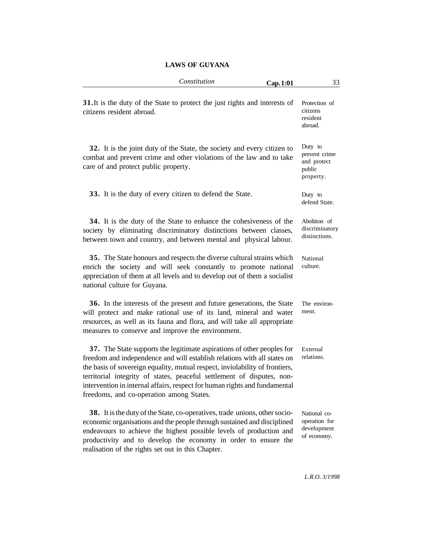|                                                                                                                                                                                                                                                                                                                                                                                                                                        | Constitution | Cap. 1:01 | 33                                                             |
|----------------------------------------------------------------------------------------------------------------------------------------------------------------------------------------------------------------------------------------------------------------------------------------------------------------------------------------------------------------------------------------------------------------------------------------|--------------|-----------|----------------------------------------------------------------|
| 31. It is the duty of the State to protect the just rights and interests of<br>citizens resident abroad.                                                                                                                                                                                                                                                                                                                               |              |           | Protection of<br>citizens<br>resident<br>abroad.               |
| 32. It is the joint duty of the State, the society and every citizen to<br>combat and prevent crime and other violations of the law and to take<br>care of and protect public property.                                                                                                                                                                                                                                                |              |           | Duty to<br>prevent crime<br>and protect<br>public<br>property. |
| 33. It is the duty of every citizen to defend the State.                                                                                                                                                                                                                                                                                                                                                                               |              |           | Duty to<br>defend State.                                       |
| 34. It is the duty of the State to enhance the cohesiveness of the<br>society by eliminating discriminatory distinctions between classes,<br>between town and country, and between mental and physical labour.                                                                                                                                                                                                                         |              |           | Abolition of<br>discriminatory<br>distinctions.                |
| 35. The State honours and respects the diverse cultural strains which<br>enrich the society and will seek constantly to promote national<br>appreciation of them at all levels and to develop out of them a socialist<br>national culture for Guyana.                                                                                                                                                                                  |              |           | National<br>culture.                                           |
| 36. In the interests of the present and future generations, the State<br>will protect and make rational use of its land, mineral and water<br>resources, as well as its fauna and flora, and will take all appropriate<br>measures to conserve and improve the environment.                                                                                                                                                            |              |           | The environ-<br>ment.                                          |
| 37. The State supports the legitimate aspirations of other peoples for<br>freedom and independence and will establish relations with all states on<br>the basis of sovereign equality, mutual respect, inviolability of frontiers,<br>territorial integrity of states, peaceful settlement of disputes, non-<br>intervention in internal affairs, respect for human rights and fundamental<br>freedoms, and co-operation among States. |              |           | External<br>relations.                                         |
| 38. It is the duty of the State, co-operatives, trade unions, other socio-<br>economic organisations and the people through sustained and disciplined<br>endeavours to achieve the highest possible levels of production and<br>productivity and to develop the economy in order to ensure the<br>realisation of the rights set out in this Chapter.                                                                                   |              |           | National co-<br>operation for<br>development<br>of economy.    |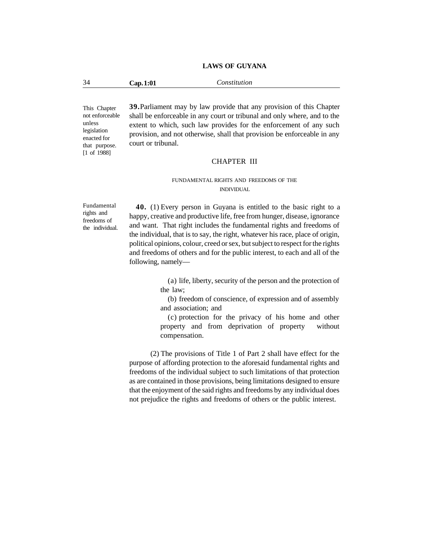34 **Cap. 1:01** *Constitution*

This Chapter not enforceable unless legislation enacted for that purpose. [1 of 1988]

**39.**Parliament may by law provide that any provision of this Chapter shall be enforceable in any court or tribunal and only where, and to the extent to which, such law provides for the enforcement of any such provision, and not otherwise, shall that provision be enforceable in any court or tribunal.

### CHAPTER III

## FUNDAMENTAL RIGHTS AND FREEDOMS OF THE INDIVIDUAL

Fundamental rights and freedoms of the individual.

**40.** (1) Every person in Guyana is entitled to the basic right to a happy, creative and productive life, free from hunger, disease, ignorance and want. That right includes the fundamental rights and freedoms of the individual, that is to say, the right, whatever his race, place of origin, political opinions, colour, creed or sex, but subject to respect for the rights and freedoms of others and for the public interest, to each and all of the following, namely—

> (a) life, liberty, security of the person and the protection of the law;

> (b) freedom of conscience, of expression and of assembly and association; and

> (c) protection for the privacy of his home and other property and from deprivation of property without compensation.

(2) The provisions of Title 1 of Part 2 shall have effect for the purpose of affording protection to the aforesaid fundamental rights and freedoms of the individual subject to such limitations of that protection as are contained in those provisions, being limitations designed to ensure that the enjoyment of the said rights and freedoms by any individual does not prejudice the rights and freedoms of others or the public interest.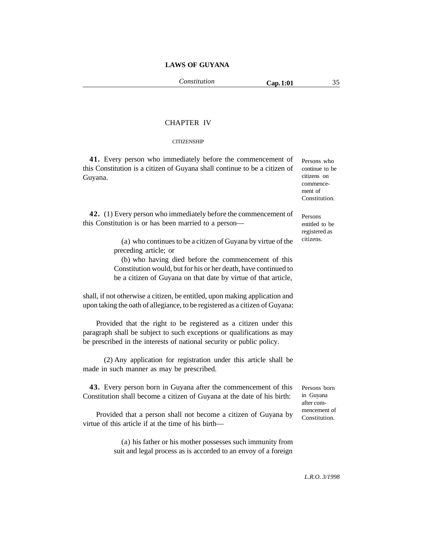## CHAPTER IV

### **CITIZENSHIP**

Persons who **41.** Every person who immediately before the commencement of this Constitution is a citizen of Guyana shall continue to be a citizen of Guyana.

**42.** (1) Every person who immediately before the commencement of this Constitution is or has been married to a person—

> (a) who continues to be a citizen of Guyana by virtue of the preceding article; or

> (b) who having died before the commencement of this Constitution would, but for his or her death, have continued to be a citizen of Guyana on that date by virtue of that article,

shall, if not otherwise a citizen, be entitled, upon making application and upon taking the oath of allegiance, to be registered as a citizen of Guyana:

Provided that the right to be registered as a citizen under this paragraph shall be subject to such exceptions or qualifications as may be prescribed in the interests of national security or public policy.

(2) Any application for registration under this article shall be made in such manner as may be prescribed.

**43.** Every person born in Guyana after the commencement of this Constitution shall become a citizen of Guyana at the date of his birth:

Provided that a person shall not become a citizen of Guyana by virtue of this article if at the time of his birth—

> (a) his father or his mother possesses such immunity from suit and legal process as is accorded to an envoy of a foreign

continue to be citizens on commencement of Constitution.

Persons entitled to be registered as citizens.

Persons born in Guyana after commencement of Constitution.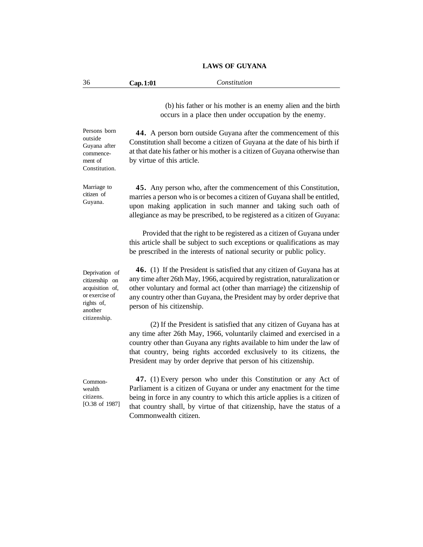(b) his father or his mother is an enemy alien and the birth occurs in a place then under occupation by the enemy.

**44.** A person born outside Guyana after the commencement of this Constitution shall become a citizen of Guyana at the date of his birth if at that date his father or his mother is a citizen of Guyana otherwise than by virtue of this article.

**45.** Any person who, after the commencement of this Constitution, marries a person who is or becomes a citizen of Guyana shall be entitled, upon making application in such manner and taking such oath of allegiance as may be prescribed, to be registered as a citizen of Guyana:

Provided that the right to be registered as a citizen of Guyana under this article shall be subject to such exceptions or qualifications as may be prescribed in the interests of national security or public policy.

**46.** (1) If the President is satisfied that any citizen of Guyana has at any time after 26th May, 1966, acquired by registration, naturalization or other voluntary and formal act (other than marriage) the citizenship of any country other than Guyana, the President may by order deprive that person of his citizenship.

(2) If the President is satisfied that any citizen of Guyana has at any time after 26th May, 1966, voluntarily claimed and exercised in a country other than Guyana any rights available to him under the law of that country, being rights accorded exclusively to its citizens, the President may by order deprive that person of his citizenship.

Commonwealth citizens. [O.38 of 1987]

**47.** (1) Every person who under this Constitution or any Act of Parliament is a citizen of Guyana or under any enactment for the time being in force in any country to which this article applies is a citizen of that country shall, by virtue of that citizenship, have the status of a Commonwealth citizen.

Marriage to citizen of Guyana.

Deprivation of citizenship on acquisition of, or exercise of rights of, another citizenship.

Persons born outside Guyana after commencement of Constitution.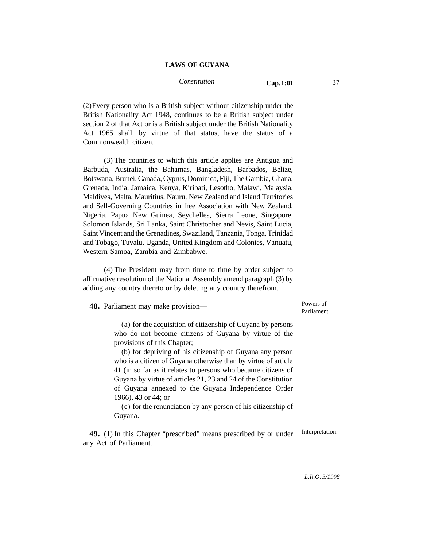(2)Every person who is a British subject without citizenship under the British Nationality Act 1948, continues to be a British subject under section 2 of that Act or is a British subject under the British Nationality Act 1965 shall, by virtue of that status, have the status of a Commonwealth citizen.

(3) The countries to which this article applies are Antigua and Barbuda, Australia, the Bahamas, Bangladesh, Barbados, Belize, Botswana, Brunei, Canada, Cyprus, Dominica, Fiji, The Gambia, Ghana, Grenada, India. Jamaica, Kenya, Kiribati, Lesotho, Malawi, Malaysia, Maldives, Malta, Mauritius, Nauru, New Zealand and Island Territories and Self-Governing Countries in free Association with New Zealand, Nigeria, Papua New Guinea, Seychelles, Sierra Leone, Singapore, Solomon Islands, Sri Lanka, Saint Christopher and Nevis, Saint Lucia, Saint Vincent and the Grenadines, Swaziland, Tanzania, Tonga, Trinidad and Tobago, Tuvalu, Uganda, United Kingdom and Colonies, Vanuatu, Western Samoa, Zambia and Zimbabwe.

(4) The President may from time to time by order subject to affirmative resolution of the National Assembly amend paragraph (3) by adding any country thereto or by deleting any country therefrom.

| 48. Parliament may make provision-                             | Powers of<br>Parliament. |
|----------------------------------------------------------------|--------------------------|
| (a) for the acquisition of citizenship of Guyana by persons    |                          |
| who do not become citizens of Guyana by virtue of the          |                          |
| provisions of this Chapter;                                    |                          |
| (b) for depriving of his citizenship of Guyana any person      |                          |
| who is a citizen of Guyana otherwise than by virtue of article |                          |
| 41 (in so far as it relates to persons who became citizens of  |                          |
| Guyana by virtue of articles 21, 23 and 24 of the Constitution |                          |
| of Guyana annexed to the Guyana Independence Order             |                          |
| 1966), 43 or 44; or                                            |                          |
| $(c)$ for the repunctation by any person of his citizenship of |                          |

(c) for the renunciation by any person of his citizenship of Guyana.

Interpretation. **49.** (1) In this Chapter "prescribed" means prescribed by or under any Act of Parliament.

*L.R.O. 3/1998*

Powers of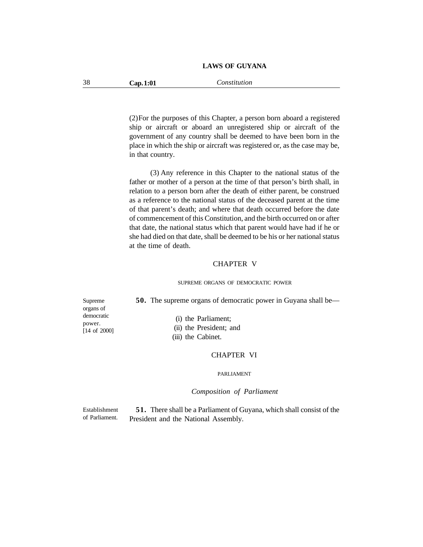(2)For the purposes of this Chapter, a person born aboard a registered ship or aircraft or aboard an unregistered ship or aircraft of the government of any country shall be deemed to have been born in the place in which the ship or aircraft was registered or, as the case may be, in that country.

(3) Any reference in this Chapter to the national status of the father or mother of a person at the time of that person's birth shall, in relation to a person born after the death of either parent, be construed as a reference to the national status of the deceased parent at the time of that parent's death; and where that death occurred before the date of commencement of this Constitution, and the birth occurred on or after that date, the national status which that parent would have had if he or she had died on that date, shall be deemed to be his or her national status at the time of death.

## CHAPTER V

#### SUPREME ORGANS OF DEMOCRATIC POWER

**50.** The supreme organs of democratic power in Guyana shall be—

Supreme organs of democratic power. [14 of 2000]

(i) the Parliament;

(ii) the President; and

(iii) the Cabinet.

## CHAPTER VI

#### PARLIAMENT

### *Composition of Parliament*

Establishment of Parliament.

**51.** There shall be a Parliament of Guyana, which shall consist of the President and the National Assembly.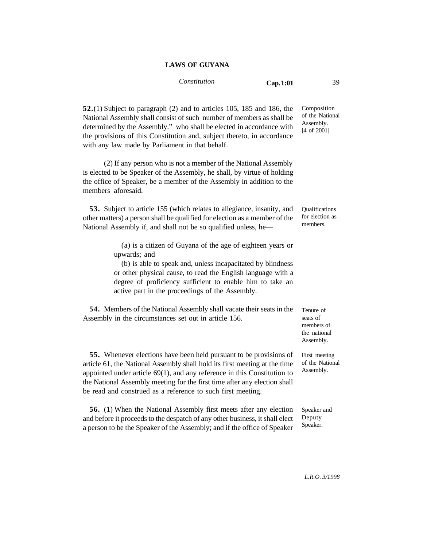|                                                                                                                                                                                                                                                                                                                                                                                 | Constitution                                                                                                                                                                                                                                                                                              | Cap. 1:01 | 39                                                               |
|---------------------------------------------------------------------------------------------------------------------------------------------------------------------------------------------------------------------------------------------------------------------------------------------------------------------------------------------------------------------------------|-----------------------------------------------------------------------------------------------------------------------------------------------------------------------------------------------------------------------------------------------------------------------------------------------------------|-----------|------------------------------------------------------------------|
| $52(1)$ Subject to paragraph (2) and to articles 105, 185 and 186, the<br>National Assembly shall consist of such number of members as shall be<br>determined by the Assembly." who shall be elected in accordance with<br>the provisions of this Constitution and, subject thereto, in accordance<br>with any law made by Parliament in that behalf.                           |                                                                                                                                                                                                                                                                                                           |           | Composition<br>of the National<br>Assembly.<br>[4 of 2001]       |
| is elected to be Speaker of the Assembly, he shall, by virtue of holding<br>the office of Speaker, be a member of the Assembly in addition to the<br>members aforesaid.                                                                                                                                                                                                         | (2) If any person who is not a member of the National Assembly                                                                                                                                                                                                                                            |           |                                                                  |
| 53. Subject to article 155 (which relates to allegiance, insanity, and<br>other matters) a person shall be qualified for election as a member of the<br>National Assembly if, and shall not be so qualified unless, he-                                                                                                                                                         |                                                                                                                                                                                                                                                                                                           |           | Qualifications<br>for election as<br>members.                    |
| upwards; and                                                                                                                                                                                                                                                                                                                                                                    | (a) is a citizen of Guyana of the age of eighteen years or<br>(b) is able to speak and, unless incapacitated by blindness<br>or other physical cause, to read the English language with a<br>degree of proficiency sufficient to enable him to take an<br>active part in the proceedings of the Assembly. |           |                                                                  |
| 54. Members of the National Assembly shall vacate their seats in the<br>Assembly in the circumstances set out in article 156.                                                                                                                                                                                                                                                   |                                                                                                                                                                                                                                                                                                           |           | Tenure of<br>seats of<br>members of<br>the national<br>Assembly. |
| <b>55.</b> Whenever elections have been held pursuant to be provisions of<br>article 61, the National Assembly shall hold its first meeting at the time<br>appointed under article 69(1), and any reference in this Constitution to<br>the National Assembly meeting for the first time after any election shall<br>be read and construed as a reference to such first meeting. |                                                                                                                                                                                                                                                                                                           |           | First meeting<br>of the National<br>Assembly.                    |
| <b>56.</b> (1) When the National Assembly first meets after any election<br>and before it proceeds to the despatch of any other business, it shall elect<br>a person to be the Speaker of the Assembly; and if the office of Speaker                                                                                                                                            |                                                                                                                                                                                                                                                                                                           |           | Speaker and<br>Deputy<br>Speaker.                                |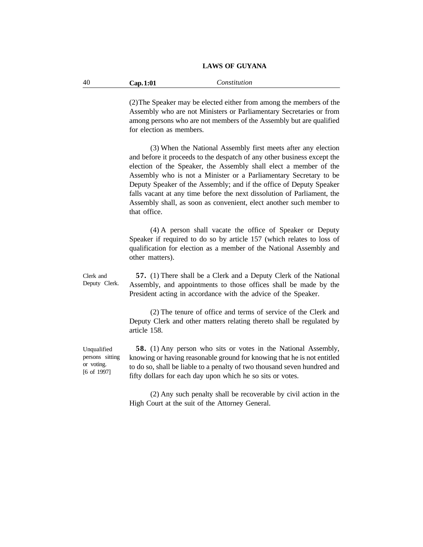| 40 | Cap.1:01 | Constitution |
|----|----------|--------------|
|----|----------|--------------|

(2)The Speaker may be elected either from among the members of the Assembly who are not Ministers or Parliamentary Secretaries or from among persons who are not members of the Assembly but are qualified for election as members.

(3) When the National Assembly first meets after any election and before it proceeds to the despatch of any other business except the election of the Speaker, the Assembly shall elect a member of the Assembly who is not a Minister or a Parliamentary Secretary to be Deputy Speaker of the Assembly; and if the office of Deputy Speaker falls vacant at any time before the next dissolution of Parliament, the Assembly shall, as soon as convenient, elect another such member to that office.

(4) A person shall vacate the office of Speaker or Deputy Speaker if required to do so by article 157 (which relates to loss of qualification for election as a member of the National Assembly and other matters).

Clerk and Deputy Clerk. **57.** (1) There shall be a Clerk and a Deputy Clerk of the National Assembly, and appointments to those offices shall be made by the President acting in accordance with the advice of the Speaker.

> (2) The tenure of office and terms of service of the Clerk and Deputy Clerk and other matters relating thereto shall be regulated by article 158.

Unqualified persons sitting or voting. [6 of 1997]

**58.** (1) Any person who sits or votes in the National Assembly, knowing or having reasonable ground for knowing that he is not entitled to do so, shall be liable to a penalty of two thousand seven hundred and fifty dollars for each day upon which he so sits or votes.

(2) Any such penalty shall be recoverable by civil action in the High Court at the suit of the Attorney General.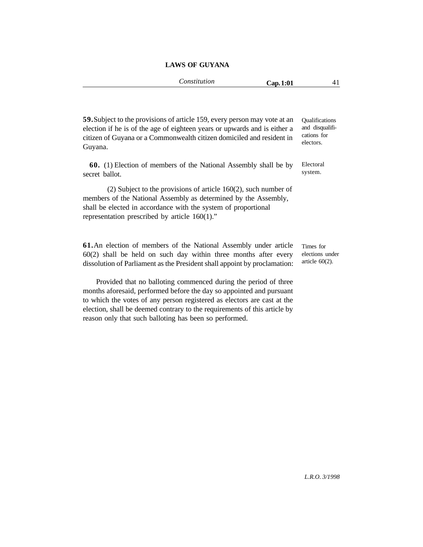*Constitution* **Cap. 1:01** 41

| <b>59.</b> Subject to the provisions of article 159, every person may vote at an                                                                                                                                                                               | Qualifications    |
|----------------------------------------------------------------------------------------------------------------------------------------------------------------------------------------------------------------------------------------------------------------|-------------------|
| election if he is of the age of eighteen years or upwards and is either a                                                                                                                                                                                      | and disqualifi-   |
| citizen of Guyana or a Commonwealth citizen domiciled and resident in                                                                                                                                                                                          | cations for       |
| Guyana.                                                                                                                                                                                                                                                        | electors.         |
| <b>60.</b> (1) Election of members of the National Assembly shall be by                                                                                                                                                                                        | Electoral         |
| secret ballot.                                                                                                                                                                                                                                                 | system.           |
| $(2)$ Subject to the provisions of article 160 $(2)$ , such number of<br>members of the National Assembly as determined by the Assembly,<br>shall be elected in accordance with the system of proportional<br>representation prescribed by article $160(1)$ ." |                   |
| 61. An election of members of the National Assembly under article                                                                                                                                                                                              | Times for         |
| $60(2)$ shall be held on such day within three months after every                                                                                                                                                                                              | elections under   |
| dissolution of Parliament as the President shall appoint by proclamation:                                                                                                                                                                                      | article $60(2)$ . |
| Provided that no balloting commenced during the period of three<br>months aforesaid performed before the day so appointed and pursuant                                                                                                                         |                   |

months aforesaid, performed before the day so appointed and pursuant to which the votes of any person registered as electors are cast at the election, shall be deemed contrary to the requirements of this article by reason only that such balloting has been so performed.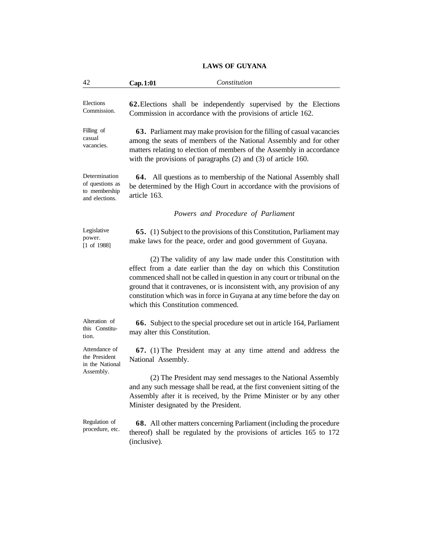| 42                                                                  | Constitution<br>Cap. 1:01                                                                                                                                                                                                                                                                                                                                                                                      |  |  |
|---------------------------------------------------------------------|----------------------------------------------------------------------------------------------------------------------------------------------------------------------------------------------------------------------------------------------------------------------------------------------------------------------------------------------------------------------------------------------------------------|--|--|
| Elections<br>Commission.                                            | <b>62.</b> Elections shall be independently supervised by the Elections<br>Commission in accordance with the provisions of article 162.                                                                                                                                                                                                                                                                        |  |  |
| Filling of<br>casual<br>vacancies.                                  | 63. Parliament may make provision for the filling of casual vacancies<br>among the seats of members of the National Assembly and for other<br>matters relating to election of members of the Assembly in accordance<br>with the provisions of paragraphs $(2)$ and $(3)$ of article 160.                                                                                                                       |  |  |
| Determination<br>of questions as<br>to membership<br>and elections. | 64. All questions as to membership of the National Assembly shall<br>be determined by the High Court in accordance with the provisions of<br>article 163.                                                                                                                                                                                                                                                      |  |  |
|                                                                     | Powers and Procedure of Parliament                                                                                                                                                                                                                                                                                                                                                                             |  |  |
| Legislative<br>power.<br>[1 of 1988]                                | <b>65.</b> (1) Subject to the provisions of this Constitution, Parliament may<br>make laws for the peace, order and good government of Guyana.                                                                                                                                                                                                                                                                 |  |  |
|                                                                     | (2) The validity of any law made under this Constitution with<br>effect from a date earlier than the day on which this Constitution<br>commenced shall not be called in question in any court or tribunal on the<br>ground that it contravenes, or is inconsistent with, any provision of any<br>constitution which was in force in Guyana at any time before the day on<br>which this Constitution commenced. |  |  |
| Alteration of<br>this Constitu-<br>tion.                            | 66. Subject to the special procedure set out in article 164, Parliament<br>may alter this Constitution.                                                                                                                                                                                                                                                                                                        |  |  |
| Attendance of<br>the President<br>in the National                   | 67. (1) The President may at any time attend and address the<br>National Assembly.                                                                                                                                                                                                                                                                                                                             |  |  |
| Assembly.                                                           | (2) The President may send messages to the National Assembly<br>and any such message shall be read, at the first convenient sitting of the<br>Assembly after it is received, by the Prime Minister or by any other<br>Minister designated by the President.                                                                                                                                                    |  |  |
| Regulation of<br>procedure, etc.                                    | 68. All other matters concerning Parliament (including the procedure<br>thereof) shall be regulated by the provisions of articles 165 to 172<br>(inclusive).                                                                                                                                                                                                                                                   |  |  |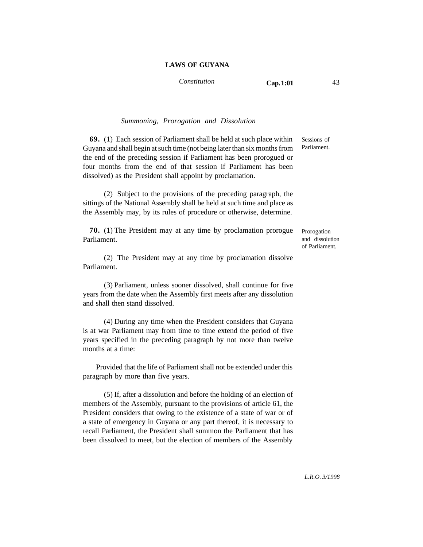#### *Summoning, Prorogation and Dissolution*

Sessions of Parliament. **69.** (1) Each session of Parliament shall be held at such place within Guyana and shall begin at such time (not being later than six months from the end of the preceding session if Parliament has been prorogued or four months from the end of that session if Parliament has been dissolved) as the President shall appoint by proclamation.

(2) Subject to the provisions of the preceding paragraph, the sittings of the National Assembly shall be held at such time and place as the Assembly may, by its rules of procedure or otherwise, determine.

**70.** (1) The President may at any time by proclamation prorogue Parliament.

(2) The President may at any time by proclamation dissolve Parliament.

(3) Parliament, unless sooner dissolved, shall continue for five years from the date when the Assembly first meets after any dissolution and shall then stand dissolved.

(4) During any time when the President considers that Guyana is at war Parliament may from time to time extend the period of five years specified in the preceding paragraph by not more than twelve months at a time:

Provided that the life of Parliament shall not be extended under this paragraph by more than five years.

(5) If, after a dissolution and before the holding of an election of members of the Assembly, pursuant to the provisions of article 61, the President considers that owing to the existence of a state of war or of a state of emergency in Guyana or any part thereof, it is necessary to recall Parliament, the President shall summon the Parliament that has been dissolved to meet, but the election of members of the Assembly

Prorogation and dissolution of Parliament.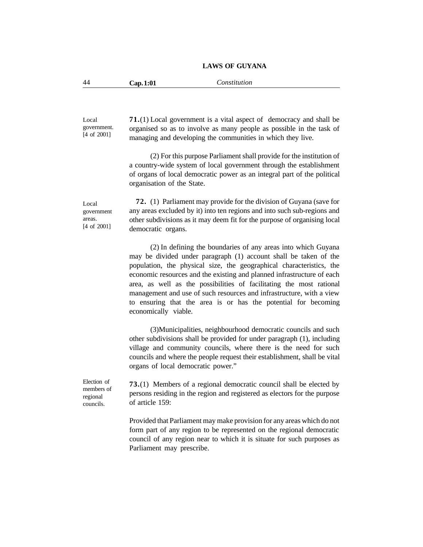| 44 | Cap.1:01 | Constitution |
|----|----------|--------------|
|----|----------|--------------|

Local government. [4 of 2001] **71.**(1) Local government is a vital aspect of democracy and shall be organised so as to involve as many people as possible in the task of managing and developing the communities in which they live.

> (2) For this purpose Parliament shall provide for the institution of a country-wide system of local government through the establishment of organs of local democratic power as an integral part of the political organisation of the State.

government [4 of 2001] **72.** (1) Parliament may provide for the division of Guyana (save for any areas excluded by it) into ten regions and into such sub-regions and other subdivisions as it may deem fit for the purpose of organising local democratic organs.

> (2) In defining the boundaries of any areas into which Guyana may be divided under paragraph (1) account shall be taken of the population, the physical size, the geographical characteristics, the economic resources and the existing and planned infrastructure of each area, as well as the possibilities of facilitating the most rational management and use of such resources and infrastructure, with a view to ensuring that the area is or has the potential for becoming economically viable.

> (3)Municipalities, neighbourhood democratic councils and such other subdivisions shall be provided for under paragraph (1), including village and community councils, where there is the need for such councils and where the people request their establishment, shall be vital organs of local democratic power."

Election of members of regional councils.

Local

areas.

**73.**(1) Members of a regional democratic council shall be elected by persons residing in the region and registered as electors for the purpose of article 159:

Provided that Parliament may make provision for any areas which do not form part of any region to be represented on the regional democratic council of any region near to which it is situate for such purposes as Parliament may prescribe.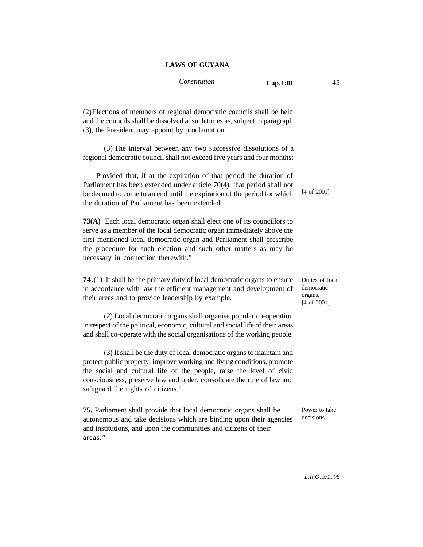| Constitution                                                                                                                                                                                                                                                                                                                                | Cap. 1:01 | 45                     |
|---------------------------------------------------------------------------------------------------------------------------------------------------------------------------------------------------------------------------------------------------------------------------------------------------------------------------------------------|-----------|------------------------|
| (2) Elections of members of regional democratic councils shall be held<br>and the councils shall be dissolved at such times as, subject to paragraph<br>(3), the President may appoint by proclamation.                                                                                                                                     |           |                        |
| (3) The interval between any two successive dissolutions of a<br>regional democratic council shall not exceed five years and four months:                                                                                                                                                                                                   |           |                        |
| Provided that, if at the expiration of that period the duration of<br>Parliament has been extended under article $70(4)$ , that period shall not<br>be deemed to come to an end until the expiration of the period for which<br>the duration of Parliament has been extended.                                                               |           | $[4 \text{ of } 2001]$ |
| <b>73(A)</b> Each local democratic organ shall elect one of its councillors to<br>serve as a member of the local democratic organ immediately above the<br>first mentioned local democratic organ and Parliament shall prescribe<br>the procedure for such election and such other matters as may be<br>necessary in connection therewith." |           |                        |

organs. [4 of 2001] in accordance with law the efficient management and development of their areas and to provide leadership by example.

(2) Local democratic organs shall organise popular co-operation in respect of the political, economic, cultural and social life of their areas and shall co-operate with the social organisations of the working people.

(3) It shall be the duty of local democratic organs to maintain and protect public property, improve working and living conditions, promote the social and cultural life of the people, raise the level of civic consciousness, preserve law and order, consolidate the rule of law and safeguard the rights of citizens."

| <b>75.</b> Parliament shall provide that local democratic organs shall be | Power to take |
|---------------------------------------------------------------------------|---------------|
| autonomous and take decisions which are binding upon their agencies       | decisions.    |
| and institutions, and upon the communities and citizens of their          |               |
| areas."                                                                   |               |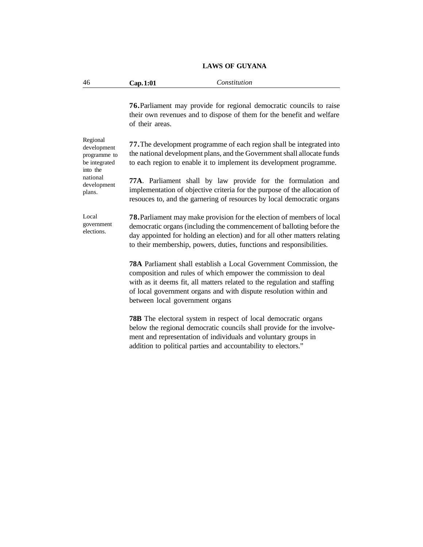| -46 | Cap.1:01 | Constitution |
|-----|----------|--------------|
|-----|----------|--------------|

**76.**Parliament may provide for regional democratic councils to raise their own revenues and to dispose of them for the benefit and welfare of their areas.

**77.**The development programme of each region shall be integrated into the national development plans, and the Government shall allocate funds to each region to enable it to implement its development programme.

**77A**. Parliament shall by law provide for the formulation and implementation of objective criteria for the purpose of the allocation of resouces to, and the garnering of resources by local democratic organs

Local government elections.

Regional development programme to be integrated into the national development plans.

> **78.**Parliament may make provision for the election of members of local democratic organs (including the commencement of balloting before the day appointed for holding an election) and for all other matters relating to their membership, powers, duties, functions and responsibilities.

> **78A** Parliament shall establish a Local Government Commission, the composition and rules of which empower the commission to deal with as it deems fit, all matters related to the regulation and staffing of local government organs and with dispute resolution within and between local government organs

**78B** The electoral system in respect of local democratic organs below the regional democratic councils shall provide for the involvement and representation of individuals and voluntary groups in addition to political parties and accountability to electors."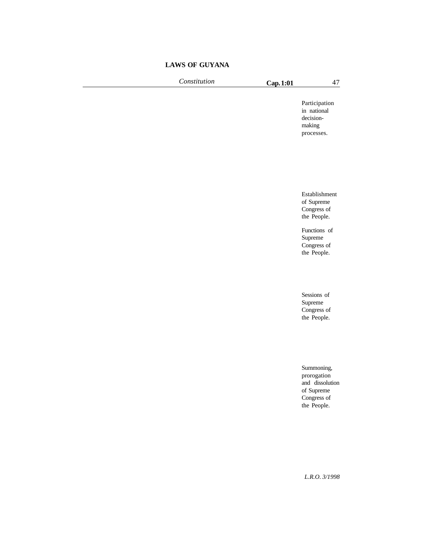| <b>LAWS OF GUYANA</b> |          |                                                                                                                    |
|-----------------------|----------|--------------------------------------------------------------------------------------------------------------------|
| Constitution          | Cap.1:01 | $47\,$                                                                                                             |
|                       |          | Participation<br>in national<br>decision-<br>making<br>processes.                                                  |
|                       |          | Establishment<br>of Supreme<br>Congress of<br>the People.<br>Functions of<br>Supreme<br>Congress of<br>the People. |
|                       |          | Sessions of<br>Supreme<br>Congress of<br>the People.                                                               |
|                       |          | Summoning,<br>prorogation<br>and dissolution<br>of Supreme<br>Congress of<br>the People.                           |
|                       |          |                                                                                                                    |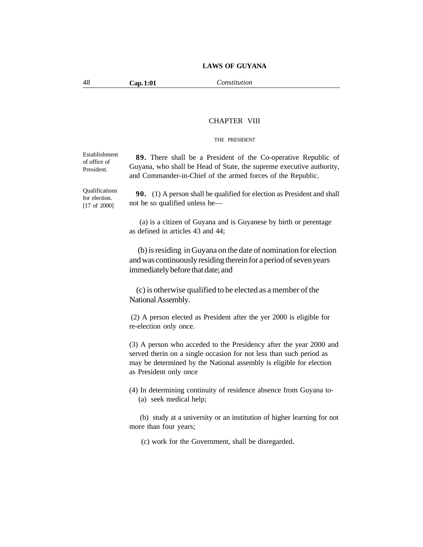#### CHAPTER VIII

#### THE PRESIDENT

**89.** There shall be a President of the Co-operative Republic of Guyana, who shall be Head of State, the supreme executive authority, and Commander-in-Chief of the armed forces of the Republic.

Qualifications for election. [17 of 2000]

Establishment of office of President.

> **90.** (1) A person shall be qualified for election as President and shall not be so qualified unless he—

 (a) is a citizen of Guyana and is Guyanese by birth or perentage as defined in articles 43 and 44;

 (b) is residing in Guyana on the date of nomination for election and was continuously residing therein for a period of seven years immediately before that date; and

 (c) is otherwise qualified to be elected as a member of the National Assembly.

(2) A person elected as President after the yer 2000 is eligible for re-election only once.

(3) A person who acceded to the Presidency after the year 2000 and served therin on a single occasion for not less than such period as may be determined by the National assembly is eligible for election as President only once

(4) In determining continuity of residence absence from Guyana to- (a) seek medical help;

 (b) study at a university or an institution of higher learning for not more than four years;

(c) work for the Government, shall be disregarded.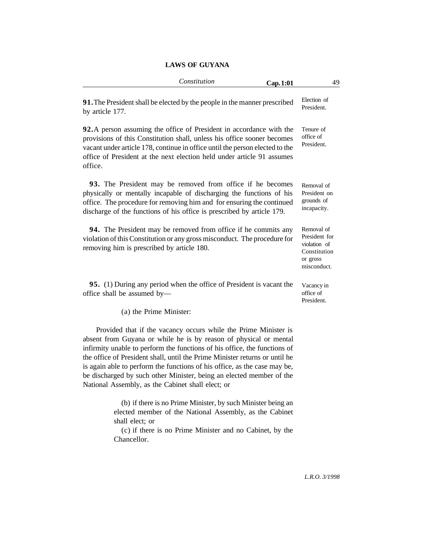|                                                                                                                                                                                                                                                                                                                                                                                                                                                                                                            | Constitution                                                                                                                                                                        | Cap. 1:01 | 49                                                                                     |
|------------------------------------------------------------------------------------------------------------------------------------------------------------------------------------------------------------------------------------------------------------------------------------------------------------------------------------------------------------------------------------------------------------------------------------------------------------------------------------------------------------|-------------------------------------------------------------------------------------------------------------------------------------------------------------------------------------|-----------|----------------------------------------------------------------------------------------|
| <b>91.</b> The President shall be elected by the people in the manner prescribed<br>by article 177.                                                                                                                                                                                                                                                                                                                                                                                                        |                                                                                                                                                                                     |           | Election of<br>President.                                                              |
| 92.A person assuming the office of President in accordance with the<br>provisions of this Constitution shall, unless his office sooner becomes<br>vacant under article 178, continue in office until the person elected to the<br>office of President at the next election held under article 91 assumes<br>office.                                                                                                                                                                                        |                                                                                                                                                                                     |           | Tenure of<br>office of<br>President.                                                   |
| 93. The President may be removed from office if he becomes<br>physically or mentally incapable of discharging the functions of his<br>office. The procedure for removing him and for ensuring the continued<br>discharge of the functions of his office is prescribed by article 179.                                                                                                                                                                                                                      |                                                                                                                                                                                     |           | Removal of<br>President on<br>grounds of<br>incapacity.                                |
| <b>94.</b> The President may be removed from office if he commits any<br>violation of this Constitution or any gross misconduct. The procedure for<br>removing him is prescribed by article 180.                                                                                                                                                                                                                                                                                                           |                                                                                                                                                                                     |           | Removal of<br>President for<br>violation of<br>Constitution<br>or gross<br>misconduct. |
| 95. (1) During any period when the office of President is vacant the<br>office shall be assumed by-                                                                                                                                                                                                                                                                                                                                                                                                        |                                                                                                                                                                                     |           | Vacancy in<br>office of<br>President.                                                  |
| (a) the Prime Minister:                                                                                                                                                                                                                                                                                                                                                                                                                                                                                    |                                                                                                                                                                                     |           |                                                                                        |
| Provided that if the vacancy occurs while the Prime Minister is<br>absent from Guyana or while he is by reason of physical or mental<br>infirmity unable to perform the functions of his office, the functions of<br>the office of President shall, until the Prime Minister returns or until he<br>is again able to perform the functions of his office, as the case may be,<br>be discharged by such other Minister, being an elected member of the<br>National Assembly, as the Cabinet shall elect; or |                                                                                                                                                                                     |           |                                                                                        |
| shall elect; or<br>Chancellor.                                                                                                                                                                                                                                                                                                                                                                                                                                                                             | (b) if there is no Prime Minister, by such Minister being an<br>elected member of the National Assembly, as the Cabinet<br>(c) if there is no Prime Minister and no Cabinet, by the |           |                                                                                        |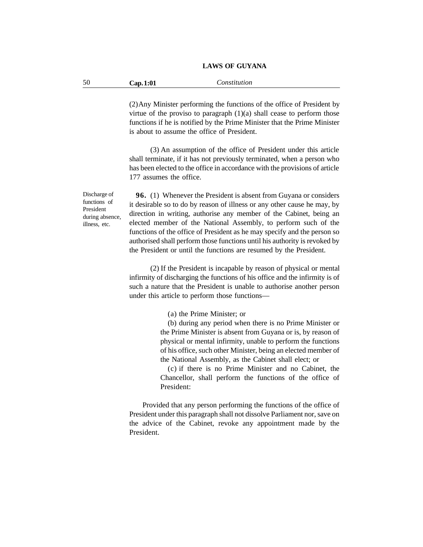| 50 | Cap.1:01 | Constitution |
|----|----------|--------------|
|    |          |              |

(2)Any Minister performing the functions of the office of President by virtue of the proviso to paragraph  $(1)(a)$  shall cease to perform those functions if he is notified by the Prime Minister that the Prime Minister is about to assume the office of President.

(3) An assumption of the office of President under this article shall terminate, if it has not previously terminated, when a person who has been elected to the office in accordance with the provisions of article 177 assumes the office.

**96.** (1) Whenever the President is absent from Guyana or considers it desirable so to do by reason of illness or any other cause he may, by direction in writing, authorise any member of the Cabinet, being an elected member of the National Assembly, to perform such of the functions of the office of President as he may specify and the person so authorised shall perform those functions until his authority is revoked by the President or until the functions are resumed by the President.

(2) If the President is incapable by reason of physical or mental infirmity of discharging the functions of his office and the infirmity is of such a nature that the President is unable to authorise another person under this article to perform those functions—

(a) the Prime Minister; or

(b) during any period when there is no Prime Minister or the Prime Minister is absent from Guyana or is, by reason of physical or mental infirmity, unable to perform the functions of his office, such other Minister, being an elected member of the National Assembly, as the Cabinet shall elect; or

(c) if there is no Prime Minister and no Cabinet, the Chancellor, shall perform the functions of the office of President:

Provided that any person performing the functions of the office of President under this paragraph shall not dissolve Parliament nor, save on the advice of the Cabinet, revoke any appointment made by the President.

Discharge of functions of President during absence, illness, etc.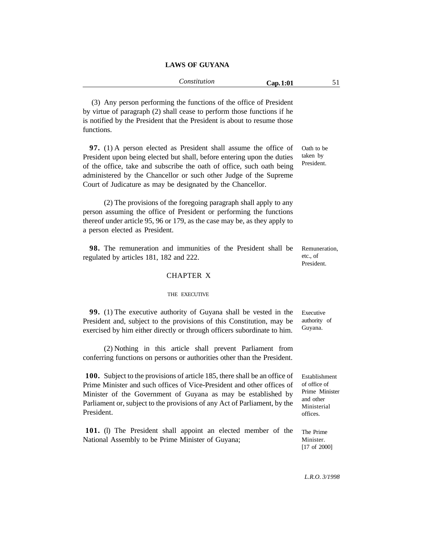| Constitution | Cap.1:01 |  |
|--------------|----------|--|
|--------------|----------|--|

(3) Any person performing the functions of the office of President by virtue of paragraph (2) shall cease to perform those functions if he is notified by the President that the President is about to resume those functions.

**97.** (1) A person elected as President shall assume the office of President upon being elected but shall, before entering upon the duties of the office, take and subscribe the oath of office, such oath being administered by the Chancellor or such other Judge of the Supreme Court of Judicature as may be designated by the Chancellor.

(2) The provisions of the foregoing paragraph shall apply to any person assuming the office of President or performing the functions thereof under article 95, 96 or 179, as the case may be, as they apply to a person elected as President.

Remuneration, etc., of **98.** The remuneration and immunities of the President shall be regulated by articles 181, 182 and 222.

## CHAPTER X

#### THE EXECUTIVE

Executive **99.** (1) The executive authority of Guyana shall be vested in the President and, subject to the provisions of this Constitution, may be exercised by him either directly or through officers subordinate to him.

(2) Nothing in this article shall prevent Parliament from conferring functions on persons or authorities other than the President.

**100.** Subject to the provisions of article 185, there shall be an office of Prime Minister and such offices of Vice-President and other offices of Minister of the Government of Guyana as may be established by Parliament or, subject to the provisions of any Act of Parliament, by the President.

**101.** (l) The President shall appoint an elected member of the National Assembly to be Prime Minister of Guyana;

Establishment of office of Prime Minister and other Ministerial offices.

The Prime Minister. [17 of 2000]

Oath to be taken by President.

President.

authority of Guyana.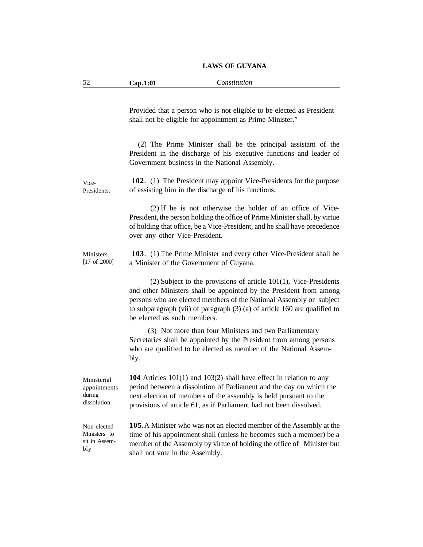| - 52 | Cap.1:01 | Constitution |  |
|------|----------|--------------|--|
|------|----------|--------------|--|

Vice-Presidents. Ministers. [17 of 2000] Ministerial appointments during dissolution. Provided that a person who is not eligible to be elected as President shall not be eligible for appointment as Prime Minister." (2) The Prime Minister shall be the principal assistant of the President in the discharge of his executive functions and leader of Government business in the National Assembly. **102**. (1) The President may appoint Vice-Presidents for the purpose of assisting him in the discharge of his functions. (2) If he is not otherwise the holder of an office of Vice-President, the person holding the office of Prime Minister shall, by virtue of holding that office, be a Vice-President, and he shall have precedence over any other Vice-President. **103**. (1) The Prime Minister and every other Vice-President shall be a Minister of the Government of Guyana. (2) Subject to the provisions of article 101(1), Vice-Presidents and other Ministers shall be appointed by the President from among persons who are elected members of the National Assembly or subject to subparagraph (vii) of paragraph (3) (a) of article 160 are qualified to be elected as such members. (3) Not more than four Ministers and two Parliamentary Secretaries shall be appointed by the President from among persons who are qualified to be elected as member of the National Assembly. **104** Articles 101(1) and 103(2) shall have effect in relation to any period between a dissolution of Parliament and the day on which the next election of members of the assembly is held pursuant to the provisions of article 61, as if Parliament had not been dissolved. **105.**A Minister who was not an elected member of the Assembly at the time of his appointment shall (unless he becomes such a member) be a member of the Assembly by virtue of holding the office of Minister but shall not vote in the Assembly. Non-elected Ministers to sit in Assembly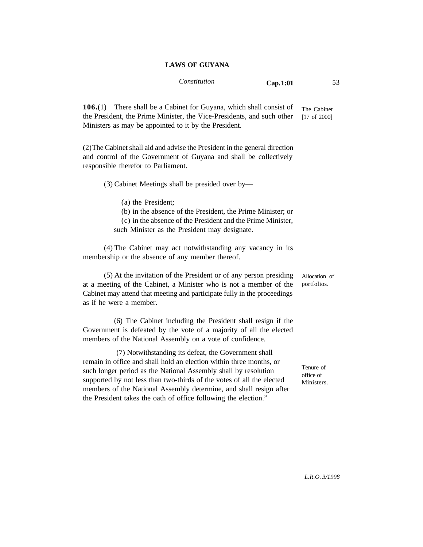| Cap. 1:01 |  |
|-----------|--|
|           |  |

**106.**(1) There shall be a Cabinet for Guyana, which shall consist of the President, the Prime Minister, the Vice-Presidents, and such other Ministers as may be appointed to it by the President. The Cabinet [17 of 2000]

(2)The Cabinet shall aid and advise the President in the general direction and control of the Government of Guyana and shall be collectively responsible therefor to Parliament.

(3) Cabinet Meetings shall be presided over by—

(a) the President;

(b) in the absence of the President, the Prime Minister; or (c) in the absence of the President and the Prime Minister, such Minister as the President may designate.

(4) The Cabinet may act notwithstanding any vacancy in its membership or the absence of any member thereof.

Allocation of portfolios. (5) At the invitation of the President or of any person presiding at a meeting of the Cabinet, a Minister who is not a member of the Cabinet may attend that meeting and participate fully in the proceedings as if he were a member.

 (6) The Cabinet including the President shall resign if the Government is defeated by the vote of a majority of all the elected members of the National Assembly on a vote of confidence.

 (7) Notwithstanding its defeat, the Government shall remain in office and shall hold an election within three months, or such longer period as the National Assembly shall by resolution supported by not less than two-thirds of the votes of all the elected members of the National Assembly determine, and shall resign after the President takes the oath of office following the election."

Tenure of

office of **Ministers**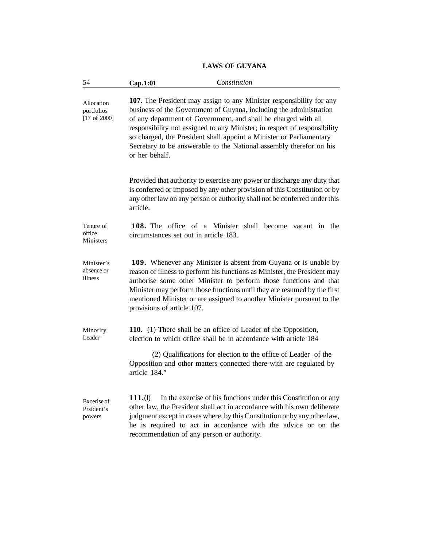| 54                                         | Cap. 1:01                                                                           | Constitution                                                                                                                                                                                                                                                                                                                                                                                                                            |
|--------------------------------------------|-------------------------------------------------------------------------------------|-----------------------------------------------------------------------------------------------------------------------------------------------------------------------------------------------------------------------------------------------------------------------------------------------------------------------------------------------------------------------------------------------------------------------------------------|
| Allocation<br>portfolios<br>$[17$ of 2000] | or her behalf.                                                                      | 107. The President may assign to any Minister responsibility for any<br>business of the Government of Guyana, including the administration<br>of any department of Government, and shall be charged with all<br>responsibility not assigned to any Minister; in respect of responsibility<br>so charged, the President shall appoint a Minister or Parliamentary<br>Secretary to be answerable to the National assembly therefor on his |
|                                            | article.                                                                            | Provided that authority to exercise any power or discharge any duty that<br>is conferred or imposed by any other provision of this Constitution or by<br>any other law on any person or authority shall not be conferred under this                                                                                                                                                                                                     |
| Tenure of<br>office<br>Ministers           | 108. The office of a Minister shall become<br>circumstances set out in article 183. | vacant in the                                                                                                                                                                                                                                                                                                                                                                                                                           |
| Minister's<br>absence or<br>illness        | provisions of article 107.                                                          | 109. Whenever any Minister is absent from Guyana or is unable by<br>reason of illness to perform his functions as Minister, the President may<br>authorise some other Minister to perform those functions and that<br>Minister may perform those functions until they are resumed by the first<br>mentioned Minister or are assigned to another Minister pursuant to the                                                                |
| Minority<br>Leader                         | article 184."                                                                       | 110. (1) There shall be an office of Leader of the Opposition,<br>election to which office shall be in accordance with article 184<br>(2) Qualifications for election to the office of Leader of the<br>Opposition and other matters connected there-with are regulated by                                                                                                                                                              |
| Excerise of<br>Prsident's<br>powers        | 111.0<br>recommendation of any person or authority.                                 | In the exercise of his functions under this Constitution or any<br>other law, the President shall act in accordance with his own deliberate<br>judgment except in cases where, by this Constitution or by any other law,<br>he is required to act in accordance with the advice or on the                                                                                                                                               |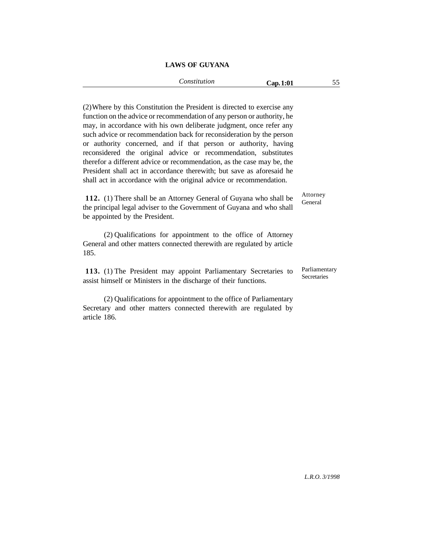| Constitution |  |
|--------------|--|
|              |  |
|              |  |

(2)Where by this Constitution the President is directed to exercise any function on the advice or recommendation of any person or authority, he may, in accordance with his own deliberate judgment, once refer any such advice or recommendation back for reconsideration by the person or authority concerned, and if that person or authority, having reconsidered the original advice or recommendation, substitutes therefor a different advice or recommendation, as the case may be, the President shall act in accordance therewith; but save as aforesaid he shall act in accordance with the original advice or recommendation.

**112.** (1) There shall be an Attorney General of Guyana who shall be the principal legal adviser to the Government of Guyana and who shall be appointed by the President. Attorney General

(2) Qualifications for appointment to the office of Attorney General and other matters connected therewith are regulated by article 185.

**113.** (1) The President may appoint Parliamentary Secretaries to assist himself or Ministers in the discharge of their functions. Parliamentary **Secretaries** 

(2) Qualifications for appointment to the office of Parliamentary Secretary and other matters connected therewith are regulated by article 186.

#### *L.R.O. 3/1998*

*Constitution* **Cap. 1:01** 55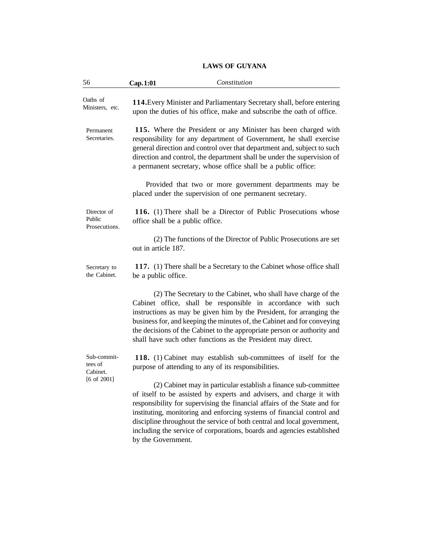| 56                                     | Constitution<br>Cap. 1:01                                                                                                                                                                                                                                                                                                                                                                                                                                                 |  |  |  |
|----------------------------------------|---------------------------------------------------------------------------------------------------------------------------------------------------------------------------------------------------------------------------------------------------------------------------------------------------------------------------------------------------------------------------------------------------------------------------------------------------------------------------|--|--|--|
| Oaths of<br>Ministers, etc.            | 114. Every Minister and Parliamentary Secretary shall, before entering<br>upon the duties of his office, make and subscribe the oath of office.                                                                                                                                                                                                                                                                                                                           |  |  |  |
| Permanent<br>Secretaries.              | 115. Where the President or any Minister has been charged with<br>responsibility for any department of Government, he shall exercise<br>general direction and control over that department and, subject to such<br>direction and control, the department shall be under the supervision of<br>a permanent secretary, whose office shall be a public office:                                                                                                               |  |  |  |
|                                        | Provided that two or more government departments may be<br>placed under the supervision of one permanent secretary.                                                                                                                                                                                                                                                                                                                                                       |  |  |  |
| Director of<br>Public<br>Prosecutions. | 116. (1) There shall be a Director of Public Prosecutions whose<br>office shall be a public office.                                                                                                                                                                                                                                                                                                                                                                       |  |  |  |
|                                        | (2) The functions of the Director of Public Prosecutions are set<br>out in article 187.                                                                                                                                                                                                                                                                                                                                                                                   |  |  |  |
| Secretary to<br>the Cabinet.           | 117. (1) There shall be a Secretary to the Cabinet whose office shall<br>be a public office.                                                                                                                                                                                                                                                                                                                                                                              |  |  |  |
|                                        | (2) The Secretary to the Cabinet, who shall have charge of the<br>Cabinet office, shall be responsible in accordance with such<br>instructions as may be given him by the President, for arranging the<br>business for, and keeping the minutes of, the Cabinet and for conveying<br>the decisions of the Cabinet to the appropriate person or authority and<br>shall have such other functions as the President may direct.                                              |  |  |  |
| Sub-commit-<br>tees of<br>Cabinet.     | 118. (1) Cabinet may establish sub-committees of itself for the<br>purpose of attending to any of its responsibilities.                                                                                                                                                                                                                                                                                                                                                   |  |  |  |
| $[6 \text{ of } 2001]$                 | (2) Cabinet may in particular establish a finance sub-committee<br>of itself to be assisted by experts and advisers, and charge it with<br>responsibility for supervising the financial affairs of the State and for<br>instituting, monitoring and enforcing systems of financial control and<br>discipline throughout the service of both central and local government,<br>including the service of corporations, boards and agencies established<br>by the Government. |  |  |  |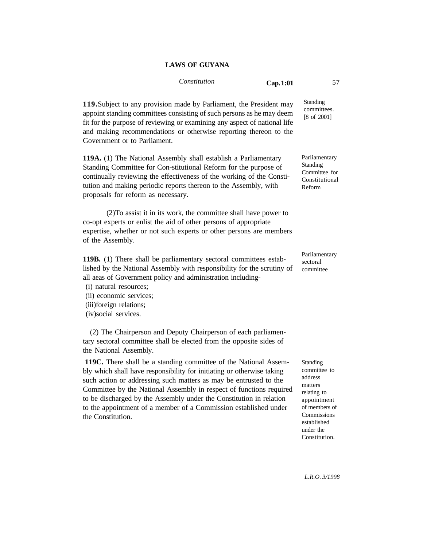|                                                                                                                                                                                                                                                                                                                                                                                                                                                        | Constitution                                                    | Cap. 1:01 | 57                                                                                                                                                        |
|--------------------------------------------------------------------------------------------------------------------------------------------------------------------------------------------------------------------------------------------------------------------------------------------------------------------------------------------------------------------------------------------------------------------------------------------------------|-----------------------------------------------------------------|-----------|-----------------------------------------------------------------------------------------------------------------------------------------------------------|
| 119. Subject to any provision made by Parliament, the President may<br>appoint standing committees consisting of such persons as he may deem<br>fit for the purpose of reviewing or examining any aspect of national life<br>and making recommendations or otherwise reporting thereon to the<br>Government or to Parliament.                                                                                                                          |                                                                 |           | <b>Standing</b><br>committees.<br>$[8 \text{ of } 2001]$                                                                                                  |
| 119A. (1) The National Assembly shall establish a Parliamentary<br>Standing Committee for Con-stitutional Reform for the purpose of<br>continually reviewing the effectiveness of the working of the Consti-<br>tution and making periodic reports thereon to the Assembly, with<br>proposals for reform as necessary.                                                                                                                                 |                                                                 |           | Parliamentary<br>Standing<br>Committee for<br>Constitutional<br>Reform                                                                                    |
| co-opt experts or enlist the aid of other persons of appropriate<br>expertise, whether or not such experts or other persons are members<br>of the Assembly.                                                                                                                                                                                                                                                                                            | (2) To assist it in its work, the committee shall have power to |           |                                                                                                                                                           |
| 119B. (1) There shall be parliamentary sectoral committees estab-<br>lished by the National Assembly with responsibility for the scrutiny of<br>all aeas of Government policy and administration including-<br>(i) natural resources;<br>(ii) economic services;<br>(iii)foreign relations;<br>(iv)social services.                                                                                                                                    |                                                                 |           | Parliamentary<br>sectoral<br>committee                                                                                                                    |
| (2) The Chairperson and Deputy Chairperson of each parliamen-<br>tary sectoral committee shall be elected from the opposite sides of<br>the National Assembly.                                                                                                                                                                                                                                                                                         |                                                                 |           |                                                                                                                                                           |
| 119C. There shall be a standing committee of the National Assem-<br>bly which shall have responsibility for initiating or otherwise taking<br>such action or addressing such matters as may be entrusted to the<br>Committee by the National Assembly in respect of functions required<br>to be discharged by the Assembly under the Constitution in relation<br>to the appointment of a member of a Commission established under<br>the Constitution. |                                                                 |           | Standing<br>committee to<br>address<br>matters<br>relating to<br>appointment<br>of members of<br>Commissions<br>established<br>under the<br>Constitution. |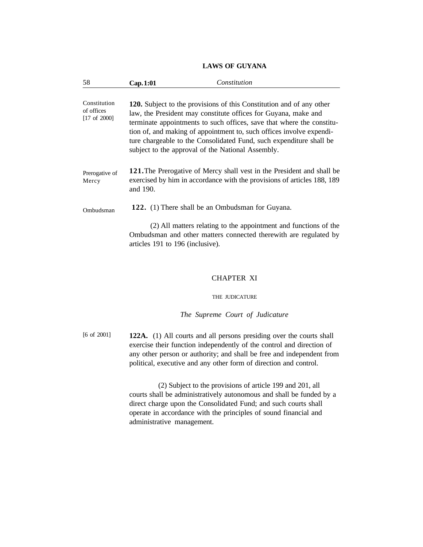| 58                                                    | Cap. 1:01                        | Constitution                                                                                                                                                                                                                                                                                                                                                                                                               |
|-------------------------------------------------------|----------------------------------|----------------------------------------------------------------------------------------------------------------------------------------------------------------------------------------------------------------------------------------------------------------------------------------------------------------------------------------------------------------------------------------------------------------------------|
| Constitution<br>of offices<br>$[17 \text{ of } 2000]$ |                                  | <b>120.</b> Subject to the provisions of this Constitution and of any other<br>law, the President may constitute offices for Guyana, make and<br>terminate appointments to such offices, save that where the constitu-<br>tion of, and making of appointment to, such offices involve expendi-<br>ture chargeable to the Consolidated Fund, such expenditure shall be<br>subject to the approval of the National Assembly. |
| Prerogative of<br>Mercy                               | and 190.                         | 121. The Prerogative of Mercy shall vest in the President and shall be<br>exercised by him in accordance with the provisions of articles 188, 189                                                                                                                                                                                                                                                                          |
| Ombudsman                                             |                                  | 122. (1) There shall be an Ombudsman for Guyana.                                                                                                                                                                                                                                                                                                                                                                           |
|                                                       | articles 191 to 196 (inclusive). | (2) All matters relating to the appointment and functions of the<br>Ombudsman and other matters connected therewith are regulated by                                                                                                                                                                                                                                                                                       |

## CHAPTER XI

THE JUDICATURE

*The Supreme Court of Judicature*

[6 of 2001] **122A.** (1) All courts and all persons presiding over the courts shall exercise their function independently of the control and direction of any other person or authority; and shall be free and independent from political, executive and any other form of direction and control.

> (2) Subject to the provisions of article 199 and 201, all courts shall be administratively autonomous and shall be funded by a direct charge upon the Consolidated Fund; and such courts shall operate in accordance with the principles of sound financial and administrative management.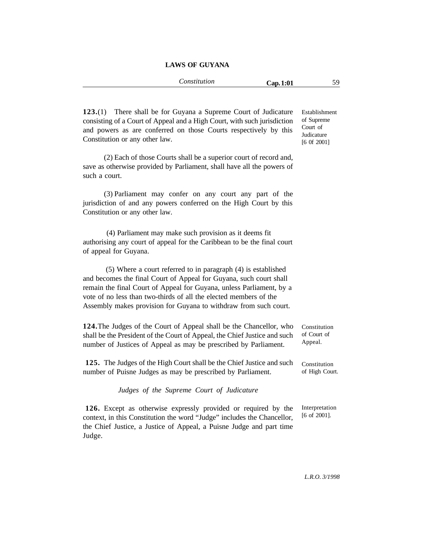| Constitution | Cap.1:01 | 59 |
|--------------|----------|----|
|--------------|----------|----|

**123.**(1) There shall be for Guyana a Supreme Court of Judicature consisting of a Court of Appeal and a High Court, with such jurisdiction and powers as are conferred on those Courts respectively by this Constitution or any other law.

(2) Each of those Courts shall be a superior court of record and, save as otherwise provided by Parliament, shall have all the powers of such a court.

(3) Parliament may confer on any court any part of the jurisdiction of and any powers conferred on the High Court by this Constitution or any other law.

 (4) Parliament may make such provision as it deems fit authorising any court of appeal for the Caribbean to be the final court of appeal for Guyana.

 (5) Where a court referred to in paragraph (4) is established and becomes the final Court of Appeal for Guyana, such court shall remain the final Court of Appeal for Guyana, unless Parliament, by a vote of no less than two-thirds of all the elected members of the Assembly makes provision for Guyana to withdraw from such court.

**124.**The Judges of the Court of Appeal shall be the Chancellor, who shall be the President of the Court of Appeal, the Chief Justice and such number of Justices of Appeal as may be prescribed by Parliament. Constitution of Court of Appeal.

**125.** The Judges of the High Court shall be the Chief Justice and such number of Puisne Judges as may be prescribed by Parliament. Constitution of High Court.

*Judges of the Supreme Court of Judicature*

**126.** Except as otherwise expressly provided or required by the context, in this Constitution the word "Judge" includes the Chancellor, the Chief Justice, a Justice of Appeal, a Puisne Judge and part time Judge. Interpretation [6 of 2001].

Establishment of Supreme Court of Judicature [6 0f 2001]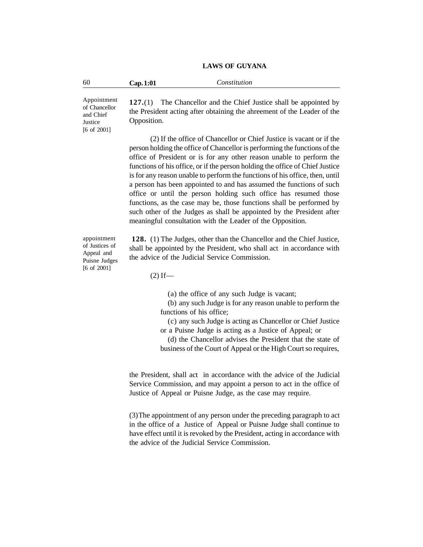| 60 | Cap.1:01 | Constitution |  |
|----|----------|--------------|--|
|----|----------|--------------|--|

Appointment of Chancellor and Chief Justice [6 of 2001]

**127.**(1) The Chancellor and the Chief Justice shall be appointed by the President acting after obtaining the ahreement of the Leader of the Opposition.

(2) If the office of Chancellor or Chief Justice is vacant or if the person holding the office of Chancellor is performing the functions of the office of President or is for any other reason unable to perform the functions of his office, or if the person holding the office of Chief Justice is for any reason unable to perform the functions of his office, then, until a person has been appointed to and has assumed the functions of such office or until the person holding such office has resumed those functions, as the case may be, those functions shall be performed by such other of the Judges as shall be appointed by the President after meaningful consultation with the Leader of the Opposition.

appointment of Justices of Appeal and Puisne Judges [6 of 2001]

**128.** (1) The Judges, other than the Chancellor and the Chief Justice, shall be appointed by the President, who shall act in accordance with the advice of the Judicial Service Commission.

 $(2) If$ —

(a) the office of any such Judge is vacant;

(b) any such Judge is for any reason unable to perform the functions of his office;

(c) any such Judge is acting as Chancellor or Chief Justice or a Puisne Judge is acting as a Justice of Appeal; or

(d) the Chancellor advises the President that the state of business of the Court of Appeal or the High Court so requires,

the President, shall act in accordance with the advice of the Judicial Service Commission, and may appoint a person to act in the office of Justice of Appeal or Puisne Judge, as the case may require.

(3)The appointment of any person under the preceding paragraph to act in the office of a Justice of Appeal or Puisne Judge shall continue to have effect until it is revoked by the President, acting in accordance with the advice of the Judicial Service Commission.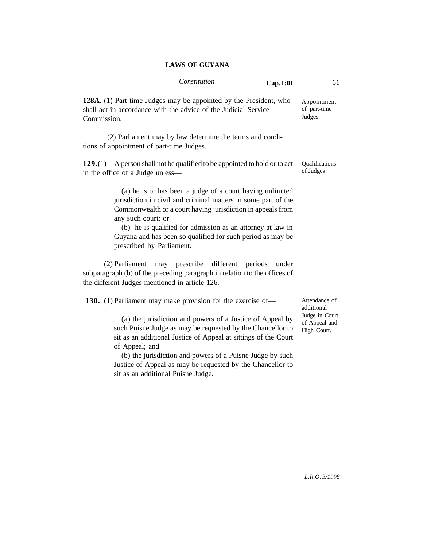|                                                                                                                                                     | Constitution                                                                                                                                                                                                                                                                                                           | Cap. 1:01        | 61                                                                            |
|-----------------------------------------------------------------------------------------------------------------------------------------------------|------------------------------------------------------------------------------------------------------------------------------------------------------------------------------------------------------------------------------------------------------------------------------------------------------------------------|------------------|-------------------------------------------------------------------------------|
| 128A. (1) Part-time Judges may be appointed by the President, who<br>shall act in accordance with the advice of the Judicial Service<br>Commission. |                                                                                                                                                                                                                                                                                                                        |                  | Appointment<br>of part-time<br>Judges                                         |
| tions of appointment of part-time Judges.                                                                                                           | (2) Parliament may by law determine the terms and condi-                                                                                                                                                                                                                                                               |                  |                                                                               |
| 129(1)<br>in the office of a Judge unless-                                                                                                          | A person shall not be qualified to be appointed to hold or to act                                                                                                                                                                                                                                                      |                  | Qualifications<br>of Judges                                                   |
| any such court; or<br>prescribed by Parliament.                                                                                                     | (a) he is or has been a judge of a court having unlimited<br>jurisdiction in civil and criminal matters in some part of the<br>Commonwealth or a court having jurisdiction in appeals from<br>(b) he is qualified for admission as an attorney-at-law in<br>Guyana and has been so qualified for such period as may be |                  |                                                                               |
| (2) Parliament<br>subparagraph (b) of the preceding paragraph in relation to the offices of<br>the different Judges mentioned in article 126.       | may prescribe different                                                                                                                                                                                                                                                                                                | periods<br>under |                                                                               |
| <b>130.</b> (1) Parliament may make provision for the exercise of—<br>of Appeal; and<br>sit as an additional Puisne Judge.                          | (a) the jurisdiction and powers of a Justice of Appeal by<br>such Puisne Judge as may be requested by the Chancellor to<br>sit as an additional Justice of Appeal at sittings of the Court<br>(b) the jurisdiction and powers of a Puisne Judge by such<br>Justice of Appeal as may be requested by the Chancellor to  |                  | Attendance of<br>additional<br>Judge in Court<br>of Appeal and<br>High Court. |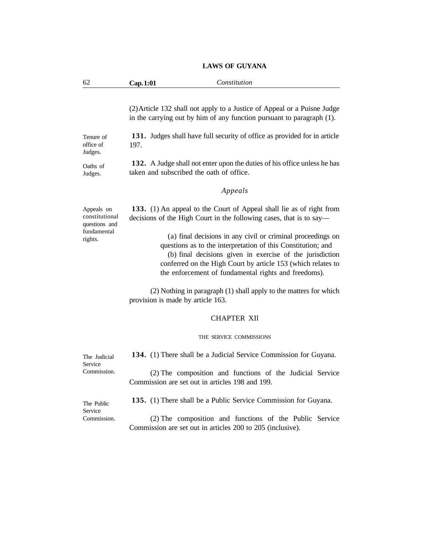| 62                                            | Cap.1:01                                                                                                             | Constitution                                                                                                                                                                                                                                                                                                     |  |  |
|-----------------------------------------------|----------------------------------------------------------------------------------------------------------------------|------------------------------------------------------------------------------------------------------------------------------------------------------------------------------------------------------------------------------------------------------------------------------------------------------------------|--|--|
|                                               |                                                                                                                      | (2) Article 132 shall not apply to a Justice of Appeal or a Puisne Judge<br>in the carrying out by him of any function pursuant to paragraph (1).                                                                                                                                                                |  |  |
| Tenure of<br>office of<br>Judges.             | 131. Judges shall have full security of office as provided for in article<br>197.                                    |                                                                                                                                                                                                                                                                                                                  |  |  |
| Oaths of<br>Judges.                           | 132. A Judge shall not enter upon the duties of his office unless he has<br>taken and subscribed the oath of office. |                                                                                                                                                                                                                                                                                                                  |  |  |
|                                               |                                                                                                                      | Appeals                                                                                                                                                                                                                                                                                                          |  |  |
| Appeals on<br>constitutional<br>questions and |                                                                                                                      | 133. (1) An appeal to the Court of Appeal shall lie as of right from<br>decisions of the High Court in the following cases, that is to say—                                                                                                                                                                      |  |  |
| fundamental<br>rights.                        |                                                                                                                      | (a) final decisions in any civil or criminal proceedings on<br>questions as to the interpretation of this Constitution; and<br>(b) final decisions given in exercise of the jurisdiction<br>conferred on the High Court by article 153 (which relates to<br>the enforcement of fundamental rights and freedoms). |  |  |
|                                               | provision is made by article 163.                                                                                    | (2) Nothing in paragraph (1) shall apply to the matters for which                                                                                                                                                                                                                                                |  |  |
|                                               |                                                                                                                      | <b>CHAPTER XII</b>                                                                                                                                                                                                                                                                                               |  |  |
|                                               |                                                                                                                      | THE SERVICE COMMISSIONS                                                                                                                                                                                                                                                                                          |  |  |
| The Judicial                                  |                                                                                                                      | 134. (1) There shall be a Judicial Service Commission for Guyana.                                                                                                                                                                                                                                                |  |  |
| Service<br>Commission.                        |                                                                                                                      | (2) The composition and functions of the Judicial Service<br>Commission are set out in articles 198 and 199.                                                                                                                                                                                                     |  |  |
| The Public                                    |                                                                                                                      | 135. (1) There shall be a Public Service Commission for Guyana.                                                                                                                                                                                                                                                  |  |  |
| Service<br>Commission.                        |                                                                                                                      | (2) The composition and functions of the Public Service<br>Commission are set out in articles 200 to 205 (inclusive).                                                                                                                                                                                            |  |  |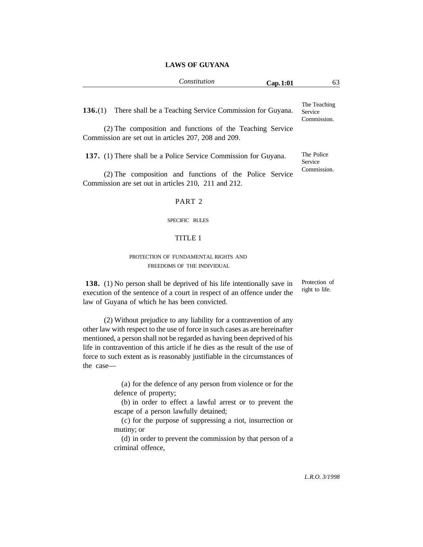|                                                                          | Constitution                                              | Cap.1:01 | 63                                     |
|--------------------------------------------------------------------------|-----------------------------------------------------------|----------|----------------------------------------|
| <b>136.</b> (1) There shall be a Teaching Service Commission for Guyana. |                                                           |          | The Teaching<br>Service<br>Commission. |
| Commission are set out in articles 207, 208 and 209.                     | (2) The composition and functions of the Teaching Service |          |                                        |
| 137. (1) There shall be a Police Service Commission for Guyana.          |                                                           |          | The Police<br>Service                  |
| Commission are set out in articles 210, 211 and 212.                     | (2) The composition and functions of the Police Service   |          | Commission.                            |
|                                                                          | PART <sub>2</sub>                                         |          |                                        |

## SPECIFIC RULES

#### TITLE 1

## PROTECTION OF FUNDAMENTAL RIGHTS AND FREEDOMS OF THE INDIVIDUAL

**138.** (1) No person shall be deprived of his life intentionally save in execution of the sentence of a court in respect of an offence under the law of Guyana of which he has been convicted.

(2) Without prejudice to any liability for a contravention of any other law with respect to the use of force in such cases as are hereinafter mentioned, a person shall not be regarded as having been deprived of his life in contravention of this article if he dies as the result of the use of force to such extent as is reasonably justifiable in the circumstances of the case—

> (a) for the defence of any person from violence or for the defence of property;

> (b) in order to effect a lawful arrest or to prevent the escape of a person lawfully detained;

> (c) for the purpose of suppressing a riot, insurrection or mutiny; or

> (d) in order to prevent the commission by that person of a criminal offence,

Protection of right to life.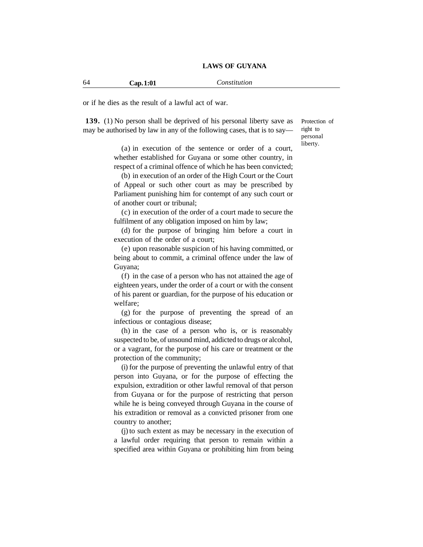or if he dies as the result of a lawful act of war.

**139.** (1) No person shall be deprived of his personal liberty save as may be authorised by law in any of the following cases, that is to say—

Protection of right to personal liberty.

(a) in execution of the sentence or order of a court, whether established for Guyana or some other country, in respect of a criminal offence of which he has been convicted;

(b) in execution of an order of the High Court or the Court of Appeal or such other court as may be prescribed by Parliament punishing him for contempt of any such court or of another court or tribunal;

(c) in execution of the order of a court made to secure the fulfilment of any obligation imposed on him by law;

(d) for the purpose of bringing him before a court in execution of the order of a court;

(e) upon reasonable suspicion of his having committed, or being about to commit, a criminal offence under the law of Guyana;

(f) in the case of a person who has not attained the age of eighteen years, under the order of a court or with the consent of his parent or guardian, for the purpose of his education or welfare;

(g) for the purpose of preventing the spread of an infectious or contagious disease;

(h) in the case of a person who is, or is reasonably suspected to be, of unsound mind, addicted to drugs or alcohol, or a vagrant, for the purpose of his care or treatment or the protection of the community;

(i) for the purpose of preventing the unlawful entry of that person into Guyana, or for the purpose of effecting the expulsion, extradition or other lawful removal of that person from Guyana or for the purpose of restricting that person while he is being conveyed through Guyana in the course of his extradition or removal as a convicted prisoner from one country to another;

(j)to such extent as may be necessary in the execution of a lawful order requiring that person to remain within a specified area within Guyana or prohibiting him from being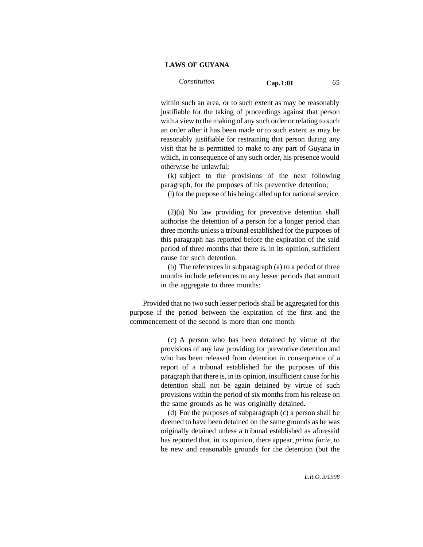*Constitution* **Cap. 1:01** 65

within such an area, or to such extent as may be reasonably justifiable for the taking of proceedings against that person with a view to the making of any such order or relating to such an order after it has been made or to such extent as may be reasonably justifiable for restraining that person during any visit that he is permitted to make to any part of Guyana in which, in consequence of any such order, his presence would otherwise be unlawful;

(k) subject to the provisions of the next following paragraph, for the purposes of his preventive detention;

(l) for the purpose of his being called up for national service.

(2)(a) No law providing for preventive detention shall authorise the detention of a person for a longer period than three months unless a tribunal established for the purposes of this paragraph has reported before the expiration of the said period of three months that there is, in its opinion, sufficient cause for such detention.

(b) The references in subparagraph (a) to a period of three months include references to any lesser periods that amount in the aggregate to three months:

Provided that no two such lesser periods shall be aggregated for this purpose if the period between the expiration of the first and the commencement of the second is more than one month.

> (c) A person who has been detained by virtue of the provisions of any law providing for preventive detention and who has been released from detention in consequence of a report of a tribunal established for the purposes of this paragraph that there is, in its opinion, insufficient cause for his detention shall not be again detained by virtue of such provisions within the period of six months from his release on the same grounds as he was originally detained.

> (d) For the purposes of subparagraph (c) a person shall be deemed to have been detained on the same grounds as he was originally detained unless a tribunal established as aforesaid has reported that, in its opinion, there appear, *prima facie*, to be new and reasonable grounds for the detention (but the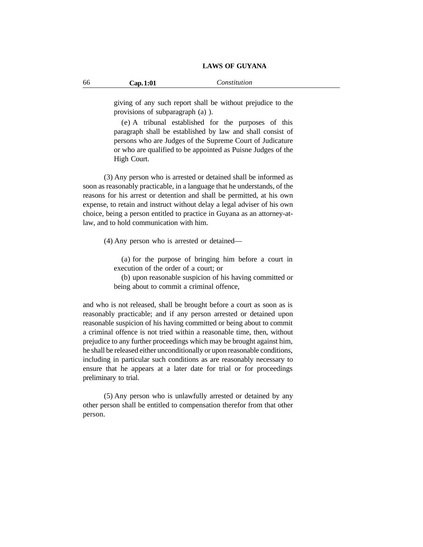giving of any such report shall be without prejudice to the provisions of subparagraph (a) ).

(e) A tribunal established for the purposes of this paragraph shall be established by law and shall consist of persons who are Judges of the Supreme Court of Judicature or who are qualified to be appointed as Puisne Judges of the High Court.

(3) Any person who is arrested or detained shall be informed as soon as reasonably practicable, in a language that he understands, of the reasons for his arrest or detention and shall be permitted, at his own expense, to retain and instruct without delay a legal adviser of his own choice, being a person entitled to practice in Guyana as an attorney-atlaw, and to hold communication with him.

(4) Any person who is arrested or detained—

(a) for the purpose of bringing him before a court in execution of the order of a court; or

(b) upon reasonable suspicion of his having committed or being about to commit a criminal offence,

and who is not released, shall be brought before a court as soon as is reasonably practicable; and if any person arrested or detained upon reasonable suspicion of his having committed or being about to commit a criminal offence is not tried within a reasonable time, then, without prejudice to any further proceedings which may be brought against him, he shall be released either unconditionally or upon reasonable conditions, including in particular such conditions as are reasonably necessary to ensure that he appears at a later date for trial or for proceedings preliminary to trial.

(5) Any person who is unlawfully arrested or detained by any other person shall be entitled to compensation therefor from that other person.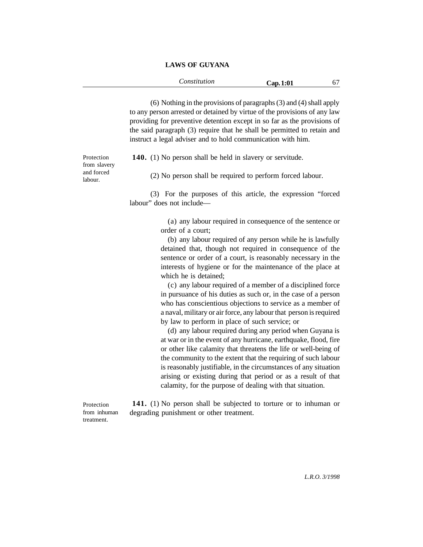| Constitution | Cap.1:01 |  |
|--------------|----------|--|
|--------------|----------|--|

(6) Nothing in the provisions of paragraphs (3) and (4) shall apply to any person arrested or detained by virtue of the provisions of any law providing for preventive detention except in so far as the provisions of the said paragraph (3) require that he shall be permitted to retain and instruct a legal adviser and to hold communication with him.

Protection from slavery and forced labour.

**140.** (1) No person shall be held in slavery or servitude.

(2) No person shall be required to perform forced labour.

(3) For the purposes of this article, the expression "forced labour" does not include—

> (a) any labour required in consequence of the sentence or order of a court;

> (b) any labour required of any person while he is lawfully detained that, though not required in consequence of the sentence or order of a court, is reasonably necessary in the interests of hygiene or for the maintenance of the place at which he is detained;

> (c) any labour required of a member of a disciplined force in pursuance of his duties as such or, in the case of a person who has conscientious objections to service as a member of a naval, military or air force, any labour that person is required by law to perform in place of such service; or

> (d) any labour required during any period when Guyana is at war or in the event of any hurricane, earthquake, flood, fire or other like calamity that threatens the life or well-being of the community to the extent that the requiring of such labour is reasonably justifiable, in the circumstances of any situation arising or existing during that period or as a result of that calamity, for the purpose of dealing with that situation.

Protection from inhuman treatment.

**141.** (1) No person shall be subjected to torture or to inhuman or degrading punishment or other treatment.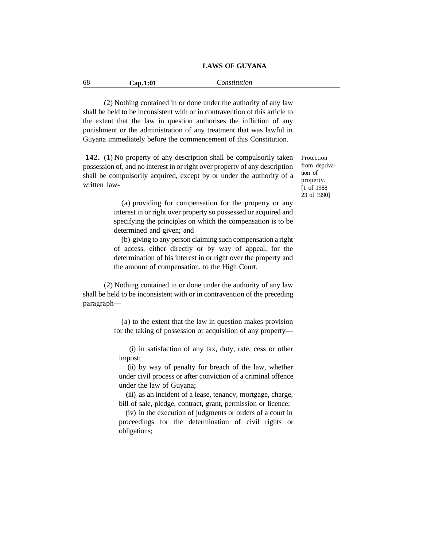| 68<br>Cap.1:01 | Constitution |
|----------------|--------------|
|----------------|--------------|

(2) Nothing contained in or done under the authority of any law shall be held to be inconsistent with or in contravention of this article to the extent that the law in question authorises the infliction of any punishment or the administration of any treatment that was lawful in Guyana immediately before the commencement of this Constitution.

**142.** (1) No property of any description shall be compulsorily taken possession of, and no interest in or right over property of any description shall be compulsorily acquired, except by or under the authority of a written law-

Protection from deprivation of property. [1 of 1988 23 of 1990]

(a) providing for compensation for the property or any interest in or right over property so possessed or acquired and specifying the principles on which the compensation is to be determined and given; and

(b) giving to any person claiming such compensation a right of access, either directly or by way of appeal, for the determination of his interest in or right over the property and the amount of compensation, to the High Court.

(2) Nothing contained in or done under the authority of any law shall be held to be inconsistent with or in contravention of the preceding paragraph—

> (a) to the extent that the law in question makes provision for the taking of possession or acquisition of any property—

(i) in satisfaction of any tax, duty, rate, cess or other impost;

(ii) by way of penalty for breach of the law, whether under civil process or after conviction of a criminal offence under the law of Guyana;

(iii) as an incident of a lease, tenancy, mortgage, charge, bill of sale, pledge, contract, grant, permission or licence;

(iv) in the execution of judgments or orders of a court in proceedings for the determination of civil rights or obligations;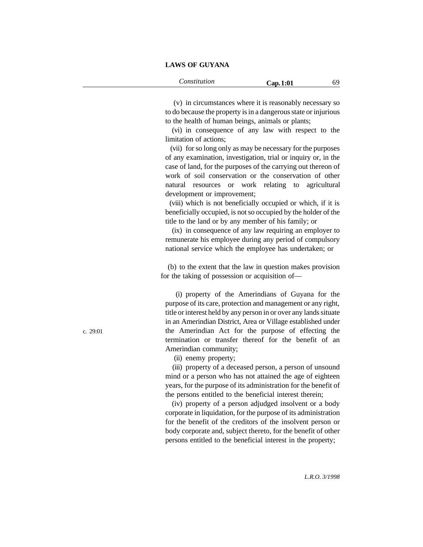(v) in circumstances where it is reasonably necessary so to do because the property is in a dangerous state or injurious to the health of human beings, animals or plants;

(vi) in consequence of any law with respect to the limitation of actions;

(vii) for so long only as may be necessary for the purposes of any examination, investigation, trial or inquiry or, in the case of land, for the purposes of the carrying out thereon of work of soil conservation or the conservation of other natural resources or work relating to agricultural development or improvement;

(viii) which is not beneficially occupied or which, if it is beneficially occupied, is not so occupied by the holder of the title to the land or by any member of his family; or

(ix) in consequence of any law requiring an employer to remunerate his employee during any period of compulsory national service which the employee has undertaken; or

(b) to the extent that the law in question makes provision for the taking of possession or acquisition of—

(i) property of the Amerindians of Guyana for the purpose of its care, protection and management or any right, title or interest held by any person in or over any lands situate in an Amerindian District, Area or Village established under the Amerindian Act for the purpose of effecting the termination or transfer thereof for the benefit of an Amerindian community;

(ii) enemy property;

(iii) property of a deceased person, a person of unsound mind or a person who has not attained the age of eighteen years, for the purpose of its administration for the benefit of the persons entitled to the beneficial interest therein;

(iv) property of a person adjudged insolvent or a body corporate in liquidation, for the purpose of its administration for the benefit of the creditors of the insolvent person or body corporate and, subject thereto, for the benefit of other persons entitled to the beneficial interest in the property;

c. 29:01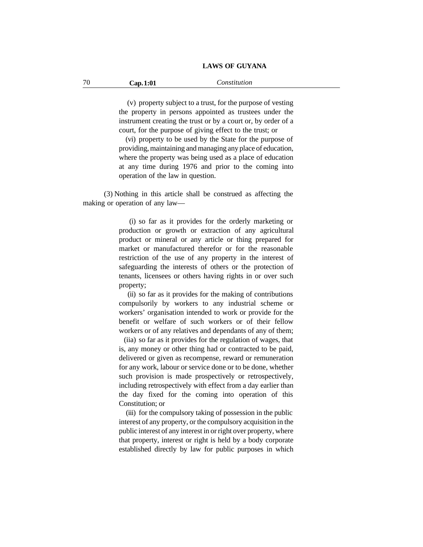(v) property subject to a trust, for the purpose of vesting the property in persons appointed as trustees under the instrument creating the trust or by a court or, by order of a court, for the purpose of giving effect to the trust; or

(vi) property to be used by the State for the purpose of providing, maintaining and managing any place of education, where the property was being used as a place of education at any time during 1976 and prior to the coming into operation of the law in question.

(3) Nothing in this article shall be construed as affecting the making or operation of any law—

> (i) so far as it provides for the orderly marketing or production or growth or extraction of any agricultural product or mineral or any article or thing prepared for market or manufactured therefor or for the reasonable restriction of the use of any property in the interest of safeguarding the interests of others or the protection of tenants, licensees or others having rights in or over such property;

> (ii) so far as it provides for the making of contributions compulsorily by workers to any industrial scheme or workers' organisation intended to work or provide for the benefit or welfare of such workers or of their fellow workers or of any relatives and dependants of any of them;

> (iia) so far as it provides for the regulation of wages, that is, any money or other thing had or contracted to be paid, delivered or given as recompense, reward or remuneration for any work, labour or service done or to be done, whether such provision is made prospectively or retrospectively, including retrospectively with effect from a day earlier than the day fixed for the coming into operation of this Constitution; or

> (iii) for the compulsory taking of possession in the public interest of any property, or the compulsory acquisition in the public interest of any interest in or right over property, where that property, interest or right is held by a body corporate established directly by law for public purposes in which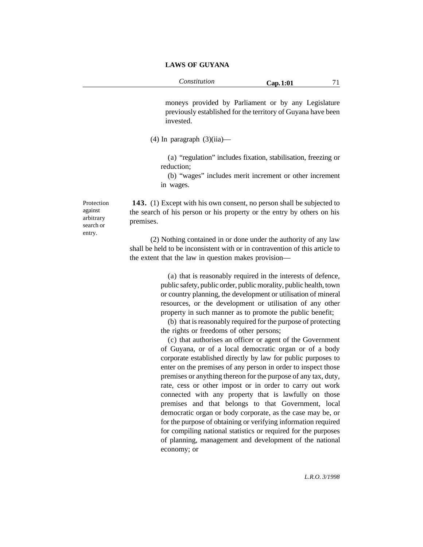| Constitution | Cap.1:01 |  |
|--------------|----------|--|
|              |          |  |

moneys provided by Parliament or by any Legislature previously established for the territory of Guyana have been invested.

 $(4)$  In paragraph  $(3)(iia)$ —

(a) "regulation" includes fixation, stabilisation, freezing or reduction;

(b) "wages" includes merit increment or other increment in wages.

**143.** (1) Except with his own consent, no person shall be subjected to the search of his person or his property or the entry by others on his premises.

(2) Nothing contained in or done under the authority of any law shall be held to be inconsistent with or in contravention of this article to the extent that the law in question makes provision—

> (a) that is reasonably required in the interests of defence, public safety, public order, public morality, public health, town or country planning, the development or utilisation of mineral resources, or the development or utilisation of any other property in such manner as to promote the public benefit;

> (b) that is reasonably required for the purpose of protecting the rights or freedoms of other persons;

> (c) that authorises an officer or agent of the Government of Guyana, or of a local democratic organ or of a body corporate established directly by law for public purposes to enter on the premises of any person in order to inspect those premises or anything thereon for the purpose of any tax, duty, rate, cess or other impost or in order to carry out work connected with any property that is lawfully on those premises and that belongs to that Government, local democratic organ or body corporate, as the case may be, or for the purpose of obtaining or verifying information required for compiling national statistics or required for the purposes of planning, management and development of the national economy; or

Protection against arbitrary search or entry.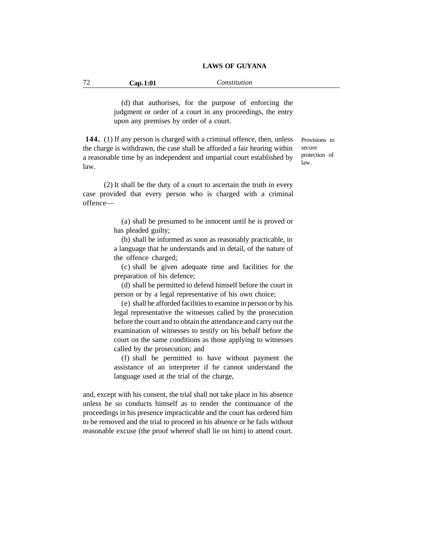(d) that authorises, for the purpose of enforcing the judgment or order of a court in any proceedings, the entry upon any premises by order of a court.

**144.** (1) If any person is charged with a criminal offence, then, unless the charge is withdrawn, the case shall be afforded a fair hearing within a reasonable time by an independent and impartial court established by law.

Provisions to secure protection of law.

(2) It shall be the duty of a court to ascertain the truth in every case provided that every person who is charged with a criminal offence—

> (a) shall be presumed to be innocent until he is proved or has pleaded guilty;

> (b) shall be informed as soon as reasonably practicable, in a language that he understands and in detail, of the nature of the offence charged;

> (c) shall be given adequate time and facilities for the preparation of his defence;

> (d) shall be permitted to defend himself before the court in person or by a legal representative of his own choice;

> (e) shall be afforded facilities to examine in person or by his legal representative the witnesses called by the prosecution before the court and to obtain the attendance and carry out the examination of witnesses to testify on his behalf before the court on the same conditions as those applying to witnesses called by the prosecution; and

> (f) shall be permitted to have without payment the assistance of an interpreter if he cannot understand the language used at the trial of the charge,

and, except with his consent, the trial shall not take place in his absence unless he so conducts himself as to render the continuance of the proceedings in his presence impracticable and the court has ordered him to be removed and the trial to proceed in his absence or he fails without reasonable excuse (the proof whereof shall lie on him) to attend court.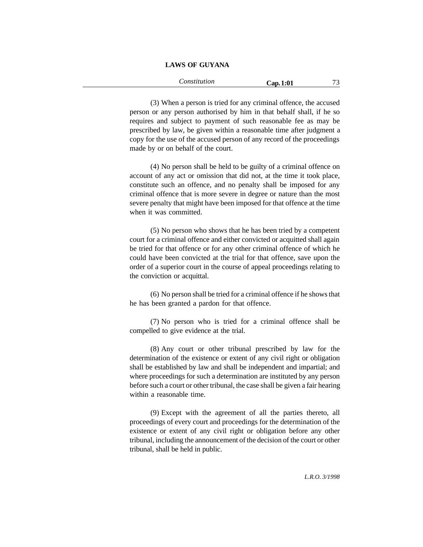| Constitution | Cap.1:01 | 73 |
|--------------|----------|----|
|              |          |    |

(3) When a person is tried for any criminal offence, the accused person or any person authorised by him in that behalf shall, if he so requires and subject to payment of such reasonable fee as may be prescribed by law, be given within a reasonable time after judgment a copy for the use of the accused person of any record of the proceedings made by or on behalf of the court.

(4) No person shall be held to be guilty of a criminal offence on account of any act or omission that did not, at the time it took place, constitute such an offence, and no penalty shall be imposed for any criminal offence that is more severe in degree or nature than the most severe penalty that might have been imposed for that offence at the time when it was committed.

(5) No person who shows that he has been tried by a competent court for a criminal offence and either convicted or acquitted shall again be tried for that offence or for any other criminal offence of which he could have been convicted at the trial for that offence, save upon the order of a superior court in the course of appeal proceedings relating to the conviction or acquittal.

(6) No person shall be tried for a criminal offence if he shows that he has been granted a pardon for that offence.

(7) No person who is tried for a criminal offence shall be compelled to give evidence at the trial.

(8) Any court or other tribunal prescribed by law for the determination of the existence or extent of any civil right or obligation shall be established by law and shall be independent and impartial; and where proceedings for such a determination are instituted by any person before such a court or other tribunal, the case shall be given a fair hearing within a reasonable time.

(9) Except with the agreement of all the parties thereto, all proceedings of every court and proceedings for the determination of the existence or extent of any civil right or obligation before any other tribunal, including the announcement of the decision of the court or other tribunal, shall be held in public.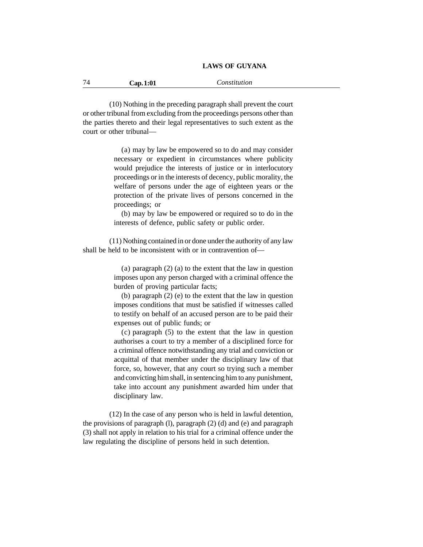(10) Nothing in the preceding paragraph shall prevent the court or other tribunal from excluding from the proceedings persons other than the parties thereto and their legal representatives to such extent as the court or other tribunal—

> (a) may by law be empowered so to do and may consider necessary or expedient in circumstances where publicity would prejudice the interests of justice or in interlocutory proceedings or in the interests of decency, public morality, the welfare of persons under the age of eighteen years or the protection of the private lives of persons concerned in the proceedings; or

> (b) may by law be empowered or required so to do in the interests of defence, public safety or public order.

(11) Nothing contained in or done under the authority of any law shall be held to be inconsistent with or in contravention of—

> (a) paragraph (2) (a) to the extent that the law in question imposes upon any person charged with a criminal offence the burden of proving particular facts;

> (b) paragraph (2) (e) to the extent that the law in question imposes conditions that must be satisfied if witnesses called to testify on behalf of an accused person are to be paid their expenses out of public funds; or

> (c) paragraph (5) to the extent that the law in question authorises a court to try a member of a disciplined force for a criminal offence notwithstanding any trial and conviction or acquittal of that member under the disciplinary law of that force, so, however, that any court so trying such a member and convicting him shall, in sentencing him to any punishment, take into account any punishment awarded him under that disciplinary law.

(12) In the case of any person who is held in lawful detention, the provisions of paragraph  $(l)$ , paragraph  $(2)$   $(d)$  and  $(e)$  and paragraph (3) shall not apply in relation to his trial for a criminal offence under the law regulating the discipline of persons held in such detention.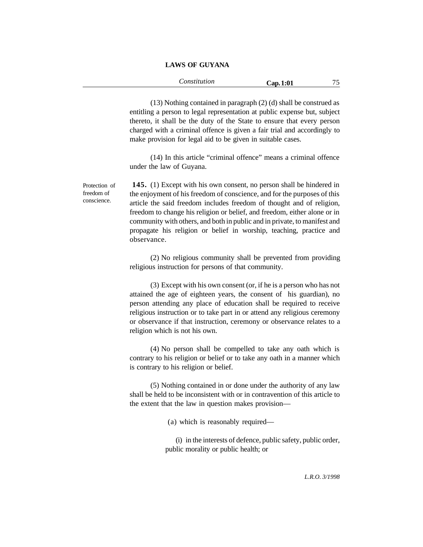| Constitution | Cap.1:01 |  |
|--------------|----------|--|
|--------------|----------|--|

(13) Nothing contained in paragraph (2) (d) shall be construed as entitling a person to legal representation at public expense but, subject thereto, it shall be the duty of the State to ensure that every person charged with a criminal offence is given a fair trial and accordingly to make provision for legal aid to be given in suitable cases.

(14) In this article "criminal offence" means a criminal offence under the law of Guyana.

**145.** (1) Except with his own consent, no person shall be hindered in the enjoyment of his freedom of conscience, and for the purposes of this article the said freedom includes freedom of thought and of religion, freedom to change his religion or belief, and freedom, either alone or in community with others, and both in public and in private, to manifest and propagate his religion or belief in worship, teaching, practice and observance.

(2) No religious community shall be prevented from providing religious instruction for persons of that community.

(3) Except with his own consent (or, if he is a person who has not attained the age of eighteen years, the consent of his guardian), no person attending any place of education shall be required to receive religious instruction or to take part in or attend any religious ceremony or observance if that instruction, ceremony or observance relates to a religion which is not his own.

(4) No person shall be compelled to take any oath which is contrary to his religion or belief or to take any oath in a manner which is contrary to his religion or belief.

(5) Nothing contained in or done under the authority of any law shall be held to be inconsistent with or in contravention of this article to the extent that the law in question makes provision—

(a) which is reasonably required—

(i) in the interests of defence, public safety, public order, public morality or public health; or

Protection of freedom of conscience.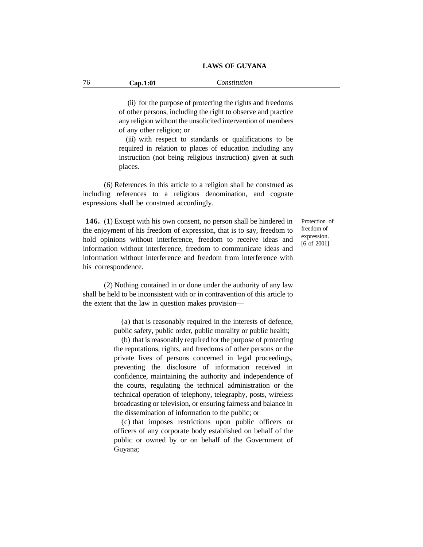(ii) for the purpose of protecting the rights and freedoms of other persons, including the right to observe and practice any religion without the unsolicited intervention of members of any other religion; or

(iii) with respect to standards or qualifications to be required in relation to places of education including any instruction (not being religious instruction) given at such places.

(6) References in this article to a religion shall be construed as including references to a religious denomination, and cognate expressions shall be construed accordingly.

**146.** (1) Except with his own consent, no person shall be hindered in the enjoyment of his freedom of expression, that is to say, freedom to hold opinions without interference, freedom to receive ideas and information without interference, freedom to communicate ideas and information without interference and freedom from interference with his correspondence.

Protection of freedom of expression. [6 of 2001]

(2) Nothing contained in or done under the authority of any law shall be held to be inconsistent with or in contravention of this article to the extent that the law in question makes provision—

> (a) that is reasonably required in the interests of defence, public safety, public order, public morality or public health;

> (b) that is reasonably required for the purpose of protecting the reputations, rights, and freedoms of other persons or the private lives of persons concerned in legal proceedings, preventing the disclosure of information received in confidence, maintaining the authority and independence of the courts, regulating the technical administration or the technical operation of telephony, telegraphy, posts, wireless broadcasting or television, or ensuring fairness and balance in the dissemination of information to the public; or

> (c) that imposes restrictions upon public officers or officers of any corporate body established on behalf of the public or owned by or on behalf of the Government of Guyana;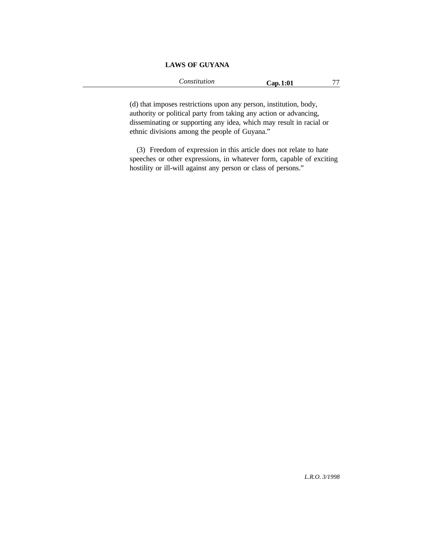| Constitution | Cap. 1:01 | $\overline{\phantom{a}}$ |
|--------------|-----------|--------------------------|
|              |           |                          |

(d) that imposes restrictions upon any person, institution, body, authority or political party from taking any action or advancing, disseminating or supporting any idea, which may result in racial or ethnic divisions among the people of Guyana."

 (3) Freedom of expression in this article does not relate to hate speeches or other expressions, in whatever form, capable of exciting hostility or ill-will against any person or class of persons."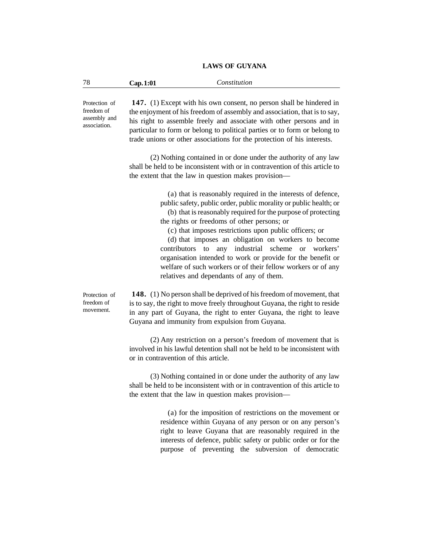| 78<br>Constitution<br>Cap.1:01 |  |
|--------------------------------|--|
|--------------------------------|--|

Protection of freedom of assembly and association.

**147.** (1) Except with his own consent, no person shall be hindered in the enjoyment of his freedom of assembly and association, that is to say, his right to assemble freely and associate with other persons and in particular to form or belong to political parties or to form or belong to trade unions or other associations for the protection of his interests.

(2) Nothing contained in or done under the authority of any law shall be held to be inconsistent with or in contravention of this article to the extent that the law in question makes provision—

> (a) that is reasonably required in the interests of defence, public safety, public order, public morality or public health; or

> (b) that is reasonably required for the purpose of protecting the rights or freedoms of other persons; or

(c) that imposes restrictions upon public officers; or

(d) that imposes an obligation on workers to become contributors to any industrial scheme or workers' organisation intended to work or provide for the benefit or welfare of such workers or of their fellow workers or of any relatives and dependants of any of them.

Protection of freedom of movement.

**148.** (1) No person shall be deprived of his freedom of movement, that is to say, the right to move freely throughout Guyana, the right to reside in any part of Guyana, the right to enter Guyana, the right to leave Guyana and immunity from expulsion from Guyana.

(2) Any restriction on a person's freedom of movement that is involved in his lawful detention shall not be held to be inconsistent with or in contravention of this article.

(3) Nothing contained in or done under the authority of any law shall be held to be inconsistent with or in contravention of this article to the extent that the law in question makes provision—

> (a) for the imposition of restrictions on the movement or residence within Guyana of any person or on any person's right to leave Guyana that are reasonably required in the interests of defence, public safety or public order or for the purpose of preventing the subversion of democratic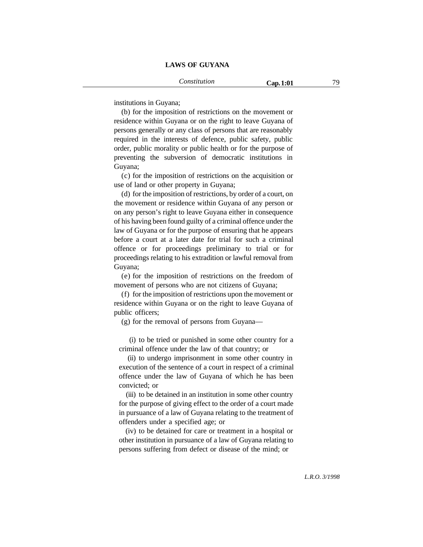institutions in Guyana;

(b) for the imposition of restrictions on the movement or residence within Guyana or on the right to leave Guyana of persons generally or any class of persons that are reasonably required in the interests of defence, public safety, public order, public morality or public health or for the purpose of preventing the subversion of democratic institutions in Guyana;

(c) for the imposition of restrictions on the acquisition or use of land or other property in Guyana;

(d) for the imposition of restrictions, by order of a court, on the movement or residence within Guyana of any person or on any person's right to leave Guyana either in consequence of his having been found guilty of a criminal offence under the law of Guyana or for the purpose of ensuring that he appears before a court at a later date for trial for such a criminal offence or for proceedings preliminary to trial or for proceedings relating to his extradition or lawful removal from Guyana;

(e) for the imposition of restrictions on the freedom of movement of persons who are not citizens of Guyana;

(f) for the imposition of restrictions upon the movement or residence within Guyana or on the right to leave Guyana of public officers;

(g) for the removal of persons from Guyana—

(i) to be tried or punished in some other country for a criminal offence under the law of that country; or

(ii) to undergo imprisonment in some other country in execution of the sentence of a court in respect of a criminal offence under the law of Guyana of which he has been convicted; or

(iii) to be detained in an institution in some other country for the purpose of giving effect to the order of a court made in pursuance of a law of Guyana relating to the treatment of offenders under a specified age; or

(iv) to be detained for care or treatment in a hospital or other institution in pursuance of a law of Guyana relating to persons suffering from defect or disease of the mind; or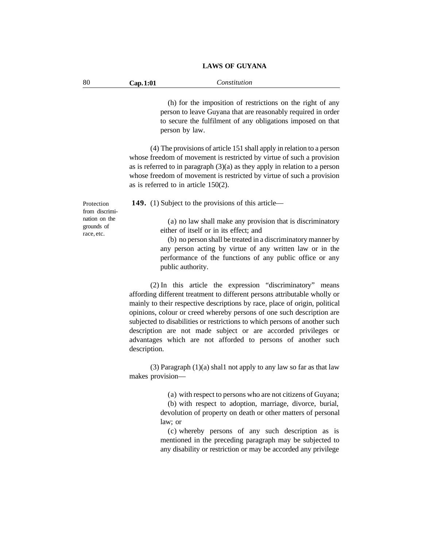(h) for the imposition of restrictions on the right of any person to leave Guyana that are reasonably required in order to secure the fulfilment of any obligations imposed on that person by law.

(4) The provisions of article 151 shall apply in relation to a person whose freedom of movement is restricted by virtue of such a provision as is referred to in paragraph  $(3)(a)$  as they apply in relation to a person whose freedom of movement is restricted by virtue of such a provision as is referred to in article 150(2).

**149.** (1) Subject to the provisions of this article—

Protection from discrimination on the grounds of race, etc.

(a) no law shall make any provision that is discriminatory either of itself or in its effect; and

(b) no person shall be treated in a discriminatory manner by any person acting by virtue of any written law or in the performance of the functions of any public office or any public authority.

(2) In this article the expression "discriminatory" means affording different treatment to different persons attributable wholly or mainly to their respective descriptions by race, place of origin, political opinions, colour or creed whereby persons of one such description are subjected to disabilities or restrictions to which persons of another such description are not made subject or are accorded privileges or advantages which are not afforded to persons of another such description.

(3) Paragraph (1)(a) shal1 not apply to any law so far as that law makes provision—

(a) with respect to persons who are not citizens of Guyana;

(b) with respect to adoption, marriage, divorce, burial, devolution of property on death or other matters of personal law; or

(c) whereby persons of any such description as is mentioned in the preceding paragraph may be subjected to any disability or restriction or may be accorded any privilege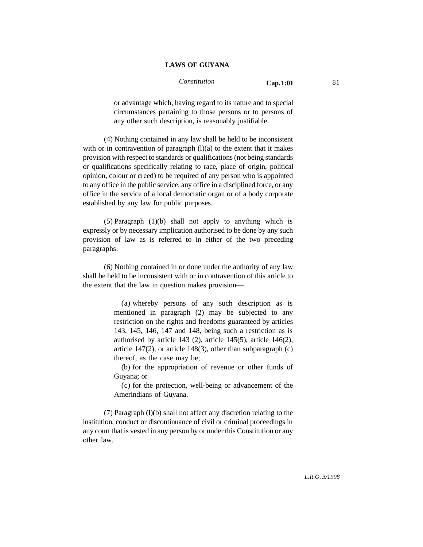or advantage which, having regard to its nature and to special circumstances pertaining to those persons or to persons of any other such description, is reasonably justifiable.

(4) Nothing contained in any law shall be held to be inconsistent with or in contravention of paragraph  $(l)(a)$  to the extent that it makes provision with respect to standards or qualifications (not being standards or qualifications specifically relating to race, place of origin, political opinion, colour or creed) to be required of any person who is appointed to any office in the public service, any office in a disciplined force, or any office in the service of a local democratic organ or of a body corporate established by any law for public purposes.

(5) Paragraph (1)(b) shall not apply to anything which is expressly or by necessary implication authorised to be done by any such provision of law as is referred to in either of the two preceding paragraphs.

(6) Nothing contained in or done under the authority of any law shall be held to be inconsistent with or in contravention of this article to the extent that the law in question makes provision—

> (a) whereby persons of any such description as is mentioned in paragraph (2) may be subjected to any restriction on the rights and freedoms guaranteed by articles 143, 145, 146, 147 and 148, being such a restriction as is authorised by article 143 (2), article 145(5), article 146(2), article 147(2), or article 148(3), other than subparagraph (c) thereof, as the case may be;

> (b) for the appropriation of revenue or other funds of Guyana; or

> (c) for the protection, well-being or advancement of the Amerindians of Guyana.

(7) Paragraph (l)(b) shall not affect any discretion relating to the institution, conduct or discontinuance of civil or criminal proceedings in any court that is vested in any person by or under this Constitution or any other law.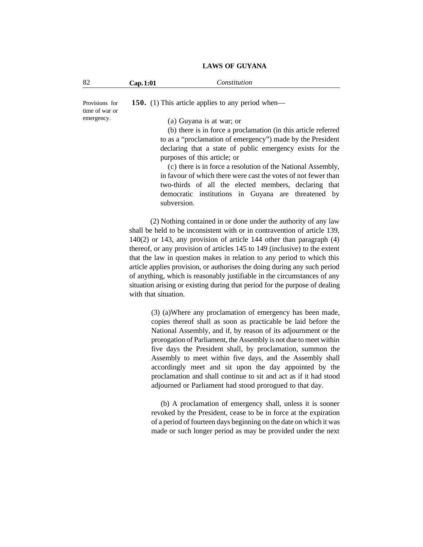| 82                               | Cap. 1:01 | Constitution                                                   |
|----------------------------------|-----------|----------------------------------------------------------------|
| Provisions for<br>time of war or |           | <b>150.</b> (1) This article applies to any period when—       |
| emergency.                       |           | (a) Guyana is at war; or                                       |
|                                  |           | (b) there is in force a proclamation (in this article referred |
|                                  |           | to as a "proclamation of emergency") made by the President     |
|                                  |           | declaring that a state of public emergency exists for the      |
|                                  |           | purposes of this article; or                                   |

(c) there is in force a resolution of the National Assembly, in favour of which there were cast the votes of not fewer than two-thirds of all the elected members, declaring that democratic institutions in Guyana are threatened by subversion.

(2) Nothing contained in or done under the authority of any law shall be held to be inconsistent with or in contravention of article 139, 140(2) or 143, any provision of article 144 other than paragraph (4) thereof, or any provision of articles 145 to 149 (inclusive) to the extent that the law in question makes in relation to any period to which this article applies provision, or authorises the doing during any such period of anything, which is reasonably justifiable in the circumstances of any situation arising or existing during that period for the purpose of dealing with that situation.

> (3) (a)Where any proclamation of emergency has been made, copies thereof shall as soon as practicable be laid before the National Assembly, and if, by reason of its adjournment or the prorogation of Parliament, the Assembly is not due to meet within five days the President shall, by proclamation, summon the Assembly to meet within five days, and the Assembly shall accordingly meet and sit upon the day appointed by the proclamation and shall continue to sit and act as if it had stood adjourned or Parliament had stood prorogued to that day.

> (b) A proclamation of emergency shall, unless it is sooner revoked by the President, cease to be in force at the expiration of a period of fourteen days beginning on the date on which it was made or such longer period as may be provided under the next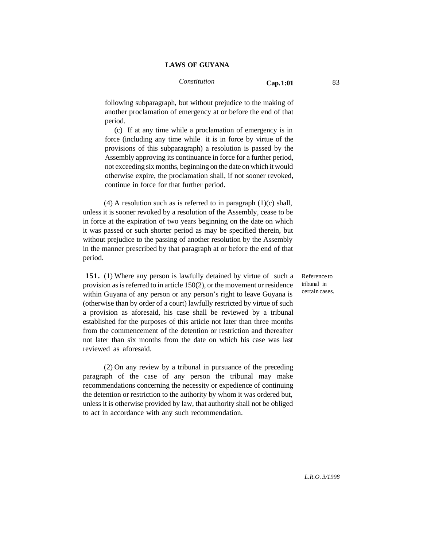following subparagraph, but without prejudice to the making of another proclamation of emergency at or before the end of that period.

(c) If at any time while a proclamation of emergency is in force (including any time while it is in force by virtue of the provisions of this subparagraph) a resolution is passed by the Assembly approving its continuance in force for a further period, not exceeding six months, beginning on the date on which it would otherwise expire, the proclamation shall, if not sooner revoked, continue in force for that further period.

(4) A resolution such as is referred to in paragraph  $(1)(c)$  shall, unless it is sooner revoked by a resolution of the Assembly, cease to be in force at the expiration of two years beginning on the date on which it was passed or such shorter period as may be specified therein, but without prejudice to the passing of another resolution by the Assembly in the manner prescribed by that paragraph at or before the end of that period.

**151.** (1) Where any person is lawfully detained by virtue of such a provision as is referred to in article 150(2), or the movement or residence within Guyana of any person or any person's right to leave Guyana is (otherwise than by order of a court) lawfully restricted by virtue of such a provision as aforesaid, his case shall be reviewed by a tribunal established for the purposes of this article not later than three months from the commencement of the detention or restriction and thereafter not later than six months from the date on which his case was last reviewed as aforesaid.

(2) On any review by a tribunal in pursuance of the preceding paragraph of the case of any person the tribunal may make recommendations concerning the necessity or expedience of continuing the detention or restriction to the authority by whom it was ordered but, unless it is otherwise provided by law, that authority shall not be obliged to act in accordance with any such recommendation.

Reference to tribunal in certain cases.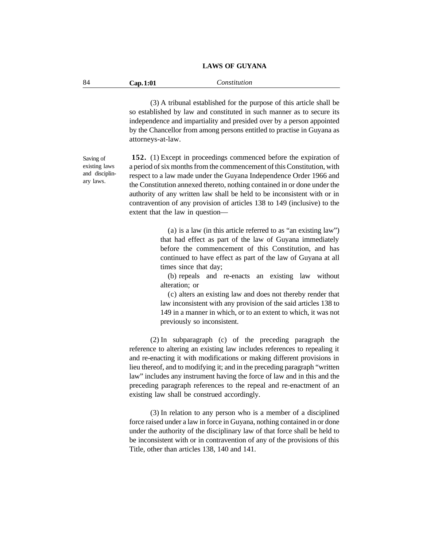(3) A tribunal established for the purpose of this article shall be so established by law and constituted in such manner as to secure its independence and impartiality and presided over by a person appointed by the Chancellor from among persons entitled to practise in Guyana as attorneys-at-law.

Saving of existing laws and disciplinary laws.

**152.** (1) Except in proceedings commenced before the expiration of a period of six months from the commencement of this Constitution, with respect to a law made under the Guyana Independence Order 1966 and the Constitution annexed thereto, nothing contained in or done under the authority of any written law shall be held to be inconsistent with or in contravention of any provision of articles 138 to 149 (inclusive) to the extent that the law in question—

> (a) is a law (in this article referred to as "an existing law") that had effect as part of the law of Guyana immediately before the commencement of this Constitution, and has continued to have effect as part of the law of Guyana at all times since that day;

> (b) repeals and re-enacts an existing law without alteration; or

> (c) alters an existing law and does not thereby render that law inconsistent with any provision of the said articles 138 to 149 in a manner in which, or to an extent to which, it was not previously so inconsistent.

(2) In subparagraph (c) of the preceding paragraph the reference to altering an existing law includes references to repealing it and re-enacting it with modifications or making different provisions in lieu thereof, and to modifying it; and in the preceding paragraph "written law" includes any instrument having the force of law and in this and the preceding paragraph references to the repeal and re-enactment of an existing law shall be construed accordingly.

(3) In relation to any person who is a member of a disciplined force raised under a law in force in Guyana, nothing contained in or done under the authority of the disciplinary law of that force shall be held to be inconsistent with or in contravention of any of the provisions of this Title, other than articles 138, 140 and 141.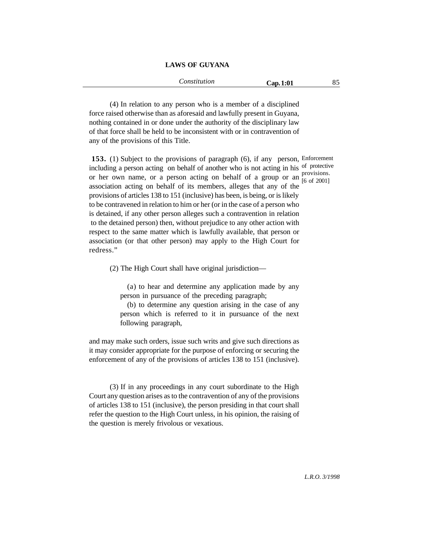(4) In relation to any person who is a member of a disciplined force raised otherwise than as aforesaid and lawfully present in Guyana, nothing contained in or done under the authority of the disciplinary law of that force shall be held to be inconsistent with or in contravention of any of the provisions of this Title.

**153.** (1) Subject to the provisions of paragraph (6), if any person, Enforcement including a person acting on behalf of another who is not acting in his of protective or her own name, or a person acting on behalf of a group or an  $\frac{1}{16}$  of 20011 association acting on behalf of its members, alleges that any of the provisions of articles 138 to 151 (inclusive) has been, is being, or is likely to be contravened in relation to him or her (or in the case of a person who is detained, if any other person alleges such a contravention in relation to the detained person) then, without prejudice to any other action with respect to the same matter which is lawfully available, that person or association (or that other person) may apply to the High Court for redress." [6 of 2001]

(2) The High Court shall have original jurisdiction—

(a) to hear and determine any application made by any person in pursuance of the preceding paragraph;

(b) to determine any question arising in the case of any person which is referred to it in pursuance of the next following paragraph,

and may make such orders, issue such writs and give such directions as it may consider appropriate for the purpose of enforcing or securing the enforcement of any of the provisions of articles 138 to 151 (inclusive).

(3) If in any proceedings in any court subordinate to the High Court any question arises as to the contravention of any of the provisions of articles 138 to 151 (inclusive), the person presiding in that court shall refer the question to the High Court unless, in his opinion, the raising of the question is merely frivolous or vexatious.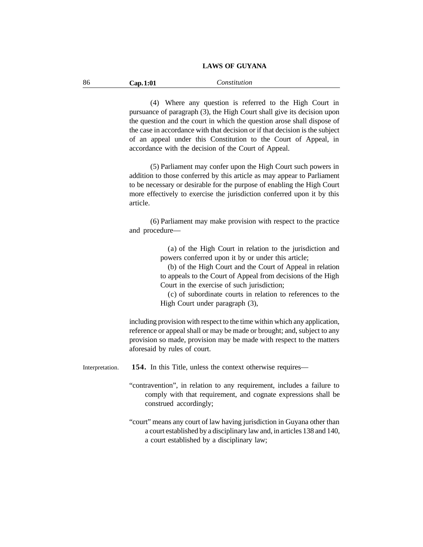(4) Where any question is referred to the High Court in pursuance of paragraph (3), the High Court shall give its decision upon the question and the court in which the question arose shall dispose of the case in accordance with that decision or if that decision is the subject of an appeal under this Constitution to the Court of Appeal, in accordance with the decision of the Court of Appeal.

(5) Parliament may confer upon the High Court such powers in addition to those conferred by this article as may appear to Parliament to be necessary or desirable for the purpose of enabling the High Court more effectively to exercise the jurisdiction conferred upon it by this article.

(6) Parliament may make provision with respect to the practice and procedure—

> (a) of the High Court in relation to the jurisdiction and powers conferred upon it by or under this article;

> (b) of the High Court and the Court of Appeal in relation to appeals to the Court of Appeal from decisions of the High Court in the exercise of such jurisdiction;

> (c) of subordinate courts in relation to references to the High Court under paragraph (3),

including provision with respect to the time within which any application, reference or appeal shall or may be made or brought; and, subject to any provision so made, provision may be made with respect to the matters aforesaid by rules of court.

**154.** In this Title, unless the context otherwise requires— Interpretation.

> "contravention", in relation to any requirement, includes a failure to comply with that requirement, and cognate expressions shall be construed accordingly;

> "court" means any court of law having jurisdiction in Guyana other than a court established by a disciplinary law and, in articles 138 and 140, a court established by a disciplinary law;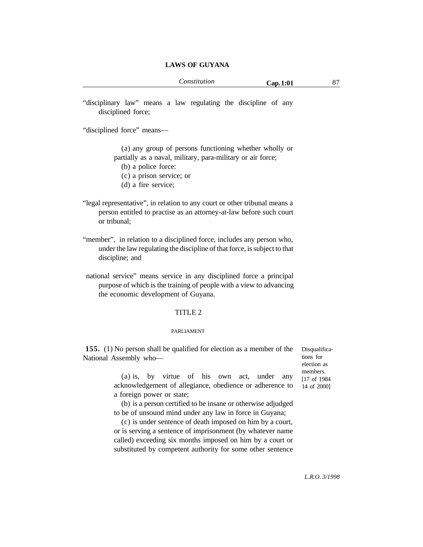"disciplinary law" means a law regulating the discipline of any disciplined force;

"disciplined force" means—

(a) any group of persons functioning whether wholly or partially as a naval, military, para-military or air force;

- (b) a police force:
- (c) a prison service; or
- (d) a fire service;
- "legal representative", in relation to any court or other tribunal means a person entitled to practise as an attorney-at-law before such court or tribunal;
- "member", in relation to a disciplined force, includes any person who, under the law regulating the discipline of that force, is subject to that discipline; and
- national service" means service in any disciplined force a principal purpose of which is the training of people with a view to advancing the economic development of Guyana.

#### TITLE 2

#### PARLIAMENT

**155.** (1) No person shall be qualified for election as a member of the National Assembly who—

> (a) is, by virtue of his own act, under any acknowledgement of allegiance, obedience or adherence to a foreign power or state;

(b) is a person certified to be insane or otherwise adjudged to be of unsound mind under any law in force in Guyana;

(c) is under sentence of death imposed on him by a court, or is serving a sentence of imprisonment (by whatever name called) exceeding six months imposed on him by a court or substituted by competent authority for some other sentence

Disqualifications for election as members. [17 of 1984 14 of 2000]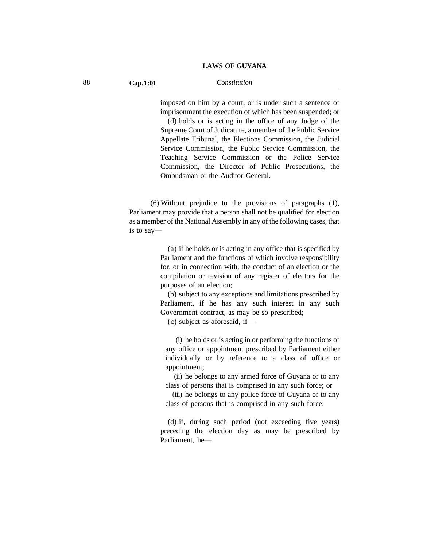imposed on him by a court, or is under such a sentence of imprisonment the execution of which has been suspended; or

(d) holds or is acting in the office of any Judge of the Supreme Court of Judicature, a member of the Public Service Appellate Tribunal, the Elections Commission, the Judicial Service Commission, the Public Service Commission, the Teaching Service Commission or the Police Service Commission, the Director of Public Prosecutions, the Ombudsman or the Auditor General.

(6) Without prejudice to the provisions of paragraphs (1), Parliament may provide that a person shall not be qualified for election as a member of the National Assembly in any of the following cases, that is to say—

> (a) if he holds or is acting in any office that is specified by Parliament and the functions of which involve responsibility for, or in connection with, the conduct of an election or the compilation or revision of any register of electors for the purposes of an election;

> (b) subject to any exceptions and limitations prescribed by Parliament, if he has any such interest in any such Government contract, as may be so prescribed;

(c) subject as aforesaid, if—

(i) he holds or is acting in or performing the functions of any office or appointment prescribed by Parliament either individually or by reference to a class of office or appointment;

(ii) he belongs to any armed force of Guyana or to any class of persons that is comprised in any such force; or

(iii) he belongs to any police force of Guyana or to any class of persons that is comprised in any such force;

(d) if, during such period (not exceeding five years) preceding the election day as may be prescribed by Parliament, he—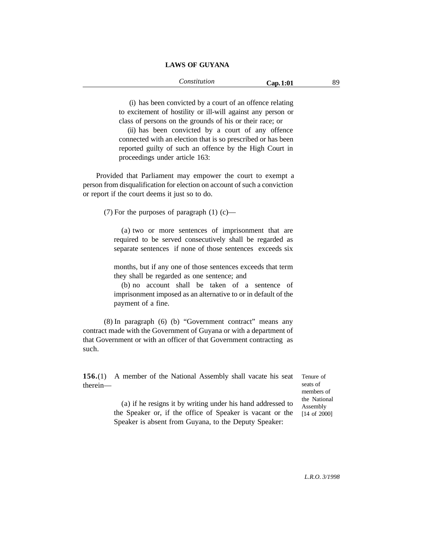(i) has been convicted by a court of an offence relating to excitement of hostility or ill-will against any person or class of persons on the grounds of his or their race; or

(ii) has been convicted by a court of any offence connected with an election that is so prescribed or has been reported guilty of such an offence by the High Court in proceedings under article 163:

Provided that Parliament may empower the court to exempt a person from disqualification for election on account of such a conviction or report if the court deems it just so to do.

(7) For the purposes of paragraph  $(1)$  (c)—

(a) two or more sentences of imprisonment that are required to be served consecutively shall be regarded as separate sentences if none of those sentences exceeds six

months, but if any one of those sentences exceeds that term they shall be regarded as one sentence; and

(b) no account shall be taken of a sentence of imprisonment imposed as an alternative to or in default of the payment of a fine.

(8) In paragraph (6) (b) "Government contract" means any contract made with the Government of Guyana or with a department of that Government or with an officer of that Government contracting as such.

**156.**(1) A member of the National Assembly shall vacate his seat therein—

Tenure of seats of members of the National Assembly [14 of 2000]

(a) if he resigns it by writing under his hand addressed to the Speaker or, if the office of Speaker is vacant or the Speaker is absent from Guyana, to the Deputy Speaker: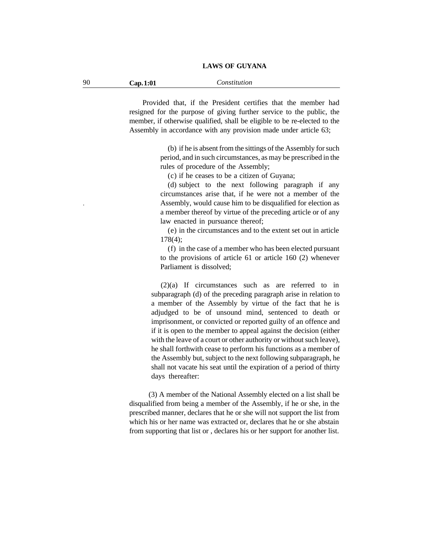Provided that, if the President certifies that the member had resigned for the purpose of giving further service to the public, the member, if otherwise qualified, shall be eligible to be re-elected to the Assembly in accordance with any provision made under article 63;

> (b) if he is absent from the sittings of the Assembly for such period, and in such circumstances, as may be prescribed in the rules of procedure of the Assembly;

(c) if he ceases to be a citizen of Guyana;

(d) subject to the next following paragraph if any circumstances arise that, if he were not a member of the Assembly, would cause him to be disqualified for election as a member thereof by virtue of the preceding article or of any law enacted in pursuance thereof;

(e) in the circumstances and to the extent set out in article 178(4);

(f) in the case of a member who has been elected pursuant to the provisions of article 61 or article 160 (2) whenever Parliament is dissolved;

(2)(a) If circumstances such as are referred to in subparagraph (d) of the preceding paragraph arise in relation to a member of the Assembly by virtue of the fact that he is adjudged to be of unsound mind, sentenced to death or imprisonment, or convicted or reported guilty of an offence and if it is open to the member to appeal against the decision (either with the leave of a court or other authority or without such leave), he shall forthwith cease to perform his functions as a member of the Assembly but, subject to the next following subparagraph, he shall not vacate his seat until the expiration of a period of thirty days thereafter:

 (3) A member of the National Assembly elected on a list shall be disqualified from being a member of the Assembly, if he or she, in the prescribed manner, declares that he or she will not support the list from which his or her name was extracted or, declares that he or she abstain from supporting that list or , declares his or her support for another list.

.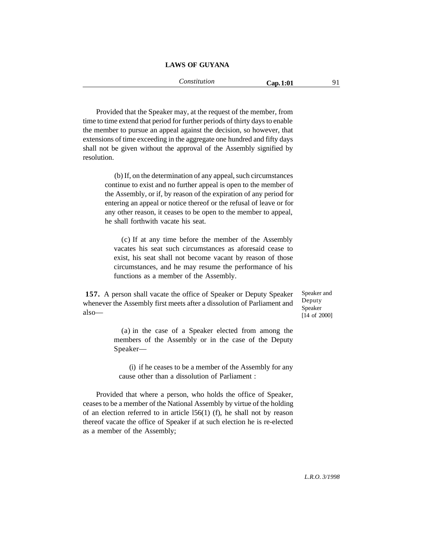Provided that the Speaker may, at the request of the member, from time to time extend that period for further periods of thirty days to enable the member to pursue an appeal against the decision, so however, that extensions of time exceeding in the aggregate one hundred and fifty days shall not be given without the approval of the Assembly signified by resolution.

> (b) If, on the determination of any appeal, such circumstances continue to exist and no further appeal is open to the member of the Assembly, or if, by reason of the expiration of any period for entering an appeal or notice thereof or the refusal of leave or for any other reason, it ceases to be open to the member to appeal, he shall forthwith vacate his seat.

(c) If at any time before the member of the Assembly vacates his seat such circumstances as aforesaid cease to exist, his seat shall not become vacant by reason of those circumstances, and he may resume the performance of his functions as a member of the Assembly.

**157.** A person shall vacate the office of Speaker or Deputy Speaker whenever the Assembly first meets after a dissolution of Parliament and also— Speaker and

Deputy Speaker [14 of 2000]

(a) in the case of a Speaker elected from among the members of the Assembly or in the case of the Deputy Speaker—

(i) if he ceases to be a member of the Assembly for any cause other than a dissolution of Parliament :

Provided that where a person, who holds the office of Speaker, ceases to be a member of the National Assembly by virtue of the holding of an election referred to in article l56(1) (f), he shall not by reason thereof vacate the office of Speaker if at such election he is re-elected as a member of the Assembly;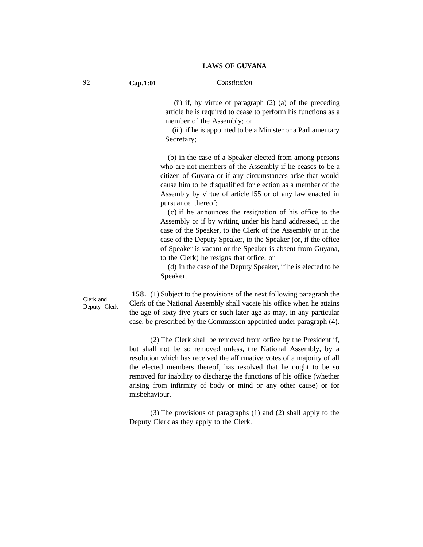(ii) if, by virtue of paragraph (2) (a) of the preceding article he is required to cease to perform his functions as a member of the Assembly; or

(iii) if he is appointed to be a Minister or a Parliamentary Secretary;

(b) in the case of a Speaker elected from among persons who are not members of the Assembly if he ceases to be a citizen of Guyana or if any circumstances arise that would cause him to be disqualified for election as a member of the Assembly by virtue of article l55 or of any law enacted in pursuance thereof;

(c) if he announces the resignation of his office to the Assembly or if by writing under his hand addressed, in the case of the Speaker, to the Clerk of the Assembly or in the case of the Deputy Speaker, to the Speaker (or, if the office of Speaker is vacant or the Speaker is absent from Guyana, to the Clerk) he resigns that office; or

(d) in the case of the Deputy Speaker, if he is elected to be Speaker.

Clerk and Deputy Clerk

**158.** (1) Subject to the provisions of the next following paragraph the Clerk of the National Assembly shall vacate his office when he attains the age of sixty-five years or such later age as may, in any particular case, be prescribed by the Commission appointed under paragraph (4).

(2) The Clerk shall be removed from office by the President if, but shall not be so removed unless, the National Assembly, by a resolution which has received the affirmative votes of a majority of all the elected members thereof, has resolved that he ought to be so removed for inability to discharge the functions of his office (whether arising from infirmity of body or mind or any other cause) or for misbehaviour.

(3) The provisions of paragraphs (1) and (2) shall apply to the Deputy Clerk as they apply to the Clerk.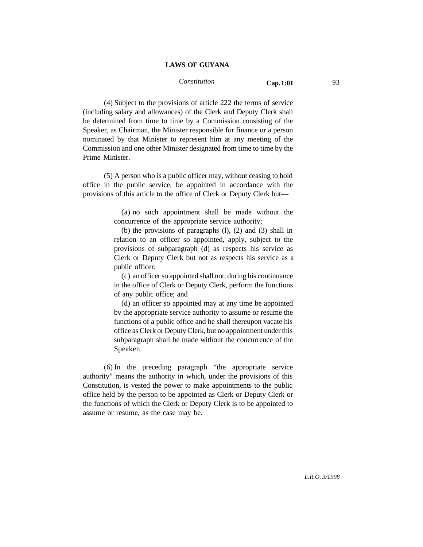(4) Subject to the provisions of article 222 the terms of service (including salary and allowances) of the Clerk and Deputy Clerk shall be determined from time to time by a Commission consisting of the

Speaker, as Chairman, the Minister responsible for finance or a person nominated by that Minister to represent him at any meeting of the Commission and one other Minister designated from time to time by the Prime Minister.

(5) A person who is a public officer may, without ceasing to hold office in the public service, be appointed in accordance with the provisions of this article to the office of Clerk or Deputy Clerk but—

> (a) no such appointment shall be made without the concurrence of the appropriate service authority;

> (b) the provisions of paragraphs (l), (2) and (3) shall in relation to an officer so appointed, apply, subject to the provisions of subparagraph (d) as respects his service as Clerk or Deputy Clerk but not as respects his service as a public officer;

> (c) an officer so appointed shall not, during his continuance in the office of Clerk or Deputy Clerk, perform the functions of any public office; and

> (d) an officer so appointed may at any time be appointed bv the appropriate service authority to assume or resume the functions of a public office and he shall thereupon vacate his office as Clerk or Deputy Clerk, but no appointment under this subparagraph shall be made without the concurrence of the Speaker.

(6) In the preceding paragraph "the appropriate service authority" means the authority in which, under the provisions of this Constitution, is vested the power to make appointments to the public office held by the person to be appointed as Clerk or Deputy Clerk or the functions of which the Clerk or Deputy Clerk is to be appointed to assume or resume, as the case may be.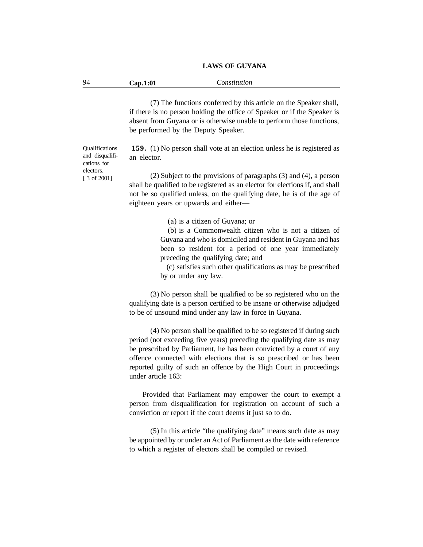(7) The functions conferred by this article on the Speaker shall, if there is no person holding the office of Speaker or if the Speaker is absent from Guyana or is otherwise unable to perform those functions, be performed by the Deputy Speaker.

**Qualifications** and disqualifications for electors. [ 3 of 2001]

**159.** (1) No person shall vote at an election unless he is registered as an elector.

(2) Subject to the provisions of paragraphs (3) and (4), a person shall be qualified to be registered as an elector for elections if, and shall not be so qualified unless, on the qualifying date, he is of the age of eighteen years or upwards and either—

(a) is a citizen of Guyana; or

(b) is a Commonwealth citizen who is not a citizen of Guyana and who is domiciled and resident in Guyana and has been so resident for a period of one year immediately preceding the qualifying date; and

 (c) satisfies such other qualifications as may be prescribed by or under any law.

(3) No person shall be qualified to be so registered who on the qualifying date is a person certified to be insane or otherwise adjudged to be of unsound mind under any law in force in Guyana.

(4) No person shall be qualified to be so registered if during such period (not exceeding five years) preceding the qualifying date as may be prescribed by Parliament, he has been convicted by a court of any offence connected with elections that is so prescribed or has been reported guilty of such an offence by the High Court in proceedings under article 163:

Provided that Parliament may empower the court to exempt a person from disqualification for registration on account of such a conviction or report if the court deems it just so to do.

(5) In this article "the qualifying date" means such date as may be appointed by or under an Act of Parliament as the date with reference to which a register of electors shall be compiled or revised.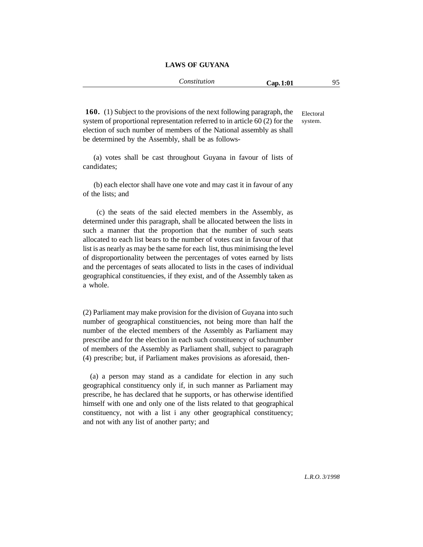| Constitution |  |
|--------------|--|
|              |  |
|              |  |

*Constitution* **Cap. 1:01** 95

**160.** (1) Subject to the provisions of the next following paragraph, the system of proportional representation referred to in article 60 (2) for the election of such number of members of the National assembly as shall be determined by the Assembly, shall be as follows- Electoral system.

 (a) votes shall be cast throughout Guyana in favour of lists of candidates;

 (b) each elector shall have one vote and may cast it in favour of any of the lists; and

 (c) the seats of the said elected members in the Assembly, as determined under this paragraph, shall be allocated between the lists in such a manner that the proportion that the number of such seats allocated to each list bears to the number of votes cast in favour of that list is as nearly as may be the same for each list, thus minimising the level of disproportionality between the percentages of votes earned by lists and the percentages of seats allocated to lists in the cases of individual geographical constituencies, if they exist, and of the Assembly taken as a whole.

(2) Parliament may make provision for the division of Guyana into such number of geographical constituencies, not being more than half the number of the elected members of the Assembly as Parliament may prescribe and for the election in each such constituency of suchnumber of members of the Assembly as Parliament shall, subject to paragraph (4) prescribe; but, if Parliament makes provisions as aforesaid, then-

 (a) a person may stand as a candidate for election in any such geographical constituency only if, in such manner as Parliament may prescribe, he has declared that he supports, or has otherwise identified himself with one and only one of the lists related to that geographical constituency, not with a list i any other geographical constituency; and not with any list of another party; and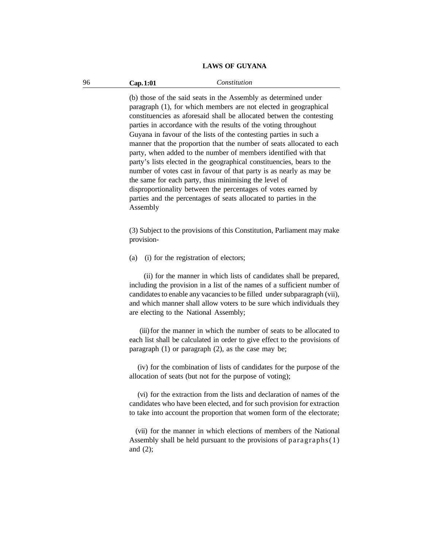| 96<br>Cap.1:01 | Constitution |
|----------------|--------------|
|----------------|--------------|

(b) those of the said seats in the Assembly as determined under paragraph (1), for which members are not elected in geographical constituencies as aforesaid shall be allocated betwen the contesting parties in accordance with the results of the voting throughout Guyana in favour of the lists of the contesting parties in such a manner that the proportion that the number of seats allocated to each party, when added to the number of members identified with that party's lists elected in the geographical constituencies, bears to the number of votes cast in favour of that party is as nearly as may be the same for each party, thus minimising the level of disproportionality between the percentages of votes earned by parties and the percentages of seats allocated to parties in the Assembly

(3) Subject to the provisions of this Constitution, Parliament may make provision-

(a) (i) for the registration of electors;

 (ii) for the manner in which lists of candidates shall be prepared, including the provision in a list of the names of a sufficient number of candidates to enable any vacancies to be filled under subparagraph (vii), and which manner shall allow voters to be sure which individuals they are electing to the National Assembly;

(iii) for the manner in which the number of seats to be allocated to each list shall be calculated in order to give effect to the provisions of paragraph (1) or paragraph (2), as the case may be;

 (iv) for the combination of lists of candidates for the purpose of the allocation of seats (but not for the purpose of voting);

 (vi) for the extraction from the lists and declaration of names of the candidates who have been elected, and for such provision for extraction to take into account the proportion that women form of the electorate;

 (vii) for the manner in which elections of members of the National Assembly shall be held pursuant to the provisions of  $\text{paragnhs}(1)$ and (2);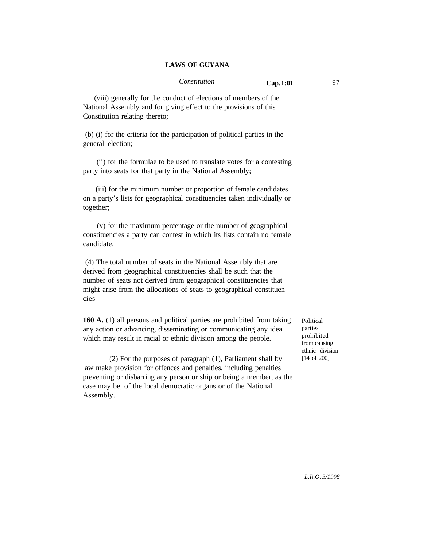(viii) generally for the conduct of elections of members of the National Assembly and for giving effect to the provisions of this Constitution relating thereto;

 (b) (i) for the criteria for the participation of political parties in the general election;

 (ii) for the formulae to be used to translate votes for a contesting party into seats for that party in the National Assembly;

 (iii) for the minimum number or proportion of female candidates on a party's lists for geographical constituencies taken individually or together;

 (v) for the maximum percentage or the number of geographical constituencies a party can contest in which its lists contain no female candidate.

 (4) The total number of seats in the National Assembly that are derived from geographical constituencies shall be such that the number of seats not derived from geographical constituencies that might arise from the allocations of seats to geographical constituencies

**160 A.** (1) all persons and political parties are prohibited from taking any action or advancing, disseminating or communicating any idea which may result in racial or ethnic division among the people.

(2) For the purposes of paragraph  $(1)$ , Parliament shall by  $[14 \text{ of } 200]$ law make provision for offences and penalties, including penalties preventing or disbarring any person or ship or being a member, as the case may be, of the local democratic organs or of the National Assembly.

Political parties prohibited from causing ethnic division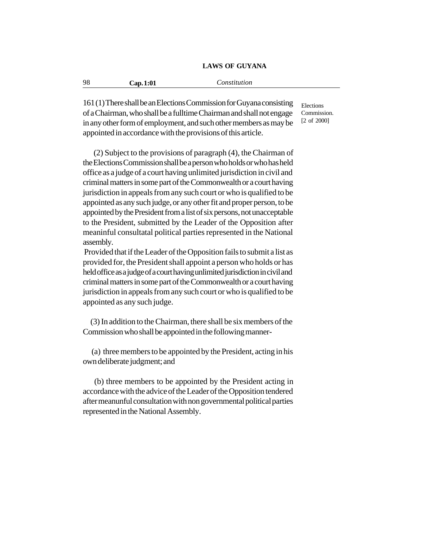| 98 | Cap.1:01 | Constitution |  |
|----|----------|--------------|--|
|----|----------|--------------|--|

161 (1) There shall be an Elections Commission for Guyana consisting of a Chairman, who shall be a fulltime Chairman and shall not engage in any other form of employment, and such other members as may be appointed in accordance with the provisions of this article. Elections Commission. [2 of 2000]

 (2) Subject to the provisions of paragraph (4), the Chairman of the Elections Commission shall be a person who holds or who has held office as a judge of a court having unlimited jurisdiction in civil and criminal matters in some part of the Commonwealth or a court having jurisdiction in appeals from any such court or who is qualified to be appointed as any such judge, or any other fit and proper person, to be appointed by the President from a list of six persons, not unacceptable to the President, submitted by the Leader of the Opposition after meaninful consultatal political parties represented in the National assembly.

 Provided that if the Leader of the Opposition fails to submit a list as provided for, the President shall appoint a person who holds or has held office as a judge of a court having unlimited jurisdiction in civil and criminal matters in some part of the Commonwealth or a court having jurisdiction in appeals from any such court or who is qualified to be appointed as any such judge.

 (3) In addition to the Chairman, there shall be six members of the Commission who shall be appointed in the following manner-

 (a) three members to be appointed by the President, acting in his own deliberate judgment; and

 (b) three members to be appointed by the President acting in accordance with the advice of the Leader of the Opposition tendered after meanunful consultation with non governmental political parties represented in the National Assembly.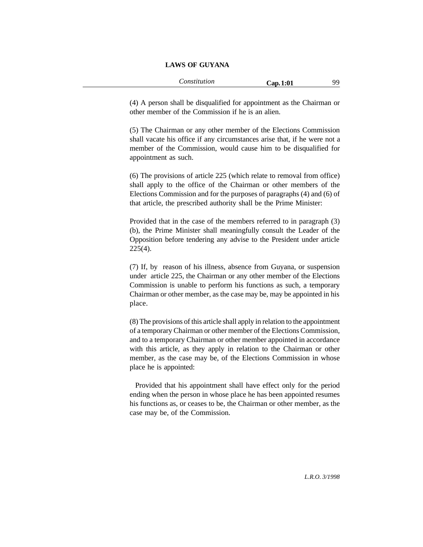| Constitution | Cap.1:01 | 99 |
|--------------|----------|----|
|--------------|----------|----|

(4) A person shall be disqualified for appointment as the Chairman or other member of the Commission if he is an alien.

(5) The Chairman or any other member of the Elections Commission shall vacate his office if any circumstances arise that, if he were not a member of the Commission, would cause him to be disqualified for appointment as such.

(6) The provisions of article 225 (which relate to removal from office) shall apply to the office of the Chairman or other members of the Elections Commission and for the purposes of paragraphs (4) and (6) of that article, the prescribed authority shall be the Prime Minister:

Provided that in the case of the members referred to in paragraph (3) (b), the Prime Minister shall meaningfully consult the Leader of the Opposition before tendering any advise to the President under article  $225(4)$ .

(7) If, by reason of his illness, absence from Guyana, or suspension under article 225, the Chairman or any other member of the Elections Commission is unable to perform his functions as such, a temporary Chairman or other member, as the case may be, may be appointed in his place.

(8) The provisions of this article shall apply in relation to the appointment of a temporary Chairman or other member of the Elections Commission, and to a temporary Chairman or other member appointed in accordance with this article, as they apply in relation to the Chairman or other member, as the case may be, of the Elections Commission in whose place he is appointed:

 Provided that his appointment shall have effect only for the period ending when the person in whose place he has been appointed resumes his functions as, or ceases to be, the Chairman or other member, as the case may be, of the Commission.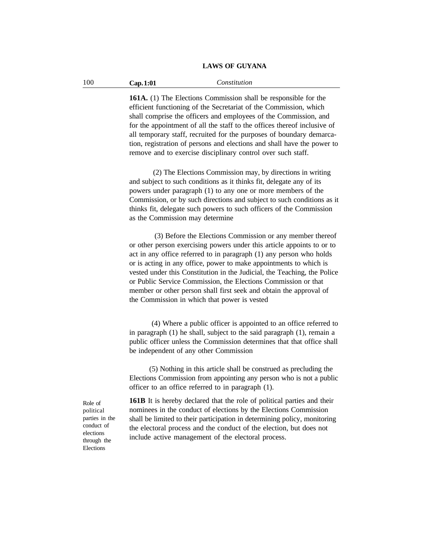**161A.** (1) The Elections Commission shall be responsible for the

|                                                                                               | efficient functioning of the Secretariat of the Commission, which<br>shall comprise the officers and employees of the Commission, and<br>for the appointment of all the staff to the offices thereof inclusive of<br>all temporary staff, recruited for the purposes of boundary demarca-<br>tion, registration of persons and elections and shall have the power to<br>remove and to exercise disciplinary control over such staff.                                                                                                                 |
|-----------------------------------------------------------------------------------------------|------------------------------------------------------------------------------------------------------------------------------------------------------------------------------------------------------------------------------------------------------------------------------------------------------------------------------------------------------------------------------------------------------------------------------------------------------------------------------------------------------------------------------------------------------|
|                                                                                               | (2) The Elections Commission may, by directions in writing<br>and subject to such conditions as it thinks fit, delegate any of its<br>powers under paragraph (1) to any one or more members of the<br>Commission, or by such directions and subject to such conditions as it<br>thinks fit, delegate such powers to such officers of the Commission<br>as the Commission may determine                                                                                                                                                               |
|                                                                                               | (3) Before the Elections Commission or any member thereof<br>or other person exercising powers under this article appoints to or to<br>act in any office referred to in paragraph (1) any person who holds<br>or is acting in any office, power to make appointments to which is<br>vested under this Constitution in the Judicial, the Teaching, the Police<br>or Public Service Commission, the Elections Commission or that<br>member or other person shall first seek and obtain the approval of<br>the Commission in which that power is vested |
|                                                                                               | (4) Where a public officer is appointed to an office referred to<br>in paragraph (1) he shall, subject to the said paragraph (1), remain a<br>public officer unless the Commission determines that that office shall<br>be independent of any other Commission                                                                                                                                                                                                                                                                                       |
|                                                                                               | (5) Nothing in this article shall be construed as precluding the<br>Elections Commission from appointing any person who is not a public<br>officer to an office referred to in paragraph (1).                                                                                                                                                                                                                                                                                                                                                        |
| Role of<br>political<br>parties in the<br>conduct of<br>elections<br>through the<br>Elections | 161B It is hereby declared that the role of political parties and their<br>nominees in the conduct of elections by the Elections Commission<br>shall be limited to their participation in determining policy, monitoring<br>the electoral process and the conduct of the election, but does not<br>include active management of the electoral process.                                                                                                                                                                                               |
|                                                                                               |                                                                                                                                                                                                                                                                                                                                                                                                                                                                                                                                                      |

100 **Cap. 1:01** *Constitution*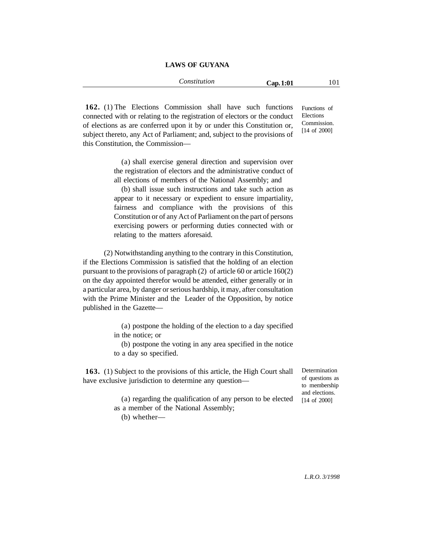| Constitution | Cap.1:01 |  |
|--------------|----------|--|
|--------------|----------|--|

**162.** (1) The Elections Commission shall have such functions connected with or relating to the registration of electors or the conduct of elections as are conferred upon it by or under this Constitution or, subject thereto, any Act of Parliament; and, subject to the provisions of this Constitution, the Commission— Functions of Elections Commission. [14 of 2000]

> (a) shall exercise general direction and supervision over the registration of electors and the administrative conduct of all elections of members of the National Assembly; and

> (b) shall issue such instructions and take such action as appear to it necessary or expedient to ensure impartiality, fairness and compliance with the provisions of this Constitution or of any Act of Parliament on the part of persons exercising powers or performing duties connected with or relating to the matters aforesaid.

(2) Notwithstanding anything to the contrary in this Constitution, if the Elections Commission is satisfied that the holding of an election pursuant to the provisions of paragraph (2) of article 60 or article 160(2) on the day appointed therefor would be attended, either generally or in a particular area, by danger or serious hardship, it may, after consultation with the Prime Minister and the Leader of the Opposition, by notice published in the Gazette—

> (a) postpone the holding of the election to a day specified in the notice; or

> (b) postpone the voting in any area specified in the notice to a day so specified.

**163.** (1) Subject to the provisions of this article, the High Court shall have exclusive jurisdiction to determine any questionDetermination of questions as to membership and elections. [14 of 2000]

- (a) regarding the qualification of any person to be elected as a member of the National Assembly;
	- (b) whether—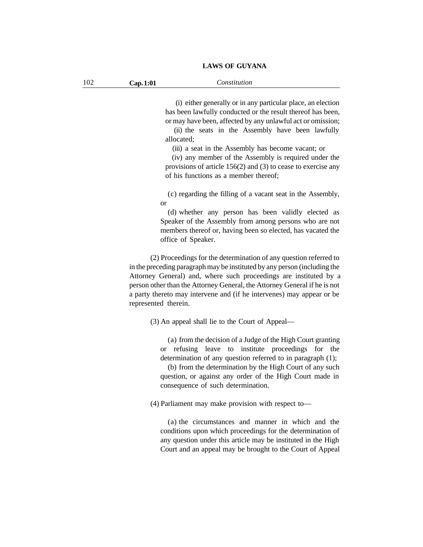(i) either generally or in any particular place, an election has been lawfully conducted or the result thereof has been, or may have been, affected by any unlawful act or omission;

(ii) the seats in the Assembly have been lawfully allocated;

(iii) a seat in the Assembly has become vacant; or

(iv) any member of the Assembly is required under the provisions of article 156(2) and (3) to cease to exercise any of his functions as a member thereof;

(c) regarding the filling of a vacant seat in the Assembly, or

(d) whether any person has been validly elected as Speaker of the Assembly from among persons who are not members thereof or, having been so elected, has vacated the office of Speaker.

(2) Proceedings for the determination of any question referred to in the preceding paragraph may be instituted by any person (including the Attorney General) and, where such proceedings are instituted by a person other than the Attorney General, the Attorney General if he is not a party thereto may intervene and (if he intervenes) may appear or be represented therein.

(3) An appeal shall lie to the Court of Appeal—

(a) from the decision of a Judge of the High Court granting or refusing leave to institute proceedings for the determination of any question referred to in paragraph (1);

(b) from the determination by the High Court of any such question, or against any order of the High Court made in consequence of such determination.

(4) Parliament may make provision with respect to—

(a) the circumstances and manner in which and the conditions upon which proceedings for the determination of any question under this article may be instituted in the High Court and an appeal may be brought to the Court of Appeal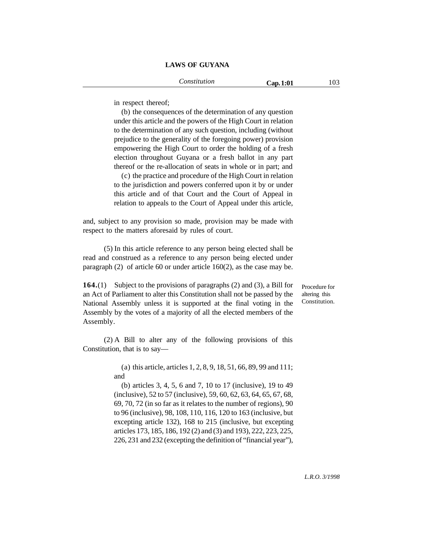in respect thereof;

(b) the consequences of the determination of any question under this article and the powers of the High Court in relation to the determination of any such question, including (without prejudice to the generality of the foregoing power) provision empowering the High Court to order the holding of a fresh election throughout Guyana or a fresh ballot in any part thereof or the re-allocation of seats in whole or in part; and (c) the practice and procedure of the High Court in relation to the jurisdiction and powers conferred upon it by or under this article and of that Court and the Court of Appeal in relation to appeals to the Court of Appeal under this article,

and, subject to any provision so made, provision may be made with respect to the matters aforesaid by rules of court.

(5) In this article reference to any person being elected shall be read and construed as a reference to any person being elected under paragraph (2) of article 60 or under article 160(2), as the case may be.

**164.**(1) Subject to the provisions of paragraphs (2) and (3), a Bill for an Act of Parliament to alter this Constitution shall not be passed by the National Assembly unless it is supported at the final voting in the Assembly by the votes of a majority of all the elected members of the Assembly.

Procedure for altering this Constitution.

(2) A Bill to alter any of the following provisions of this Constitution, that is to say—

> (a) this article, articles 1, 2, 8, 9, 18, 51, 66, 89, 99 and 111; and

> (b) articles 3, 4, 5, 6 and 7, 10 to 17 (inclusive), 19 to 49 (inclusive), 52 to 57 (inclusive), 59, 60, 62, 63, 64, 65, 67, 68, 69, 70, 72 (in so far as it relates to the number of regions), 90 to 96 (inclusive), 98, 108, 110, 116, 120 to 163 (inclusive, but excepting article 132), 168 to 215 (inclusive, but excepting articles 173, 185, 186, 192 (2) and (3) and 193), 222, 223, 225, 226, 231 and 232 (excepting the definition of "financial year"),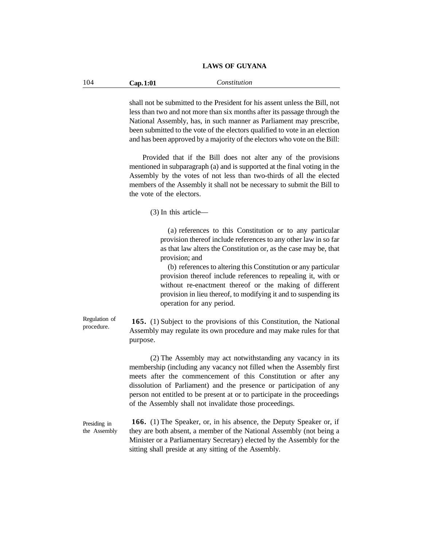| 104 | Cap.1:01 | Constitution |
|-----|----------|--------------|
|-----|----------|--------------|

shall not be submitted to the President for his assent unless the Bill, not less than two and not more than six months after its passage through the National Assembly, has, in such manner as Parliament may prescribe, been submitted to the vote of the electors qualified to vote in an election and has been approved by a majority of the electors who vote on the Bill:

Provided that if the Bill does not alter any of the provisions mentioned in subparagraph (a) and is supported at the final voting in the Assembly by the votes of not less than two-thirds of all the elected members of the Assembly it shall not be necessary to submit the Bill to the vote of the electors.

(3) In this article—

(a) references to this Constitution or to any particular provision thereof include references to any other law in so far as that law alters the Constitution or, as the case may be, that provision; and

(b) references to altering this Constitution or any particular provision thereof include references to repealing it, with or without re-enactment thereof or the making of different provision in lieu thereof, to modifying it and to suspending its operation for any period.

**165.** (1) Subject to the provisions of this Constitution, the National Assembly may regulate its own procedure and may make rules for that purpose.

(2) The Assembly may act notwithstanding any vacancy in its membership (including any vacancy not filled when the Assembly first meets after the commencement of this Constitution or after any dissolution of Parliament) and the presence or participation of any person not entitled to be present at or to participate in the proceedings of the Assembly shall not invalidate those proceedings.

**166.** (1) The Speaker, or, in his absence, the Deputy Speaker or, if they are both absent, a member of the National Assembly (not being a Minister or a Parliamentary Secretary) elected by the Assembly for the sitting shall preside at any sitting of the Assembly. the Assembly

Regulation of procedure.

Presiding in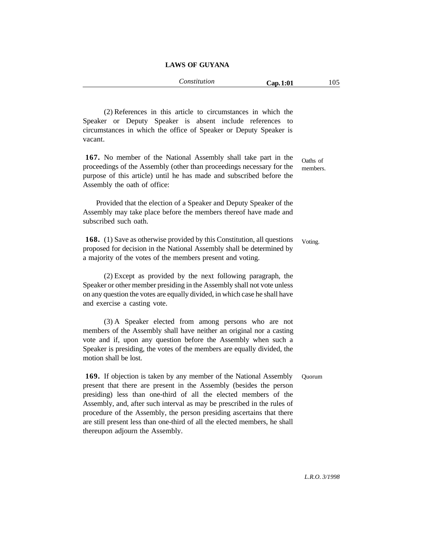(2) References in this article to circumstances in which the Speaker or Deputy Speaker is absent include references to circumstances in which the office of Speaker or Deputy Speaker is vacant. **167.** No member of the National Assembly shall take part in the proceedings of the Assembly (other than proceedings necessary for the purpose of this article) until he has made and subscribed before the Assembly the oath of office: Provided that the election of a Speaker and Deputy Speaker of the Assembly may take place before the members thereof have made and subscribed such oath. **168.** (1) Save as otherwise provided by this Constitution, all questions proposed for decision in the National Assembly shall be determined by a majority of the votes of the members present and voting. (2) Except as provided by the next following paragraph, the Speaker or other member presiding in the Assembly shall not vote unless on any question the votes are equally divided, in which case he shall have and exercise a casting vote. (3) A Speaker elected from among persons who are not members of the Assembly shall have neither an original nor a casting vote and if, upon any question before the Assembly when such a Speaker is presiding, the votes of the members are equally divided, the motion shall be lost. **169.** If objection is taken by any member of the National Assembly present that there are present in the Assembly (besides the person presiding) less than one-third of all the elected members of the Assembly, and, after such interval as may be prescribed in the rules of procedure of the Assembly, the person presiding ascertains that there are still present less than one-third of all the elected members, he shall thereupon adjourn the Assembly. Oaths of members. Voting. Quorum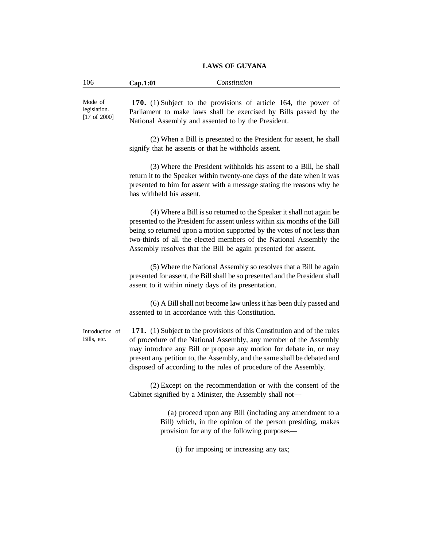| 106                                       | Cap. 1:01                | Constitution                                                                                                                                                                                                                                                                                                                                                          |
|-------------------------------------------|--------------------------|-----------------------------------------------------------------------------------------------------------------------------------------------------------------------------------------------------------------------------------------------------------------------------------------------------------------------------------------------------------------------|
| Mode of<br>legislation.<br>$[17$ of 2000] |                          | 170. (1) Subject to the provisions of article 164, the power of<br>Parliament to make laws shall be exercised by Bills passed by the<br>National Assembly and assented to by the President.                                                                                                                                                                           |
|                                           |                          | (2) When a Bill is presented to the President for assent, he shall<br>signify that he assents or that he withholds assent.                                                                                                                                                                                                                                            |
|                                           | has withheld his assent. | (3) Where the President withholds his assent to a Bill, he shall<br>return it to the Speaker within twenty-one days of the date when it was<br>presented to him for assent with a message stating the reasons why he                                                                                                                                                  |
|                                           |                          | (4) Where a Bill is so returned to the Speaker it shall not again be<br>presented to the President for assent unless within six months of the Bill<br>being so returned upon a motion supported by the votes of not less than<br>two-thirds of all the elected members of the National Assembly the<br>Assembly resolves that the Bill be again presented for assent. |
|                                           |                          | (5) Where the National Assembly so resolves that a Bill be again<br>presented for assent, the Bill shall be so presented and the President shall<br>assent to it within ninety days of its presentation.                                                                                                                                                              |
|                                           |                          | (6) A Bill shall not become law unless it has been duly passed and<br>assented to in accordance with this Constitution.                                                                                                                                                                                                                                               |
| Introduction of<br>Bills, etc.            |                          | 171. (1) Subject to the provisions of this Constitution and of the rules<br>of procedure of the National Assembly, any member of the Assembly<br>may introduce any Bill or propose any motion for debate in, or may<br>present any petition to, the Assembly, and the same shall be debated and<br>disposed of according to the rules of procedure of the Assembly.   |
|                                           |                          | (2) Except on the recommendation or with the consent of the<br>Cabinet signified by a Minister, the Assembly shall not-                                                                                                                                                                                                                                               |
|                                           |                          | (a) proceed upon any Bill (including any amendment to a<br>Bill) which, in the opinion of the person presiding, makes<br>provision for any of the following purposes-                                                                                                                                                                                                 |
|                                           |                          | (i) for imposing or increasing any tax;                                                                                                                                                                                                                                                                                                                               |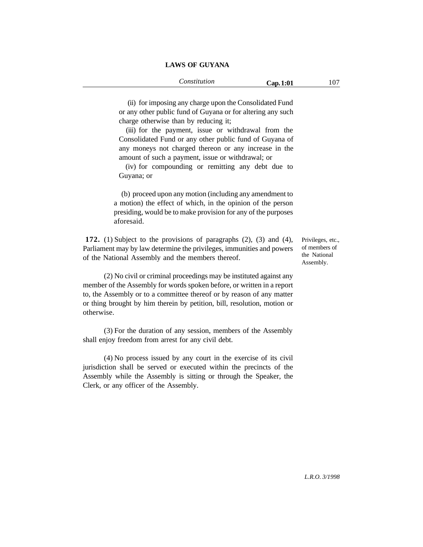(ii) for imposing any charge upon the Consolidated Fund or any other public fund of Guyana or for altering any such charge otherwise than by reducing it;

(iii) for the payment, issue or withdrawal from the Consolidated Fund or any other public fund of Guyana of any moneys not charged thereon or any increase in the amount of such a payment, issue or withdrawal; or

(iv) for compounding or remitting any debt due to Guyana; or

(b) proceed upon any motion (including any amendment to a motion) the effect of which, in the opinion of the person presiding, would be to make provision for any of the purposes aforesaid.

**172.** (1) Subject to the provisions of paragraphs (2), (3) and (4), Parliament may by law determine the privileges, immunities and powers of the National Assembly and the members thereof.

Privileges, etc., of members of the National Assembly.

(2) No civil or criminal proceedings may be instituted against any member of the Assembly for words spoken before, or written in a report to, the Assembly or to a committee thereof or by reason of any matter or thing brought by him therein by petition, bill, resolution, motion or otherwise.

(3) For the duration of any session, members of the Assembly shall enjoy freedom from arrest for any civil debt.

(4) No process issued by any court in the exercise of its civil jurisdiction shall be served or executed within the precincts of the Assembly while the Assembly is sitting or through the Speaker, the Clerk, or any officer of the Assembly.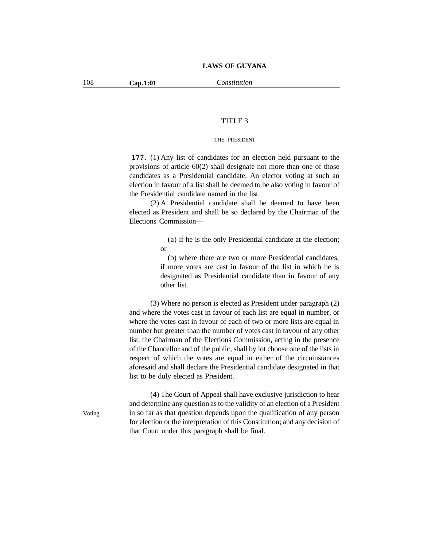#### TITLE 3

#### THE PRESIDENT

**177.** (1) Any list of candidates for an election held pursuant to the provisions of article 60(2) shall designate not more than one of those candidates as a Presidential candidate. An elector voting at such an election in favour of a list shall be deemed to be also voting in favour of the Presidential candidate named in the list.

(2) A Presidential candidate shall be deemed to have been elected as President and shall be so declared by the Chairman of the Elections Commission—

> (a) if he is the only Presidential candidate at the election; or

> (b) where there are two or more Presidential candidates, if more votes are cast in favour of the list in which he is designated as Presidential candidate than in favour of any other list.

(3) Where no person is elected as President under paragraph (2) and where the votes cast in favour of each list are equal in number, or where the votes cast in favour of each of two or more lists are equal in number but greater than the number of votes cast in favour of any other list, the Chairman of the Elections Commission, acting in the presence of the Chancellor and of the public, shall by lot choose one of the lists in respect of which the votes are equal in either of the circumstances aforesaid and shall declare the Presidential candidate designated in that list to be duly elected as President.

(4) The Court of Appeal shall have exclusive jurisdiction to hear and determine any question as to the validity of an election of a President in so far as that question depends upon the qualification of any person for election or the interpretation of this Constitution; and any decision of that Court under this paragraph shall be final.

Voting.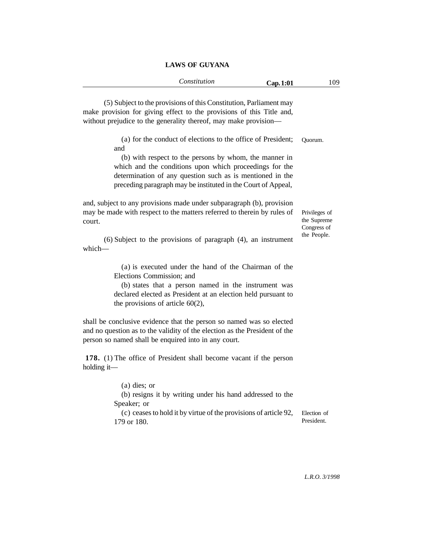|  | <b>LAWS OF GUYANA</b> |
|--|-----------------------|
|  |                       |

| Constitution                                                                                                                                                                                                                                                                                                           | Cap. 1:01 | 109                                         |
|------------------------------------------------------------------------------------------------------------------------------------------------------------------------------------------------------------------------------------------------------------------------------------------------------------------------|-----------|---------------------------------------------|
| (5) Subject to the provisions of this Constitution, Parliament may<br>make provision for giving effect to the provisions of this Title and,<br>without prejudice to the generality thereof, may make provision—                                                                                                        |           |                                             |
| (a) for the conduct of elections to the office of President;<br>and<br>(b) with respect to the persons by whom, the manner in<br>which and the conditions upon which proceedings for the<br>determination of any question such as is mentioned in the<br>preceding paragraph may be instituted in the Court of Appeal, |           | Quorum.                                     |
| and, subject to any provisions made under subparagraph (b), provision<br>may be made with respect to the matters referred to therein by rules of<br>court.                                                                                                                                                             |           | Privileges of<br>the Supreme<br>Congress of |
| (6) Subject to the provisions of paragraph (4), an instrument<br>which-                                                                                                                                                                                                                                                |           | the People.                                 |
| (a) is executed under the hand of the Chairman of the<br>Elections Commission; and<br>(b) states that a person named in the instrument was<br>declared elected as President at an election held pursuant to<br>the provisions of article $60(2)$ ,                                                                     |           |                                             |
| shall be conclusive evidence that the person so named was so elected<br>and no question as to the validity of the election as the President of the<br>person so named shall be enquired into in any court.                                                                                                             |           |                                             |
| <b>178.</b> (1) The office of President shall become vacant if the person<br>holding it-                                                                                                                                                                                                                               |           |                                             |
| (a) dies; or<br>(b) resigns it by writing under his hand addressed to the<br>Speaker; or<br>(c) ceases to hold it by virtue of the provisions of article 92,<br>179 or 180.                                                                                                                                            |           | Election of<br>President.                   |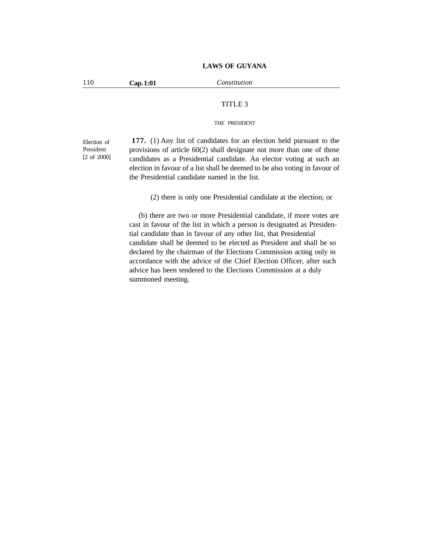110 **Cap. 1:01** *Constitution*

# TITLE 3

#### THE PRESIDENT

Election of President [2 of 2000]

**177.** (1) Any list of candidates for an election held pursuant to the provisions of article 60(2) shall designate not more than one of those candidates as a Presidential candidate. An elector voting at such an election in favour of a list shall be deemed to be also voting in favour of the Presidential candidate named in the list.

(2) there is only one Presidential candidate at the election; or

 (b) there are two or more Presidential candidate, if more votes are cast in favour of the list in which a person is designated as Presidential candidate than in favour of any other list, that Presidential candidate shall be deemed to be elected as President and shall be so declared by the chairman of the Elections Commission acting only in accordance with the advice of the Chief Election Officer, after such advice has been tendered to the Elections Commission at a duly summoned meeting.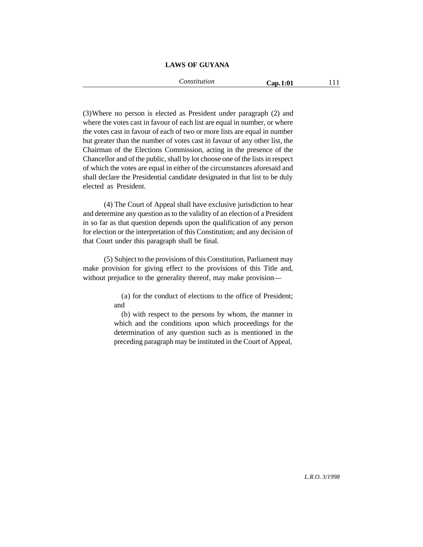(3)Where no person is elected as President under paragraph (2) and where the votes cast in favour of each list are equal in number, or where the votes cast in favour of each of two or more lists are equal in number but greater than the number of votes cast in favour of any other list, the Chairman of the Elections Commission, acting in the presence of the Chancellor and of the public, shall by lot choose one of the lists in respect of which the votes are equal in either of the circumstances aforesaid and shall declare the Presidential candidate designated in that list to be duly elected as President.

(4) The Court of Appeal shall have exclusive jurisdiction to hear and determine any question as to the validity of an election of a President in so far as that question depends upon the qualification of any person for election or the interpretation of this Constitution; and any decision of that Court under this paragraph shall be final.

(5) Subject to the provisions of this Constitution, Parliament may make provision for giving effect to the provisions of this Title and, without prejudice to the generality thereof, may make provision—

> (a) for the conduct of elections to the office of President; and

> (b) with respect to the persons by whom, the manner in which and the conditions upon which proceedings for the determination of any question such as is mentioned in the preceding paragraph may be instituted in the Court of Appeal,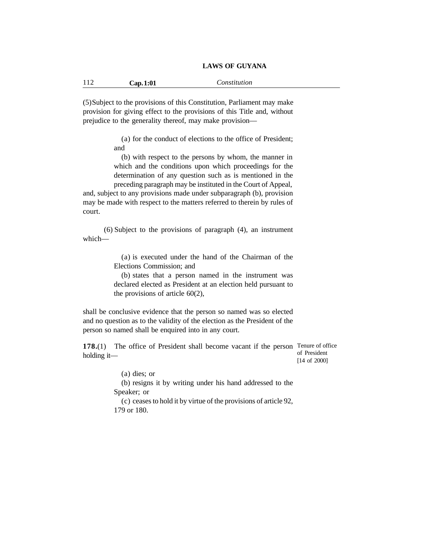| 112<br>Cap.1:01 | Constitution |
|-----------------|--------------|
|-----------------|--------------|

(5)Subject to the provisions of this Constitution, Parliament may make provision for giving effect to the provisions of this Title and, without prejudice to the generality thereof, may make provision—

> (a) for the conduct of elections to the office of President; and

> (b) with respect to the persons by whom, the manner in which and the conditions upon which proceedings for the determination of any question such as is mentioned in the preceding paragraph may be instituted in the Court of Appeal,

and, subject to any provisions made under subparagraph (b), provision may be made with respect to the matters referred to therein by rules of court.

(6) Subject to the provisions of paragraph (4), an instrument which—

> (a) is executed under the hand of the Chairman of the Elections Commission; and

> (b) states that a person named in the instrument was declared elected as President at an election held pursuant to the provisions of article 60(2),

shall be conclusive evidence that the person so named was so elected and no question as to the validity of the election as the President of the person so named shall be enquired into in any court.

**178.**(1) The office of President shall become vacant if the person Tenure of office holding it of President [14 of 2000]

(a) dies; or

(b) resigns it by writing under his hand addressed to the Speaker; or

(c) ceases to hold it by virtue of the provisions of article 92, 179 or 180.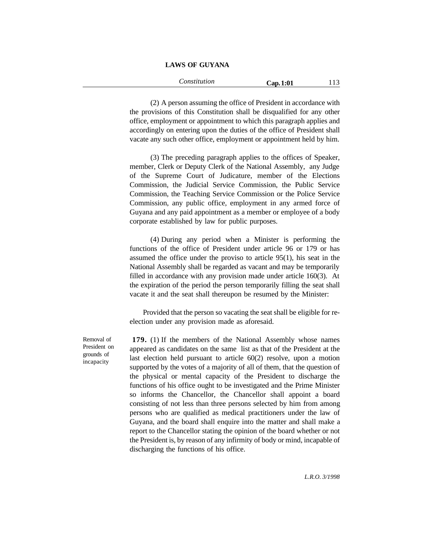| Constitution<br>Cap.1:01 | 113 |
|--------------------------|-----|
|--------------------------|-----|

(2) A person assuming the office of President in accordance with the provisions of this Constitution shall be disqualified for any other office, employment or appointment to which this paragraph applies and accordingly on entering upon the duties of the office of President shall vacate any such other office, employment or appointment held by him.

(3) The preceding paragraph applies to the offices of Speaker, member, Clerk or Deputy Clerk of the National Assembly, any Judge of the Supreme Court of Judicature, member of the Elections Commission, the Judicial Service Commission, the Public Service Commission, the Teaching Service Commission or the Police Service Commission, any public office, employment in any armed force of Guyana and any paid appointment as a member or employee of a body corporate established by law for public purposes.

(4) During any period when a Minister is performing the functions of the office of President under article 96 or 179 or has assumed the office under the proviso to article 95(1), his seat in the National Assembly shall be regarded as vacant and may be temporarily filled in accordance with any provision made under article 160(3). At the expiration of the period the person temporarily filling the seat shall vacate it and the seat shall thereupon be resumed by the Minister:

Provided that the person so vacating the seat shall be eligible for reelection under any provision made as aforesaid.

Removal of President on grounds of incapacity

**179.** (1) If the members of the National Assembly whose names appeared as candidates on the same list as that of the President at the last election held pursuant to article 60(2) resolve, upon a motion supported by the votes of a majority of all of them, that the question of the physical or mental capacity of the President to discharge the functions of his office ought to be investigated and the Prime Minister so informs the Chancellor, the Chancellor shall appoint a board consisting of not less than three persons selected by him from among persons who are qualified as medical practitioners under the law of Guyana, and the board shall enquire into the matter and shall make a report to the Chancellor stating the opinion of the board whether or not the President is, by reason of any infirmity of body or mind, incapable of discharging the functions of his office.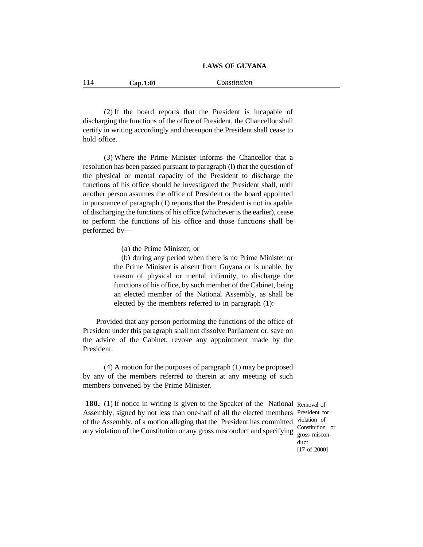114 **Cap. 1:01** *Constitution*

(2) If the board reports that the President is incapable of discharging the functions of the office of President, the Chancellor shall certify in writing accordingly and thereupon the President shall cease to hold office.

(3) Where the Prime Minister informs the Chancellor that a resolution has been passed pursuant to paragraph (l) that the question of the physical or mental capacity of the President to discharge the functions of his office should be investigated the President shall, until another person assumes the office of President or the board appointed in pursuance of paragraph (1) reports that the President is not incapable of discharging the functions of his office (whichever is the earlier), cease to perform the functions of his office and those functions shall be performed by—

(a) the Prime Minister; or

(b) during any period when there is no Prime Minister or the Prime Minister is absent from Guyana or is unable, by reason of physical or mental infirmity, to discharge the functions of his office, by such member of the Cabinet, being an elected member of the National Assembly, as shall be elected by the members referred to in paragraph (1):

Provided that any person performing the functions of the office of President under this paragraph shall not dissolve Parliament or, save on the advice of the Cabinet, revoke any appointment made by the President.

(4) A motion for the purposes of paragraph (1) may be proposed by any of the members referred to therein at any meeting of such members convened by the Prime Minister.

180. (1) If notice in writing is given to the Speaker of the National Removal of Assembly, signed by not less than one-half of all the elected members President for of the Assembly, of a motion alleging that the President has committed any violation of the Constitution or any gross misconduct and specifying

violation of Constitution or gross misconduct [17 of 2000]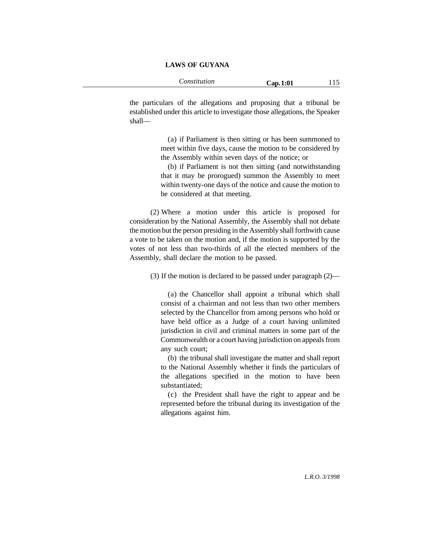| Constitution | Cap.1:01 | 115 |
|--------------|----------|-----|
|--------------|----------|-----|

the particulars of the allegations and proposing that a tribunal be established under this article to investigate those allegations, the Speaker shall—

> (a) if Parliament is then sitting or has been summoned to meet within five days, cause the motion to be considered by the Assembly within seven days of the notice; or

> (b) if Parliament is not then sitting (and notwithstanding that it may be prorogued) summon the Assembly to meet within twenty-one days of the notice and cause the motion to be considered at that meeting.

(2) Where a motion under this article is proposed for consideration by the National Assembly, the Assembly shall not debate the motion but the person presiding in the Assembly shall forthwith cause a vote to be taken on the motion and, if the motion is supported by the votes of not less than two-thirds of all the elected members of the Assembly, shall declare the motion to be passed.

(3) If the motion is declared to be passed under paragraph (2)—

(a) the Chancellor shall appoint a tribunal which shall consist of a chairman and not less than two other members selected by the Chancellor from among persons who hold or have held office as a Judge of a court having unlimited jurisdiction in civil and criminal matters in some part of the Commonwealth or a court having jurisdiction on appeals from any such court;

(b) the tribunal shall investigate the matter and shall report to the National Assembly whether it finds the particulars of the allegations specified in the motion to have been substantiated;

(c) the President shall have the right to appear and be represented before the tribunal during its investigation of the allegations against him.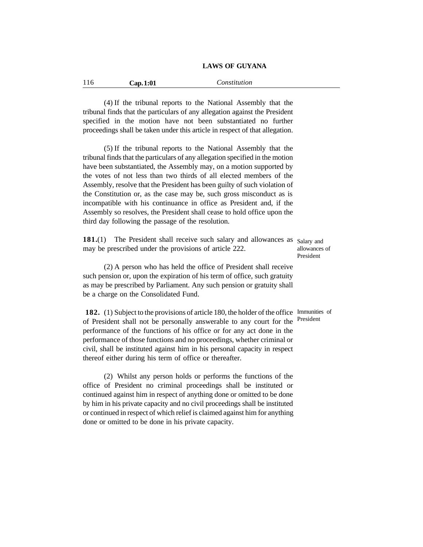| 116 | Cap.1:01 | Constitution |
|-----|----------|--------------|
|-----|----------|--------------|

(4) If the tribunal reports to the National Assembly that the tribunal finds that the particulars of any allegation against the President specified in the motion have not been substantiated no further proceedings shall be taken under this article in respect of that allegation.

(5) If the tribunal reports to the National Assembly that the tribunal finds that the particulars of any allegation specified in the motion have been substantiated, the Assembly may, on a motion supported by the votes of not less than two thirds of all elected members of the Assembly, resolve that the President has been guilty of such violation of the Constitution or, as the case may be, such gross misconduct as is incompatible with his continuance in office as President and, if the Assembly so resolves, the President shall cease to hold office upon the third day following the passage of the resolution.

181.(1) The President shall receive such salary and allowances as Salary and may be prescribed under the provisions of article 222.

allowances of President

(2) A person who has held the office of President shall receive such pension or, upon the expiration of his term of office, such gratuity as may be prescribed by Parliament. Any such pension or gratuity shall be a charge on the Consolidated Fund.

182. (1) Subject to the provisions of article 180, the holder of the office Immunities of of President shall not be personally answerable to any court for the President performance of the functions of his office or for any act done in the performance of those functions and no proceedings, whether criminal or civil, shall be instituted against him in his personal capacity in respect thereof either during his term of office or thereafter.

(2) Whilst any person holds or performs the functions of the office of President no criminal proceedings shall be instituted or continued against him in respect of anything done or omitted to be done by him in his private capacity and no civil proceedings shall be instituted or continued in respect of which relief is claimed against him for anything done or omitted to be done in his private capacity.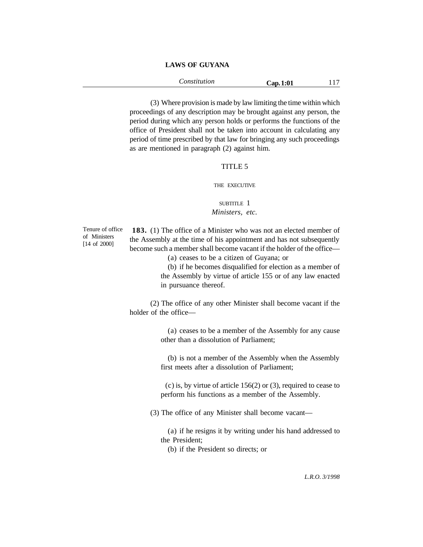| Cap.1:01 | 117 |
|----------|-----|
|          |     |

(3) Where provision is made by law limiting the time within which proceedings of any description may be brought against any person, the period during which any person holds or performs the functions of the office of President shall not be taken into account in calculating any period of time prescribed by that law for bringing any such proceedings as are mentioned in paragraph (2) against him.

### TITLE 5

THE EXECUTIVE

SUBTITLE 1 *Ministers, etc.*

Tenure of office of Ministers [14 of 2000]

**183.** (1) The office of a Minister who was not an elected member of the Assembly at the time of his appointment and has not subsequently become such a member shall become vacant if the holder of the office—

(a) ceases to be a citizen of Guyana; or

(b) if he becomes disqualified for election as a member of the Assembly by virtue of article 155 or of any law enacted in pursuance thereof.

(2) The office of any other Minister shall become vacant if the holder of the office—

> (a) ceases to be a member of the Assembly for any cause other than a dissolution of Parliament;

> (b) is not a member of the Assembly when the Assembly first meets after a dissolution of Parliament;

> (c) is, by virtue of article 156(2) or (3), required to cease to perform his functions as a member of the Assembly.

(3) The office of any Minister shall become vacant—

(a) if he resigns it by writing under his hand addressed to the President;

(b) if the President so directs; or

*L.R.O. 3/1998*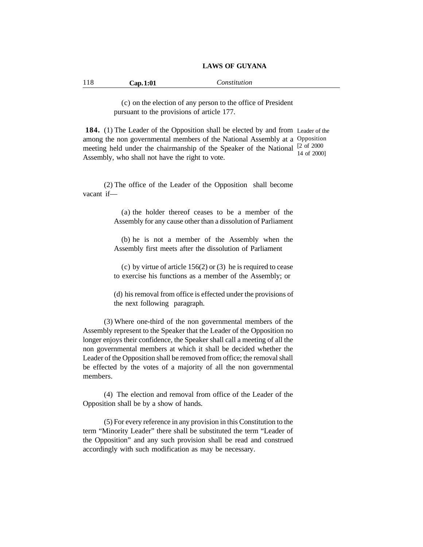| 118 | Cap.1:01 | Constitution |
|-----|----------|--------------|
|-----|----------|--------------|

(c) on the election of any person to the office of President pursuant to the provisions of article 177.

184. (1) The Leader of the Opposition shall be elected by and from Leader of the among the non governmental members of the National Assembly at a Opposition meeting held under the chairmanship of the Speaker of the National  $\frac{[2 \text{ of } 2000]}{4}$ Assembly, who shall not have the right to vote. 14 of 2000]

(2) The office of the Leader of the Opposition shall become vacant if—

> (a) the holder thereof ceases to be a member of the Assembly for any cause other than a dissolution of Parliament

> (b) he is not a member of the Assembly when the Assembly first meets after the dissolution of Parliament

> (c) by virtue of article 156(2) or (3) he is required to cease to exercise his functions as a member of the Assembly; or

> (d) his removal from office is effected under the provisions of the next following paragraph.

(3) Where one-third of the non governmental members of the Assembly represent to the Speaker that the Leader of the Opposition no longer enjoys their confidence, the Speaker shall call a meeting of all the non governmental members at which it shall be decided whether the Leader of the Opposition shall be removed from office; the removal shall be effected by the votes of a majority of all the non governmental members.

(4) The election and removal from office of the Leader of the Opposition shall be by a show of hands.

(5) For every reference in any provision in this Constitution to the term "Minority Leader" there shall be substituted the term "Leader of the Opposition" and any such provision shall be read and construed accordingly with such modification as may be necessary.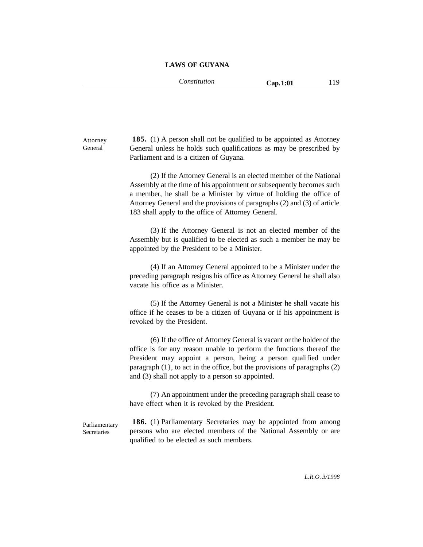General

**185.** (1) A person shall not be qualified to be appointed as Attorney General unless he holds such qualifications as may be prescribed by Parliament and is a citizen of Guyana. (2) If the Attorney General is an elected member of the National Assembly at the time of his appointment or subsequently becomes such a member, he shall be a Minister by virtue of holding the office of Attorney General and the provisions of paragraphs (2) and (3) of article 183 shall apply to the office of Attorney General. (3) If the Attorney General is not an elected member of the Assembly but is qualified to be elected as such a member he may be appointed by the President to be a Minister. (4) If an Attorney General appointed to be a Minister under the preceding paragraph resigns his office as Attorney General he shall also vacate his office as a Minister. (5) If the Attorney General is not a Minister he shall vacate his office if he ceases to be a citizen of Guyana or if his appointment is revoked by the President. (6) If the office of Attorney General is vacant or the holder of the office is for any reason unable to perform the functions thereof the President may appoint a person, being a person qualified under paragraph  $(1)$ , to act in the office, but the provisions of paragraphs  $(2)$ and (3) shall not apply to a person so appointed. (7) An appointment under the preceding paragraph shall cease to have effect when it is revoked by the President. **186.** (1) Parliamentary Secretaries may be appointed from among persons who are elected members of the National Assembly or are qualified to be elected as such members. Attorney Parliamentary **Secretaries**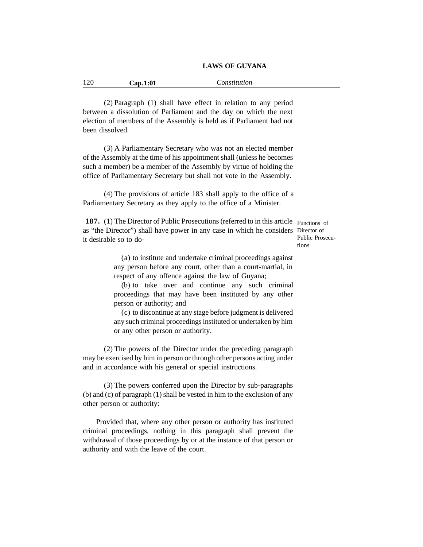| 120 | Cap.1:01 | Constitution |
|-----|----------|--------------|
|-----|----------|--------------|

(2) Paragraph (1) shall have effect in relation to any period between a dissolution of Parliament and the day on which the next election of members of the Assembly is held as if Parliament had not been dissolved.

(3) A Parliamentary Secretary who was not an elected member of the Assembly at the time of his appointment shall (unless he becomes such a member) be a member of the Assembly by virtue of holding the office of Parliamentary Secretary but shall not vote in the Assembly.

(4) The provisions of article 183 shall apply to the office of a Parliamentary Secretary as they apply to the office of a Minister.

**187.** (1) The Director of Public Prosecutions (referred to in this article Functions of as "the Director") shall have power in any case in which he considers Director of it desirable so to do-

Public Prosecutions

(a) to institute and undertake criminal proceedings against any person before any court, other than a court-martial, in respect of any offence against the law of Guyana;

(b) to take over and continue any such criminal proceedings that may have been instituted by any other person or authority; and

(c) to discontinue at any stage before judgment is delivered any such criminal proceedings instituted or undertaken by him or any other person or authority.

(2) The powers of the Director under the preceding paragraph may be exercised by him in person or through other persons acting under and in accordance with his general or special instructions.

(3) The powers conferred upon the Director by sub-paragraphs (b) and (c) of paragraph (1) shall be vested in him to the exclusion of any other person or authority:

Provided that, where any other person or authority has instituted criminal proceedings, nothing in this paragraph shall prevent the withdrawal of those proceedings by or at the instance of that person or authority and with the leave of the court.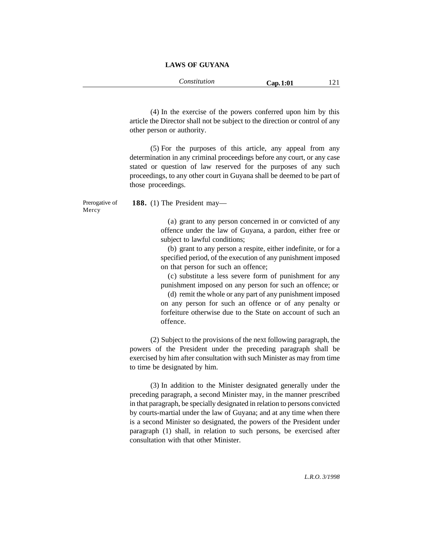| Constitution | Cap.1:01 |  |
|--------------|----------|--|
|              |          |  |

(4) In the exercise of the powers conferred upon him by this article the Director shall not be subject to the direction or control of any other person or authority.

(5) For the purposes of this article, any appeal from any determination in any criminal proceedings before any court, or any case stated or question of law reserved for the purposes of any such proceedings, to any other court in Guyana shall be deemed to be part of those proceedings.

Prerogative of Mercy

**188.** (1) The President may—

(a) grant to any person concerned in or convicted of any offence under the law of Guyana, a pardon, either free or subject to lawful conditions;

(b) grant to any person a respite, either indefinite, or for a specified period, of the execution of any punishment imposed on that person for such an offence;

(c) substitute a less severe form of punishment for any punishment imposed on any person for such an offence; or

(d) remit the whole or any part of any punishment imposed on any person for such an offence or of any penalty or forfeiture otherwise due to the State on account of such an offence.

(2) Subject to the provisions of the next following paragraph, the powers of the President under the preceding paragraph shall be exercised by him after consultation with such Minister as may from time to time be designated by him.

(3) In addition to the Minister designated generally under the preceding paragraph, a second Minister may, in the manner prescribed in that paragraph, be specially designated in relation to persons convicted by courts-martial under the law of Guyana; and at any time when there is a second Minister so designated, the powers of the President under paragraph (1) shall, in relation to such persons, be exercised after consultation with that other Minister.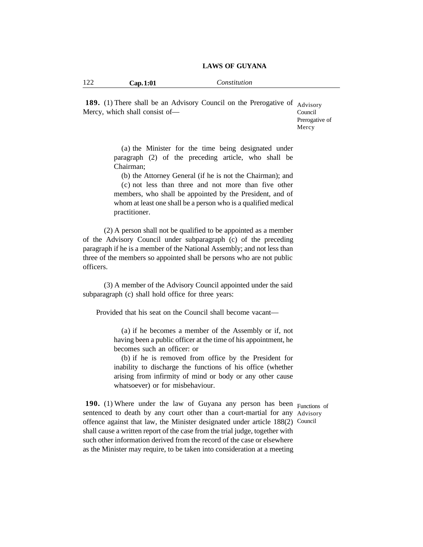| 122 | Cap. 1:01 | Constitution |  |
|-----|-----------|--------------|--|
|-----|-----------|--------------|--|

**189.** (1) There shall be an Advisory Council on the Prerogative of Advisory Mercy, which shall consist of— Council

Prerogative of Mercy

(a) the Minister for the time being designated under paragraph (2) of the preceding article, who shall be Chairman;

(b) the Attorney General (if he is not the Chairman); and (c) not less than three and not more than five other members, who shall be appointed by the President, and of whom at least one shall be a person who is a qualified medical practitioner.

(2) A person shall not be qualified to be appointed as a member of the Advisory Council under subparagraph (c) of the preceding paragraph if he is a member of the National Assembly; and not less than three of the members so appointed shall be persons who are not public officers.

(3) A member of the Advisory Council appointed under the said subparagraph (c) shall hold office for three years:

Provided that his seat on the Council shall become vacant—

(a) if he becomes a member of the Assembly or if, not having been a public officer at the time of his appointment, he becomes such an officer: or

(b) if he is removed from office by the President for inability to discharge the functions of his office (whether arising from infirmity of mind or body or any other cause whatsoever) or for misbehaviour.

190. (1) Where under the law of Guyana any person has been Functions of sentenced to death by any court other than a court-martial for any Advisory offence against that law, the Minister designated under article 188(2) Councilshall cause a written report of the case from the trial judge, together with such other information derived from the record of the case or elsewhere as the Minister may require, to be taken into consideration at a meeting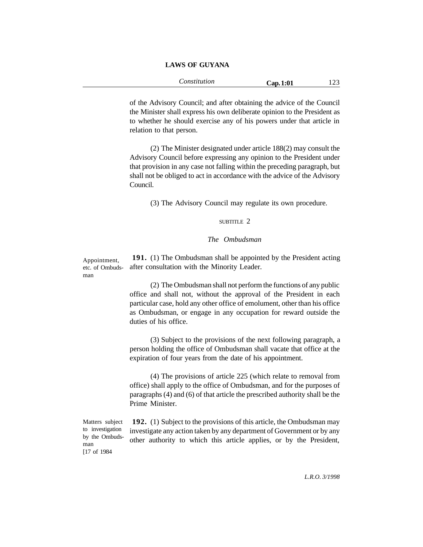| Constitution | Cap.1:01 | 123 |
|--------------|----------|-----|
|--------------|----------|-----|

of the Advisory Council; and after obtaining the advice of the Council the Minister shall express his own deliberate opinion to the President as to whether he should exercise any of his powers under that article in relation to that person.

(2) The Minister designated under article 188(2) may consult the Advisory Council before expressing any opinion to the President under that provision in any case not falling within the preceding paragraph, but shall not be obliged to act in accordance with the advice of the Advisory Council.

(3) The Advisory Council may regulate its own procedure.

### $S$ UBTITLE  $2$

# *The Ombudsman*

Appointment, etc. of Ombudsman

**191.** (1) The Ombudsman shall be appointed by the President acting after consultation with the Minority Leader.

(2) The Ombudsman shall not perform the functions of any public office and shall not, without the approval of the President in each particular case, hold any other office of emolument, other than his office as Ombudsman, or engage in any occupation for reward outside the duties of his office.

(3) Subject to the provisions of the next following paragraph, a person holding the office of Ombudsman shall vacate that office at the expiration of four years from the date of his appointment.

(4) The provisions of article 225 (which relate to removal from office) shall apply to the office of Ombudsman, and for the purposes of paragraphs (4) and (6) of that article the prescribed authority shall be the Prime Minister.

Matters subject to investigation by the Ombudsman [17 of 1984

**192.** (1) Subject to the provisions of this article, the Ombudsman may investigate any action taken by any department of Government or by any other authority to which this article applies, or by the President,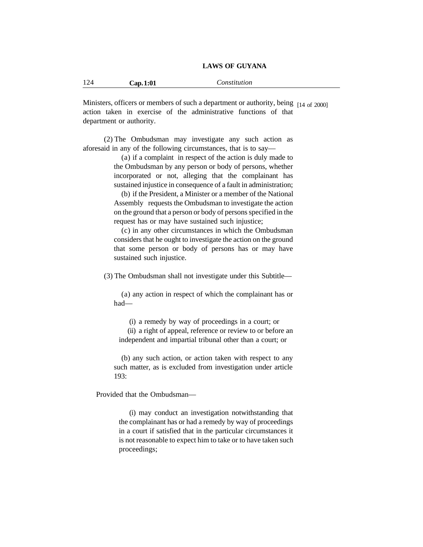| 124 | Cap.1:01 | Constitution |
|-----|----------|--------------|
|-----|----------|--------------|

Ministers, officers or members of such a department or authority, being [14 of 2000] action taken in exercise of the administrative functions of that department or authority.

(2) The Ombudsman may investigate any such action as aforesaid in any of the following circumstances, that is to say—

> (a) if a complaint in respect of the action is duly made to the Ombudsman by any person or body of persons, whether incorporated or not, alleging that the complainant has sustained injustice in consequence of a fault in administration;

> (b) if the President, a Minister or a member of the National Assembly requests the Ombudsman to investigate the action on the ground that a person or body of persons specified in the request has or may have sustained such injustice;

> (c) in any other circumstances in which the Ombudsman considers that he ought to investigate the action on the ground that some person or body of persons has or may have sustained such injustice.

(3) The Ombudsman shall not investigate under this Subtitle—

(a) any action in respect of which the complainant has or had—

(i) a remedy by way of proceedings in a court; or (ii) a right of appeal, reference or review to or before an independent and impartial tribunal other than a court; or

(b) any such action, or action taken with respect to any such matter, as is excluded from investigation under article 193:

Provided that the Ombudsman—

(i) may conduct an investigation notwithstanding that the complainant has or had a remedy by way of proceedings in a court if satisfied that in the particular circumstances it is not reasonable to expect him to take or to have taken such proceedings;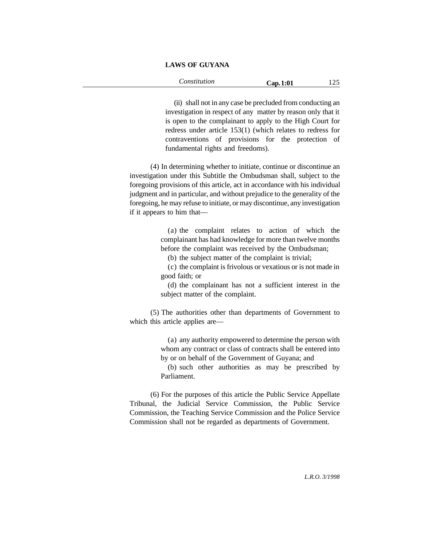| Constitution | Cap.1:01 | 125 |
|--------------|----------|-----|
|              |          |     |

(ii) shall not in any case be precluded from conducting an investigation in respect of any matter by reason only that it is open to the complainant to apply to the High Court for redress under article 153(1) (which relates to redress for contraventions of provisions for the protection of fundamental rights and freedoms).

(4) In determining whether to initiate, continue or discontinue an investigation under this Subtitle the Ombudsman shall, subject to the foregoing provisions of this article, act in accordance with his individual judgment and in particular, and without prejudice to the generality of the foregoing, he may refuse to initiate, or may discontinue, any investigation if it appears to him that—

> (a) the complaint relates to action of which the complainant has had knowledge for more than twelve months before the complaint was received by the Ombudsman;

(b) the subject matter of the complaint is trivial;

(c) the complaint is frivolous or vexatious or is not made in good faith; or

(d) the complainant has not a sufficient interest in the subject matter of the complaint.

(5) The authorities other than departments of Government to which this article applies are—

> (a) any authority empowered to determine the person with whom any contract or class of contracts shall be entered into by or on behalf of the Government of Guyana; and

> (b) such other authorities as may be prescribed by Parliament.

(6) For the purposes of this article the Public Service Appellate Tribunal, the Judicial Service Commission, the Public Service Commission, the Teaching Service Commission and the Police Service Commission shall not be regarded as departments of Government.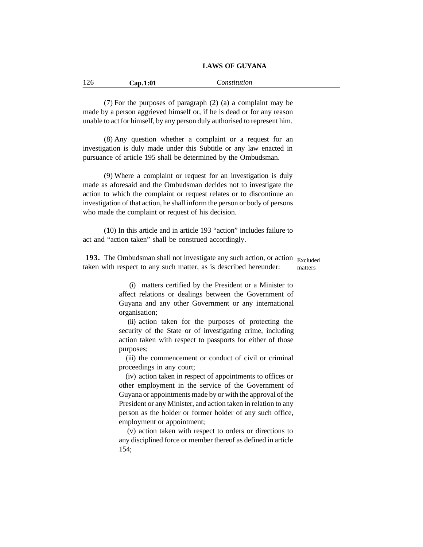| 126<br>Cap.1:01 |  | Constitution |
|-----------------|--|--------------|
|-----------------|--|--------------|

(7) For the purposes of paragraph (2) (a) a complaint may be made by a person aggrieved himself or, if he is dead or for any reason unable to act for himself, by any person duly authorised to represent him.

(8) Any question whether a complaint or a request for an investigation is duly made under this Subtitle or any law enacted in pursuance of article 195 shall be determined by the Ombudsman.

(9) Where a complaint or request for an investigation is duly made as aforesaid and the Ombudsman decides not to investigate the action to which the complaint or request relates or to discontinue an investigation of that action, he shall inform the person or body of persons who made the complaint or request of his decision.

(10) In this article and in article 193 "action" includes failure to act and "action taken" shall be construed accordingly.

**193.** The Ombudsman shall not investigate any such action, or action Excluded taken with respect to any such matter, as is described hereunder: matters

> (i) matters certified by the President or a Minister to affect relations or dealings between the Government of Guyana and any other Government or any international organisation;

> (ii) action taken for the purposes of protecting the security of the State or of investigating crime, including action taken with respect to passports for either of those purposes;

> (iii) the commencement or conduct of civil or criminal proceedings in any court;

> (iv) action taken in respect of appointments to offices or other employment in the service of the Government of Guyana or appointments made by or with the approval of the President or any Minister, and action taken in relation to any person as the holder or former holder of any such office, employment or appointment;

> (v) action taken with respect to orders or directions to any disciplined force or member thereof as defined in article 154;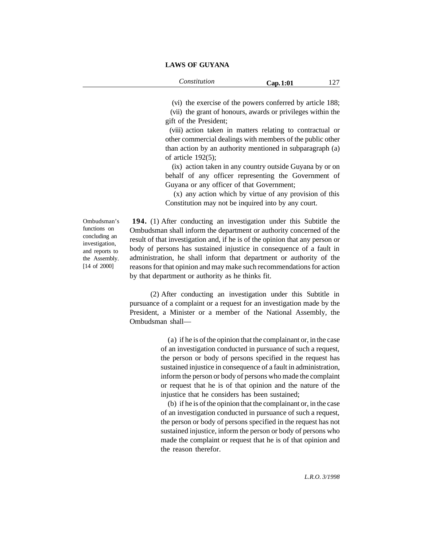| Constitution |  |
|--------------|--|
|              |  |

(vi) the exercise of the powers conferred by article 188; (vii) the grant of honours, awards or privileges within the gift of the President;

(viii) action taken in matters relating to contractual or other commercial dealings with members of the public other than action by an authority mentioned in subparagraph (a) of article 192(5);

(ix) action taken in any country outside Guyana by or on behalf of any officer representing the Government of Guyana or any officer of that Government;

(x) any action which by virtue of any provision of this Constitution may not be inquired into by any court.

Ombudsman's functions on concluding an investigation, and reports to the Assembly. [14 of 2000]

**194.** (1) After conducting an investigation under this Subtitle the Ombudsman shall inform the department or authority concerned of the result of that investigation and, if he is of the opinion that any person or body of persons has sustained injustice in consequence of a fault in administration, he shall inform that department or authority of the reasons for that opinion and may make such recommendations for action by that department or authority as he thinks fit.

(2) After conducting an investigation under this Subtitle in pursuance of a complaint or a request for an investigation made by the President, a Minister or a member of the National Assembly, the Ombudsman shall—

> (a) if he is of the opinion that the complainant or, in the case of an investigation conducted in pursuance of such a request, the person or body of persons specified in the request has sustained injustice in consequence of a fault in administration, inform the person or body of persons who made the complaint or request that he is of that opinion and the nature of the injustice that he considers has been sustained;

> (b) if he is of the opinion that the complainant or, in the case of an investigation conducted in pursuance of such a request, the person or body of persons specified in the request has not sustained injustice, inform the person or body of persons who made the complaint or request that he is of that opinion and the reason therefor.

> > *L.R.O. 3/1998*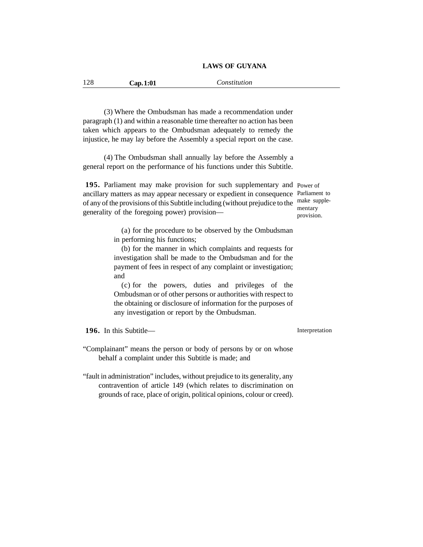(3) Where the Ombudsman has made a recommendation under paragraph (1) and within a reasonable time thereafter no action has been taken which appears to the Ombudsman adequately to remedy the injustice, he may lay before the Assembly a special report on the case.

(4) The Ombudsman shall annually lay before the Assembly a general report on the performance of his functions under this Subtitle.

**195.** Parliament may make provision for such supplementary and Power of ancillary matters as may appear necessary or expedient in consequence Parliament to of any of the provisions of this Subtitle including (without prejudice to the make supplegenerality of the foregoing power) provision—

mentary provision.

(a) for the procedure to be observed by the Ombudsman in performing his functions;

(b) for the manner in which complaints and requests for investigation shall be made to the Ombudsman and for the payment of fees in respect of any complaint or investigation; and

(c) for the powers, duties and privileges of the Ombudsman or of other persons or authorities with respect to the obtaining or disclosure of information for the purposes of any investigation or report by the Ombudsman.

**196.** In this Subtitle—

"Complainant" means the person or body of persons by or on whose behalf a complaint under this Subtitle is made; and

"fault in administration" includes, without prejudice to its generality, any contravention of article 149 (which relates to discrimination on grounds of race, place of origin, political opinions, colour or creed).

#### Interpretation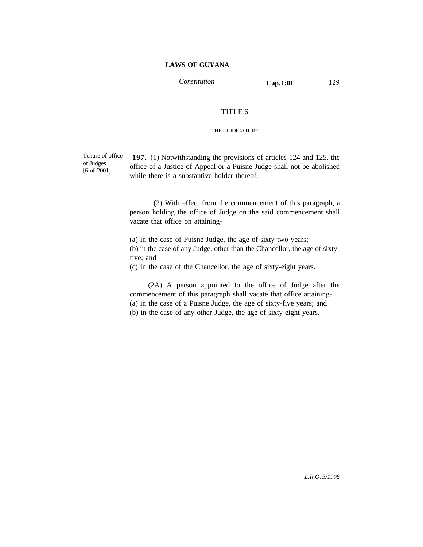*Constitution* **Cap. 1:01** 129

# TITLE 6

THE JUDICATURE

**197.** (1) Notwithstanding the provisions of articles 124 and 125, the office of a Justice of Appeal or a Puisne Judge shall not be abolished while there is a substantive holder thereof. Tenure of office of Judges [6 of 2001]

> (2) With effect from the commencement of this paragraph, a person holding the office of Judge on the said commencement shall vacate that office on attaining-

> (a) in the case of Puisne Judge, the age of sixty-two years; (b) in the case of any Judge, other than the Chancellor, the age of sixtyfive; and

(c) in the case of the Chancellor, the age of sixty-eight years.

 (2A) A person appointed to the office of Judge after the commencement of this paragraph shall vacate that office attaining- (a) in the case of a Puisne Judge, the age of sixty-five years; and (b) in the case of any other Judge, the age of sixty-eight years.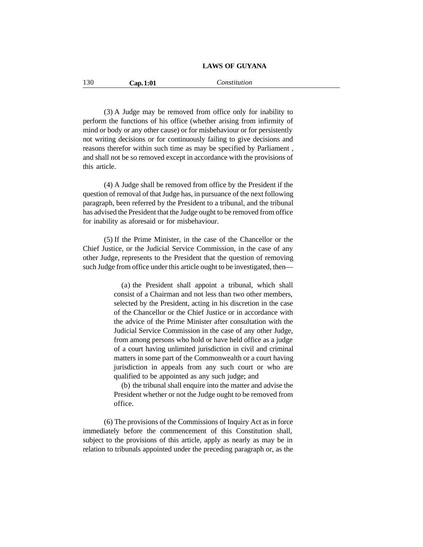(3) A Judge may be removed from office only for inability to perform the functions of his office (whether arising from infirmity of mind or body or any other cause) or for misbehaviour or for persistently not writing decisions or for continuously failing to give decisions and reasons therefor within such time as may be specified by Parliament , and shall not be so removed except in accordance with the provisions of this article.

(4) A Judge shall be removed from office by the President if the question of removal of that Judge has, in pursuance of the next following paragraph, been referred by the President to a tribunal, and the tribunal has advised the President that the Judge ought to be removed from office for inability as aforesaid or for misbehaviour.

(5) If the Prime Minister, in the case of the Chancellor or the Chief Justice, or the Judicial Service Commission, in the case of any other Judge, represents to the President that the question of removing such Judge from office under this article ought to be investigated, then—

> (a) the President shall appoint a tribunal, which shall consist of a Chairman and not less than two other members, selected by the President, acting in his discretion in the case of the Chancellor or the Chief Justice or in accordance with the advice of the Prime Minister after consultation with the Judicial Service Commission in the case of any other Judge, from among persons who hold or have held office as a judge of a court having unlimited jurisdiction in civil and criminal matters in some part of the Commonwealth or a court having jurisdiction in appeals from any such court or who are qualified to be appointed as any such judge; and

> (b) the tribunal shall enquire into the matter and advise the President whether or not the Judge ought to be removed from office.

(6) The provisions of the Commissions of Inquiry Act as in force immediately before the commencement of this Constitution shall, subject to the provisions of this article, apply as nearly as may be in relation to tribunals appointed under the preceding paragraph or, as the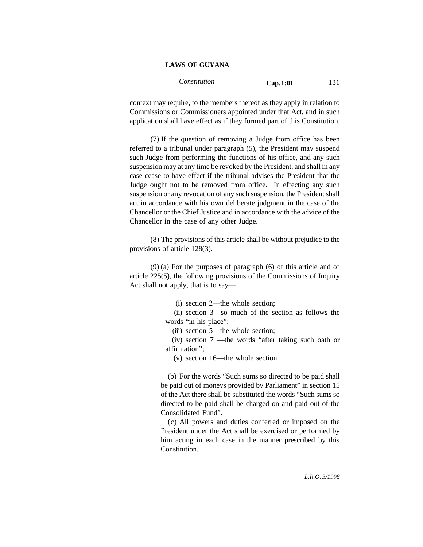| Constitution | Cap.1:01 | 131 |
|--------------|----------|-----|
|--------------|----------|-----|

context may require, to the members thereof as they apply in relation to Commissions or Commissioners appointed under that Act, and in such application shall have effect as if they formed part of this Constitution.

(7) If the question of removing a Judge from office has been referred to a tribunal under paragraph (5), the President may suspend such Judge from performing the functions of his office, and any such suspension may at any time be revoked by the President, and shall in any case cease to have effect if the tribunal advises the President that the Judge ought not to be removed from office. In effecting any such suspension or any revocation of any such suspension, the President shall act in accordance with his own deliberate judgment in the case of the Chancellor or the Chief Justice and in accordance with the advice of the Chancellor in the case of any other Judge.

(8) The provisions of this article shall be without prejudice to the provisions of article 128(3).

(9) (a) For the purposes of paragraph (6) of this article and of article 225(5), the following provisions of the Commissions of Inquiry Act shall not apply, that is to say—

(i) section 2—the whole section;

(ii) section 3—so much of the section as follows the words "in his place";

(iii) section 5—the whole section;

(iv) section 7 —the words "after taking such oath or affirmation";

(v) section 16—the whole section.

(b) For the words "Such sums so directed to be paid shall be paid out of moneys provided by Parliament" in section 15 of the Act there shall be substituted the words "Such sums so directed to be paid shall be charged on and paid out of the Consolidated Fund".

(c) All powers and duties conferred or imposed on the President under the Act shall be exercised or performed by him acting in each case in the manner prescribed by this Constitution.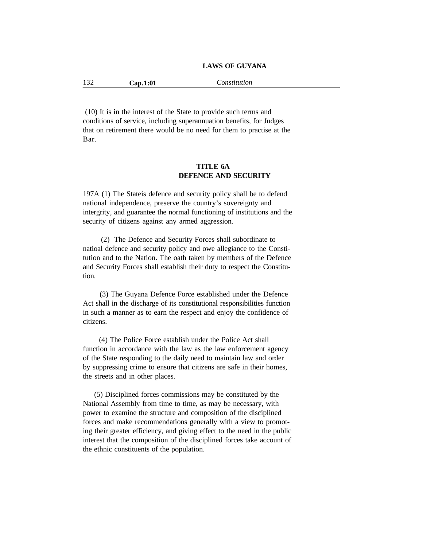(10) It is in the interest of the State to provide such terms and conditions of service, including superannuation benefits, for Judges that on retirement there would be no need for them to practise at the Bar.

# **TITLE 6A DEFENCE AND SECURITY**

197A (1) The Stateis defence and security policy shall be to defend national independence, preserve the country's sovereignty and intergrity, and guarantee the normal functioning of institutions and the security of citizens against any armed aggression.

 (2) The Defence and Security Forces shall subordinate to natioal defence and security policy and owe allegiance to the Constitution and to the Nation. The oath taken by members of the Defence and Security Forces shall establish their duty to respect the Constitution.

 (3) The Guyana Defence Force established under the Defence Act shall in the discharge of its constitutional responsibilities function in such a manner as to earn the respect and enjoy the confidence of citizens.

 (4) The Police Force establish under the Police Act shall function in accordance with the law as the law enforcement agency of the State responding to the daily need to maintain law and order by suppressing crime to ensure that citizens are safe in their homes, the streets and in other places.

 (5) Disciplined forces commissions may be constituted by the National Assembly from time to time, as may be necessary, with power to examine the structure and composition of the disciplined forces and make recommendations generally with a view to promoting their greater efficiency, and giving effect to the need in the public interest that the composition of the disciplined forces take account of the ethnic constituents of the population.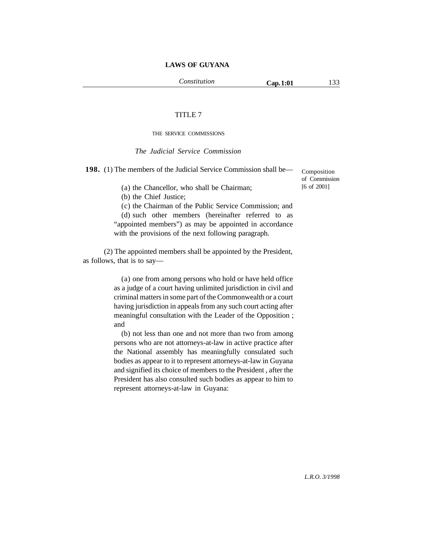#### TITLE 7

### THE SERVICE COMMISSIONS

### *The Judicial Service Commission*

**198.** (1) The members of the Judicial Service Commission shall be—

(a) the Chancellor, who shall be Chairman;

(b) the Chief Justice;

(c) the Chairman of the Public Service Commission; and

(d) such other members (hereinafter referred to as "appointed members") as may be appointed in accordance with the provisions of the next following paragraph.

(2) The appointed members shall be appointed by the President, as follows, that is to say—

> (a) one from among persons who hold or have held office as a judge of a court having unlimited jurisdiction in civil and criminal matters in some part of the Commonwealth or a court having jurisdiction in appeals from any such court acting after meaningful consultation with the Leader of the Opposition ; and

> (b) not less than one and not more than two from among persons who are not attorneys-at-law in active practice after the National assembly has meaningfully consulated such bodies as appear to it to represent attorneys-at-law in Guyana and signified its choice of members to the President , after the President has also consulted such bodies as appear to him to represent attorneys-at-law in Guyana:

Composition of Commission [6 of 2001]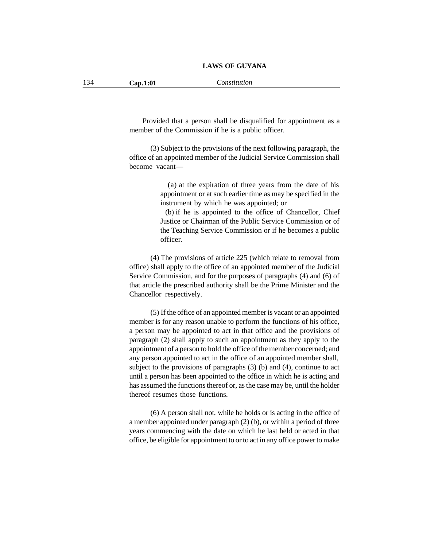Provided that a person shall be disqualified for appointment as a member of the Commission if he is a public officer.

(3) Subject to the provisions of the next following paragraph, the office of an appointed member of the Judicial Service Commission shall become vacant—

> (a) at the expiration of three years from the date of his appointment or at such earlier time as may be specified in the instrument by which he was appointed; or

> (b) if he is appointed to the office of Chancellor, Chief Justice or Chairman of the Public Service Commission or of the Teaching Service Commission or if he becomes a public officer.

(4) The provisions of article 225 (which relate to removal from office) shall apply to the office of an appointed member of the Judicial Service Commission, and for the purposes of paragraphs (4) and (6) of that article the prescribed authority shall be the Prime Minister and the Chancellor respectively.

(5) If the office of an appointed member is vacant or an appointed member is for any reason unable to perform the functions of his office, a person may be appointed to act in that office and the provisions of paragraph (2) shall apply to such an appointment as they apply to the appointment of a person to hold the office of the member concerned; and any person appointed to act in the office of an appointed member shall, subject to the provisions of paragraphs (3) (b) and (4), continue to act until a person has been appointed to the office in which he is acting and has assumed the functions thereof or, as the case may be, until the holder thereof resumes those functions.

(6) A person shall not, while he holds or is acting in the office of a member appointed under paragraph (2) (b), or within a period of three years commencing with the date on which he last held or acted in that office, be eligible for appointment to or to act in any office power to make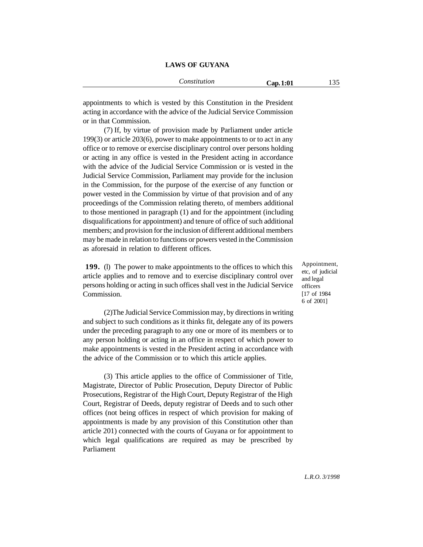appointments to which is vested by this Constitution in the President acting in accordance with the advice of the Judicial Service Commission or in that Commission.

(7) If, by virtue of provision made by Parliament under article 199(3) or article 203(6), power to make appointments to or to act in any office or to remove or exercise disciplinary control over persons holding or acting in any office is vested in the President acting in accordance with the advice of the Judicial Service Commission or is vested in the Judicial Service Commission, Parliament may provide for the inclusion in the Commission, for the purpose of the exercise of any function or power vested in the Commission by virtue of that provision and of any proceedings of the Commission relating thereto, of members additional to those mentioned in paragraph (1) and for the appointment (including disqualifications for appointment) and tenure of office of such additional members; and provision for the inclusion of different additional members may be made in relation to functions or powers vested in the Commission as aforesaid in relation to different offices.

**199.** (l) The power to make appointments to the offices to which this article applies and to remove and to exercise disciplinary control over persons holding or acting in such offices shall vest in the Judicial Service Commission.

(2)The Judicial Service Commission may, by directions in writing and subject to such conditions as it thinks fit, delegate any of its powers under the preceding paragraph to any one or more of its members or to any person holding or acting in an office in respect of which power to make appointments is vested in the President acting in accordance with the advice of the Commission or to which this article applies.

(3) This article applies to the office of Commissioner of Title, Magistrate, Director of Public Prosecution, Deputy Director of Public Prosecutions, Registrar of the High Court, Deputy Registrar of the High Court, Registrar of Deeds, deputy registrar of Deeds and to such other offices (not being offices in respect of which provision for making of appointments is made by any provision of this Constitution other than article 201) connected with the courts of Guyana or for appointment to which legal qualifications are required as may be prescribed by Parliament

Appointment, etc, of judicial and legal officers [17 of 1984 6 of 2001]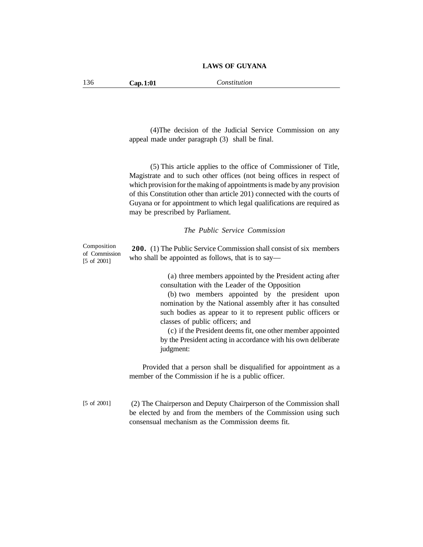(4)The decision of the Judicial Service Commission on any appeal made under paragraph (3) shall be final.

(5) This article applies to the office of Commissioner of Title, Magistrate and to such other offices (not being offices in respect of which provision for the making of appointments is made by any provision of this Constitution other than article 201) connected with the courts of Guyana or for appointment to which legal qualifications are required as may be prescribed by Parliament.

### *The Public Service Commission*

Composition of Commission [5 of 2001]

**200.** (1) The Public Service Commission shall consist of six members who shall be appointed as follows, that is to say—

> (a) three members appointed by the President acting after consultation with the Leader of the Opposition

> (b) two members appointed by the president upon nomination by the National assembly after it has consulted such bodies as appear to it to represent public officers or classes of public officers; and

> (c) if the President deems fit, one other member appointed by the President acting in accordance with his own deliberate judgment:

Provided that a person shall be disqualified for appointment as a member of the Commission if he is a public officer.

 (2) The Chairperson and Deputy Chairperson of the Commission shall be elected by and from the members of the Commission using such consensual mechanism as the Commission deems fit. [5 of 2001]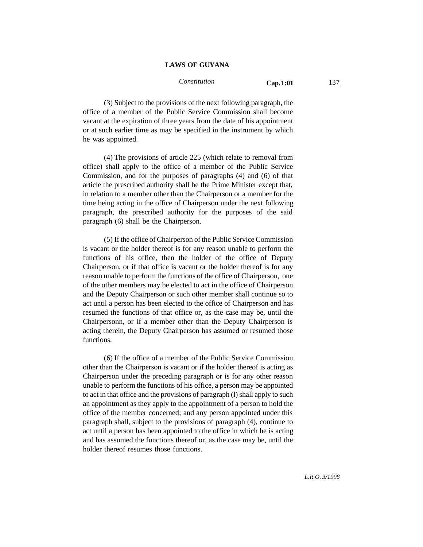(3) Subject to the provisions of the next following paragraph, the office of a member of the Public Service Commission shall become vacant at the expiration of three years from the date of his appointment or at such earlier time as may be specified in the instrument by which he was appointed.

(4) The provisions of article 225 (which relate to removal from office) shall apply to the office of a member of the Public Service Commission, and for the purposes of paragraphs (4) and (6) of that article the prescribed authority shall be the Prime Minister except that, in relation to a member other than the Chairperson or a member for the time being acting in the office of Chairperson under the next following paragraph, the prescribed authority for the purposes of the said paragraph (6) shall be the Chairperson.

(5) If the office of Chairperson of the Public Service Commission is vacant or the holder thereof is for any reason unable to perform the functions of his office, then the holder of the office of Deputy Chairperson, or if that office is vacant or the holder thereof is for any reason unable to perform the functions of the office of Chairperson, one of the other members may be elected to act in the office of Chairperson and the Deputy Chairperson or such other member shall continue so to act until a person has been elected to the office of Chairperson and has resumed the functions of that office or, as the case may be, until the Chairpersonn, or if a member other than the Deputy Chairperson is acting therein, the Deputy Chairperson has assumed or resumed those functions.

(6) If the office of a member of the Public Service Commission other than the Chairperson is vacant or if the holder thereof is acting as Chairperson under the preceding paragraph or is for any other reason unable to perform the functions of his office, a person may be appointed to act in that office and the provisions of paragraph (l) shall apply to such an appointment as they apply to the appointment of a person to hold the office of the member concerned; and any person appointed under this paragraph shall, subject to the provisions of paragraph (4), continue to act until a person has been appointed to the office in which he is acting and has assumed the functions thereof or, as the case may be, until the holder thereof resumes those functions.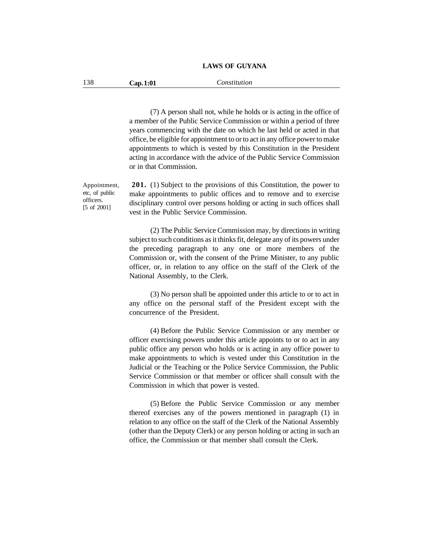(7) A person shall not, while he holds or is acting in the office of a member of the Public Service Commission or within a period of three years commencing with the date on which he last held or acted in that office, be eligible for appointment to or to act in any office power to make appointments to which is vested by this Constitution in the President acting in accordance with the advice of the Public Service Commission or in that Commission.

Appointment, etc, of public officers. [5 of 2001]

**201.** (1) Subject to the provisions of this Constitution, the power to make appointments to public offices and to remove and to exercise disciplinary control over persons holding or acting in such offices shall vest in the Public Service Commission.

(2) The Public Service Commission may, by directions in writing subject to such conditions as it thinks fit, delegate any of its powers under the preceding paragraph to any one or more members of the Commission or, with the consent of the Prime Minister, to any public officer, or, in relation to any office on the staff of the Clerk of the National Assembly, to the Clerk.

(3) No person shall be appointed under this article to or to act in any office on the personal staff of the President except with the concurrence of the President.

(4) Before the Public Service Commission or any member or officer exercising powers under this article appoints to or to act in any public office any person who holds or is acting in any office power to make appointments to which is vested under this Constitution in the Judicial or the Teaching or the Police Service Commission, the Public Service Commission or that member or officer shall consult with the Commission in which that power is vested.

(5) Before the Public Service Commission or any member thereof exercises any of the powers mentioned in paragraph (1) in relation to any office on the staff of the Clerk of the National Assembly (other than the Deputy Clerk) or any person holding or acting in such an office, the Commission or that member shall consult the Clerk.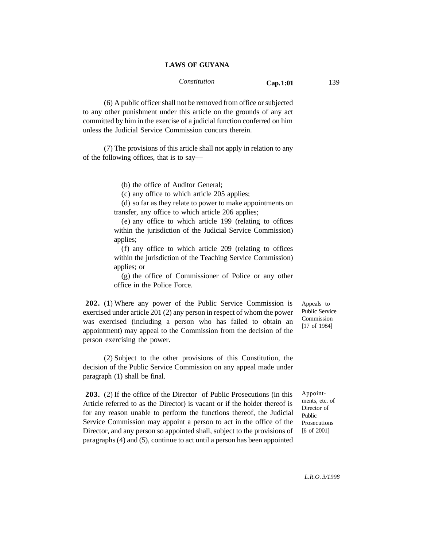| Constitution | <b>Cap. 1:01</b> |  |
|--------------|------------------|--|
|              |                  |  |

(6) A public officer shall not be removed from office or subjected to any other punishment under this article on the grounds of any act committed by him in the exercise of a judicial function conferred on him unless the Judicial Service Commission concurs therein.

(7) The provisions of this article shall not apply in relation to any of the following offices, that is to say—

(b) the office of Auditor General;

(c) any office to which article 205 applies;

(d) so far as they relate to power to make appointments on transfer, any office to which article 206 applies;

(e) any office to which article 199 (relating to offices within the jurisdiction of the Judicial Service Commission) applies;

(f) any office to which article 209 (relating to offices within the jurisdiction of the Teaching Service Commission) applies; or

(g) the office of Commissioner of Police or any other office in the Police Force.

**202.** (1) Where any power of the Public Service Commission is exercised under article 201 (2) any person in respect of whom the power was exercised (including a person who has failed to obtain an appointment) may appeal to the Commission from the decision of the person exercising the power.

(2) Subject to the other provisions of this Constitution, the decision of the Public Service Commission on any appeal made under paragraph (1) shall be final.

**203.** (2) If the office of the Director of Public Prosecutions (in this Article referred to as the Director) is vacant or if the holder thereof is for any reason unable to perform the functions thereof, the Judicial Service Commission may appoint a person to act in the office of the Director, and any person so appointed shall, subject to the provisions of paragraphs (4) and (5), continue to act until a person has been appointed

Appeals to Public Service Commission [17 of 1984]

Appointments, etc. of Director of Public Prosecutions [6 of 2001]

*L.R.O. 3/1998*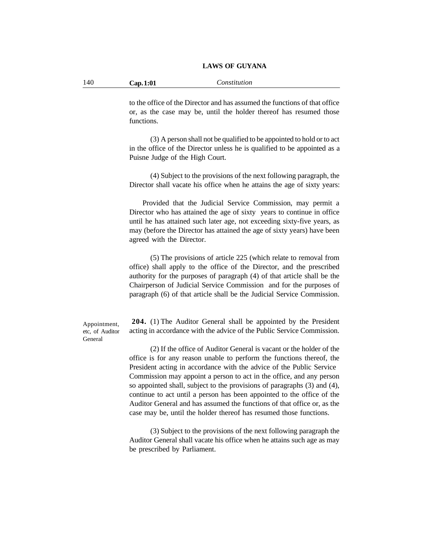| -140<br>Cap.1:01 | Constitution |
|------------------|--------------|
|------------------|--------------|

to the office of the Director and has assumed the functions of that office or, as the case may be, until the holder thereof has resumed those functions.

(3) A person shall not be qualified to be appointed to hold or to act in the office of the Director unless he is qualified to be appointed as a Puisne Judge of the High Court.

(4) Subject to the provisions of the next following paragraph, the Director shall vacate his office when he attains the age of sixty years:

Provided that the Judicial Service Commission, may permit a Director who has attained the age of sixty years to continue in office until he has attained such later age, not exceeding sixty-five years, as may (before the Director has attained the age of sixty years) have been agreed with the Director.

(5) The provisions of article 225 (which relate to removal from office) shall apply to the office of the Director, and the prescribed authority for the purposes of paragraph (4) of that article shall be the Chairperson of Judicial Service Commission and for the purposes of paragraph (6) of that article shall be the Judicial Service Commission.

Appointment, etc, of Auditor General

**204.** (1) The Auditor General shall be appointed by the President acting in accordance with the advice of the Public Service Commission.

(2) If the office of Auditor General is vacant or the holder of the office is for any reason unable to perform the functions thereof, the President acting in accordance with the advice of the Public Service Commission may appoint a person to act in the office, and any person so appointed shall, subject to the provisions of paragraphs (3) and (4), continue to act until a person has been appointed to the office of the Auditor General and has assumed the functions of that office or, as the case may be, until the holder thereof has resumed those functions.

(3) Subject to the provisions of the next following paragraph the Auditor General shall vacate his office when he attains such age as may be prescribed by Parliament.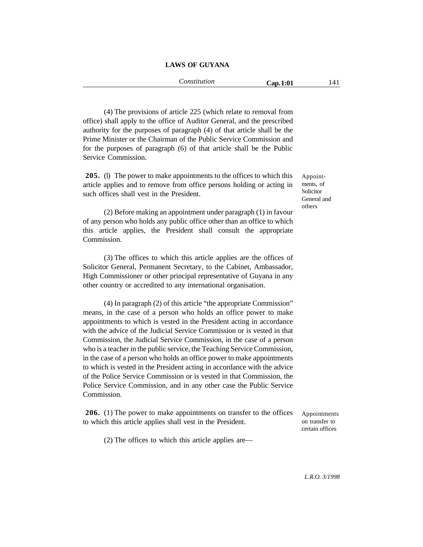(4) The provisions of article 225 (which relate to removal from office) shall apply to the office of Auditor General, and the prescribed authority for the purposes of paragraph (4) of that article shall be the Prime Minister or the Chairman of the Public Service Commission and for the purposes of paragraph (6) of that article shall be the Public Service Commission.

**205.** (l) The power to make appointments to the offices to which this article applies and to remove from office persons holding or acting in such offices shall vest in the President.

(2) Before making an appointment under paragraph (1) in favour of any person who holds any public office other than an office to which this article applies, the President shall consult the appropriate Commission.

(3) The offices to which this article applies are the offices of Solicitor General, Permanent Secretary, to the Cabinet, Ambassador, High Commissioner or other principal representative of Guyana in any other country or accredited to any international organisation.

(4) In paragraph (2) of this article "the appropriate Commission" means, in the case of a person who holds an office power to make appointments to which is vested in the President acting in accordance with the advice of the Judicial Service Commission or is vested in that Commission, the Judicial Service Commission, in the case of a person who is a teacher in the public service, the Teaching Service Commission, in the case of a person who holds an office power to make appointments to which is vested in the President acting in accordance with the advice of the Police Service Commission or is vested in that Commission, the Police Service Commission, and in any other case the Public Service Commission.

**206.** (1) The power to make appointments on transfer to the offices to which this article applies shall vest in the President.

Appointments on transfer to certain offices

(2) The offices to which this article applies are—

Appointments, of Solicitor General and others

*L.R.O. 3/1998*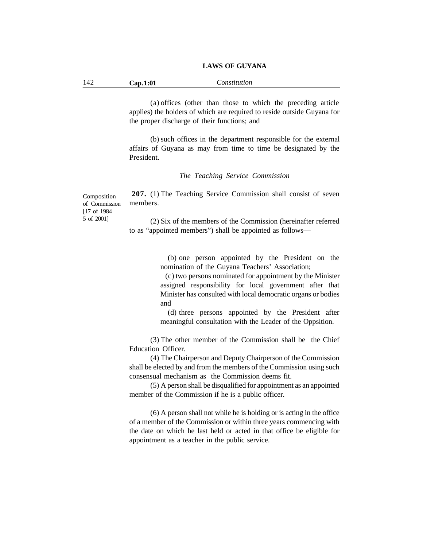| 142 | Cap.1:01 | Constitution |
|-----|----------|--------------|
|-----|----------|--------------|

(a) offices (other than those to which the preceding article applies) the holders of which are required to reside outside Guyana for the proper discharge of their functions; and

(b) such offices in the department responsible for the external affairs of Guyana as may from time to time be designated by the President.

*The Teaching Service Commission*

Composition of Commission [17 of 1984 5 of 2001]

**207.** (1) The Teaching Service Commission shall consist of seven members.

(2) Six of the members of the Commission (hereinafter referred to as "appointed members") shall be appointed as follows—

> (b) one person appointed by the President on the nomination of the Guyana Teachers' Association;

> (c) two persons nominated for appointment by the Minister assigned responsibility for local government after that Minister has consulted with local democratic organs or bodies and

> (d) three persons appointed by the President after meaningful consultation with the Leader of the Oppsition.

(3) The other member of the Commission shall be the Chief Education Officer.

(4) The Chairperson and Deputy Chairperson of the Commission shall be elected by and from the members of the Commission using such consensual mechanism as the Commission deems fit.

(5) A person shall be disqualified for appointment as an appointed member of the Commission if he is a public officer.

(6) A person shall not while he is holding or is acting in the office of a member of the Commission or within three years commencing with the date on which he last held or acted in that office be eligible for appointment as a teacher in the public service.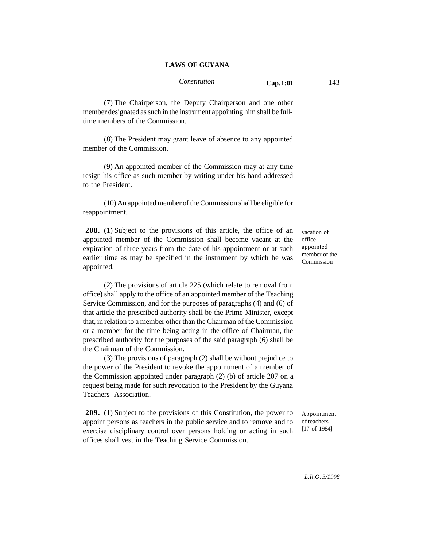(7) The Chairperson, the Deputy Chairperson and one other member designated as such in the instrument appointing him shall be fulltime members of the Commission.

(8) The President may grant leave of absence to any appointed member of the Commission.

(9) An appointed member of the Commission may at any time resign his office as such member by writing under his hand addressed to the President.

(10) An appointed member of the Commission shall be eligible for reappointment.

**208.** (1) Subject to the provisions of this article, the office of an appointed member of the Commission shall become vacant at the expiration of three years from the date of his appointment or at such earlier time as may be specified in the instrument by which he was appointed.

(2) The provisions of article 225 (which relate to removal from office) shall apply to the office of an appointed member of the Teaching Service Commission, and for the purposes of paragraphs (4) and (6) of that article the prescribed authority shall be the Prime Minister, except that, in relation to a member other than the Chairman of the Commission or a member for the time being acting in the office of Chairman, the prescribed authority for the purposes of the said paragraph (6) shall be the Chairman of the Commission.

(3) The provisions of paragraph (2) shall be without prejudice to the power of the President to revoke the appointment of a member of the Commission appointed under paragraph (2) (b) of article 207 on a request being made for such revocation to the President by the Guyana Teachers Association.

**209.** (1) Subject to the provisions of this Constitution, the power to appoint persons as teachers in the public service and to remove and to exercise disciplinary control over persons holding or acting in such offices shall vest in the Teaching Service Commission.

vacation of office appointed member of the Commission

Appointment of teachers [17 of 1984]

*L.R.O. 3/1998*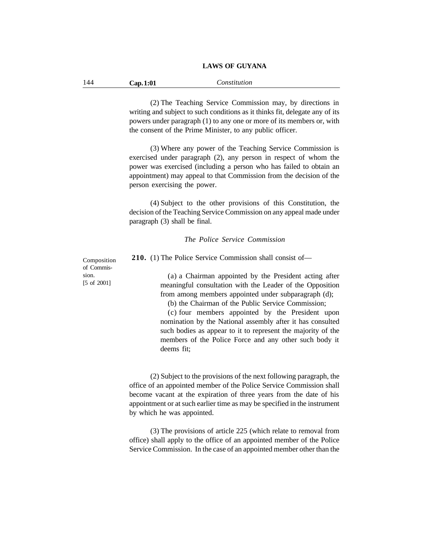| 144<br>Cap.1:01 | Constitution |
|-----------------|--------------|
|-----------------|--------------|

(2) The Teaching Service Commission may, by directions in writing and subject to such conditions as it thinks fit, delegate any of its powers under paragraph (1) to any one or more of its members or, with the consent of the Prime Minister, to any public officer.

(3) Where any power of the Teaching Service Commission is exercised under paragraph (2), any person in respect of whom the power was exercised (including a person who has failed to obtain an appointment) may appeal to that Commission from the decision of the person exercising the power.

(4) Subject to the other provisions of this Constitution, the decision of the Teaching Service Commission on any appeal made under paragraph (3) shall be final.

## *The Police Service Commission*

**210.** (1) The Police Service Commission shall consist of—

Composition of Commission. [5 of 2001]

(a) a Chairman appointed by the President acting after meaningful consultation with the Leader of the Opposition from among members appointed under subparagraph (d);

(b) the Chairman of the Public Service Commission;

(c) four members appointed by the President upon nomination by the National assembly after it has consulted such bodies as appear to it to represent the majority of the members of the Police Force and any other such body it deems fit;

(2) Subject to the provisions of the next following paragraph, the office of an appointed member of the Police Service Commission shall become vacant at the expiration of three years from the date of his appointment or at such earlier time as may be specified in the instrument by which he was appointed.

(3) The provisions of article 225 (which relate to removal from office) shall apply to the office of an appointed member of the Police Service Commission. In the case of an appointed member other than the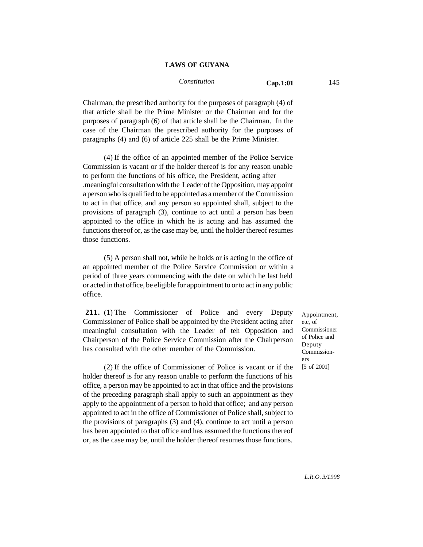Chairman, the prescribed authority for the purposes of paragraph (4) of that article shall be the Prime Minister or the Chairman and for the purposes of paragraph (6) of that article shall be the Chairman. In the case of the Chairman the prescribed authority for the purposes of paragraphs (4) and (6) of article 225 shall be the Prime Minister.

(4) If the office of an appointed member of the Police Service Commission is vacant or if the holder thereof is for any reason unable to perform the functions of his office, the President, acting after .meaningful consultation with the Leader of the Opposition, may appoint a person who is qualified to be appointed as a member of the Commission to act in that office, and any person so appointed shall, subject to the provisions of paragraph (3), continue to act until a person has been appointed to the office in which he is acting and has assumed the functions thereof or, as the case may be, until the holder thereof resumes those functions.

(5) A person shall not, while he holds or is acting in the office of an appointed member of the Police Service Commission or within a period of three years commencing with the date on which he last held or acted in that office, be eligible for appointment to or to act in any public office.

211. (1) The Commissioner of Police and every Deputy Commissioner of Police shall be appointed by the President acting after meaningful consultation with the Leader of teh Opposition and Chairperson of the Police Service Commission after the Chairperson has consulted with the other member of the Commission.

(2) If the office of Commissioner of Police is vacant or if the holder thereof is for any reason unable to perform the functions of his office, a person may be appointed to act in that office and the provisions of the preceding paragraph shall apply to such an appointment as they apply to the appointment of a person to hold that office; and any person appointed to act in the office of Commissioner of Police shall, subject to the provisions of paragraphs (3) and (4), continue to act until a person has been appointed to that office and has assumed the functions thereof or, as the case may be, until the holder thereof resumes those functions.

Appointment, etc, of Commissioner of Police and Deputy Commissioners [5 of 2001]

*L.R.O. 3/1998*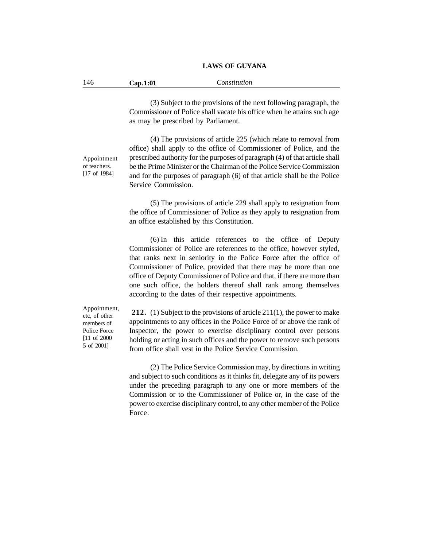(3) Subject to the provisions of the next following paragraph, the Commissioner of Police shall vacate his office when he attains such age as may be prescribed by Parliament.

(4) The provisions of article 225 (which relate to removal from office) shall apply to the office of Commissioner of Police, and the prescribed authority for the purposes of paragraph (4) of that article shall be the Prime Minister or the Chairman of the Police Service Commission and for the purposes of paragraph (6) of that article shall be the Police Service Commission.

(5) The provisions of article 229 shall apply to resignation from the office of Commissioner of Police as they apply to resignation from an office established by this Constitution.

(6) In this article references to the office of Deputy Commissioner of Police are references to the office, however styled, that ranks next in seniority in the Police Force after the office of Commissioner of Police, provided that there may be more than one office of Deputy Commissioner of Police and that, if there are more than one such office, the holders thereof shall rank among themselves according to the dates of their respective appointments.

Appointment, etc, of other members of Police Force [11 of 2000 5 of 2001]

**212.** (1) Subject to the provisions of article 211(1), the power to make appointments to any offices in the Police Force of or above the rank of Inspector, the power to exercise disciplinary control over persons holding or acting in such offices and the power to remove such persons from office shall vest in the Police Service Commission.

(2) The Police Service Commission may, by directions in writing and subject to such conditions as it thinks fit, delegate any of its powers under the preceding paragraph to any one or more members of the Commission or to the Commissioner of Police or, in the case of the power to exercise disciplinary control, to any other member of the Police Force.

Appointment of teachers. [17 of 1984]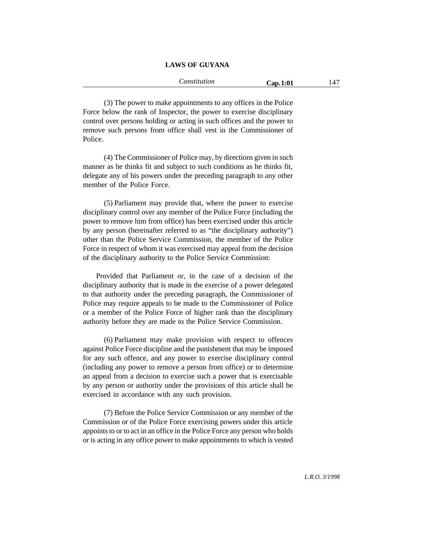(3) The power to make appointments to any offices in the Police Force below the rank of Inspector, the power to exercise disciplinary control over persons holding or acting in such offices and the power to remove such persons from office shall vest in the Commissioner of

(4) The Commissioner of Police may, by directions given in such manner as he thinks fit and subject to such conditions as he thinks fit, delegate any of his powers under the preceding paragraph to any other member of the Police Force.

Police.

(5) Parliament may provide that, where the power to exercise disciplinary control over any member of the Police Force (including the power to remove him from office) has been exercised under this article by any person (hereinafter referred to as "the disciplinary authority") other than the Police Service Commission, the member of the Police Force in respect of whom it was exercised may appeal from the decision of the disciplinary authority to the Police Service Commission:

Provided that Parliament or, in the case of a decision of the disciplinary authority that is made in the exercise of a power delegated to that authority under the preceding paragraph, the Commissioner of Police may require appeals to be made to the Commissioner of Police or a member of the Police Force of higher rank than the disciplinary authority before they are made to the Police Service Commission.

(6) Parliament may make provision with respect to offences against Police Force discipline and the punishment that may be imposed for any such offence, and any power to exercise disciplinary control (including any power to remove a person from office) or to determine an appeal from a decision to exercise such a power that is exercisable by any person or authority under the provisions of this article shall be exercised in accordance with any such provision.

(7) Before the Police Service Commission or any member of the Commission or of the Police Force exercising powers under this article appoints to or to act in an office in the Police Force any person who holds or is acting in any office power to make appointments to which is vested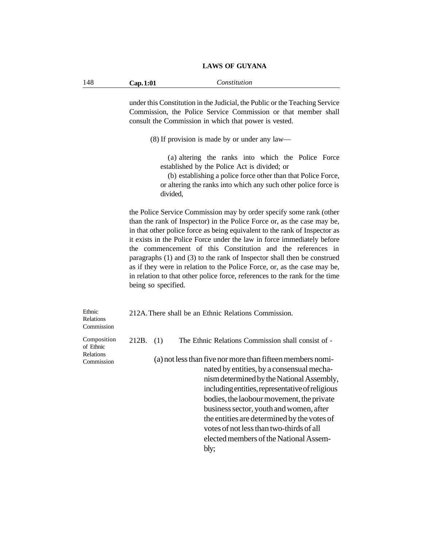| $\mathcal{L}$ ap. 1:01 | Constitution |
|------------------------|--------------|
|                        |              |

under this Constitution in the Judicial, the Public or the Teaching Service Commission, the Police Service Commission or that member shall consult the Commission in which that power is vested.

(8) If provision is made by or under any law—

(a) altering the ranks into which the Police Force established by the Police Act is divided; or

(b) establishing a police force other than that Police Force, or altering the ranks into which any such other police force is divided,

the Police Service Commission may by order specify some rank (other than the rank of Inspector) in the Police Force or, as the case may be, in that other police force as being equivalent to the rank of Inspector as it exists in the Police Force under the law in force immediately before the commencement of this Constitution and the references in paragraphs (1) and (3) to the rank of Inspector shall then be construed as if they were in relation to the Police Force, or, as the case may be, in relation to that other police force, references to the rank for the time being so specified.

212A.There shall be an Ethnic Relations Commission.

Relations Commission Composition

of Ethnic Relations Commission

Ethnic

212B. (1) The Ethnic Relations Commission shall consist of -

(a) not less than five nor more than fifteen members nominated by entities, by a consensual mechanism determined by the National Assembly, including entities, representative of religious bodies, the laobour movement, the private business sector, youth and women, after the entities are determined by the votes of votes of not less than two-thirds of all elected members of the National Assembly;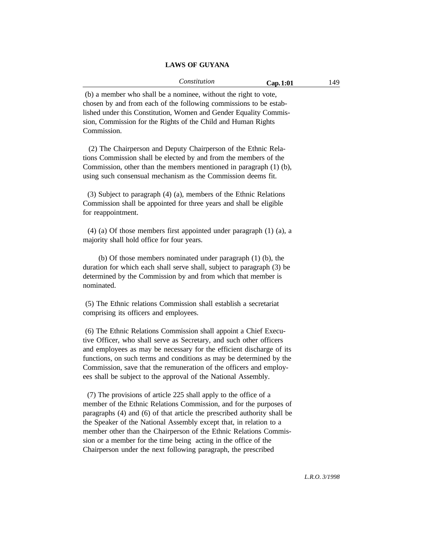# *Constitution* **Cap. 1:01** 149 (b) a member who shall be a nominee, without the right to vote, chosen by and from each of the following commissions to be established under this Constitution, Women and Gender Equality Commission, Commission for the Rights of the Child and Human Rights Commission. (2) The Chairperson and Deputy Chairperson of the Ethnic Relations Commission shall be elected by and from the members of the Commission, other than the members mentioned in paragraph (1) (b), using such consensual mechanism as the Commission deems fit. (3) Subject to paragraph (4) (a), members of the Ethnic Relations Commission shall be appointed for three years and shall be eligible for reappointment. (4) (a) Of those members first appointed under paragraph (1) (a), a majority shall hold office for four years. (b) Of those members nominated under paragraph (1) (b), the duration for which each shall serve shall, subject to paragraph (3) be determined by the Commission by and from which that member is nominated. (5) The Ethnic relations Commission shall establish a secretariat comprising its officers and employees. (6) The Ethnic Relations Commission shall appoint a Chief Executive Officer, who shall serve as Secretary, and such other officers and employees as may be necessary for the efficient discharge of its functions, on such terms and conditions as may be determined by the Commission, save that the remuneration of the officers and employees shall be subject to the approval of the National Assembly. (7) The provisions of article 225 shall apply to the office of a member of the Ethnic Relations Commission, and for the purposes of paragraphs (4) and (6) of that article the prescribed authority shall be the Speaker of the National Assembly except that, in relation to a member other than the Chairperson of the Ethnic Relations Commission or a member for the time being acting in the office of the Chairperson under the next following paragraph, the prescribed

**LAWS OF GUYANA**

*L.R.O. 3/1998*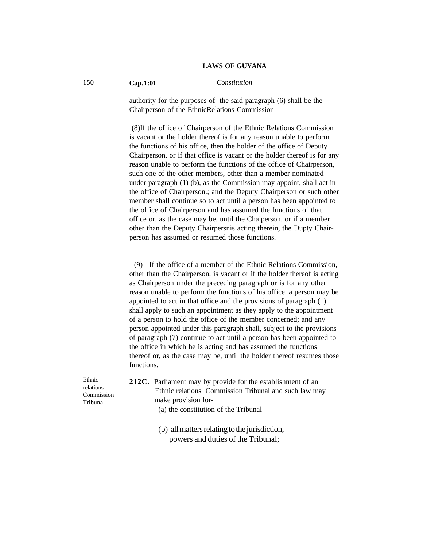150 **Cap. 1:01** *Constitution*

authority for the purposes of the said paragraph (6) shall be the Chairperson of the EthnicRelations Commission

 (8)If the office of Chairperson of the Ethnic Relations Commission is vacant or the holder thereof is for any reason unable to perform the functions of his office, then the holder of the office of Deputy Chairperson, or if that office is vacant or the holder thereof is for any reason unable to perform the functions of the office of Chairperson, such one of the other members, other than a member nominated under paragraph (1) (b), as the Commission may appoint, shall act in the office of Chairperson.; and the Deputy Chairperson or such other member shall continue so to act until a person has been appointed to the office of Chairperson and has assumed the functions of that office or, as the case may be, until the Chaiperson, or if a member other than the Deputy Chairpersnis acting therein, the Dupty Chairperson has assumed or resumed those functions.

 (9) If the office of a member of the Ethnic Relations Commission, other than the Chairperson, is vacant or if the holder thereof is acting as Chairperson under the preceding paragraph or is for any other reason unable to perform the functions of his office, a person may be appointed to act in that office and the provisions of paragraph (1) shall apply to such an appointment as they apply to the appointment of a person to hold the office of the member concerned; and any person appointed under this paragraph shall, subject to the provisions of paragraph (7) continue to act until a person has been appointed to the office in which he is acting and has assumed the functions thereof or, as the case may be, until the holder thereof resumes those functions.

Ethnic relations Commission Tribunal

- **212C**. Parliament may by provide for the establishment of an Ethnic relations Commission Tribunal and such law may make provision for-
	- (a) the constitution of the Tribunal
	- (b) all matters relating to the jurisdiction, powers and duties of the Tribunal;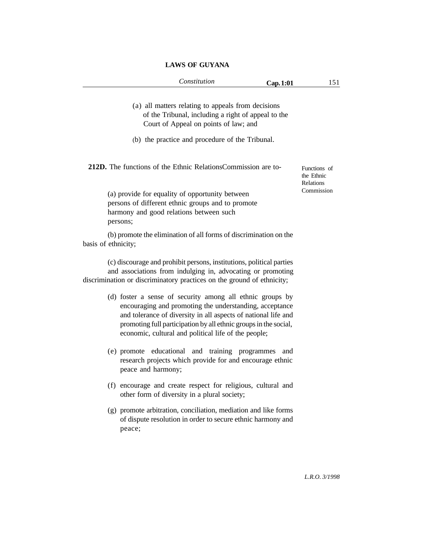|                                                                                          | Constitution                                                                                                                                                                                                                                                                                                       | Cap. 1:01 | 151                                     |
|------------------------------------------------------------------------------------------|--------------------------------------------------------------------------------------------------------------------------------------------------------------------------------------------------------------------------------------------------------------------------------------------------------------------|-----------|-----------------------------------------|
|                                                                                          | (a) all matters relating to appeals from decisions<br>of the Tribunal, including a right of appeal to the<br>Court of Appeal on points of law; and                                                                                                                                                                 |           |                                         |
|                                                                                          | (b) the practice and procedure of the Tribunal.                                                                                                                                                                                                                                                                    |           |                                         |
|                                                                                          | 212D. The functions of the Ethnic RelationsCommission are to-                                                                                                                                                                                                                                                      |           | Functions of<br>the Ethnic<br>Relations |
|                                                                                          | (a) provide for equality of opportunity between<br>persons of different ethnic groups and to promote<br>harmony and good relations between such<br>persons;                                                                                                                                                        |           | Commission                              |
| (b) promote the elimination of all forms of discrimination on the<br>basis of ethnicity; |                                                                                                                                                                                                                                                                                                                    |           |                                         |
|                                                                                          | (c) discourage and prohibit persons, institutions, political parties<br>and associations from indulging in, advocating or promoting<br>discrimination or discriminatory practices on the ground of ethnicity;                                                                                                      |           |                                         |
|                                                                                          | (d) foster a sense of security among all ethnic groups by<br>encouraging and promoting the understanding, acceptance<br>and tolerance of diversity in all aspects of national life and<br>promoting full participation by all ethnic groups in the social,<br>economic, cultural and political life of the people; |           |                                         |
|                                                                                          | (e) promote educational and training programmes<br>research projects which provide for and encourage ethnic<br>peace and harmony;                                                                                                                                                                                  | and       |                                         |
|                                                                                          | (f) encourage and create respect for religious, cultural and<br>other form of diversity in a plural society;                                                                                                                                                                                                       |           |                                         |
|                                                                                          | (g) promote arbitration, conciliation, mediation and like forms<br>of dispute resolution in order to secure ethnic harmony and<br>peace;                                                                                                                                                                           |           |                                         |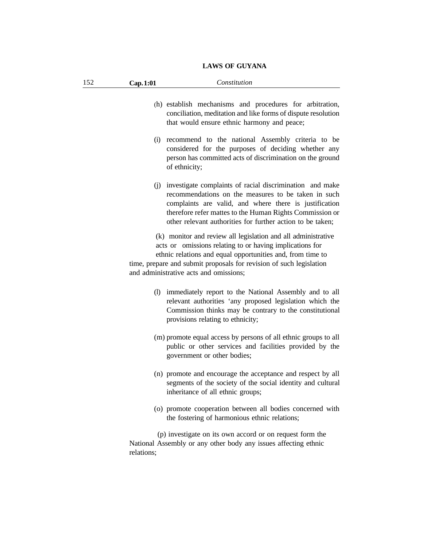| 152 | Cap. 1:01  | Constitution                                                                                                                                                                                                                                                                                             |
|-----|------------|----------------------------------------------------------------------------------------------------------------------------------------------------------------------------------------------------------------------------------------------------------------------------------------------------------|
|     |            | (h) establish mechanisms and procedures for arbitration,<br>conciliation, meditation and like forms of dispute resolution<br>that would ensure ethnic harmony and peace;                                                                                                                                 |
|     |            | (i) recommend to the national Assembly criteria to be<br>considered for the purposes of deciding whether any<br>person has committed acts of discrimination on the ground<br>of ethnicity;                                                                                                               |
|     |            | (j) investigate complaints of racial discrimination and make<br>recommendations on the measures to be taken in such<br>complaints are valid, and where there is justification<br>therefore refer mattes to the Human Rights Commission or<br>other relevant authorities for further action to be taken;  |
|     |            | (k) monitor and review all legislation and all administrative<br>acts or omissions relating to or having implications for<br>ethnic relations and equal opportunities and, from time to<br>time, prepare and submit proposals for revision of such legislation<br>and administrative acts and omissions; |
|     |            | (I) immediately report to the National Assembly and to all<br>relevant authorities 'any proposed legislation which the<br>Commission thinks may be contrary to the constitutional<br>provisions relating to ethnicity;                                                                                   |
|     |            | (m) promote equal access by persons of all ethnic groups to all<br>public or other services and facilities provided by the<br>government or other bodies;                                                                                                                                                |
|     |            | (n) promote and encourage the acceptance and respect by all<br>segments of the society of the social identity and cultural<br>inheritance of all ethnic groups;                                                                                                                                          |
|     |            | (o) promote cooperation between all bodies concerned with<br>the fostering of harmonious ethnic relations;                                                                                                                                                                                               |
|     | relations; | (p) investigate on its own accord or on request form the<br>National Assembly or any other body any issues affecting ethnic                                                                                                                                                                              |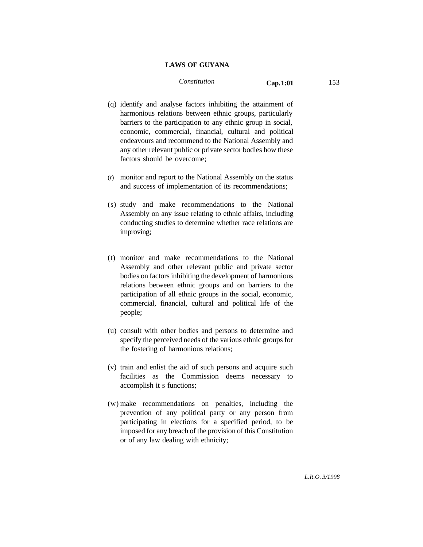- (q) identify and analyse factors inhibiting the attainment of harmonious relations between ethnic groups, particularly barriers to the participation to any ethnic group in social, economic, commercial, financial, cultural and political endeavours and recommend to the National Assembly and any other relevant public or private sector bodies how these factors should be overcome;
- (r) monitor and report to the National Assembly on the status and success of implementation of its recommendations;
- (s) study and make recommendations to the National Assembly on any issue relating to ethnic affairs, including conducting studies to determine whether race relations are improving;
- (t) monitor and make recommendations to the National Assembly and other relevant public and private sector bodies on factors inhibiting the development of harmonious relations between ethnic groups and on barriers to the participation of all ethnic groups in the social, economic, commercial, financial, cultural and political life of the people;
- (u) consult with other bodies and persons to determine and specify the perceived needs of the various ethnic groups for the fostering of harmonious relations;
- (v) train and enlist the aid of such persons and acquire such facilities as the Commission deems necessary to accomplish it s functions;
- (w) make recommendations on penalties, including the prevention of any political party or any person from participating in elections for a specified period, to be imposed for any breach of the provision of this Constitution or of any law dealing with ethnicity;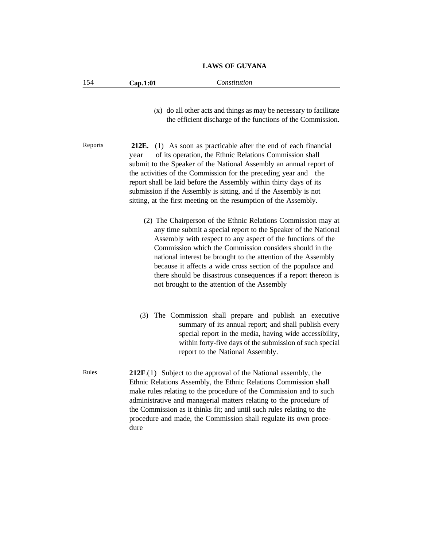|         |               | <b>LAWS OF GUYANA</b>                                                                                                                                                                                                                                                                                                                                                                                                                                                                                        |
|---------|---------------|--------------------------------------------------------------------------------------------------------------------------------------------------------------------------------------------------------------------------------------------------------------------------------------------------------------------------------------------------------------------------------------------------------------------------------------------------------------------------------------------------------------|
| 154     | Cap. 1:01     | Constitution                                                                                                                                                                                                                                                                                                                                                                                                                                                                                                 |
|         |               | (x) do all other acts and things as may be necessary to facilitate<br>the efficient discharge of the functions of the Commission.                                                                                                                                                                                                                                                                                                                                                                            |
| Reports | 212E.<br>year | (1) As soon as practicable after the end of each financial<br>of its operation, the Ethnic Relations Commission shall<br>submit to the Speaker of the National Assembly an annual report of<br>the activities of the Commission for the preceding year and the<br>report shall be laid before the Assembly within thirty days of its<br>submission if the Assembly is sitting, and if the Assembly is not<br>sitting, at the first meeting on the resumption of the Assembly.                                |
|         |               | (2) The Chairperson of the Ethnic Relations Commission may at<br>any time submit a special report to the Speaker of the National<br>Assembly with respect to any aspect of the functions of the<br>Commission which the Commission considers should in the<br>national interest be brought to the attention of the Assembly<br>because it affects a wide cross section of the populace and<br>there should be disastrous consequences if a report thereon is<br>not brought to the attention of the Assembly |
|         |               | (3) The Commission shall prepare and publish an executive<br>summary of its annual report; and shall publish every<br>special report in the media, having wide accessibility,<br>within forty-five days of the submission of such special<br>report to the National Assembly.                                                                                                                                                                                                                                |
| Rules   |               | $212F(1)$ Subject to the approval of the National assembly, the                                                                                                                                                                                                                                                                                                                                                                                                                                              |

Ethnic Relations Assembly, the Ethnic Relations Commission shall make rules relating to the procedure of the Commission and to such administrative and managerial matters relating to the procedure of the Commission as it thinks fit; and until such rules relating to the procedure and made, the Commission shall regulate its own procedure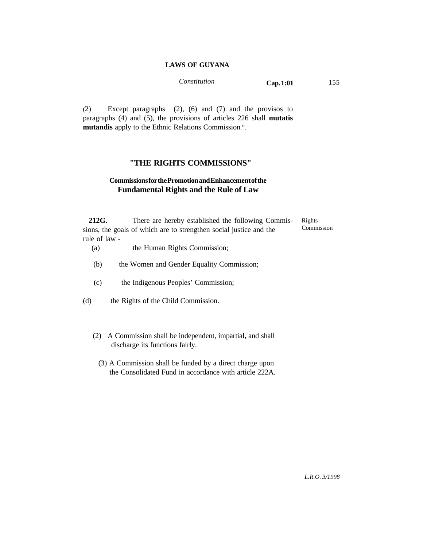| Constitution | Cap. 1:01 | د د . |
|--------------|-----------|-------|
|              |           |       |

(2) Except paragraphs (2), (6) and (7) and the provisos to paragraphs (4) and (5), the provisions of articles 226 shall **mutatis mutandis** apply to the Ethnic Relations Commission.".

#### **"THE RIGHTS COMMISSIONS"**

### **Commissions for the Promotion and Enhancement of the Fundamental Rights and the Rule of Law**

Rights Commission **212G.** There are hereby established the following Commissions, the goals of which are to strengthen social justice and the rule of law -

- (a) the Human Rights Commission;
- (b) the Women and Gender Equality Commission;
- (c) the Indigenous Peoples' Commission;
- (d) the Rights of the Child Commission.
	- (2) A Commission shall be independent, impartial, and shall discharge its functions fairly.
		- (3) A Commission shall be funded by a direct charge upon the Consolidated Fund in accordance with article 222A.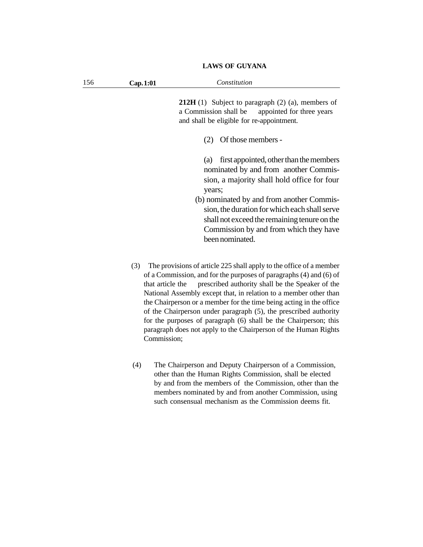| 156 | Cap. 1:01               | Constitution                                                                                                                                                                                                                                                                                                                                                |
|-----|-------------------------|-------------------------------------------------------------------------------------------------------------------------------------------------------------------------------------------------------------------------------------------------------------------------------------------------------------------------------------------------------------|
|     |                         | <b>212H</b> (1) Subject to paragraph (2) (a), members of<br>a Commission shall be<br>appointed for three years<br>and shall be eligible for re-appointment.                                                                                                                                                                                                 |
|     |                         | Of those members -<br>(2)                                                                                                                                                                                                                                                                                                                                   |
|     |                         | first appointed, other than the members<br>(a)<br>nominated by and from another Commis-<br>sion, a majority shall hold office for four<br>years;<br>(b) nominated by and from another Commis-<br>sion, the duration for which each shall serve<br>shall not exceed the remaining tenure on the<br>Commission by and from which they have<br>been nominated. |
|     | (3)<br>that article the | The provisions of article 225 shall apply to the office of a member<br>of a Commission, and for the purposes of paragraphs (4) and (6) of<br>prescribed authority shall be the Speaker of the<br>National Assembly except that in relation to a member other than                                                                                           |

- National Assembly except that, in relation to a member other than the Chairperson or a member for the time being acting in the office of the Chairperson under paragraph (5), the prescribed authority for the purposes of paragraph (6) shall be the Chairperson; this paragraph does not apply to the Chairperson of the Human Rights Commission;
- (4) The Chairperson and Deputy Chairperson of a Commission, other than the Human Rights Commission, shall be elected by and from the members of the Commission, other than the members nominated by and from another Commission, using such consensual mechanism as the Commission deems fit.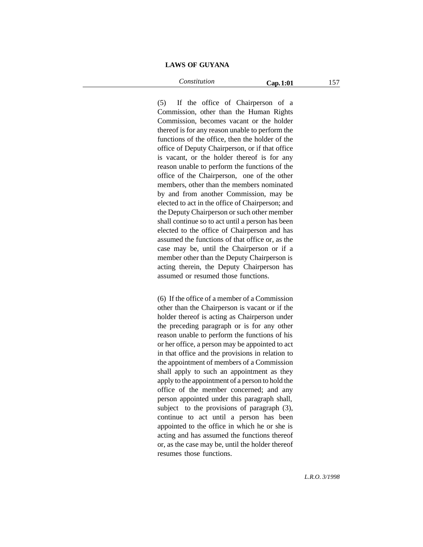(5) If the office of Chairperson of a Commission, other than the Human Rights Commission, becomes vacant or the holder thereof is for any reason unable to perform the

functions of the office, then the holder of the office of Deputy Chairperson, or if that office is vacant, or the holder thereof is for any reason unable to perform the functions of the office of the Chairperson, one of the other members, other than the members nominated by and from another Commission, may be elected to act in the office of Chairperson; and the Deputy Chairperson or such other member shall continue so to act until a person has been elected to the office of Chairperson and has assumed the functions of that office or, as the case may be, until the Chairperson or if a member other than the Deputy Chairperson is acting therein, the Deputy Chairperson has assumed or resumed those functions.

(6) If the office of a member of a Commission other than the Chairperson is vacant or if the holder thereof is acting as Chairperson under the preceding paragraph or is for any other reason unable to perform the functions of his or her office, a person may be appointed to act in that office and the provisions in relation to the appointment of members of a Commission shall apply to such an appointment as they apply to the appointment of a person to hold the office of the member concerned; and any person appointed under this paragraph shall, subject to the provisions of paragraph  $(3)$ , continue to act until a person has been appointed to the office in which he or she is acting and has assumed the functions thereof or, as the case may be, until the holder thereof resumes those functions.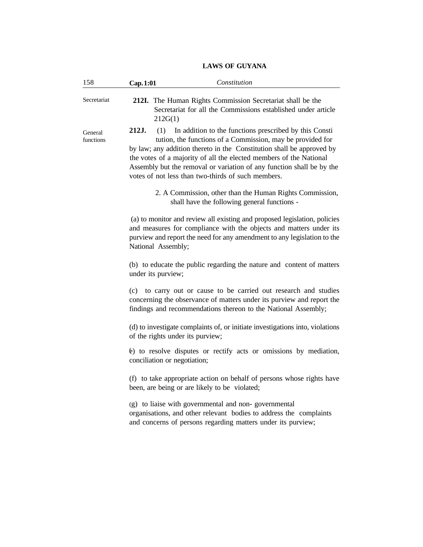| 158                  | Constitution<br>Cap. 1:01                                                                                                                                                                                                                                                                                                                                                                                          |
|----------------------|--------------------------------------------------------------------------------------------------------------------------------------------------------------------------------------------------------------------------------------------------------------------------------------------------------------------------------------------------------------------------------------------------------------------|
| Secretariat          | 212I. The Human Rights Commission Secretariat shall be the<br>Secretariat for all the Commissions established under article<br>212G(1)                                                                                                                                                                                                                                                                             |
| General<br>functions | 212J.<br>In addition to the functions prescribed by this Consti<br>(1)<br>tution, the functions of a Commission, may be provided for<br>by law; any addition thereto in the Constitution shall be approved by<br>the votes of a majority of all the elected members of the National<br>Assembly but the removal or variation of any function shall be by the<br>votes of not less than two-thirds of such members. |
|                      | 2. A Commission, other than the Human Rights Commission,<br>shall have the following general functions -                                                                                                                                                                                                                                                                                                           |
|                      | (a) to monitor and review all existing and proposed legislation, policies<br>and measures for compliance with the objects and matters under its<br>purview and report the need for any amendment to any legislation to the<br>National Assembly;                                                                                                                                                                   |
|                      | (b) to educate the public regarding the nature and content of matters<br>under its purview;                                                                                                                                                                                                                                                                                                                        |
|                      | to carry out or cause to be carried out research and studies<br>(c)<br>concerning the observance of matters under its purview and report the<br>findings and recommendations thereon to the National Assembly;                                                                                                                                                                                                     |
|                      | (d) to investigate complaints of, or initiate investigations into, violations<br>of the rights under its purview;                                                                                                                                                                                                                                                                                                  |
|                      | (e) to resolve disputes or rectify acts or omissions by mediation,<br>conciliation or negotiation;                                                                                                                                                                                                                                                                                                                 |
|                      | (f) to take appropriate action on behalf of persons whose rights have<br>been, are being or are likely to be violated;                                                                                                                                                                                                                                                                                             |
|                      | (g) to liaise with governmental and non-governmental<br>organisations, and other relevant bodies to address the complaints<br>and concerns of persons regarding matters under its purview;                                                                                                                                                                                                                         |
|                      |                                                                                                                                                                                                                                                                                                                                                                                                                    |
|                      |                                                                                                                                                                                                                                                                                                                                                                                                                    |
|                      |                                                                                                                                                                                                                                                                                                                                                                                                                    |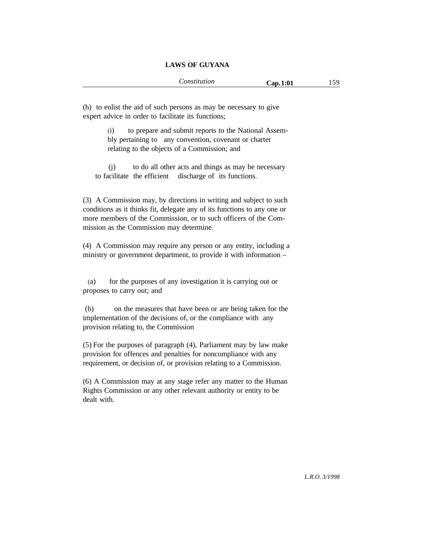(h) to enlist the aid of such persons as may be necessary to give expert advice in order to facilitate its functions;

> (i) to prepare and submit reports to the National Assembly pertaining to any convention, covenant or charter relating to the objects of a Commission; and

 (j) to do all other acts and things as may be necessary to facilitate the efficient discharge of its functions.

(3) A Commission may, by directions in writing and subject to such conditions as it thinks fit, delegate any of its functions to any one or more members of the Commission, or to such officers of the Commission as the Commission may determine.

(4) A Commission may require any person or any entity, including a ministry or government department, to provide it with information –

 (a) for the purposes of any investigation it is carrying out or proposes to carry out; and

 (b) on the measures that have been or are being taken for the implementation of the decisions of, or the compliance with any provision relating to, the Commission

(5) For the purposes of paragraph (4), Parliament may by law make provision for offences and penalties for noncompliance with any requirement, or decision of, or provision relating to a Commission.

(6) A Commission may at any stage refer any matter to the Human Rights Commission or any other relevant authority or entity to be dealt with.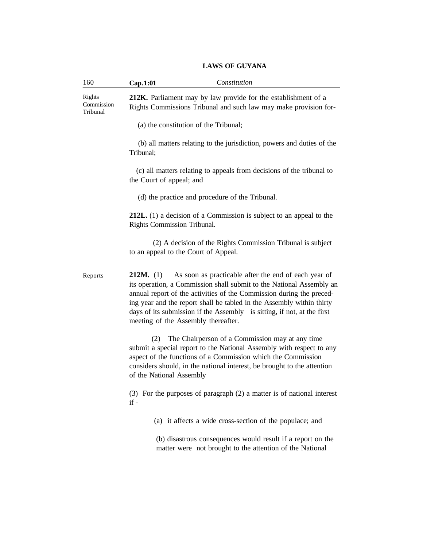| 160                              | Cap. 1:01                                                                                                 | Constitution                                                                                                                                                                                                                                                                                                                                             |
|----------------------------------|-----------------------------------------------------------------------------------------------------------|----------------------------------------------------------------------------------------------------------------------------------------------------------------------------------------------------------------------------------------------------------------------------------------------------------------------------------------------------------|
| Rights<br>Commission<br>Tribunal |                                                                                                           | 212K. Parliament may by law provide for the establishment of a<br>Rights Commissions Tribunal and such law may make provision for-                                                                                                                                                                                                                       |
|                                  | (a) the constitution of the Tribunal;                                                                     |                                                                                                                                                                                                                                                                                                                                                          |
|                                  | Tribunal;                                                                                                 | (b) all matters relating to the jurisdiction, powers and duties of the                                                                                                                                                                                                                                                                                   |
|                                  | the Court of appeal; and                                                                                  | (c) all matters relating to appeals from decisions of the tribunal to                                                                                                                                                                                                                                                                                    |
|                                  |                                                                                                           | (d) the practice and procedure of the Tribunal.                                                                                                                                                                                                                                                                                                          |
|                                  | <b>212L.</b> (1) a decision of a Commission is subject to an appeal to the<br>Rights Commission Tribunal. |                                                                                                                                                                                                                                                                                                                                                          |
|                                  | to an appeal to the Court of Appeal.                                                                      | (2) A decision of the Rights Commission Tribunal is subject                                                                                                                                                                                                                                                                                              |
| Reports                          | <b>212M.</b> (1)<br>meeting of the Assembly thereafter.                                                   | As soon as practicable after the end of each year of<br>its operation, a Commission shall submit to the National Assembly an<br>annual report of the activities of the Commission during the preced-<br>ing year and the report shall be tabled in the Assembly within thirty<br>days of its submission if the Assembly is sitting, if not, at the first |
|                                  | (2)<br>of the National Assembly                                                                           | The Chairperson of a Commission may at any time<br>submit a special report to the National Assembly with respect to any<br>aspect of the functions of a Commission which the Commission<br>considers should, in the national interest, be brought to the attention                                                                                       |
|                                  | $if -$                                                                                                    | (3) For the purposes of paragraph (2) a matter is of national interest                                                                                                                                                                                                                                                                                   |
|                                  |                                                                                                           | (a) it affects a wide cross-section of the populace; and                                                                                                                                                                                                                                                                                                 |
|                                  |                                                                                                           | (b) disastrous consequences would result if a report on the<br>matter were not brought to the attention of the National                                                                                                                                                                                                                                  |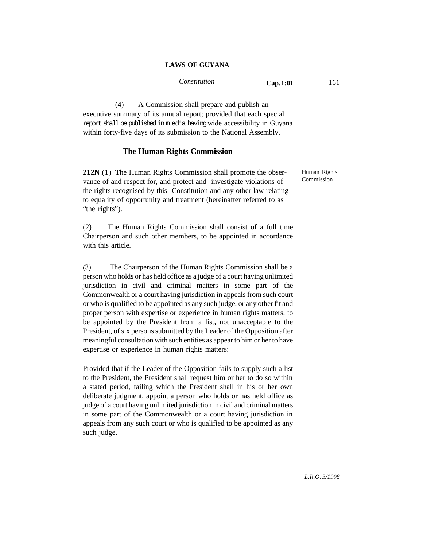*Constitution* **Cap. 1:01** 161

(4) A Commission shall prepare and publish an executive summary of its annual report; provided that each special report shall be published in m edia havingwide accessibility in Guyana within forty-five days of its submission to the National Assembly.

#### **The Human Rights Commission**

**212N**.(1) The Human Rights Commission shall promote the observance of and respect for, and protect and investigate violations of the rights recognised by this Constitution and any other law relating to equality of opportunity and treatment (hereinafter referred to as "the rights").

(2) The Human Rights Commission shall consist of a full time Chairperson and such other members, to be appointed in accordance with this article.

(3) The Chairperson of the Human Rights Commission shall be a person who holds or has held office as a judge of a court having unlimited jurisdiction in civil and criminal matters in some part of the Commonwealth or a court having jurisdiction in appeals from such court or who is qualified to be appointed as any such judge, or any other fit and proper person with expertise or experience in human rights matters, to be appointed by the President from a list, not unacceptable to the President, of six persons submitted by the Leader of the Opposition after meaningful consultation with such entities as appear to him or her to have expertise or experience in human rights matters:

Provided that if the Leader of the Opposition fails to supply such a list to the President, the President shall request him or her to do so within a stated period, failing which the President shall in his or her own deliberate judgment, appoint a person who holds or has held office as judge of a court having unlimited jurisdiction in civil and criminal matters in some part of the Commonwealth or a court having jurisdiction in appeals from any such court or who is qualified to be appointed as any such judge.

Human Rights Commission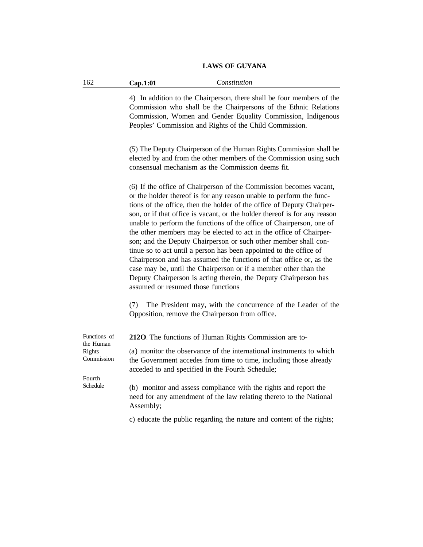| 162                               | Cap. 1:01                          | Constitution                                                                                                                                                                                                                                                                                                                                                                                                                                                                                                                                                                                                                                                                                                                                                                                           |
|-----------------------------------|------------------------------------|--------------------------------------------------------------------------------------------------------------------------------------------------------------------------------------------------------------------------------------------------------------------------------------------------------------------------------------------------------------------------------------------------------------------------------------------------------------------------------------------------------------------------------------------------------------------------------------------------------------------------------------------------------------------------------------------------------------------------------------------------------------------------------------------------------|
|                                   |                                    | 4) In addition to the Chairperson, there shall be four members of the<br>Commission who shall be the Chairpersons of the Ethnic Relations<br>Commission, Women and Gender Equality Commission, Indigenous<br>Peoples' Commission and Rights of the Child Commission.                                                                                                                                                                                                                                                                                                                                                                                                                                                                                                                                   |
|                                   |                                    | (5) The Deputy Chairperson of the Human Rights Commission shall be<br>elected by and from the other members of the Commission using such<br>consensual mechanism as the Commission deems fit.                                                                                                                                                                                                                                                                                                                                                                                                                                                                                                                                                                                                          |
|                                   | assumed or resumed those functions | (6) If the office of Chairperson of the Commission becomes vacant,<br>or the holder thereof is for any reason unable to perform the func-<br>tions of the office, then the holder of the office of Deputy Chairper-<br>son, or if that office is vacant, or the holder thereof is for any reason<br>unable to perform the functions of the office of Chairperson, one of<br>the other members may be elected to act in the office of Chairper-<br>son; and the Deputy Chairperson or such other member shall con-<br>tinue so to act until a person has been appointed to the office of<br>Chairperson and has assumed the functions of that office or, as the<br>case may be, until the Chairperson or if a member other than the<br>Deputy Chairperson is acting therein, the Deputy Chairperson has |
|                                   | (7)                                | The President may, with the concurrence of the Leader of the<br>Opposition, remove the Chairperson from office.                                                                                                                                                                                                                                                                                                                                                                                                                                                                                                                                                                                                                                                                                        |
| Functions of                      |                                    | 2120. The functions of Human Rights Commission are to-                                                                                                                                                                                                                                                                                                                                                                                                                                                                                                                                                                                                                                                                                                                                                 |
| the Human<br>Rights<br>Commission |                                    | (a) monitor the observance of the international instruments to which<br>the Government accedes from time to time, including those already<br>acceded to and specified in the Fourth Schedule;                                                                                                                                                                                                                                                                                                                                                                                                                                                                                                                                                                                                          |
| Fourth<br>Schedule                | Assembly;                          | (b) monitor and assess compliance with the rights and report the<br>need for any amendment of the law relating thereto to the National                                                                                                                                                                                                                                                                                                                                                                                                                                                                                                                                                                                                                                                                 |
|                                   |                                    | c) educate the public regarding the nature and content of the rights;                                                                                                                                                                                                                                                                                                                                                                                                                                                                                                                                                                                                                                                                                                                                  |
|                                   |                                    |                                                                                                                                                                                                                                                                                                                                                                                                                                                                                                                                                                                                                                                                                                                                                                                                        |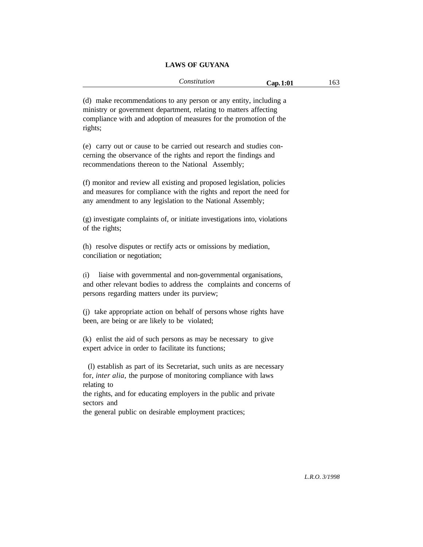| Constitution                                                      | Cap.1:01 | 163 |
|-------------------------------------------------------------------|----------|-----|
|                                                                   |          |     |
| (d) make recommendations to any person or any entity, including a |          |     |
| ministry or government department, relating to matters affecting  |          |     |

ministry compliance with and adoption of measures for the promotion of the rights;

(e) carry out or cause to be carried out research and studies concerning the observance of the rights and report the findings and recommendations thereon to the National Assembly;

(f) monitor and review all existing and proposed legislation, policies and measures for compliance with the rights and report the need for any amendment to any legislation to the National Assembly;

(g) investigate complaints of, or initiate investigations into, violations of the rights;

(h) resolve disputes or rectify acts or omissions by mediation, conciliation or negotiation;

(i) liaise with governmental and non-governmental organisations, and other relevant bodies to address the complaints and concerns of persons regarding matters under its purview;

(j) take appropriate action on behalf of persons whose rights have been, are being or are likely to be violated;

(k) enlist the aid of such persons as may be necessary to give expert advice in order to facilitate its functions;

 (l) establish as part of its Secretariat, such units as are necessary for, *inter alia,* the purpose of monitoring compliance with laws relating to

the rights, and for educating employers in the public and private sectors and

the general public on desirable employment practices;

*L.R.O. 3/1998*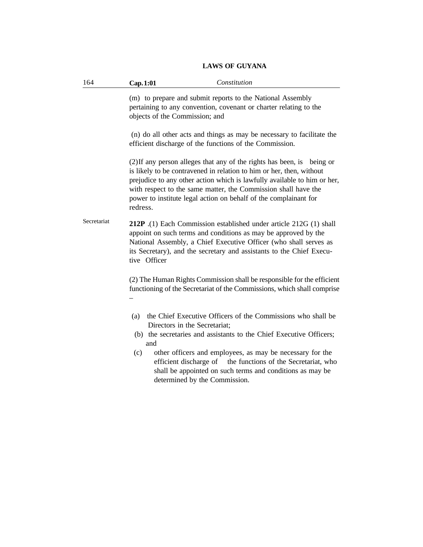| 164         | Constitution<br>Cap. 1:01                                                                                                                                                                                                                                                                                                                                                                                               |
|-------------|-------------------------------------------------------------------------------------------------------------------------------------------------------------------------------------------------------------------------------------------------------------------------------------------------------------------------------------------------------------------------------------------------------------------------|
|             | (m) to prepare and submit reports to the National Assembly<br>pertaining to any convention, covenant or charter relating to the<br>objects of the Commission; and                                                                                                                                                                                                                                                       |
|             | (n) do all other acts and things as may be necessary to facilitate the<br>efficient discharge of the functions of the Commission.                                                                                                                                                                                                                                                                                       |
|             | (2) If any person alleges that any of the rights has been, is being or<br>is likely to be contravened in relation to him or her, then, without<br>prejudice to any other action which is lawfully available to him or her,<br>with respect to the same matter, the Commission shall have the<br>power to institute legal action on behalf of the complainant for<br>redress.                                            |
| Secretariat | 212P (1) Each Commission established under article 212G (1) shall<br>appoint on such terms and conditions as may be approved by the<br>National Assembly, a Chief Executive Officer (who shall serves as<br>its Secretary), and the secretary and assistants to the Chief Execu-<br>tive Officer                                                                                                                        |
|             | (2) The Human Rights Commission shall be responsible for the efficient<br>functioning of the Secretariat of the Commissions, which shall comprise                                                                                                                                                                                                                                                                       |
|             | the Chief Executive Officers of the Commissions who shall be<br>(a)<br>Directors in the Secretariat;<br>(b) the secretaries and assistants to the Chief Executive Officers;<br>and<br>(c)<br>other officers and employees, as may be necessary for the<br>efficient discharge of<br>the functions of the Secretariat, who<br>shall be appointed on such terms and conditions as may be<br>determined by the Commission. |
|             |                                                                                                                                                                                                                                                                                                                                                                                                                         |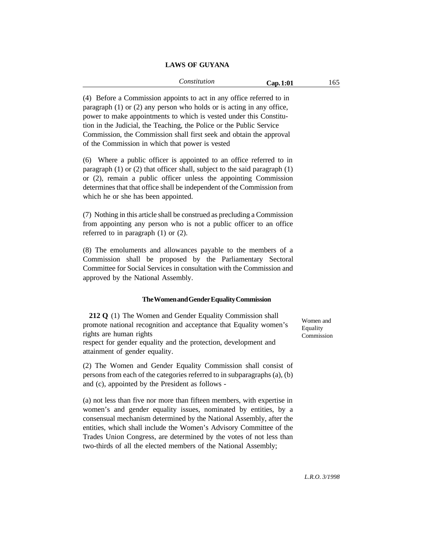| Constitution | Cap.1:01 | 65 |
|--------------|----------|----|
|              |          |    |

(4) Before a Commission appoints to act in any office referred to in paragraph (1) or (2) any person who holds or is acting in any office, power to make appointments to which is vested under this Constitution in the Judicial, the Teaching, the Police or the Public Service Commission, the Commission shall first seek and obtain the approval of the Commission in which that power is vested

(6) Where a public officer is appointed to an office referred to in paragraph (1) or (2) that officer shall, subject to the said paragraph (1) or (2), remain a public officer unless the appointing Commission determines that that office shall be independent of the Commission from which he or she has been appointed.

(7) Nothing in this article shall be construed as precluding a Commission from appointing any person who is not a public officer to an office referred to in paragraph (1) or (2).

(8) The emoluments and allowances payable to the members of a Commission shall be proposed by the Parliamentary Sectoral Committee for Social Services in consultation with the Commission and approved by the National Assembly.

#### **The Women and Gender Equality Commission**

 **212 Q** (1) The Women and Gender Equality Commission shall promote national recognition and acceptance that Equality women's rights are human rights respect for gender equality and the protection, development and attainment of gender equality.

(2) The Women and Gender Equality Commission shall consist of persons from each of the categories referred to in subparagraphs (a), (b) and (c), appointed by the President as follows -

(a) not less than five nor more than fifteen members, with expertise in women's and gender equality issues, nominated by entities, by a consensual mechanism determined by the National Assembly, after the entities, which shall include the Women's Advisory Committee of the Trades Union Congress, are determined by the votes of not less than two-thirds of all the elected members of the National Assembly;

Women and Equality Commission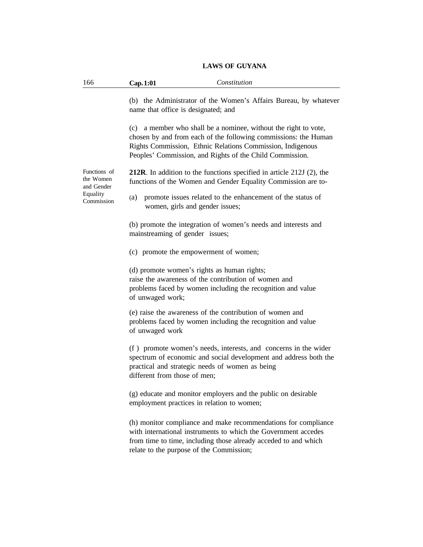|                                          | (b) the Administrator of the Women's Affairs Bureau, by whatever                                                                                                                                                                                         |
|------------------------------------------|----------------------------------------------------------------------------------------------------------------------------------------------------------------------------------------------------------------------------------------------------------|
| (c)                                      | a member who shall be a nominee, without the right to vote,<br>chosen by and from each of the following commissions: the Human<br>Rights Commission, Ethnic Relations Commission, Indigenous<br>Peoples' Commission, and Rights of the Child Commission. |
|                                          | 212R. In addition to the functions specified in article $212J(2)$ , the<br>functions of the Women and Gender Equality Commission are to-                                                                                                                 |
| (a)                                      | promote issues related to the enhancement of the status of                                                                                                                                                                                               |
|                                          | (b) promote the integration of women's needs and interests and                                                                                                                                                                                           |
|                                          |                                                                                                                                                                                                                                                          |
| of unwaged work;                         | (d) promote women's rights as human rights;<br>raise the awareness of the contribution of women and<br>problems faced by women including the recognition and value                                                                                       |
| of unwaged work                          | (e) raise the awareness of the contribution of women and<br>problems faced by women including the recognition and value                                                                                                                                  |
|                                          | (f) promote women's needs, interests, and concerns in the wider<br>spectrum of economic and social development and address both the<br>practical and strategic needs of women as being                                                                   |
|                                          | (g) educate and monitor employers and the public on desirable<br>employment practices in relation to women;                                                                                                                                              |
| relate to the purpose of the Commission; | (h) monitor compliance and make recommendations for compliance<br>with international instruments to which the Government accedes<br>from time to time, including those already acceded to and which                                                      |
|                                          | name that office is designated; and<br>women, girls and gender issues;<br>mainstreaming of gender issues;<br>(c) promote the empowerment of women;<br>different from those of men;                                                                       |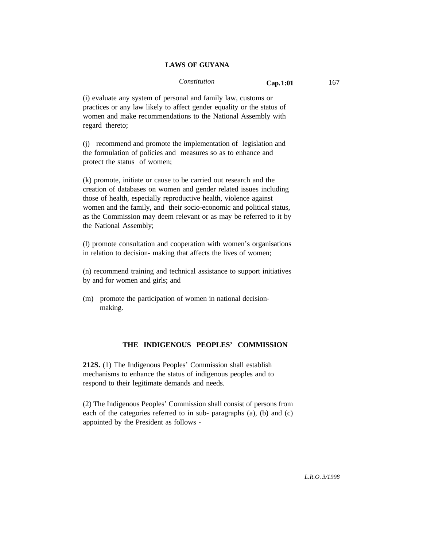| Constitution | Cap. 1:01 |  |
|--------------|-----------|--|
|              |           |  |

(i) evaluate any system of personal and family law, customs or practices or any law likely to affect gender equality or the status of women and make recommendations to the National Assembly with regard thereto;

(j) recommend and promote the implementation of legislation and the formulation of policies and measures so as to enhance and protect the status of women;

(k) promote, initiate or cause to be carried out research and the creation of databases on women and gender related issues including those of health, especially reproductive health, violence against women and the family, and their socio-economic and political status, as the Commission may deem relevant or as may be referred to it by the National Assembly;

(l) promote consultation and cooperation with women's organisations in relation to decision- making that affects the lives of women;

(n) recommend training and technical assistance to support initiatives by and for women and girls; and

(m) promote the participation of women in national decision making.

#### **THE INDIGENOUS PEOPLES' COMMISSION**

**212S.** (1) The Indigenous Peoples' Commission shall establish mechanisms to enhance the status of indigenous peoples and to respond to their legitimate demands and needs.

(2) The Indigenous Peoples' Commission shall consist of persons from each of the categories referred to in sub- paragraphs (a), (b) and (c) appointed by the President as follows -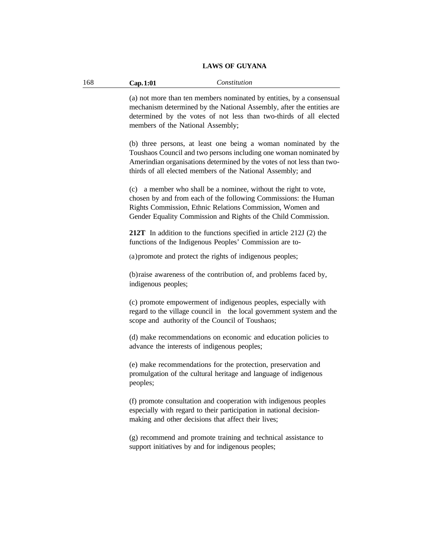| 168 | Constitution<br>Cap. 1:01                                                                                                                                                                                                                                                    |  |
|-----|------------------------------------------------------------------------------------------------------------------------------------------------------------------------------------------------------------------------------------------------------------------------------|--|
|     | (a) not more than ten members nominated by entities, by a consensual<br>mechanism determined by the National Assembly, after the entities are<br>determined by the votes of not less than two-thirds of all elected<br>members of the National Assembly;                     |  |
|     | (b) three persons, at least one being a woman nominated by the<br>Toushaos Council and two persons including one woman nominated by<br>Amerindian organisations determined by the votes of not less than two-<br>thirds of all elected members of the National Assembly; and |  |
|     | (c) a member who shall be a nominee, without the right to vote,<br>chosen by and from each of the following Commissions: the Human<br>Rights Commission, Ethnic Relations Commission, Women and<br>Gender Equality Commission and Rights of the Child Commission.            |  |
|     | 212T In addition to the functions specified in article $212J(2)$ the<br>functions of the Indigenous Peoples' Commission are to-                                                                                                                                              |  |
|     | (a) promote and protect the rights of indigenous peoples;                                                                                                                                                                                                                    |  |
|     | (b) raise awareness of the contribution of, and problems faced by,<br>indigenous peoples;                                                                                                                                                                                    |  |
|     | (c) promote empowerment of indigenous peoples, especially with<br>regard to the village council in the local government system and the<br>scope and authority of the Council of Toushaos;                                                                                    |  |
|     | (d) make recommendations on economic and education policies to<br>advance the interests of indigenous peoples;                                                                                                                                                               |  |
|     | (e) make recommendations for the protection, preservation and<br>promulgation of the cultural heritage and language of indigenous<br>peoples;                                                                                                                                |  |
|     | (f) promote consultation and cooperation with indigenous peoples<br>especially with regard to their participation in national decision-<br>making and other decisions that affect their lives;                                                                               |  |
|     | (g) recommend and promote training and technical assistance to                                                                                                                                                                                                               |  |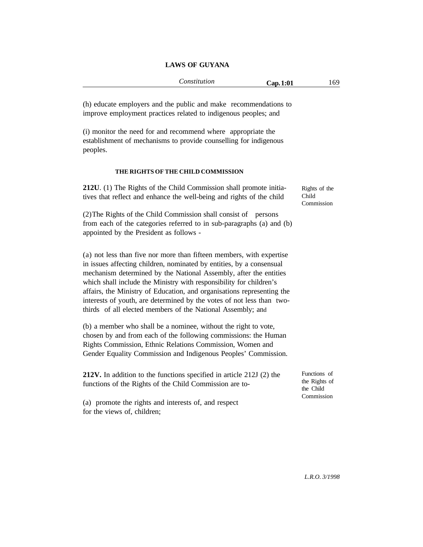| Constitution | <b>Cap. 1:01</b> | - - |
|--------------|------------------|-----|
|              |                  |     |

(h) educate employers and the public and make recommendations to improve employment practices related to indigenous peoples; and

(i) monitor the need for and recommend where appropriate the establishment of mechanisms to provide counselling for indigenous peoples.

#### **THE RIGHTS OF THE CHILD COMMISSION**

**212U**. (1) The Rights of the Child Commission shall promote initiatives that reflect and enhance the well-being and rights of the child Rights of the Child

(2)The Rights of the Child Commission shall consist of persons from each of the categories referred to in sub-paragraphs (a) and (b) appointed by the President as follows -

(a) not less than five nor more than fifteen members, with expertise in issues affecting children, nominated by entities, by a consensual mechanism determined by the National Assembly, after the entities which shall include the Ministry with responsibility for children's affairs, the Ministry of Education, and organisations representing the interests of youth, are determined by the votes of not less than twothirds of all elected members of the National Assembly; and

(b) a member who shall be a nominee, without the right to vote, chosen by and from each of the following commissions: the Human Rights Commission, Ethnic Relations Commission, Women and Gender Equality Commission and Indigenous Peoples' Commission.

**212V.** In addition to the functions specified in article 212J (2) the functions of the Rights of the Child Commission are to-

(a) promote the rights and interests of, and respect for the views of, children;

Commission

Functions of the Rights of the Child Commission

*L.R.O. 3/1998*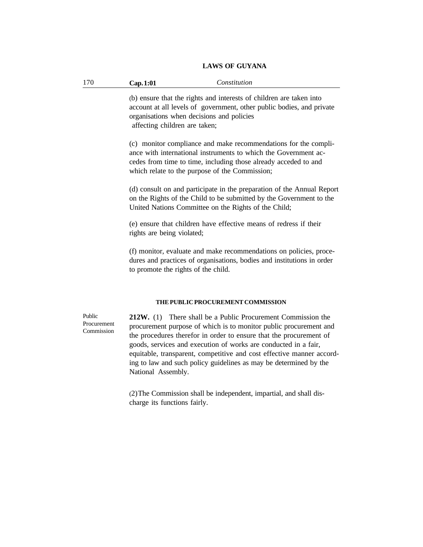| 170                                 | Cap. 1:01                                                                  | Constitution                                                                                                                                                                                                                                                                                                                                                                                                   |
|-------------------------------------|----------------------------------------------------------------------------|----------------------------------------------------------------------------------------------------------------------------------------------------------------------------------------------------------------------------------------------------------------------------------------------------------------------------------------------------------------------------------------------------------------|
|                                     | organisations when decisions and policies<br>affecting children are taken; | (b) ensure that the rights and interests of children are taken into<br>account at all levels of government, other public bodies, and private                                                                                                                                                                                                                                                                   |
|                                     | which relate to the purpose of the Commission;                             | (c) monitor compliance and make recommendations for the compli-<br>ance with international instruments to which the Government ac-<br>cedes from time to time, including those already acceded to and                                                                                                                                                                                                          |
|                                     |                                                                            | (d) consult on and participate in the preparation of the Annual Report<br>on the Rights of the Child to be submitted by the Government to the<br>United Nations Committee on the Rights of the Child;                                                                                                                                                                                                          |
|                                     | rights are being violated;                                                 | (e) ensure that children have effective means of redress if their                                                                                                                                                                                                                                                                                                                                              |
|                                     | to promote the rights of the child.                                        | (f) monitor, evaluate and make recommendations on policies, proce-<br>dures and practices of organisations, bodies and institutions in order                                                                                                                                                                                                                                                                   |
|                                     |                                                                            | THE PUBLIC PROCUREMENT COMMISSION                                                                                                                                                                                                                                                                                                                                                                              |
| Public<br>Procurement<br>Commission | <b>212W.</b> (1)                                                           | There shall be a Public Procurement Commission the<br>procurement purpose of which is to monitor public procurement and<br>the procedures therefor in order to ensure that the procurement of<br>goods, services and execution of works are conducted in a fair,<br>equitable, transparent, competitive and cost effective manner accord-<br>ing to law and such policy guidelines as may be determined by the |

(2)The Commission shall be independent, impartial, and shall discharge its functions fairly.

National Assembly.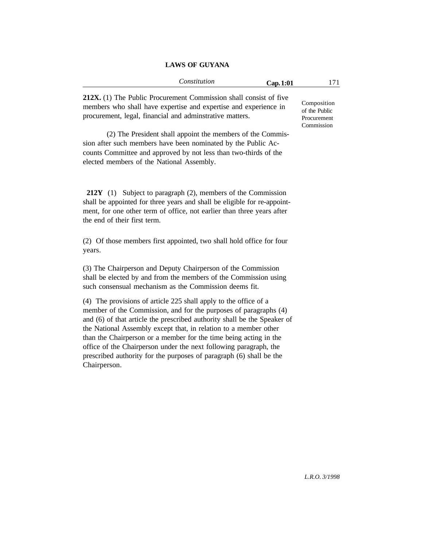| Constitution                                                                                                                                                                                                                                                                                                                                              | Cap. 1:01 | 171                                                       |
|-----------------------------------------------------------------------------------------------------------------------------------------------------------------------------------------------------------------------------------------------------------------------------------------------------------------------------------------------------------|-----------|-----------------------------------------------------------|
| 212X. (1) The Public Procurement Commission shall consist of five<br>members who shall have expertise and expertise and experience in<br>procurement, legal, financial and adminstrative matters.                                                                                                                                                         |           | Composition<br>of the Public<br>Procurement<br>Commission |
| (2) The President shall appoint the members of the Commis-<br>sion after such members have been nominated by the Public Ac-<br>counts Committee and approved by not less than two-thirds of the<br>elected members of the National Assembly.                                                                                                              |           |                                                           |
| 212Y (1) Subject to paragraph $(2)$ , members of the Commission<br>shall be appointed for three years and shall be eligible for re-appoint-<br>ment, for one other term of office, not earlier than three years after<br>the end of their first term.                                                                                                     |           |                                                           |
| (2) Of those members first appointed, two shall hold office for four<br>years.                                                                                                                                                                                                                                                                            |           |                                                           |
| (3) The Chairperson and Deputy Chairperson of the Commission<br>shall be elected by and from the members of the Commission using<br>such consensual mechanism as the Commission deems fit.                                                                                                                                                                |           |                                                           |
| (4) The provisions of article 225 shall apply to the office of a<br>member of the Commission, and for the purposes of paragraphs (4)<br>and (6) of that article the prescribed authority shall be the Speaker of<br>the National Assembly except that, in relation to a member other<br>than the Chairperson or a member for the time being acting in the |           |                                                           |

office of the Chairperson under the next following paragraph, the

prescribed authority for the purposes of paragraph (6) shall be the Chairperson.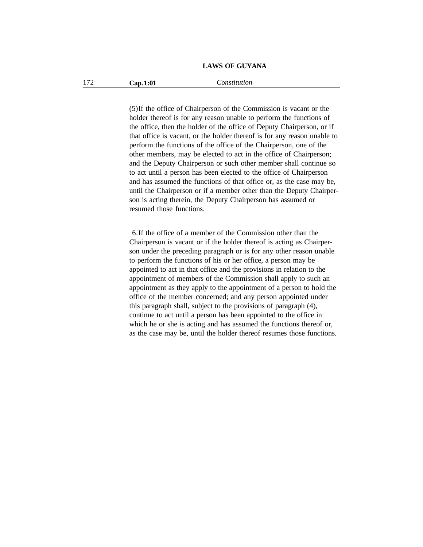(5)If the office of Chairperson of the Commission is vacant or the holder thereof is for any reason unable to perform the functions of the office, then the holder of the office of Deputy Chairperson, or if that office is vacant, or the holder thereof is for any reason unable to perform the functions of the office of the Chairperson, one of the other members, may be elected to act in the office of Chairperson; and the Deputy Chairperson or such other member shall continue so to act until a person has been elected to the office of Chairperson and has assumed the functions of that office or, as the case may be, until the Chairperson or if a member other than the Deputy Chairperson is acting therein, the Deputy Chairperson has assumed or resumed those functions.

 6.If the office of a member of the Commission other than the Chairperson is vacant or if the holder thereof is acting as Chairperson under the preceding paragraph or is for any other reason unable to perform the functions of his or her office, a person may be appointed to act in that office and the provisions in relation to the appointment of members of the Commission shall apply to such an appointment as they apply to the appointment of a person to hold the office of the member concerned; and any person appointed under this paragraph shall, subject to the provisions of paragraph (4), continue to act until a person has been appointed to the office in which he or she is acting and has assumed the functions thereof or, as the case may be, until the holder thereof resumes those functions*.*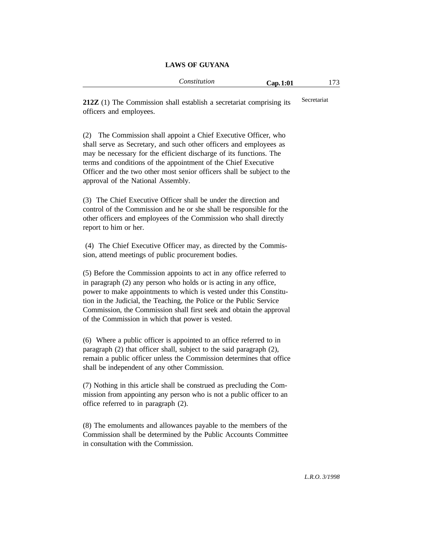| Constitution | Cap.1:01 |  |
|--------------|----------|--|
|--------------|----------|--|

**212Z** (1) The Commission shall establish a secretariat comprising its officers and employees. Secretariat

(2) The Commission shall appoint a Chief Executive Officer, who shall serve as Secretary, and such other officers and employees as may be necessary for the efficient discharge of its functions. The terms and conditions of the appointment of the Chief Executive Officer and the two other most senior officers shall be subject to the approval of the National Assembly.

(3) The Chief Executive Officer shall be under the direction and control of the Commission and he or she shall be responsible for the other officers and employees of the Commission who shall directly report to him or her.

 (4) The Chief Executive Officer may, as directed by the Commission, attend meetings of public procurement bodies.

(5) Before the Commission appoints to act in any office referred to in paragraph (2) any person who holds or is acting in any office, power to make appointments to which is vested under this Constitution in the Judicial, the Teaching, the Police or the Public Service Commission, the Commission shall first seek and obtain the approval of the Commission in which that power is vested.

(6) Where a public officer is appointed to an office referred to in paragraph (2) that officer shall, subject to the said paragraph (2), remain a public officer unless the Commission determines that office shall be independent of any other Commission.

(7) Nothing in this article shall be construed as precluding the Commission from appointing any person who is not a public officer to an office referred to in paragraph (2).

(8) The emoluments and allowances payable to the members of the Commission shall be determined by the Public Accounts Committee in consultation with the Commission.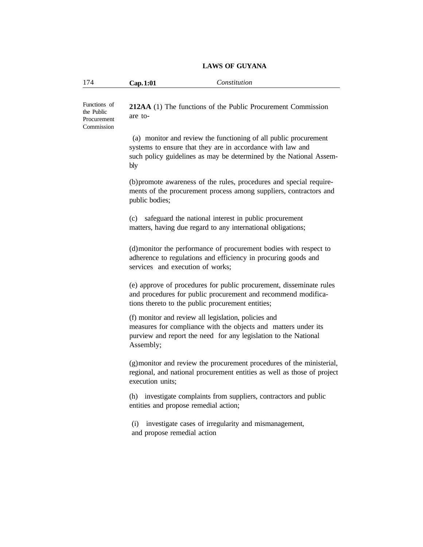|  |  |  | <b>LAWS OF GUYANA</b> |
|--|--|--|-----------------------|
|--|--|--|-----------------------|

| $\mathbf{1}^{\prime}$ / $\mathbf{\Delta}$ | Cap. 1:01 | Constitution |
|-------------------------------------------|-----------|--------------|
|                                           |           |              |

Functions of the Public Procurement Commission

**212AA** (1) The functions of the Public Procurement Commission are to-

 (a) monitor and review the functioning of all public procurement systems to ensure that they are in accordance with law and such policy guidelines as may be determined by the National Assembly

(b)promote awareness of the rules, procedures and special requirements of the procurement process among suppliers, contractors and public bodies;

(c) safeguard the national interest in public procurement matters, having due regard to any international obligations;

(d)monitor the performance of procurement bodies with respect to adherence to regulations and efficiency in procuring goods and services and execution of works;

(e) approve of procedures for public procurement, disseminate rules and procedures for public procurement and recommend modifications thereto to the public procurement entities;

(f) monitor and review all legislation, policies and measures for compliance with the objects and matters under its purview and report the need for any legislation to the National Assembly;

(g)monitor and review the procurement procedures of the ministerial, regional, and national procurement entities as well as those of project execution units;

(h) investigate complaints from suppliers, contractors and public entities and propose remedial action;

 (i) investigate cases of irregularity and mismanagement, and propose remedial action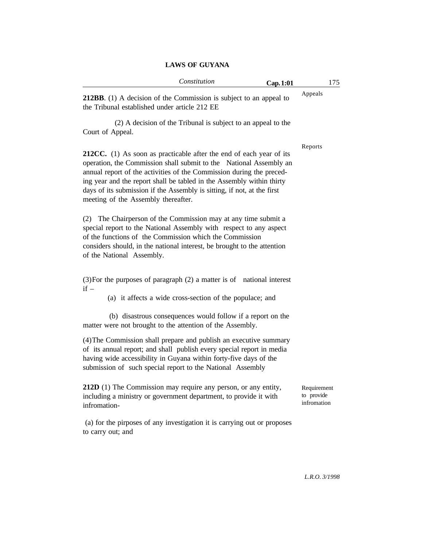|                                                                                                                                                                                                                                                                                                                                                                                                                     | Constitution                                                  | Cap. 1:01 |                                          | 175 |
|---------------------------------------------------------------------------------------------------------------------------------------------------------------------------------------------------------------------------------------------------------------------------------------------------------------------------------------------------------------------------------------------------------------------|---------------------------------------------------------------|-----------|------------------------------------------|-----|
| 212BB. (1) A decision of the Commission is subject to an appeal to<br>the Tribunal established under article 212 EE                                                                                                                                                                                                                                                                                                 |                                                               |           | Appeals                                  |     |
| Court of Appeal.                                                                                                                                                                                                                                                                                                                                                                                                    | (2) A decision of the Tribunal is subject to an appeal to the |           |                                          |     |
| <b>212CC.</b> (1) As soon as practicable after the end of each year of its<br>operation, the Commission shall submit to the National Assembly an<br>annual report of the activities of the Commission during the preced-<br>ing year and the report shall be tabled in the Assembly within thirty<br>days of its submission if the Assembly is sitting, if not, at the first<br>meeting of the Assembly thereafter. |                                                               |           | Reports                                  |     |
| (2) The Chairperson of the Commission may at any time submit a<br>special report to the National Assembly with respect to any aspect<br>of the functions of the Commission which the Commission<br>considers should, in the national interest, be brought to the attention<br>of the National Assembly.                                                                                                             |                                                               |           |                                          |     |
| $(3)$ For the purposes of paragraph $(2)$ a matter is of national interest<br>$if -$                                                                                                                                                                                                                                                                                                                                | (a) it affects a wide cross-section of the populace; and      |           |                                          |     |
| matter were not brought to the attention of the Assembly.                                                                                                                                                                                                                                                                                                                                                           | (b) disastrous consequences would follow if a report on the   |           |                                          |     |
| (4) The Commission shall prepare and publish an executive summary<br>of its annual report; and shall publish every special report in media<br>having wide accessibility in Guyana within forty-five days of the<br>submission of such special report to the National Assembly                                                                                                                                       |                                                               |           |                                          |     |
| 212D (1) The Commission may require any person, or any entity,<br>including a ministry or government department, to provide it with<br>infromation-                                                                                                                                                                                                                                                                 |                                                               |           | Requirement<br>to provide<br>infromation |     |
| (a) for the pirposes of any investigation it is carrying out or proposes<br>to carry out; and                                                                                                                                                                                                                                                                                                                       |                                                               |           |                                          |     |
|                                                                                                                                                                                                                                                                                                                                                                                                                     |                                                               |           |                                          |     |

*L.R.O. 3/1998*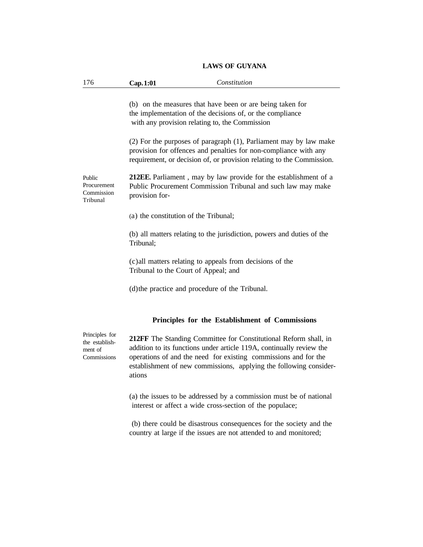| 176                                                        | Constitution<br>Cap. 1:01                                                                                                                                                                                                                                                                   |
|------------------------------------------------------------|---------------------------------------------------------------------------------------------------------------------------------------------------------------------------------------------------------------------------------------------------------------------------------------------|
|                                                            | (b) on the measures that have been or are being taken for<br>the implementation of the decisions of, or the compliance<br>with any provision relating to, the Commission                                                                                                                    |
|                                                            | (2) For the purposes of paragraph (1), Parliament may by law make<br>provision for offences and penalties for non-compliance with any<br>requirement, or decision of, or provision relating to the Commission.                                                                              |
| Public<br>Procurement<br>Commission<br>Tribunal            | 212EE. Parliament, may by law provide for the establishment of a<br>Public Procurement Commission Tribunal and such law may make<br>provision for-                                                                                                                                          |
|                                                            | (a) the constitution of the Tribunal;                                                                                                                                                                                                                                                       |
|                                                            | (b) all matters relating to the jurisdiction, powers and duties of the<br>Tribunal;                                                                                                                                                                                                         |
|                                                            | (c) all matters relating to appeals from decisions of the<br>Tribunal to the Court of Appeal; and                                                                                                                                                                                           |
|                                                            | (d) the practice and procedure of the Tribunal.                                                                                                                                                                                                                                             |
|                                                            | Principles for the Establishment of Commissions                                                                                                                                                                                                                                             |
| Principles for<br>the establish-<br>ment of<br>Commissions | 212FF The Standing Committee for Constitutional Reform shall, in<br>addition to its functions under article 119A, continually review the<br>operations of and the need for existing commissions and for the<br>establishment of new commissions, applying the following consider-<br>ations |
|                                                            | (a) the issues to be addressed by a commission must be of national<br>interest or affect a wide cross-section of the populace;                                                                                                                                                              |

 (b) there could be disastrous consequences for the society and the country at large if the issues are not attended to and monitored;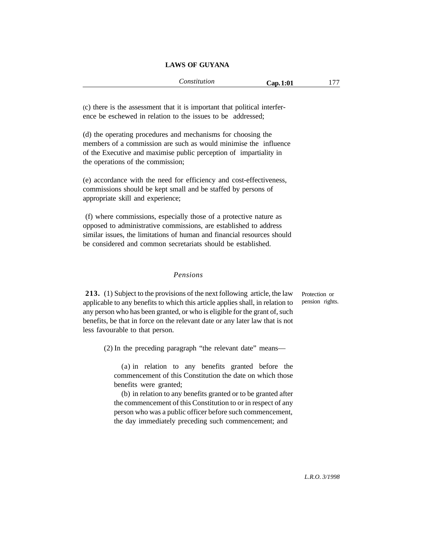(c) there is the assessment that it is important that political interference be eschewed in relation to the issues to be addressed;

(d) the operating procedures and mechanisms for choosing the members of a commission are such as would minimise the influence of the Executive and maximise public perception of impartiality in the operations of the commission;

(e) accordance with the need for efficiency and cost-effectiveness, commissions should be kept small and be staffed by persons of appropriate skill and experience;

 (f) where commissions, especially those of a protective nature as opposed to administrative commissions, are established to address similar issues, the limitations of human and financial resources should be considered and common secretariats should be established.

#### *Pensions*

Protection or pension rights.

**213.** (1) Subject to the provisions of the next following article, the law applicable to any benefits to which this article applies shall, in relation to any person who has been granted, or who is eligible for the grant of, such benefits, be that in force on the relevant date or any later law that is not less favourable to that person.

(2) In the preceding paragraph "the relevant date" means—

(a) in relation to any benefits granted before the commencement of this Constitution the date on which those benefits were granted;

(b) in relation to any benefits granted or to be granted after the commencement of this Constitution to or in respect of any person who was a public officer before such commencement, the day immediately preceding such commencement; and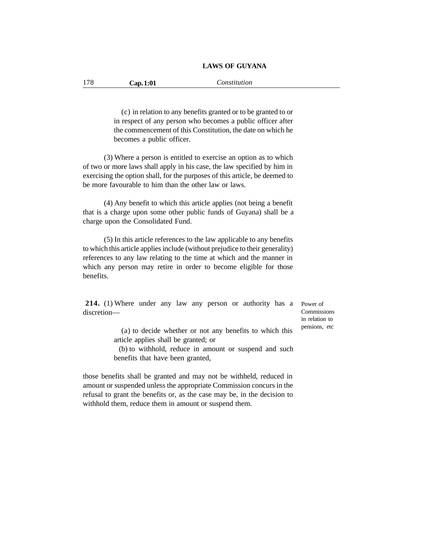(c) in relation to any benefits granted or to be granted to or in respect of any person who becomes a public officer after the commencement of this Constitution, the date on which he becomes a public officer.

(3) Where a person is entitled to exercise an option as to which of two or more laws shall apply in his case, the law specified by him in exercising the option shall, for the purposes of this article, be deemed to be more favourable to him than the other law or laws.

(4) Any benefit to which this article applies (not being a benefit that is a charge upon some other public funds of Guyana) shall be a charge upon the Consolidated Fund.

(5) In this article references to the law applicable to any benefits to which this article applies include (without prejudice to their generality) references to any law relating to the time at which and the manner in which any person may retire in order to become eligible for those benefits.

**214.** (1) Where under any law any person or authority has a discretion—

Power of Commissions in relation to pensions, etc

(a) to decide whether or not any benefits to which this article applies shall be granted; or

(b) to withhold, reduce in amount or suspend and such benefits that have been granted,

those benefits shall be granted and may not be withheld, reduced in amount or suspended unless the appropriate Commission concurs in the refusal to grant the benefits or, as the case may be, in the decision to withhold them, reduce them in amount or suspend them.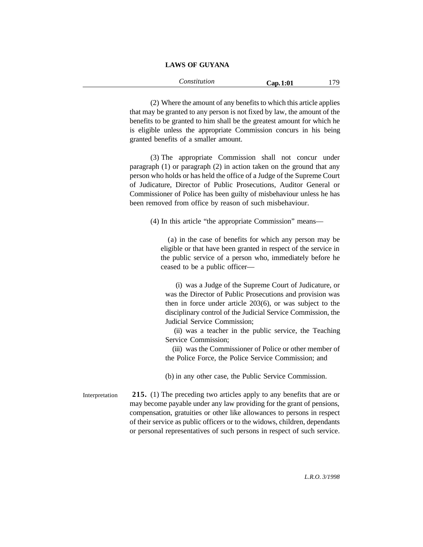| Constitution | Cap.1:01 | 179 |
|--------------|----------|-----|
|--------------|----------|-----|

(2) Where the amount of any benefits to which this article applies that may be granted to any person is not fixed by law, the amount of the benefits to be granted to him shall be the greatest amount for which he is eligible unless the appropriate Commission concurs in his being granted benefits of a smaller amount.

(3) The appropriate Commission shall not concur under paragraph (1) or paragraph (2) in action taken on the ground that any person who holds or has held the office of a Judge of the Supreme Court of Judicature, Director of Public Prosecutions, Auditor General or Commissioner of Police has been guilty of misbehaviour unless he has been removed from office by reason of such misbehaviour.

(4) In this article "the appropriate Commission" means—

(a) in the case of benefits for which any person may be eligible or that have been granted in respect of the service in the public service of a person who, immediately before he ceased to be a public officer—

(i) was a Judge of the Supreme Court of Judicature, or was the Director of Public Prosecutions and provision was then in force under article 203(6), or was subject to the disciplinary control of the Judicial Service Commission, the Judicial Service Commission;

(ii) was a teacher in the public service, the Teaching Service Commission;

(iii) was the Commissioner of Police or other member of the Police Force, the Police Service Commission; and

(b) in any other case, the Public Service Commission.

**215.** (1) The preceding two articles apply to any benefits that are or may become payable under any law providing for the grant of pensions, compensation, gratuities or other like allowances to persons in respect of their service as public officers or to the widows, children, dependants or personal representatives of such persons in respect of such service. Interpretation

*L.R.O. 3/1998*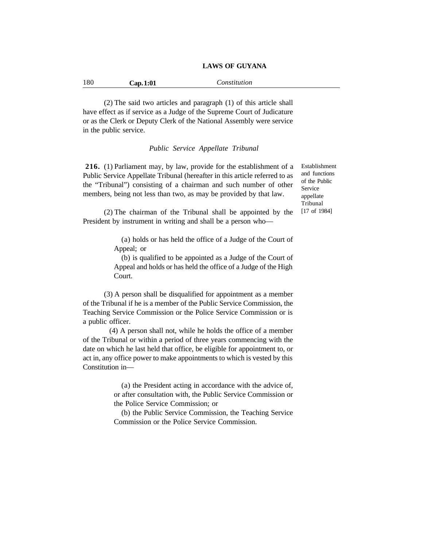| 180 | Cap.1:01 | Constitution |
|-----|----------|--------------|
|-----|----------|--------------|

(2) The said two articles and paragraph (1) of this article shall have effect as if service as a Judge of the Supreme Court of Judicature or as the Clerk or Deputy Clerk of the National Assembly were service in the public service.

#### *Public Service Appellate Tribunal*

**216.** (1) Parliament may, by law, provide for the establishment of a Public Service Appellate Tribunal (hereafter in this article referred to as the "Tribunal") consisting of a chairman and such number of other members, being not less than two, as may be provided by that law.

(2) The chairman of the Tribunal shall be appointed by the President by instrument in writing and shall be a person whoEstablishment and functions of the Public Service appellate Tribunal [17 of 1984]

(a) holds or has held the office of a Judge of the Court of Appeal; or

(b) is qualified to be appointed as a Judge of the Court of Appeal and holds or has held the office of a Judge of the High Court.

(3) A person shall be disqualified for appointment as a member of the Tribunal if he is a member of the Public Service Commission, the Teaching Service Commission or the Police Service Commission or is a public officer.

(4) A person shall not, while he holds the office of a member of the Tribunal or within a period of three years commencing with the date on which he last held that office, be eligible for appointment to, or act in, any office power to make appointments to which is vested by this Constitution in—

> (a) the President acting in accordance with the advice of, or after consultation with, the Public Service Commission or the Police Service Commission; or

> (b) the Public Service Commission, the Teaching Service Commission or the Police Service Commission.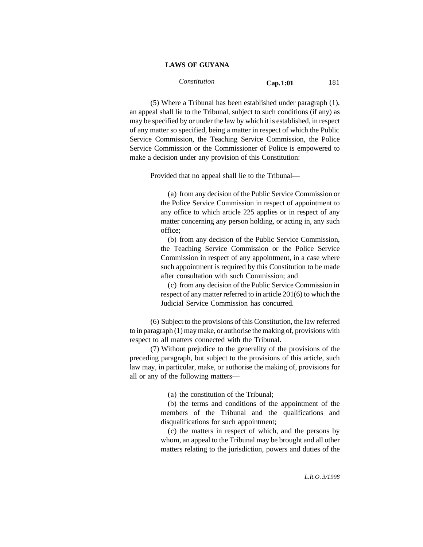| Constitution | Cap.1:01 | 181 |
|--------------|----------|-----|
|--------------|----------|-----|

(5) Where a Tribunal has been established under paragraph (1), an appeal shall lie to the Tribunal, subject to such conditions (if any) as may be specified by or under the law by which it is established, in respect of any matter so specified, being a matter in respect of which the Public Service Commission, the Teaching Service Commission, the Police Service Commission or the Commissioner of Police is empowered to make a decision under any provision of this Constitution:

Provided that no appeal shall lie to the Tribunal—

(a) from any decision of the Public Service Commission or the Police Service Commission in respect of appointment to any office to which article 225 applies or in respect of any matter concerning any person holding, or acting in, any such office;

(b) from any decision of the Public Service Commission, the Teaching Service Commission or the Police Service Commission in respect of any appointment, in a case where such appointment is required by this Constitution to be made after consultation with such Commission; and

(c) from any decision of the Public Service Commission in respect of any matter referred to in article 201(6) to which the Judicial Service Commission has concurred.

(6) Subject to the provisions of this Constitution, the law referred to in paragraph (1) may make, or authorise the making of, provisions with respect to all matters connected with the Tribunal.

(7) Without prejudice to the generality of the provisions of the preceding paragraph, but subject to the provisions of this article, such law may, in particular, make, or authorise the making of, provisions for all or any of the following matters—

(a) the constitution of the Tribunal;

(b) the terms and conditions of the appointment of the members of the Tribunal and the qualifications and disqualifications for such appointment;

(c) the matters in respect of which, and the persons by whom, an appeal to the Tribunal may be brought and all other matters relating to the jurisdiction, powers and duties of the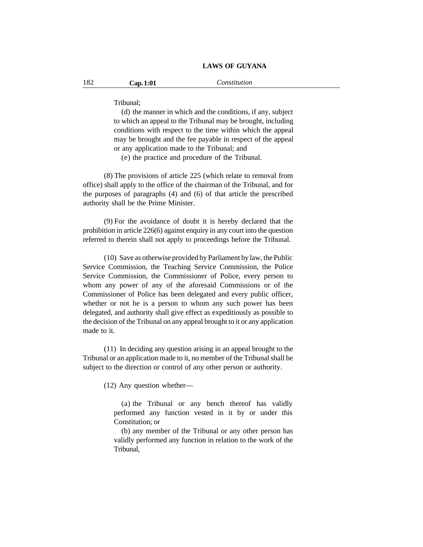Tribunal;

(d) the manner in which and the conditions, if any, subject to which an appeal to the Tribunal may be brought, including conditions with respect to the time within which the appeal may be brought and the fee payable in respect of the appeal or any application made to the Tribunal; and

(e) the practice and procedure of the Tribunal.

(8) The provisions of article 225 (which relate to removal from office) shall apply to the office of the chairman of the Tribunal, and for the purposes of paragraphs (4) and (6) of that article the prescribed authority shall be the Prime Minister.

(9) For the avoidance of doubt it is hereby declared that the prohibition in article 226(6) against enquiry in any court into the question referred to therein shall not apply to proceedings before the Tribunal.

(10) Save as otherwise provided by Parliament by law, the Public Service Commission, the Teaching Service Commission, the Police Service Commission, the Commissioner of Police, every person to whom any power of any of the aforesaid Commissions or of the Commissioner of Police has been delegated and every public officer, whether or not he is a person to whom any such power has been delegated, and authority shall give effect as expeditiously as possible to the decision of the Tribunal on any appeal brought to it or any application made to it.

(11) In deciding any question arising in an appeal brought to the Tribunal or an application made to it, no member of the Tribunal shall be subject to the direction or control of any other person or authority.

(12) Any question whether—

(a) the Tribunal or any bench thereof has validly performed any function vested in it by or under this Constitution; or

(b) any member of the Tribunal or any other person has validly performed any function in relation to the work of the Tribunal,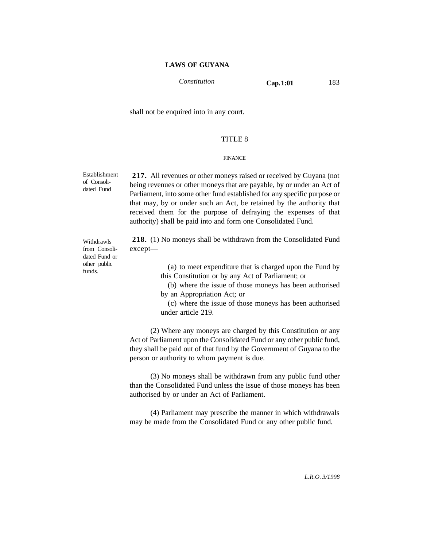shall not be enquired into in any court.

#### TITLE 8

#### FINANCE

Establishment of Consolidated Fund

**217.** All revenues or other moneys raised or received by Guyana (not being revenues or other moneys that are payable, by or under an Act of Parliament, into some other fund established for any specific purpose or that may, by or under such an Act, be retained by the authority that received them for the purpose of defraying the expenses of that authority) shall be paid into and form one Consolidated Fund.

**218.** (1) No moneys shall be withdrawn from the Consolidated Fund except—

Withdrawls from Consolidated Fund or other public funds.

(a) to meet expenditure that is charged upon the Fund by this Constitution or by any Act of Parliament; or

(b) where the issue of those moneys has been authorised by an Appropriation Act; or

(c) where the issue of those moneys has been authorised under article 219.

(2) Where any moneys are charged by this Constitution or any Act of Parliament upon the Consolidated Fund or any other public fund, they shall be paid out of that fund by the Government of Guyana to the person or authority to whom payment is due.

(3) No moneys shall be withdrawn from any public fund other than the Consolidated Fund unless the issue of those moneys has been authorised by or under an Act of Parliament.

(4) Parliament may prescribe the manner in which withdrawals may be made from the Consolidated Fund or any other public fund.

*L.R.O. 3/1998*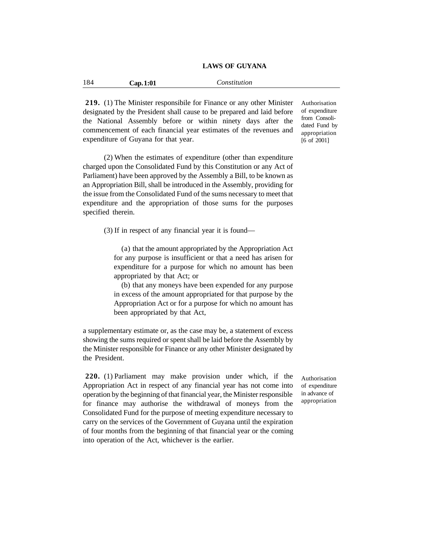| 184 | Cap.1:01 | Constitution |
|-----|----------|--------------|
|-----|----------|--------------|

**219.** (1) The Minister responsibile for Finance or any other Minister designated by the President shall cause to be prepared and laid before the National Assembly before or within ninety days after the commencement of each financial year estimates of the revenues and expenditure of Guyana for that year.

(2) When the estimates of expenditure (other than expenditure charged upon the Consolidated Fund by this Constitution or any Act of Parliament) have been approved by the Assembly a Bill, to be known as an Appropriation Bill, shall be introduced in the Assembly, providing for the issue from the Consolidated Fund of the sums necessary to meet that expenditure and the appropriation of those sums for the purposes specified therein.

(3) If in respect of any financial year it is found—

(a) that the amount appropriated by the Appropriation Act for any purpose is insufficient or that a need has arisen for expenditure for a purpose for which no amount has been appropriated by that Act; or

(b) that any moneys have been expended for any purpose in excess of the amount appropriated for that purpose by the Appropriation Act or for a purpose for which no amount has been appropriated by that Act,

a supplementary estimate or, as the case may be, a statement of excess showing the sums required or spent shall be laid before the Assembly by the Minister responsible for Finance or any other Minister designated by the President.

**220.** (1) Parliament may make provision under which, if the Appropriation Act in respect of any financial year has not come into operation by the beginning of that financial year, the Minister responsible for finance may authorise the withdrawal of moneys from the Consolidated Fund for the purpose of meeting expenditure necessary to carry on the services of the Government of Guyana until the expiration of four months from the beginning of that financial year or the coming into operation of the Act, whichever is the earlier.

Authorisation of expenditure in advance of appropriation

Authorisation of expenditure from Consolidated Fund by appropriation [6 of 2001]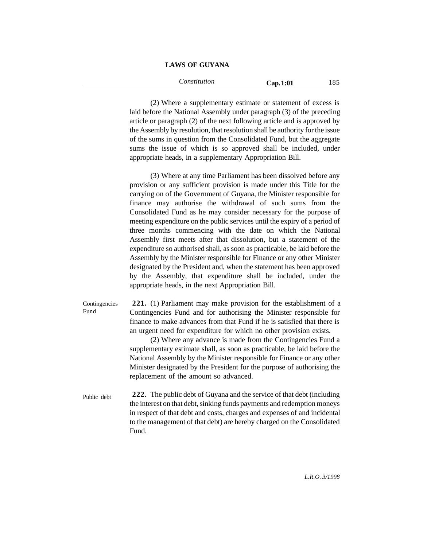| Constitution | Cap.1:01 | 185 |
|--------------|----------|-----|
|--------------|----------|-----|

(2) Where a supplementary estimate or statement of excess is laid before the National Assembly under paragraph (3) of the preceding article or paragraph (2) of the next following article and is approved by the Assembly by resolution, that resolution shall be authority for the issue of the sums in question from the Consolidated Fund, but the aggregate sums the issue of which is so approved shall be included, under appropriate heads, in a supplementary Appropriation Bill.

(3) Where at any time Parliament has been dissolved before any provision or any sufficient provision is made under this Title for the carrying on of the Government of Guyana, the Minister responsible for finance may authorise the withdrawal of such sums from the Consolidated Fund as he may consider necessary for the purpose of meeting expenditure on the public services until the expiry of a period of three months commencing with the date on which the National Assembly first meets after that dissolution, but a statement of the expenditure so authorised shall, as soon as practicable, be laid before the Assembly by the Minister responsible for Finance or any other Minister designated by the President and, when the statement has been approved by the Assembly, that expenditure shall be included, under the appropriate heads, in the next Appropriation Bill.

**221.** (1) Parliament may make provision for the establishment of a Contingencies Fund and for authorising the Minister responsible for finance to make advances from that Fund if he is satisfied that there is an urgent need for expenditure for which no other provision exists. Contingencies Fund

> (2) Where any advance is made from the Contingencies Fund a supplementary estimate shall, as soon as practicable, be laid before the National Assembly by the Minister responsible for Finance or any other Minister designated by the President for the purpose of authorising the replacement of the amount so advanced.

**222.** The public debt of Guyana and the service of that debt (including the interest on that debt, sinking funds payments and redemption moneys in respect of that debt and costs, charges and expenses of and incidental to the management of that debt) are hereby charged on the Consolidated Fund. Public debt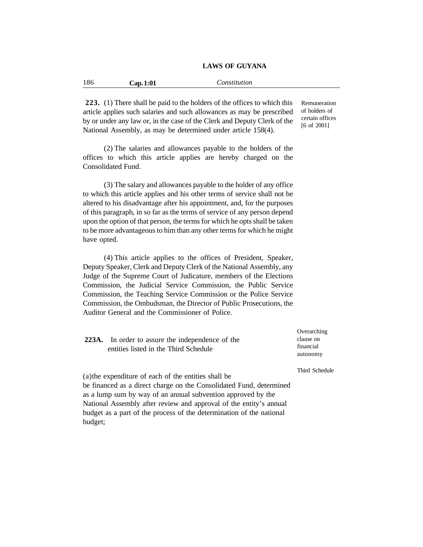| 186 | Cap.1:01 | Constitution |  |
|-----|----------|--------------|--|
|-----|----------|--------------|--|

**223.** (1) There shall be paid to the holders of the offices to which this article applies such salaries and such allowances as may be prescribed by or under any law or, in the case of the Clerk and Deputy Clerk of the National Assembly, as may be determined under article 158(4). Remuneration of holders of certain offices [6 of 2001]

(2) The salaries and allowances payable to the holders of the offices to which this article applies are hereby charged on the Consolidated Fund.

(3) The salary and allowances payable to the holder of any office to which this article applies and his other terms of service shall not be altered to his disadvantage after his appointment, and, for the purposes of this paragraph, in so far as the terms of service of any person depend upon the option of that person, the terms for which he opts shall be taken to be more advantageous to him than any other terms for which he might have opted.

(4) This article applies to the offices of President, Speaker, Deputy Speaker, Clerk and Deputy Clerk of the National Assembly, any Judge of the Supreme Court of Judicature, members of the Elections Commission, the Judicial Service Commission, the Public Service Commission, the Teaching Service Commission or the Police Service Commission, the Ombudsman, the Director of Public Prosecutions, the Auditor General and the Commissioner of Police.

budget;

| 223A. In order to assure the independence of the<br>entities listed in the Third Schedule | clause on<br>financial<br>autonomy |
|-------------------------------------------------------------------------------------------|------------------------------------|
| (a) the expenditure of each of the entities shall be                                      | Third Schedule                     |
| be financed as a direct charge on the Consolidated Fund, determined                       |                                    |
| as a lump sum by way of an annual subvention approved by the                              |                                    |
| National Assembly after review and approval of the entity's annual                        |                                    |
| budget as a part of the process of the determination of the national                      |                                    |

**Overarching**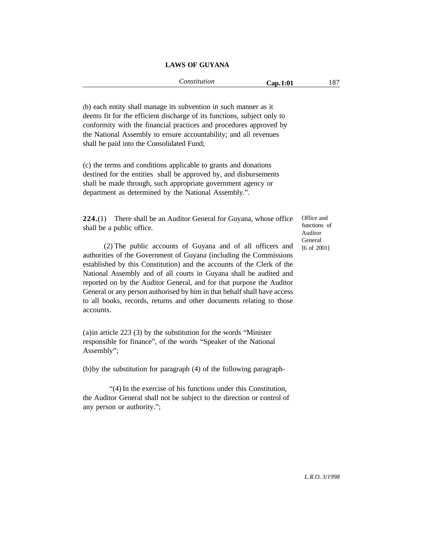| Constitution |  |
|--------------|--|
|              |  |
|              |  |

*Constitution* **Cap. 1:01** 187

(b) each entity shall manage its subvention in such manner as it deems fit for the efficient discharge of its functions, subject only to conformity with the financial practices and procedures approved by the National Assembly to ensure accountability; and all revenues shall be paid into the Consolidated Fund;

(c) the terms and conditions applicable to grants and donations destined for the entities shall be approved by, and disbursements shall be made through, such appropriate government agency or department as determined by the National Assembly.".

**224.**(1) There shall be an Auditor General for Guyana, whose office shall be a public office.

(2) The public accounts of Guyana and of all officers and authorities of the Government of Guyana (including the Commissions established by this Constitution) and the accounts of the Clerk of the National Assembly and of all courts in Guyana shall be audited and reported on by the Auditor General, and for that purpose the Auditor General or any person authorised by him in that behalf shall have access to all books, records, returns and other documents relating to those accounts.

(a)in article 223 (3) by the substitution for the words "Minister responsible for finance", of the words "Speaker of the National Assembly";

(b)by the substitution for paragraph (4) of the following paragraph-

"(4) In the exercise of his functions under this Constitution, the Auditor General shall not be subject to the direction or control of any person or authority.";

Office and functions of Auditor General [6 of 2001]

*L.R.O. 3/1998*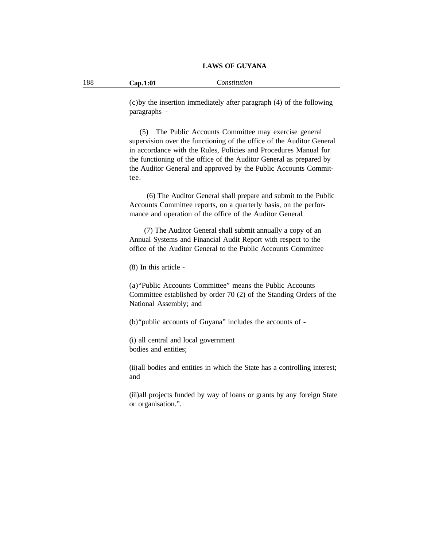(c)by the insertion immediately after paragraph (4) of the following paragraphs -

(5) The Public Accounts Committee may exercise general supervision over the functioning of the office of the Auditor General in accordance with the Rules, Policies and Procedures Manual for the functioning of the office of the Auditor General as prepared by the Auditor General and approved by the Public Accounts Committee.

 (6) The Auditor General shall prepare and submit to the Public Accounts Committee reports, on a quarterly basis, on the performance and operation of the office of the Auditor General.

 (7) The Auditor General shall submit annually a copy of an Annual Systems and Financial Audit Report with respect to the office of the Auditor General to the Public Accounts Committee

(8) In this article -

(a)"Public Accounts Committee" means the Public Accounts Committee established by order 70 (2) of the Standing Orders of the National Assembly; and

(b)"public accounts of Guyana" includes the accounts of -

(i) all central and local government bodies and entities;

(ii)all bodies and entities in which the State has a controlling interest; and

(iii)all projects funded by way of loans or grants by any foreign State or organisation.".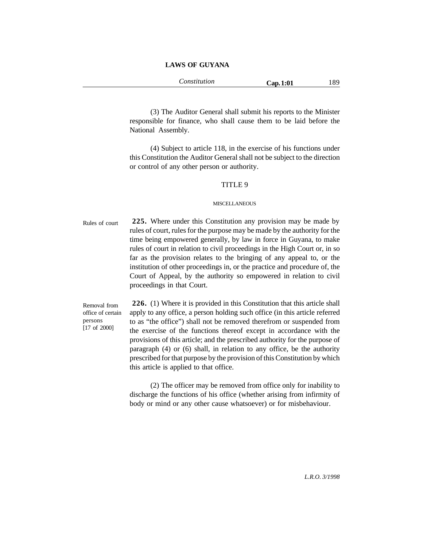| Constitution | Cap.1:01 | 189 |
|--------------|----------|-----|
|--------------|----------|-----|

(3) The Auditor General shall submit his reports to the Minister responsible for finance, who shall cause them to be laid before the National Assembly.

(4) Subject to article 118, in the exercise of his functions under this Constitution the Auditor General shall not be subject to the direction or control of any other person or authority.

#### TITLE 9

#### **MISCELLANEOUS**

**225.** Where under this Constitution any provision may be made by rules of court, rules for the purpose may be made by the authority for the time being empowered generally, by law in force in Guyana, to make rules of court in relation to civil proceedings in the High Court or, in so far as the provision relates to the bringing of any appeal to, or the institution of other proceedings in, or the practice and procedure of, the Court of Appeal, by the authority so empowered in relation to civil proceedings in that Court. Rules of court

Removal from office of certain persons [17 of 2000]

**226.** (1) Where it is provided in this Constitution that this article shall apply to any office, a person holding such office (in this article referred to as "the office") shall not be removed therefrom or suspended from the exercise of the functions thereof except in accordance with the provisions of this article; and the prescribed authority for the purpose of paragraph (4) or (6) shall, in relation to any office, be the authority prescribed for that purpose by the provision of this Constitution by which this article is applied to that office.

(2) The officer may be removed from office only for inability to discharge the functions of his office (whether arising from infirmity of body or mind or any other cause whatsoever) or for misbehaviour.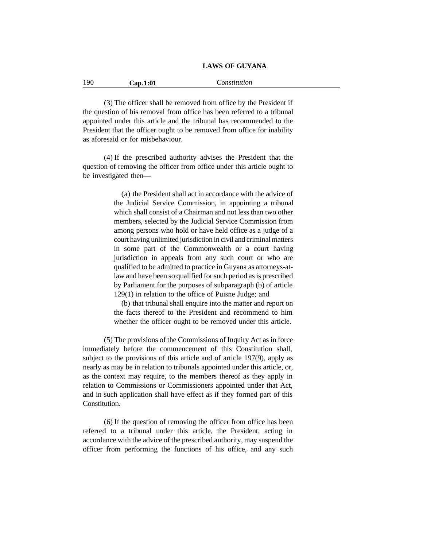| 190 | Cap.1:01 | Constitution |
|-----|----------|--------------|
|-----|----------|--------------|

(3) The officer shall be removed from office by the President if the question of his removal from office has been referred to a tribunal appointed under this article and the tribunal has recommended to the President that the officer ought to be removed from office for inability as aforesaid or for misbehaviour.

(4) If the prescribed authority advises the President that the question of removing the officer from office under this article ought to be investigated then—

> (a) the President shall act in accordance with the advice of the Judicial Service Commission, in appointing a tribunal which shall consist of a Chairman and not less than two other members, selected by the Judicial Service Commission from among persons who hold or have held office as a judge of a court having unlimited jurisdiction in civil and criminal matters in some part of the Commonwealth or a court having jurisdiction in appeals from any such court or who are qualified to be admitted to practice in Guyana as attorneys-atlaw and have been so qualified for such period as is prescribed by Parliament for the purposes of subparagraph (b) of article 129(1) in relation to the office of Puisne Judge; and

> (b) that tribunal shall enquire into the matter and report on the facts thereof to the President and recommend to him whether the officer ought to be removed under this article.

(5) The provisions of the Commissions of Inquiry Act as in force immediately before the commencement of this Constitution shall, subject to the provisions of this article and of article 197(9), apply as nearly as may be in relation to tribunals appointed under this article, or, as the context may require, to the members thereof as they apply in relation to Commissions or Commissioners appointed under that Act, and in such application shall have effect as if they formed part of this Constitution.

(6) If the question of removing the officer from office has been referred to a tribunal under this article, the President, acting in accordance with the advice of the prescribed authority, may suspend the officer from performing the functions of his office, and any such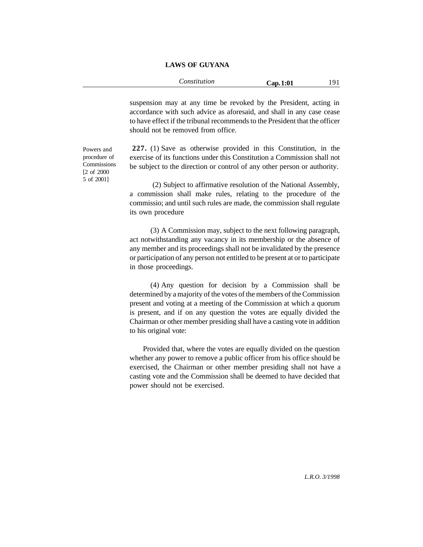| Constitution | Cap.1:01 | 191 |
|--------------|----------|-----|
|--------------|----------|-----|

suspension may at any time be revoked by the President, acting in accordance with such advice as aforesaid, and shall in any case cease to have effect if the tribunal recommends to the President that the officer should not be removed from office.

Powers and procedure of Commissions [2 of 2000 5 of 2001]

**227.** (1) Save as otherwise provided in this Constitution, in the exercise of its functions under this Constitution a Commission shall not be subject to the direction or control of any other person or authority.

 (2) Subject to affirmative resolution of the National Assembly, a commission shall make rules, relating to the procedure of the commissio; and until such rules are made, the commission shall regulate its own procedure

(3) A Commission may, subject to the next following paragraph, act notwithstanding any vacancy in its membership or the absence of any member and its proceedings shall not be invalidated by the presence or participation of any person not entitled to be present at or to participate in those proceedings.

(4) Any question for decision by a Commission shall be determined by a majority of the votes of the members of the Commission present and voting at a meeting of the Commission at which a quorum is present, and if on any question the votes are equally divided the Chairman or other member presiding shall have a casting vote in addition to his original vote:

Provided that, where the votes are equally divided on the question whether any power to remove a public officer from his office should be exercised, the Chairman or other member presiding shall not have a casting vote and the Commission shall be deemed to have decided that power should not be exercised.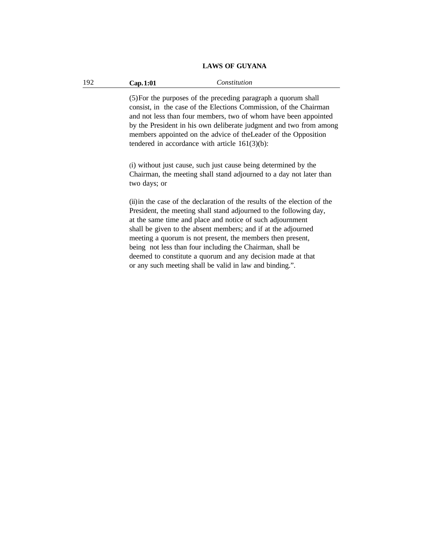| 192<br>Cap.1:01 | Constitution |
|-----------------|--------------|
|-----------------|--------------|

(5)For the purposes of the preceding paragraph a quorum shall consist, in the case of the Elections Commission, of the Chairman and not less than four members, two of whom have been appointed by the President in his own deliberate judgment and two from among members appointed on the advice of theLeader of the Opposition tendered in accordance with article 161(3)(b):

(i) without just cause, such just cause being determined by the Chairman, the meeting shall stand adjourned to a day not later than two days; or

(ii)in the case of the declaration of the results of the election of the President, the meeting shall stand adjourned to the following day, at the same time and place and notice of such adjournment shall be given to the absent members; and if at the adjourned meeting a quorum is not present, the members then present, being not less than four including the Chairman, shall be deemed to constitute a quorum and any decision made at that or any such meeting shall be valid in law and binding.".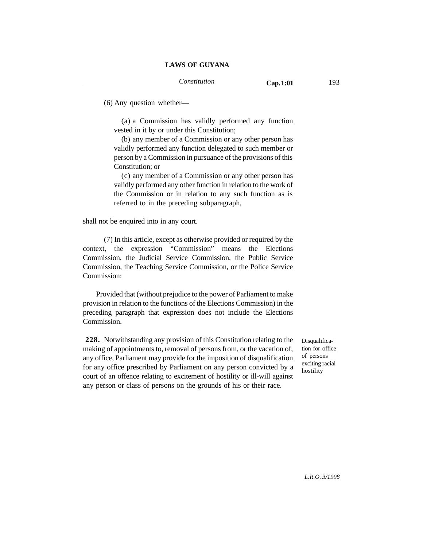(6) Any question whether—

(a) a Commission has validly performed any function vested in it by or under this Constitution;

(b) any member of a Commission or any other person has validly performed any function delegated to such member or person by a Commission in pursuance of the provisions of this Constitution; or

(c) any member of a Commission or any other person has validly performed any other function in relation to the work of the Commission or in relation to any such function as is referred to in the preceding subparagraph,

shall not be enquired into in any court.

(7) In this article, except as otherwise provided or required by the context, the expression "Commission" means the Elections Commission, the Judicial Service Commission, the Public Service Commission, the Teaching Service Commission, or the Police Service Commission:

Provided that (without prejudice to the power of Parliament to make provision in relation to the functions of the Elections Commission) in the preceding paragraph that expression does not include the Elections Commission.

**228.** Notwithstanding any provision of this Constitution relating to the making of appointments to, removal of persons from, or the vacation of, any office, Parliament may provide for the imposition of disqualification for any office prescribed by Parliament on any person convicted by a court of an offence relating to excitement of hostility or ill-will against any person or class of persons on the grounds of his or their race.

Disqualification for office of persons exciting racial hostility

*L.R.O. 3/1998*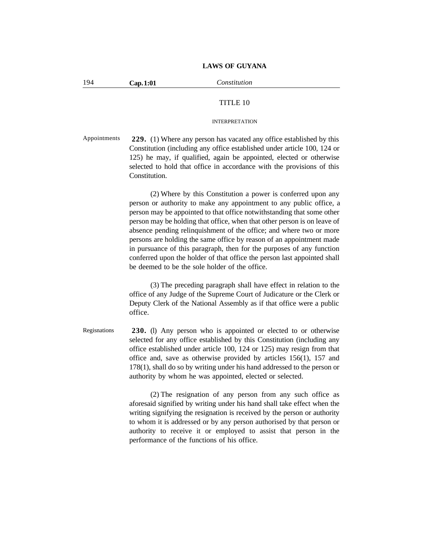### TITLE 10

#### INTERPRETATION

**229.** (1) Where any person has vacated any office established by this Constitution (including any office established under article 100, 124 or 125) he may, if qualified, again be appointed, elected or otherwise selected to hold that office in accordance with the provisions of this Constitution. Appointments

> (2) Where by this Constitution a power is conferred upon any person or authority to make any appointment to any public office, a person may be appointed to that office notwithstanding that some other person may be holding that office, when that other person is on leave of absence pending relinquishment of the office; and where two or more persons are holding the same office by reason of an appointment made in pursuance of this paragraph, then for the purposes of any function conferred upon the holder of that office the person last appointed shall be deemed to be the sole holder of the office.

> (3) The preceding paragraph shall have effect in relation to the office of any Judge of the Supreme Court of Judicature or the Clerk or Deputy Clerk of the National Assembly as if that office were a public office.

**230.** (l) Any person who is appointed or elected to or otherwise selected for any office established by this Constitution (including any office established under article 100, 124 or 125) may resign from that office and, save as otherwise provided by articles 156(1), 157 and 178(1), shall do so by writing under his hand addressed to the person or authority by whom he was appointed, elected or selected. Regisnations

> (2) The resignation of any person from any such office as aforesaid signified by writing under his hand shall take effect when the writing signifying the resignation is received by the person or authority to whom it is addressed or by any person authorised by that person or authority to receive it or employed to assist that person in the performance of the functions of his office.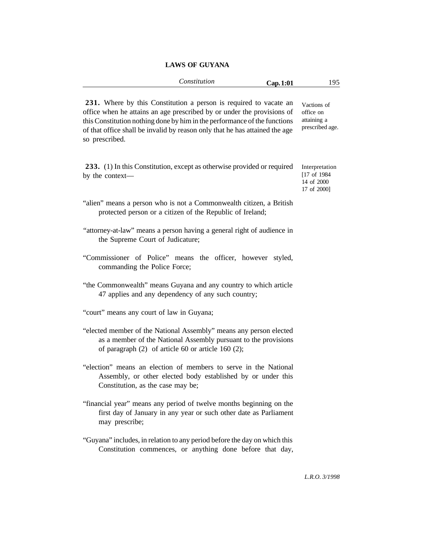|                                                                                                                                                                                                                                                                                                                           | Constitution                                                                                                               | Cap. 1:01 | 195                                                         |
|---------------------------------------------------------------------------------------------------------------------------------------------------------------------------------------------------------------------------------------------------------------------------------------------------------------------------|----------------------------------------------------------------------------------------------------------------------------|-----------|-------------------------------------------------------------|
| 231. Where by this Constitution a person is required to vacate an<br>office when he attains an age prescribed by or under the provisions of<br>this Constitution nothing done by him in the performance of the functions<br>of that office shall be invalid by reason only that he has attained the age<br>so prescribed. |                                                                                                                            |           | Vactions of<br>office on<br>attaining a<br>prescribed age.  |
| 233. (1) In this Constitution, except as otherwise provided or required<br>by the context-                                                                                                                                                                                                                                |                                                                                                                            |           | Interpretation<br>[17 of 1984]<br>14 of 2000<br>17 of 2000] |
| "alien" means a person who is not a Commonwealth citizen, a British                                                                                                                                                                                                                                                       | protected person or a citizen of the Republic of Ireland;                                                                  |           |                                                             |
| "attorney-at-law" means a person having a general right of audience in<br>the Supreme Court of Judicature;                                                                                                                                                                                                                |                                                                                                                            |           |                                                             |
| "Commissioner of Police" means the officer, however styled,<br>commanding the Police Force;                                                                                                                                                                                                                               |                                                                                                                            |           |                                                             |
| "the Commonwealth" means Guyana and any country to which article                                                                                                                                                                                                                                                          | 47 applies and any dependency of any such country;                                                                         |           |                                                             |
| "court" means any court of law in Guyana;                                                                                                                                                                                                                                                                                 |                                                                                                                            |           |                                                             |
| "elected member of the National Assembly" means any person elected                                                                                                                                                                                                                                                        | as a member of the National Assembly pursuant to the provisions<br>of paragraph $(2)$ of article 60 or article 160 $(2)$ ; |           |                                                             |
| "election" means an election of members to serve in the National<br>Constitution, as the case may be;                                                                                                                                                                                                                     | Assembly, or other elected body established by or under this                                                               |           |                                                             |
| "financial year" means any period of twelve months beginning on the<br>may prescribe;                                                                                                                                                                                                                                     | first day of January in any year or such other date as Parliament                                                          |           |                                                             |
| "Guyana" includes, in relation to any period before the day on which this                                                                                                                                                                                                                                                 | Constitution commences, or anything done before that day,                                                                  |           |                                                             |
|                                                                                                                                                                                                                                                                                                                           |                                                                                                                            |           |                                                             |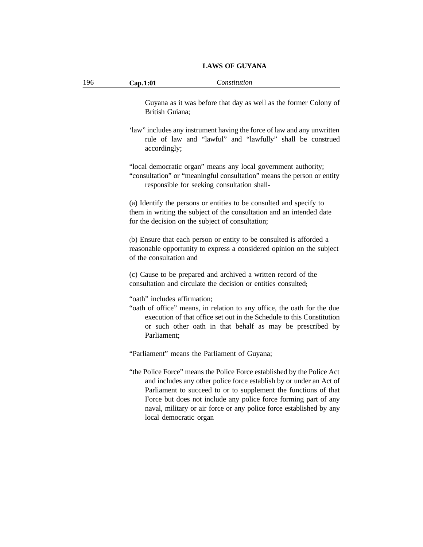| 196 | Cap. 1:01 | Constitution |
|-----|-----------|--------------|
|     |           |              |

Guyana as it was before that day as well as the former Colony of British Guiana;

'law" includes any instrument having the force of law and any unwritten rule of law and "lawful" and "lawfully" shall be construed accordingly;

"local democratic organ" means any local government authority; "consultation" or "meaningful consultation" means the person or entity responsible for seeking consultation shall-

(a) Identify the persons or entities to be consulted and specify to them in writing the subject of the consultation and an intended date for the decision on the subject of consultation;

(b) Ensure that each person or entity to be consulted is afforded a reasonable opportunity to express a considered opinion on the subject of the consultation and

(c) Cause to be prepared and archived a written record of the consultation and circulate the decision or entities consulted;

"oath" includes affirmation;

"oath of office" means, in relation to any office, the oath for the due execution of that office set out in the Schedule to this Constitution or such other oath in that behalf as may be prescribed by Parliament;

"Parliament" means the Parliament of Guyana;

"the Police Force" means the Police Force established by the Police Act and includes any other police force establish by or under an Act of Parliament to succeed to or to supplement the functions of that Force but does not include any police force forming part of any naval, military or air force or any police force established by any local democratic organ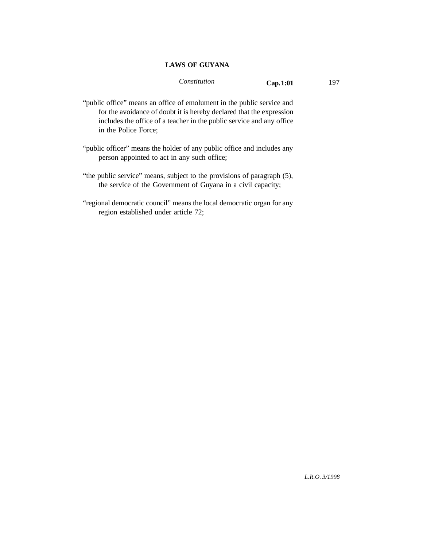| Constitution | Cap.1:01 |  |
|--------------|----------|--|
|              |          |  |

- "public office" means an office of emolument in the public service and for the avoidance of doubt it is hereby declared that the expression includes the office of a teacher in the public service and any office in the Police Force;
- "public officer" means the holder of any public office and includes any person appointed to act in any such office;
- "the public service" means, subject to the provisions of paragraph (5), the service of the Government of Guyana in a civil capacity;
- "regional democratic council" means the local democratic organ for any region established under article 72;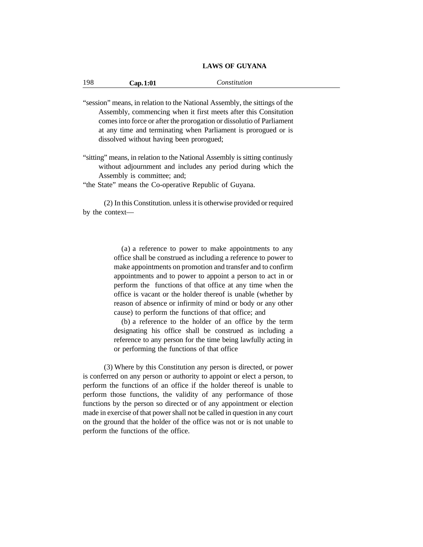| 198 | Cap.1:01 | Constitution |
|-----|----------|--------------|
|     |          |              |

"session" means, in relation to the National Assembly, the sittings of the Assembly, commencing when it first meets after this Consitution comes into force or after the prorogation or dissolutio of Parliament at any time and terminating when Parliament is prorogued or is dissolved without having been prorogued;

"sitting" means, in relation to the National Assembly is sitting continusly without adjournment and includes any period during which the Assembly is committee; and;

"the State" means the Co-operative Republic of Guyana.

(2) In this Constitution. unless it is otherwise provided or required by the context—

> (a) a reference to power to make appointments to any office shall be construed as including a reference to power to make appointments on promotion and transfer and to confirm appointments and to power to appoint a person to act in or perform the functions of that office at any time when the office is vacant or the holder thereof is unable (whether by reason of absence or infirmity of mind or body or any other cause) to perform the functions of that office; and

> (b) a reference to the holder of an office by the term designating his office shall be construed as including a reference to any person for the time being lawfully acting in or performing the functions of that office

(3) Where by this Constitution any person is directed, or power is conferred on any person or authority to appoint or elect a person, to perform the functions of an office if the holder thereof is unable to perform those functions, the validity of any performance of those functions by the person so directed or of any appointment or election made in exercise of that power shall not be called in question in any court on the ground that the holder of the office was not or is not unable to perform the functions of the office.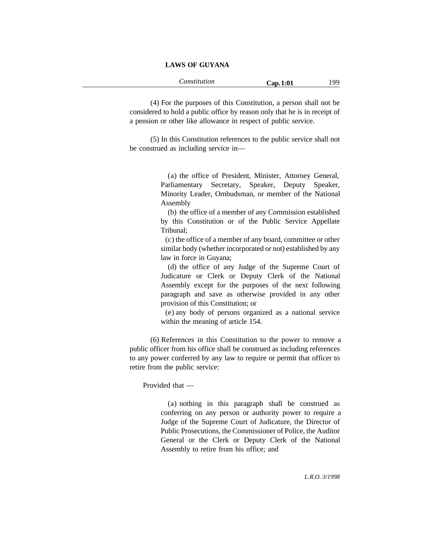| Cap. 1:01 |
|-----------|
|           |

(4) For the purposes of this Constitution, a person shall not be considered to hold a public office by reason only that he is in receipt of a pension or other like allowance in respect of public service.

(5) In this Constitution references to the public service shall not be construed as including service in—

> (a) the office of President, Minister, Attorney General, Parliamentary Secretary, Speaker, Deputy Speaker, Minority Leader, Ombudsman, or member of the National Assembly

> (b) the office of a member of any Commission established by this Constitution or of the Public Service Appellate Tribunal;

> (c) the office of a member of any board, committee or other similar body (whether incorporated or not) established by any law in force in Guyana;

> (d) the office of any Judge of the Supreme Court of Judicature or Clerk or Deputy Clerk of the National Assembly except for the purposes of the next following paragraph and save as otherwise provided in any other provision of this Constitution; or

> (e) any body of persons organized as a national service within the meaning of article 154.

(6) References in this Constitution to the power to remove a public officer from his office shall be construed as including references to any power conferred by any law to require or permit that officer to retire from the public service:

Provided that —

(a) nothing in this paragraph shall be construed as conferring on any person or authority power to require a Judge of the Supreme Court of Judicature, the Director of Public Prosecutions, the Commissioner of Police, the Auditor General or the Clerk or Deputy Clerk of the National Assembly to retire from his office; and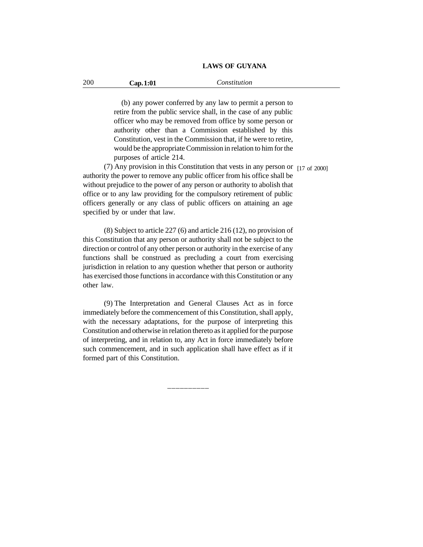(b) any power conferred by any law to permit a person to retire from the public service shall, in the case of any public officer who may be removed from office by some person or authority other than a Commission established by this Constitution, vest in the Commission that, if he were to retire, would be the appropriate Commission in relation to him for the purposes of article 214.

(7) Any provision in this Constitution that vests in any person or [17 of 2000]authority the power to remove any public officer from his office shall be without prejudice to the power of any person or authority to abolish that office or to any law providing for the compulsory retirement of public officers generally or any class of public officers on attaining an age specified by or under that law.

(8) Subject to article 227 (6) and article 216 (12), no provision of this Constitution that any person or authority shall not be subject to the direction or control of any other person or authority in the exercise of any functions shall be construed as precluding a court from exercising jurisdiction in relation to any question whether that person or authority has exercised those functions in accordance with this Constitution or any other law.

(9) The Interpretation and General Clauses Act as in force immediately before the commencement of this Constitution, shall apply, with the necessary adaptations, for the purpose of interpreting this Constitution and otherwise in relation thereto as it applied for the purpose of interpreting, and in relation to, any Act in force immediately before such commencement, and in such application shall have effect as if it formed part of this Constitution.

\_\_\_\_\_\_\_\_\_\_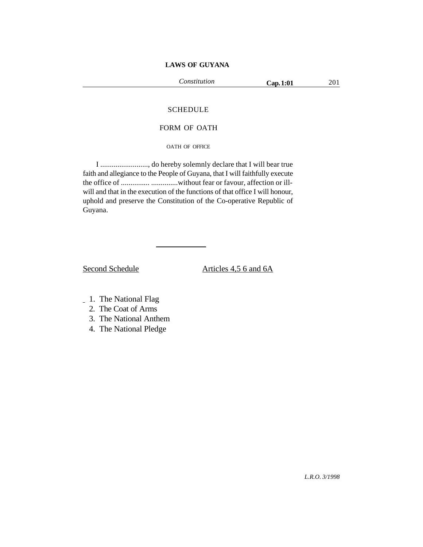*Constitution* **Cap. 1:01** 201

# SCHEDULE

# FORM OF OATH

### OATH OF OFFICE

I ........................., do hereby solemnly declare that I will bear true faith and allegiance to the People of Guyana, that I will faithfully execute the office of ............... ..............without fear or favour, affection or illwill and that in the execution of the functions of that office I will honour, uphold and preserve the Constitution of the Co-operative Republic of Guyana.

Second Schedule Articles 4,5 6 and 6A

- 1. The National Flag
	- 2. The Coat of Arms
	- 3. The National Anthem
	- 4. The National Pledge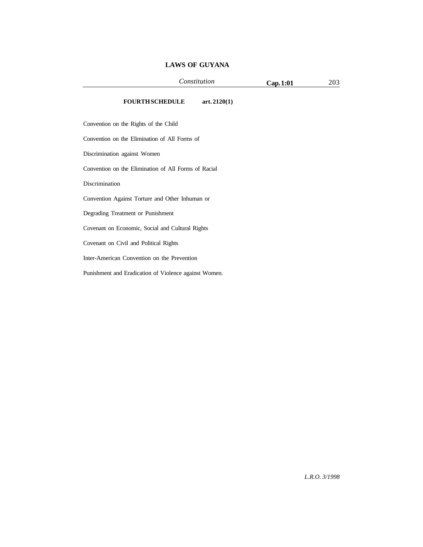|                                                       | Constitution                          | Cap. 1:01 | 203 |
|-------------------------------------------------------|---------------------------------------|-----------|-----|
|                                                       | <b>FOURTH SCHEDULE</b><br>art.2120(1) |           |     |
| Convention on the Rights of the Child                 |                                       |           |     |
| Convention on the Elimination of All Forms of         |                                       |           |     |
| Discrimination against Women                          |                                       |           |     |
| Convention on the Elimination of All Forms of Racial  |                                       |           |     |
| Discrimination                                        |                                       |           |     |
| Convention Against Torture and Other Inhuman or       |                                       |           |     |
| Degrading Treatment or Punishment                     |                                       |           |     |
| Covenant on Economic, Social and Cultural Rights      |                                       |           |     |
| Covenant on Civil and Political Rights                |                                       |           |     |
| Inter-American Convention on the Prevention           |                                       |           |     |
| Punishment and Eradication of Violence against Women. |                                       |           |     |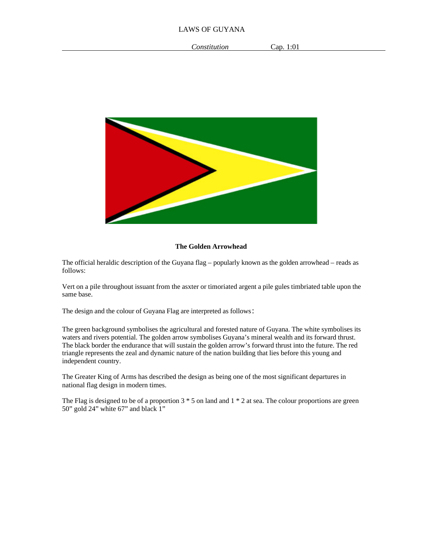*Constitution* Cap. 1:01



# **The Golden Arrowhead**

The official heraldic description of the Guyana flag – popularly known as the golden arrowhead – reads as follows:

Vert on a pile throughout issuant from the asxter or timoriated argent a pile gules timbriated table upon the same base.

The design and the colour of Guyana Flag are interpreted as follows:

The green background symbolises the agricultural and forested nature of Guyana. The white symbolises its waters and rivers potential. The golden arrow symbolises Guyana's mineral wealth and its forward thrust. The black border the endurance that will sustain the golden arrow's forward thrust into the future. The red triangle represents the zeal and dynamic nature of the nation building that lies before this young and independent country.

The Greater King of Arms has described the design as being one of the most significant departures in national flag design in modern times.

The Flag is designed to be of a proportion  $3 * 5$  on land and  $1 * 2$  at sea. The colour proportions are green 50" gold 24" white 67" and black 1"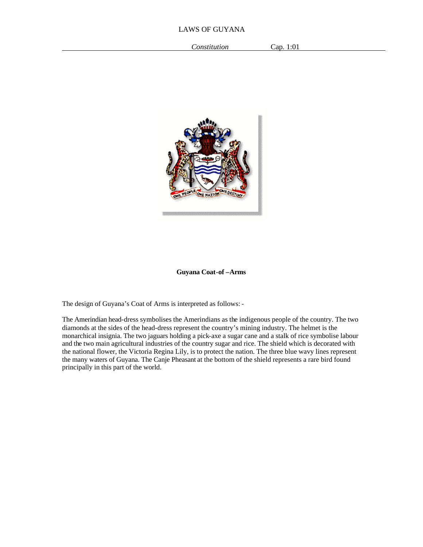### *Constitution* Cap. 1:01



### **Guyana Coat-of –Arms**

The design of Guyana's Coat of Arms is interpreted as follows: -

The Amerindian head-dress symbolises the Amerindians as the indigenous people of the country. The two diamonds at the sides of the head-dress represent the country's mining industry. The helmet is the monarchical insignia. The two jaguars holding a pick-axe a sugar cane and a stalk of rice symbolise labour and the two main agricultural industries of the country sugar and rice. The shield which is decorated with the national flower, the Victoria Regina Lily, is to protect the nation. The three blue wavy lines represent the many waters of Guyana. The Canje Pheasant at the bottom of the shield represents a rare bird found principally in this part of the world.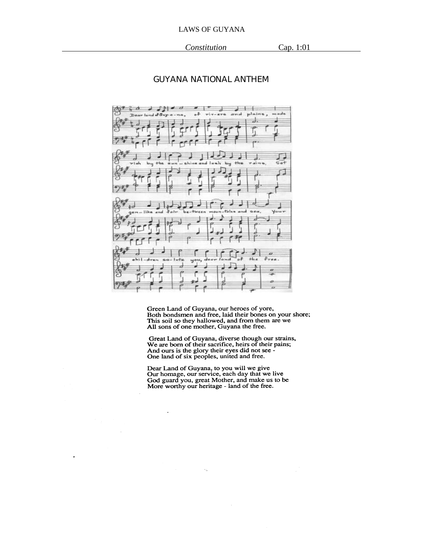# GUYANA NATIONAL ANTHEM



Green Land of Guyana, our heroes of yore,<br>Both bondsmen and free, laid their bones on your shore;<br>This soil so they hallowed, and from them are we All sons of one mother, Guyana the free.

Great Land of Guyana, diverse though our strains,<br>We are born of their sacrifice, heirs of their pains; And ours is the glory their eyes did not see -<br>One land of six peoples, united and free.

Dear Land of Guyana, to you will we give<br>Our homage, our service, each day that we live<br>God guard you, great Mother, and make us to be<br>More worthy our heritage - land of the free.